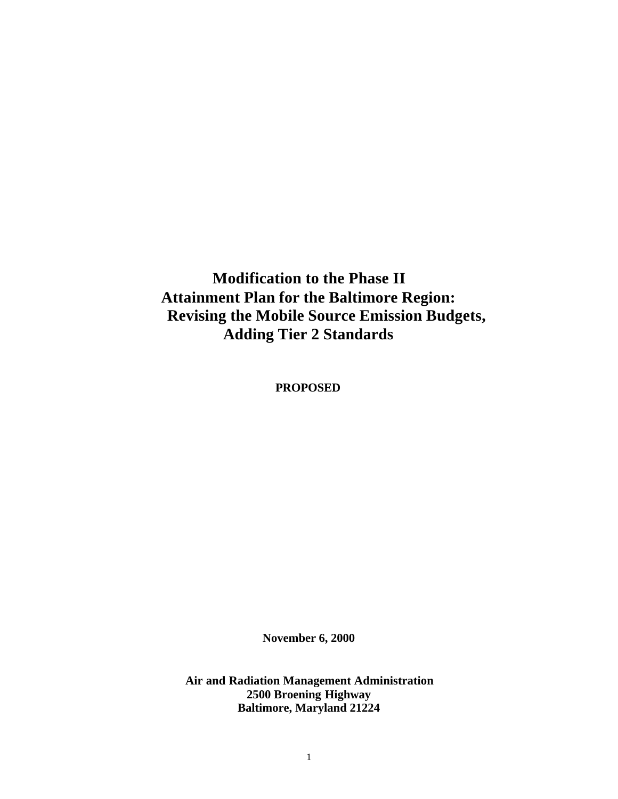**Modification to the Phase II Attainment Plan for the Baltimore Region: Revising the Mobile Source Emission Budgets, Adding Tier 2 Standards**

**PROPOSED**

**November 6, 2000**

**Air and Radiation Management Administration 2500 Broening Highway Baltimore, Maryland 21224**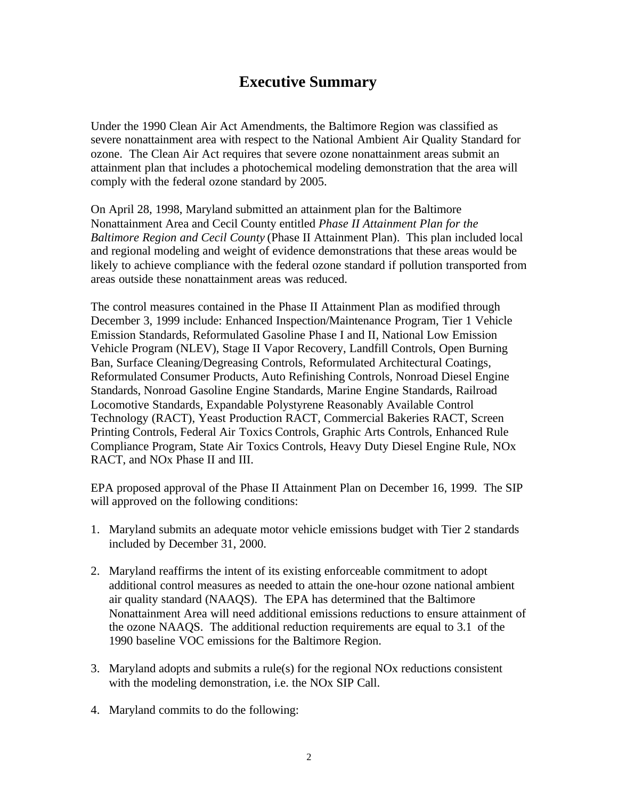# **Executive Summary**

Under the 1990 Clean Air Act Amendments, the Baltimore Region was classified as severe nonattainment area with respect to the National Ambient Air Quality Standard for ozone. The Clean Air Act requires that severe ozone nonattainment areas submit an attainment plan that includes a photochemical modeling demonstration that the area will comply with the federal ozone standard by 2005.

On April 28, 1998, Maryland submitted an attainment plan for the Baltimore Nonattainment Area and Cecil County entitled *Phase II Attainment Plan for the Baltimore Region and Cecil County* (Phase II Attainment Plan). This plan included local and regional modeling and weight of evidence demonstrations that these areas would be likely to achieve compliance with the federal ozone standard if pollution transported from areas outside these nonattainment areas was reduced.

The control measures contained in the Phase II Attainment Plan as modified through December 3, 1999 include: Enhanced Inspection/Maintenance Program, Tier 1 Vehicle Emission Standards, Reformulated Gasoline Phase I and II, National Low Emission Vehicle Program (NLEV), Stage II Vapor Recovery, Landfill Controls, Open Burning Ban, Surface Cleaning/Degreasing Controls, Reformulated Architectural Coatings, Reformulated Consumer Products, Auto Refinishing Controls, Nonroad Diesel Engine Standards, Nonroad Gasoline Engine Standards, Marine Engine Standards, Railroad Locomotive Standards, Expandable Polystyrene Reasonably Available Control Technology (RACT), Yeast Production RACT, Commercial Bakeries RACT, Screen Printing Controls, Federal Air Toxics Controls, Graphic Arts Controls, Enhanced Rule Compliance Program, State Air Toxics Controls, Heavy Duty Diesel Engine Rule, NOx RACT, and NOx Phase II and III.

EPA proposed approval of the Phase II Attainment Plan on December 16, 1999. The SIP will approved on the following conditions:

- 1. Maryland submits an adequate motor vehicle emissions budget with Tier 2 standards included by December 31, 2000.
- 2. Maryland reaffirms the intent of its existing enforceable commitment to adopt additional control measures as needed to attain the one-hour ozone national ambient air quality standard (NAAQS). The EPA has determined that the Baltimore Nonattainment Area will need additional emissions reductions to ensure attainment of the ozone NAAQS. The additional reduction requirements are equal to 3.1 of the 1990 baseline VOC emissions for the Baltimore Region.
- 3. Maryland adopts and submits a rule(s) for the regional NOx reductions consistent with the modeling demonstration, i.e. the NOx SIP Call.
- 4. Maryland commits to do the following: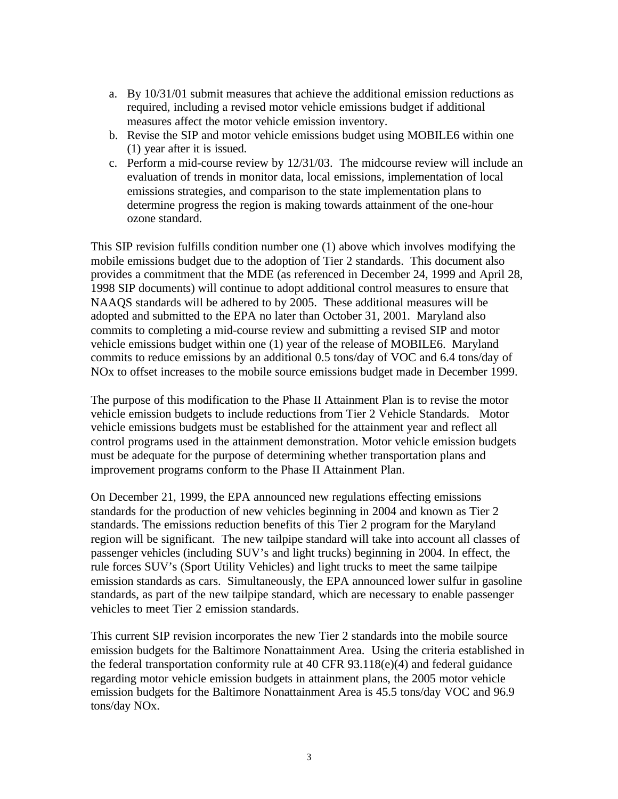- a. By 10/31/01 submit measures that achieve the additional emission reductions as required, including a revised motor vehicle emissions budget if additional measures affect the motor vehicle emission inventory.
- b. Revise the SIP and motor vehicle emissions budget using MOBILE6 within one (1) year after it is issued.
- c. Perform a mid-course review by 12/31/03. The midcourse review will include an evaluation of trends in monitor data, local emissions, implementation of local emissions strategies, and comparison to the state implementation plans to determine progress the region is making towards attainment of the one-hour ozone standard.

This SIP revision fulfills condition number one (1) above which involves modifying the mobile emissions budget due to the adoption of Tier 2 standards. This document also provides a commitment that the MDE (as referenced in December 24, 1999 and April 28, 1998 SIP documents) will continue to adopt additional control measures to ensure that NAAQS standards will be adhered to by 2005. These additional measures will be adopted and submitted to the EPA no later than October 31, 2001. Maryland also commits to completing a mid-course review and submitting a revised SIP and motor vehicle emissions budget within one (1) year of the release of MOBILE6. Maryland commits to reduce emissions by an additional 0.5 tons/day of VOC and 6.4 tons/day of NOx to offset increases to the mobile source emissions budget made in December 1999.

The purpose of this modification to the Phase II Attainment Plan is to revise the motor vehicle emission budgets to include reductions from Tier 2 Vehicle Standards. Motor vehicle emissions budgets must be established for the attainment year and reflect all control programs used in the attainment demonstration. Motor vehicle emission budgets must be adequate for the purpose of determining whether transportation plans and improvement programs conform to the Phase II Attainment Plan.

On December 21, 1999, the EPA announced new regulations effecting emissions standards for the production of new vehicles beginning in 2004 and known as Tier 2 standards. The emissions reduction benefits of this Tier 2 program for the Maryland region will be significant. The new tailpipe standard will take into account all classes of passenger vehicles (including SUV's and light trucks) beginning in 2004. In effect, the rule forces SUV's (Sport Utility Vehicles) and light trucks to meet the same tailpipe emission standards as cars. Simultaneously, the EPA announced lower sulfur in gasoline standards, as part of the new tailpipe standard, which are necessary to enable passenger vehicles to meet Tier 2 emission standards.

This current SIP revision incorporates the new Tier 2 standards into the mobile source emission budgets for the Baltimore Nonattainment Area. Using the criteria established in the federal transportation conformity rule at 40 CFR 93.118(e)(4) and federal guidance regarding motor vehicle emission budgets in attainment plans, the 2005 motor vehicle emission budgets for the Baltimore Nonattainment Area is 45.5 tons/day VOC and 96.9 tons/day NOx.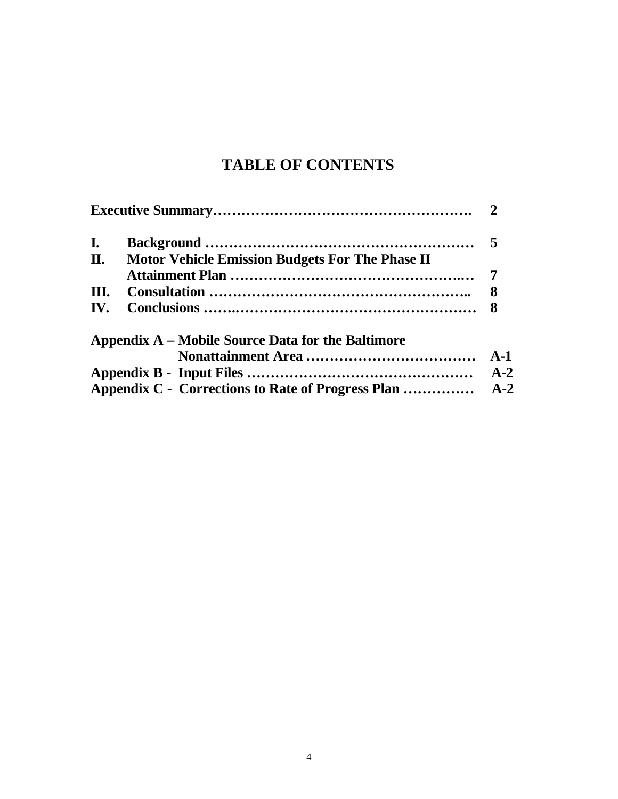# **TABLE OF CONTENTS**

| I.  |                                                        |       |
|-----|--------------------------------------------------------|-------|
| П.  | <b>Motor Vehicle Emission Budgets For The Phase II</b> |       |
|     |                                                        |       |
| Ш.  |                                                        | 8     |
| IV. |                                                        | 8     |
|     | Appendix A – Mobile Source Data for the Baltimore      |       |
|     |                                                        | $A-1$ |
|     |                                                        | $A-2$ |
|     |                                                        |       |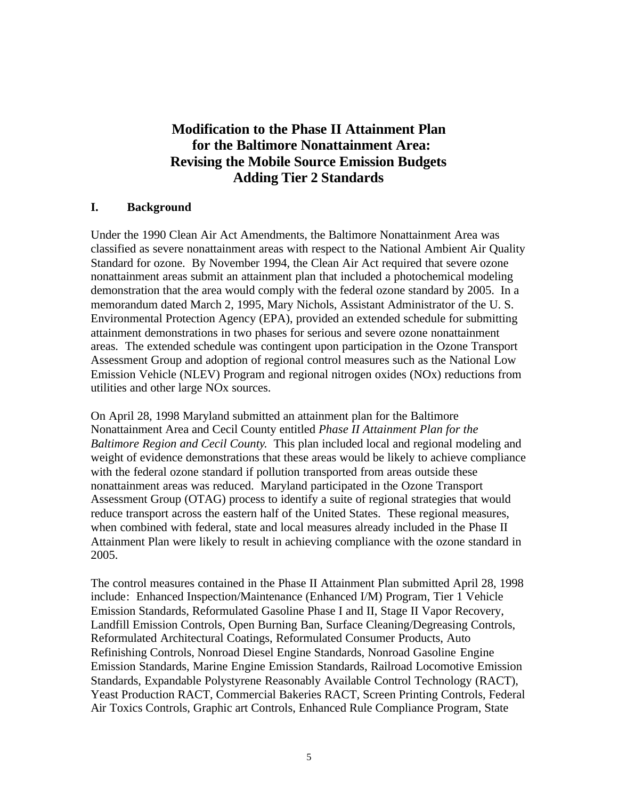## **Modification to the Phase II Attainment Plan for the Baltimore Nonattainment Area: Revising the Mobile Source Emission Budgets Adding Tier 2 Standards**

#### **I. Background**

Under the 1990 Clean Air Act Amendments, the Baltimore Nonattainment Area was classified as severe nonattainment areas with respect to the National Ambient Air Quality Standard for ozone. By November 1994, the Clean Air Act required that severe ozone nonattainment areas submit an attainment plan that included a photochemical modeling demonstration that the area would comply with the federal ozone standard by 2005. In a memorandum dated March 2, 1995, Mary Nichols, Assistant Administrator of the U. S. Environmental Protection Agency (EPA), provided an extended schedule for submitting attainment demonstrations in two phases for serious and severe ozone nonattainment areas. The extended schedule was contingent upon participation in the Ozone Transport Assessment Group and adoption of regional control measures such as the National Low Emission Vehicle (NLEV) Program and regional nitrogen oxides (NOx) reductions from utilities and other large NOx sources.

On April 28, 1998 Maryland submitted an attainment plan for the Baltimore Nonattainment Area and Cecil County entitled *Phase II Attainment Plan for the Baltimore Region and Cecil County*. This plan included local and regional modeling and weight of evidence demonstrations that these areas would be likely to achieve compliance with the federal ozone standard if pollution transported from areas outside these nonattainment areas was reduced. Maryland participated in the Ozone Transport Assessment Group (OTAG) process to identify a suite of regional strategies that would reduce transport across the eastern half of the United States. These regional measures, when combined with federal, state and local measures already included in the Phase II Attainment Plan were likely to result in achieving compliance with the ozone standard in 2005.

The control measures contained in the Phase II Attainment Plan submitted April 28, 1998 include: Enhanced Inspection/Maintenance (Enhanced I/M) Program, Tier 1 Vehicle Emission Standards, Reformulated Gasoline Phase I and II, Stage II Vapor Recovery, Landfill Emission Controls, Open Burning Ban, Surface Cleaning/Degreasing Controls, Reformulated Architectural Coatings, Reformulated Consumer Products, Auto Refinishing Controls, Nonroad Diesel Engine Standards, Nonroad Gasoline Engine Emission Standards, Marine Engine Emission Standards, Railroad Locomotive Emission Standards, Expandable Polystyrene Reasonably Available Control Technology (RACT), Yeast Production RACT, Commercial Bakeries RACT, Screen Printing Controls, Federal Air Toxics Controls, Graphic art Controls, Enhanced Rule Compliance Program, State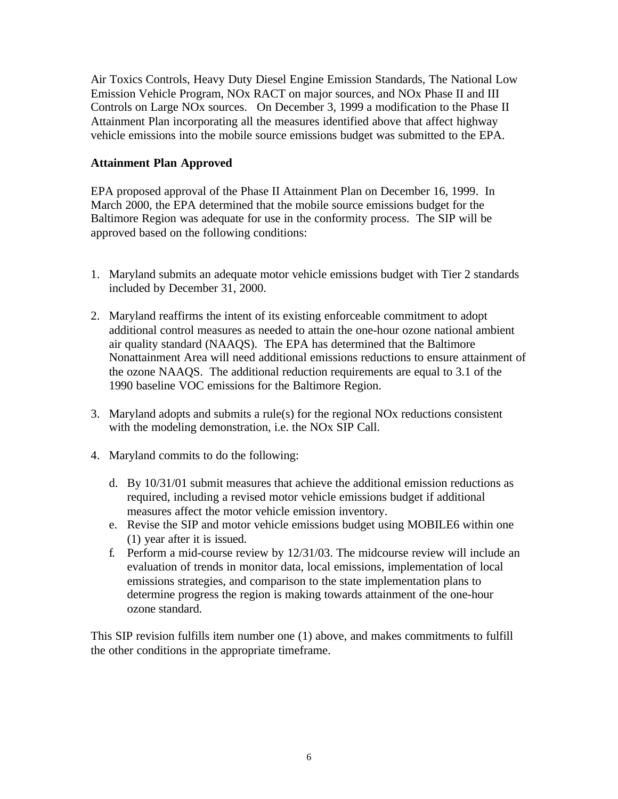Air Toxics Controls, Heavy Duty Diesel Engine Emission Standards, The National Low Emission Vehicle Program, NOx RACT on major sources, and NOx Phase II and III Controls on Large NOx sources. On December 3, 1999 a modification to the Phase II Attainment Plan incorporating all the measures identified above that affect highway vehicle emissions into the mobile source emissions budget was submitted to the EPA.

#### **Attainment Plan Approved**

EPA proposed approval of the Phase II Attainment Plan on December 16, 1999. In March 2000, the EPA determined that the mobile source emissions budget for the Baltimore Region was adequate for use in the conformity process. The SIP will be approved based on the following conditions:

- 1. Maryland submits an adequate motor vehicle emissions budget with Tier 2 standards included by December 31, 2000.
- 2. Maryland reaffirms the intent of its existing enforceable commitment to adopt additional control measures as needed to attain the one-hour ozone national ambient air quality standard (NAAQS). The EPA has determined that the Baltimore Nonattainment Area will need additional emissions reductions to ensure attainment of the ozone NAAQS. The additional reduction requirements are equal to 3.1 of the 1990 baseline VOC emissions for the Baltimore Region.
- 3. Maryland adopts and submits a rule(s) for the regional NOx reductions consistent with the modeling demonstration, i.e. the NOx SIP Call.
- 4. Maryland commits to do the following:
	- d. By 10/31/01 submit measures that achieve the additional emission reductions as required, including a revised motor vehicle emissions budget if additional measures affect the motor vehicle emission inventory.
	- e. Revise the SIP and motor vehicle emissions budget using MOBILE6 within one (1) year after it is issued.
	- f. Perform a mid-course review by 12/31/03. The midcourse review will include an evaluation of trends in monitor data, local emissions, implementation of local emissions strategies, and comparison to the state implementation plans to determine progress the region is making towards attainment of the one-hour ozone standard.

This SIP revision fulfills item number one (1) above, and makes commitments to fulfill the other conditions in the appropriate timeframe.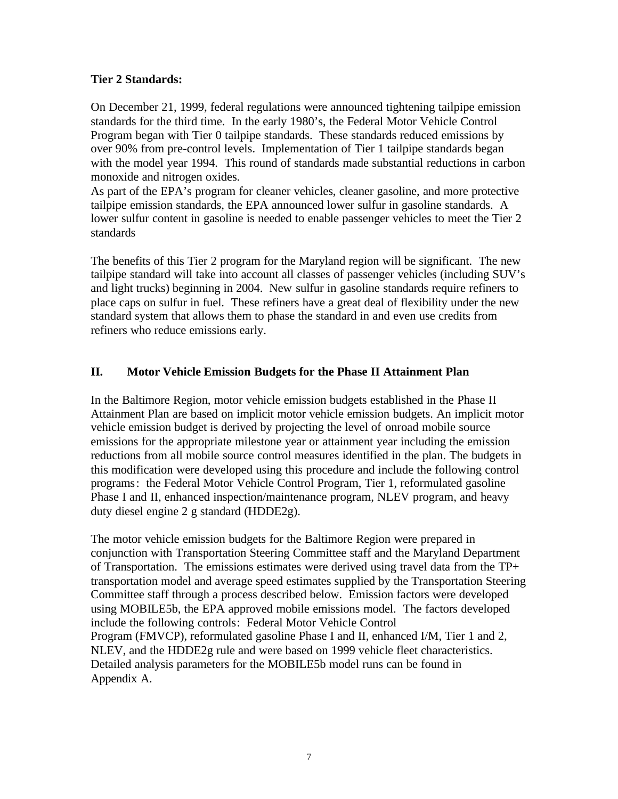#### **Tier 2 Standards:**

On December 21, 1999, federal regulations were announced tightening tailpipe emission standards for the third time. In the early 1980's, the Federal Motor Vehicle Control Program began with Tier 0 tailpipe standards. These standards reduced emissions by over 90% from pre-control levels. Implementation of Tier 1 tailpipe standards began with the model year 1994. This round of standards made substantial reductions in carbon monoxide and nitrogen oxides.

As part of the EPA's program for cleaner vehicles, cleaner gasoline, and more protective tailpipe emission standards, the EPA announced lower sulfur in gasoline standards. A lower sulfur content in gasoline is needed to enable passenger vehicles to meet the Tier 2 standards

The benefits of this Tier 2 program for the Maryland region will be significant. The new tailpipe standard will take into account all classes of passenger vehicles (including SUV's and light trucks) beginning in 2004. New sulfur in gasoline standards require refiners to place caps on sulfur in fuel. These refiners have a great deal of flexibility under the new standard system that allows them to phase the standard in and even use credits from refiners who reduce emissions early.

#### **II. Motor Vehicle Emission Budgets for the Phase II Attainment Plan**

In the Baltimore Region, motor vehicle emission budgets established in the Phase II Attainment Plan are based on implicit motor vehicle emission budgets. An implicit motor vehicle emission budget is derived by projecting the level of onroad mobile source emissions for the appropriate milestone year or attainment year including the emission reductions from all mobile source control measures identified in the plan. The budgets in this modification were developed using this procedure and include the following control programs: the Federal Motor Vehicle Control Program, Tier 1, reformulated gasoline Phase I and II, enhanced inspection/maintenance program, NLEV program, and heavy duty diesel engine 2 g standard (HDDE2g).

The motor vehicle emission budgets for the Baltimore Region were prepared in conjunction with Transportation Steering Committee staff and the Maryland Department of Transportation. The emissions estimates were derived using travel data from the TP+ transportation model and average speed estimates supplied by the Transportation Steering Committee staff through a process described below. Emission factors were developed using MOBILE5b, the EPA approved mobile emissions model. The factors developed include the following controls: Federal Motor Vehicle Control Program (FMVCP), reformulated gasoline Phase I and II, enhanced I/M, Tier 1 and 2, NLEV, and the HDDE2g rule and were based on 1999 vehicle fleet characteristics. Detailed analysis parameters for the MOBILE5b model runs can be found in Appendix A.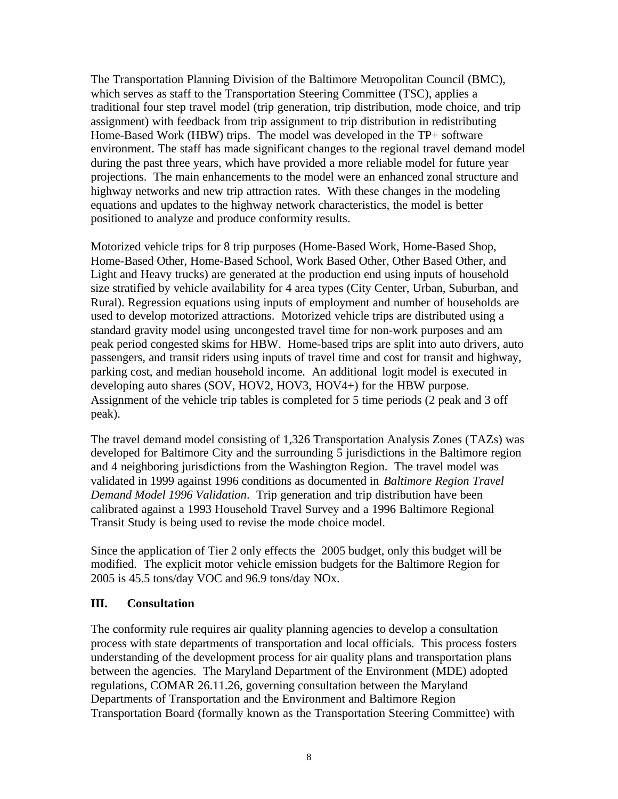The Transportation Planning Division of the Baltimore Metropolitan Council (BMC), which serves as staff to the Transportation Steering Committee (TSC), applies a traditional four step travel model (trip generation, trip distribution, mode choice, and trip assignment) with feedback from trip assignment to trip distribution in redistributing Home-Based Work (HBW) trips. The model was developed in the TP+ software environment. The staff has made significant changes to the regional travel demand model during the past three years, which have provided a more reliable model for future year projections. The main enhancements to the model were an enhanced zonal structure and highway networks and new trip attraction rates. With these changes in the modeling equations and updates to the highway network characteristics, the model is better positioned to analyze and produce conformity results.

Motorized vehicle trips for 8 trip purposes (Home-Based Work, Home-Based Shop, Home-Based Other, Home-Based School, Work Based Other, Other Based Other, and Light and Heavy trucks) are generated at the production end using inputs of household size stratified by vehicle availability for 4 area types (City Center, Urban, Suburban, and Rural). Regression equations using inputs of employment and number of households are used to develop motorized attractions. Motorized vehicle trips are distributed using a standard gravity model using uncongested travel time for non-work purposes and am peak period congested skims for HBW. Home-based trips are split into auto drivers, auto passengers, and transit riders using inputs of travel time and cost for transit and highway, parking cost, and median household income. An additional logit model is executed in developing auto shares (SOV, HOV2, HOV3, HOV4+) for the HBW purpose. Assignment of the vehicle trip tables is completed for 5 time periods (2 peak and 3 off peak).

The travel demand model consisting of 1,326 Transportation Analysis Zones (TAZs) was developed for Baltimore City and the surrounding 5 jurisdictions in the Baltimore region and 4 neighboring jurisdictions from the Washington Region. The travel model was validated in 1999 against 1996 conditions as documented in *Baltimore Region Travel Demand Model 1996 Validation*. Trip generation and trip distribution have been calibrated against a 1993 Household Travel Survey and a 1996 Baltimore Regional Transit Study is being used to revise the mode choice model.

Since the application of Tier 2 only effects the 2005 budget, only this budget will be modified. The explicit motor vehicle emission budgets for the Baltimore Region for 2005 is 45.5 tons/day VOC and 96.9 tons/day NOx.

#### **III. Consultation**

The conformity rule requires air quality planning agencies to develop a consultation process with state departments of transportation and local officials. This process fosters understanding of the development process for air quality plans and transportation plans between the agencies. The Maryland Department of the Environment (MDE) adopted regulations, COMAR 26.11.26, governing consultation between the Maryland Departments of Transportation and the Environment and Baltimore Region Transportation Board (formally known as the Transportation Steering Committee) with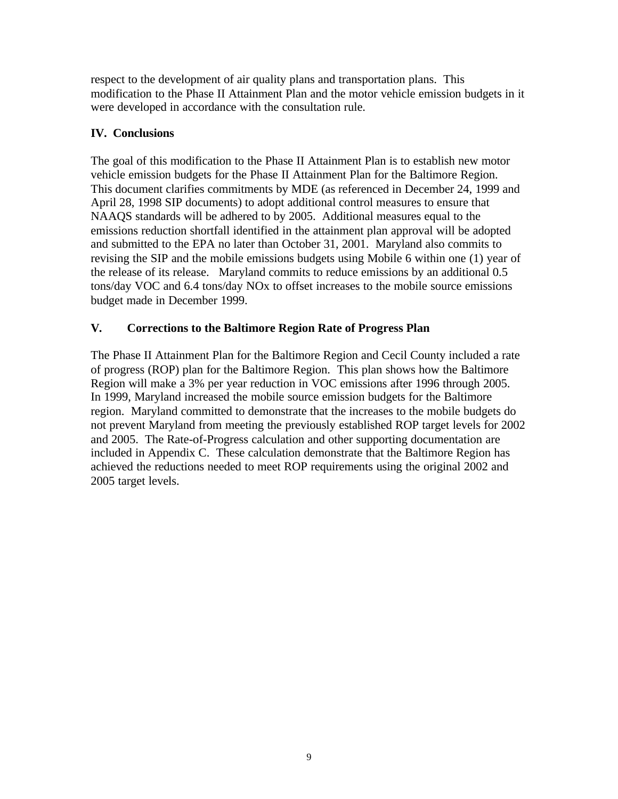respect to the development of air quality plans and transportation plans. This modification to the Phase II Attainment Plan and the motor vehicle emission budgets in it were developed in accordance with the consultation rule.

### **IV. Conclusions**

The goal of this modification to the Phase II Attainment Plan is to establish new motor vehicle emission budgets for the Phase II Attainment Plan for the Baltimore Region. This document clarifies commitments by MDE (as referenced in December 24, 1999 and April 28, 1998 SIP documents) to adopt additional control measures to ensure that NAAQS standards will be adhered to by 2005. Additional measures equal to the emissions reduction shortfall identified in the attainment plan approval will be adopted and submitted to the EPA no later than October 31, 2001. Maryland also commits to revising the SIP and the mobile emissions budgets using Mobile 6 within one (1) year of the release of its release. Maryland commits to reduce emissions by an additional 0.5 tons/day VOC and 6.4 tons/day NOx to offset increases to the mobile source emissions budget made in December 1999.

## **V. Corrections to the Baltimore Region Rate of Progress Plan**

The Phase II Attainment Plan for the Baltimore Region and Cecil County included a rate of progress (ROP) plan for the Baltimore Region. This plan shows how the Baltimore Region will make a 3% per year reduction in VOC emissions after 1996 through 2005. In 1999, Maryland increased the mobile source emission budgets for the Baltimore region. Maryland committed to demonstrate that the increases to the mobile budgets do not prevent Maryland from meeting the previously established ROP target levels for 2002 and 2005. The Rate-of-Progress calculation and other supporting documentation are included in Appendix C. These calculation demonstrate that the Baltimore Region has achieved the reductions needed to meet ROP requirements using the original 2002 and 2005 target levels.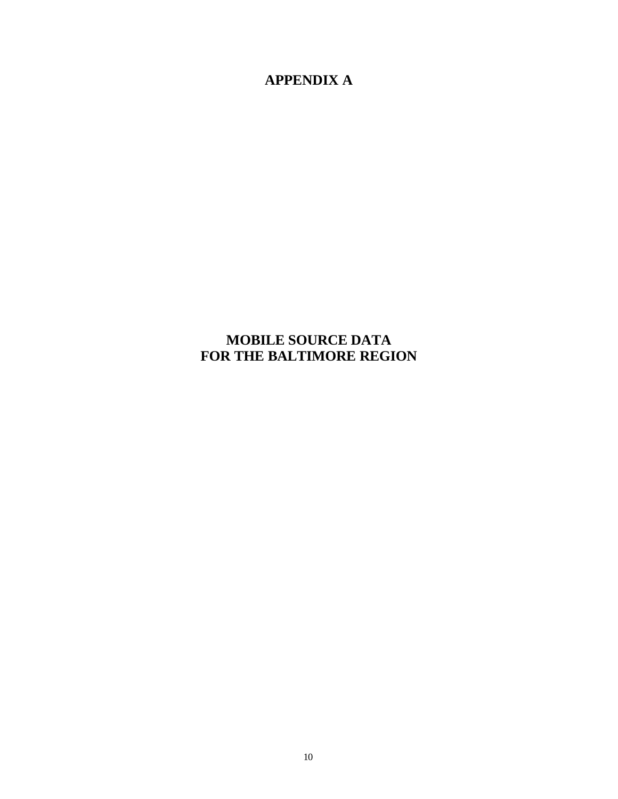**APPENDIX A**

## **MOBILE SOURCE DATA FOR THE BALTIMORE REGION**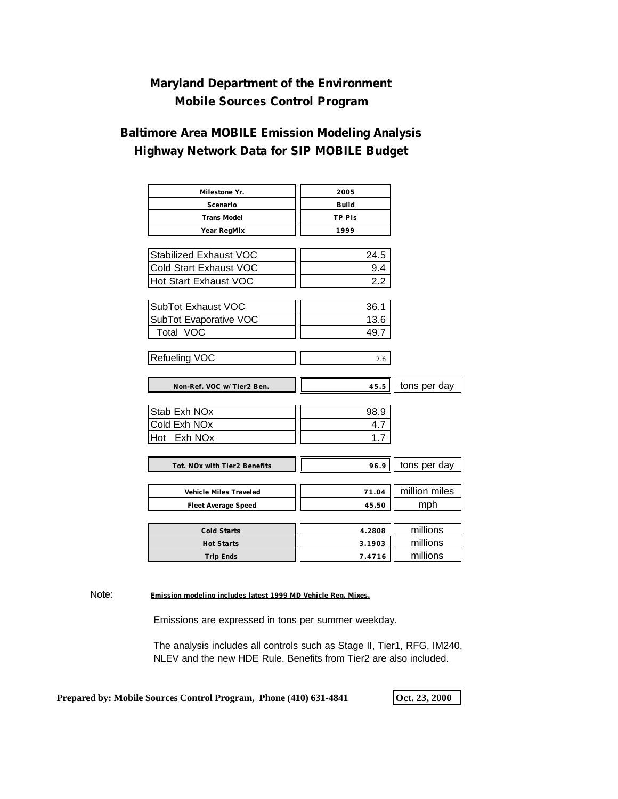## **Maryland Department of the Environment Mobile Sources Control Program**

## **Baltimore Area MOBILE Emission Modeling Analysis Highway Network Data for SIP MOBILE Budget**

| tons per day  |
|---------------|
|               |
|               |
|               |
|               |
|               |
|               |
| tons per day  |
| million miles |
| mph           |
|               |
| millions      |
| millions      |
|               |

#### Note: **Emission modeling includes latest 1999 MD Vehicle Reg. Mixes.**

Emissions are expressed in tons per summer weekday.

 The analysis includes all controls such as Stage II, Tier1, RFG, IM240, NLEV and the new HDE Rule. Benefits from Tier2 are also included.

**Prepared by: Mobile Sources Control Program, Phone (410) 631-4841**  $\qquad$  **Oct. 23, 2000**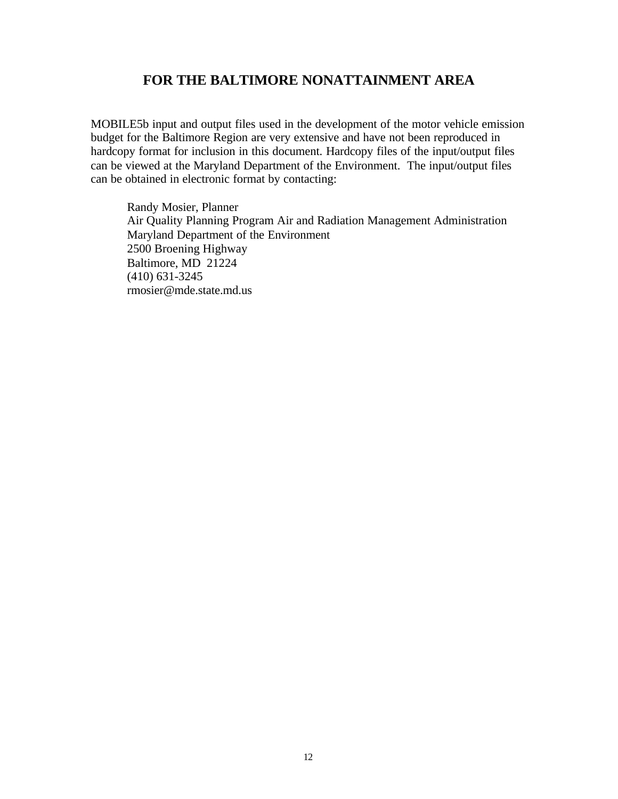## **FOR THE BALTIMORE NONATTAINMENT AREA**

MOBILE5b input and output files used in the development of the motor vehicle emission budget for the Baltimore Region are very extensive and have not been reproduced in hardcopy format for inclusion in this document. Hardcopy files of the input/output files can be viewed at the Maryland Department of the Environment. The input/output files can be obtained in electronic format by contacting:

Randy Mosier, Planner Air Quality Planning Program Air and Radiation Management Administration Maryland Department of the Environment 2500 Broening Highway Baltimore, MD 21224 (410) 631-3245 rmosier@mde.state.md.us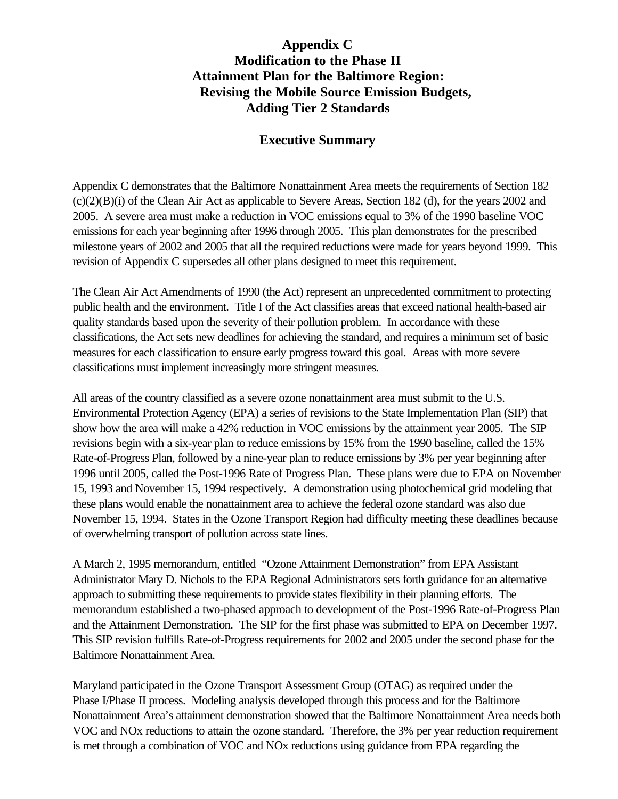## **Appendix C Modification to the Phase II Attainment Plan for the Baltimore Region: Revising the Mobile Source Emission Budgets, Adding Tier 2 Standards**

### **Executive Summary**

Appendix C demonstrates that the Baltimore Nonattainment Area meets the requirements of Section 182 (c)(2)(B)(i) of the Clean Air Act as applicable to Severe Areas, Section 182 (d), for the years 2002 and 2005. A severe area must make a reduction in VOC emissions equal to 3% of the 1990 baseline VOC emissions for each year beginning after 1996 through 2005. This plan demonstrates for the prescribed milestone years of 2002 and 2005 that all the required reductions were made for years beyond 1999. This revision of Appendix C supersedes all other plans designed to meet this requirement.

The Clean Air Act Amendments of 1990 (the Act) represent an unprecedented commitment to protecting public health and the environment. Title I of the Act classifies areas that exceed national health-based air quality standards based upon the severity of their pollution problem. In accordance with these classifications, the Act sets new deadlines for achieving the standard, and requires a minimum set of basic measures for each classification to ensure early progress toward this goal. Areas with more severe classifications must implement increasingly more stringent measures.

All areas of the country classified as a severe ozone nonattainment area must submit to the U.S. Environmental Protection Agency (EPA) a series of revisions to the State Implementation Plan (SIP) that show how the area will make a 42% reduction in VOC emissions by the attainment year 2005. The SIP revisions begin with a six-year plan to reduce emissions by 15% from the 1990 baseline, called the 15% Rate-of-Progress Plan, followed by a nine-year plan to reduce emissions by 3% per year beginning after 1996 until 2005, called the Post-1996 Rate of Progress Plan. These plans were due to EPA on November 15, 1993 and November 15, 1994 respectively. A demonstration using photochemical grid modeling that these plans would enable the nonattainment area to achieve the federal ozone standard was also due November 15, 1994. States in the Ozone Transport Region had difficulty meeting these deadlines because of overwhelming transport of pollution across state lines.

A March 2, 1995 memorandum, entitled "Ozone Attainment Demonstration" from EPA Assistant Administrator Mary D. Nichols to the EPA Regional Administrators sets forth guidance for an alternative approach to submitting these requirements to provide states flexibility in their planning efforts. The memorandum established a two-phased approach to development of the Post-1996 Rate-of-Progress Plan and the Attainment Demonstration. The SIP for the first phase was submitted to EPA on December 1997. This SIP revision fulfills Rate-of-Progress requirements for 2002 and 2005 under the second phase for the Baltimore Nonattainment Area.

Maryland participated in the Ozone Transport Assessment Group (OTAG) as required under the Phase I/Phase II process. Modeling analysis developed through this process and for the Baltimore Nonattainment Area's attainment demonstration showed that the Baltimore Nonattainment Area needs both VOC and NOx reductions to attain the ozone standard. Therefore, the 3% per year reduction requirement is met through a combination of VOC and NOx reductions using guidance from EPA regarding the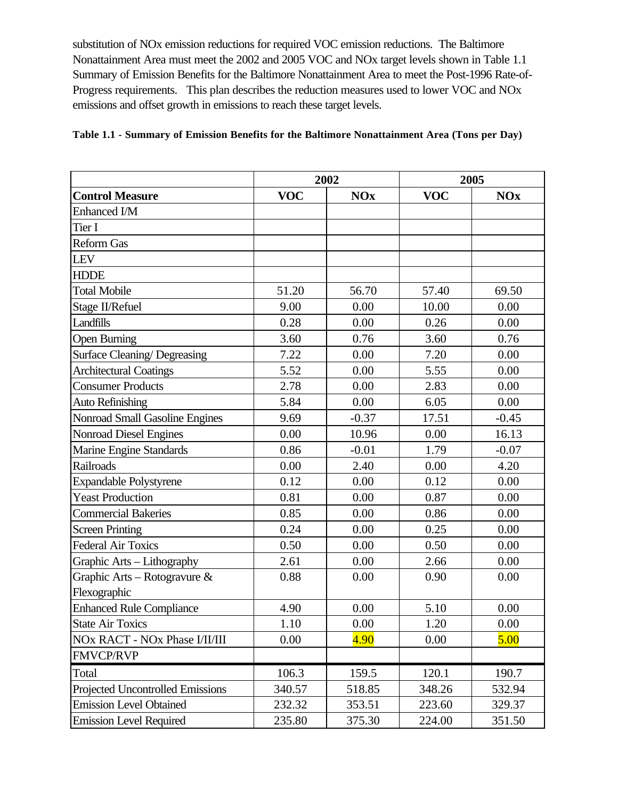substitution of NOx emission reductions for required VOC emission reductions. The Baltimore Nonattainment Area must meet the 2002 and 2005 VOC and NOx target levels shown in Table 1.1 Summary of Emission Benefits for the Baltimore Nonattainment Area to meet the Post-1996 Rate-of-Progress requirements. This plan describes the reduction measures used to lower VOC and NOx emissions and offset growth in emissions to reach these target levels.

| 2002                                 |            |            | 2005       |            |
|--------------------------------------|------------|------------|------------|------------|
| <b>Control Measure</b>               | <b>VOC</b> | <b>NOx</b> | <b>VOC</b> | <b>NOx</b> |
| Enhanced I/M                         |            |            |            |            |
| Tier I                               |            |            |            |            |
| <b>Reform Gas</b>                    |            |            |            |            |
| <b>LEV</b>                           |            |            |            |            |
| <b>HDDE</b>                          |            |            |            |            |
| <b>Total Mobile</b>                  | 51.20      | 56.70      | 57.40      | 69.50      |
| Stage II/Refuel                      | 9.00       | 0.00       | 10.00      | 0.00       |
| Landfills                            | 0.28       | 0.00       | 0.26       | 0.00       |
| <b>Open Burning</b>                  | 3.60       | 0.76       | 3.60       | 0.76       |
| Surface Cleaning/ Degreasing         | 7.22       | 0.00       | 7.20       | 0.00       |
| <b>Architectural Coatings</b>        | 5.52       | 0.00       | 5.55       | 0.00       |
| <b>Consumer Products</b>             | 2.78       | 0.00       | 2.83       | 0.00       |
| <b>Auto Refinishing</b>              | 5.84       | 0.00       | 6.05       | 0.00       |
| Nonroad Small Gasoline Engines       | 9.69       | $-0.37$    | 17.51      | $-0.45$    |
| Nonroad Diesel Engines               | 0.00       | 10.96      | 0.00       | 16.13      |
| Marine Engine Standards              | 0.86       | $-0.01$    | 1.79       | $-0.07$    |
| Railroads                            | 0.00       | 2.40       | 0.00       | 4.20       |
| Expandable Polystyrene               | 0.12       | 0.00       | 0.12       | 0.00       |
| <b>Yeast Production</b>              | 0.81       | 0.00       | 0.87       | 0.00       |
| <b>Commercial Bakeries</b>           | 0.85       | 0.00       | 0.86       | 0.00       |
| <b>Screen Printing</b>               | 0.24       | 0.00       | 0.25       | 0.00       |
| <b>Federal Air Toxics</b>            | 0.50       | 0.00       | 0.50       | 0.00       |
| Graphic Arts - Lithography           | 2.61       | 0.00       | 2.66       | 0.00       |
| Graphic Arts – Rotogravure $\&$      | 0.88       | 0.00       | 0.90       | 0.00       |
| Flexographic                         |            |            |            |            |
| <b>Enhanced Rule Compliance</b>      | 4.90       | 0.00       | 5.10       | 0.00       |
| <b>State Air Toxics</b>              | 1.10       | $0.00\,$   | 1.20       | $0.00\,$   |
| <b>NOx RACT - NOx Phase I/II/III</b> | 0.00       | 4.90       | 0.00       | 5.00       |
| <b>FMVCP/RVP</b>                     |            |            |            |            |
| Total                                | 106.3      | 159.5      | 120.1      | 190.7      |
| Projected Uncontrolled Emissions     | 340.57     | 518.85     | 348.26     | 532.94     |
| <b>Emission Level Obtained</b>       | 232.32     | 353.51     | 223.60     | 329.37     |
| <b>Emission Level Required</b>       | 235.80     | 375.30     | 224.00     | 351.50     |

#### **Table 1.1 - Summary of Emission Benefits for the Baltimore Nonattainment Area (Tons per Day)**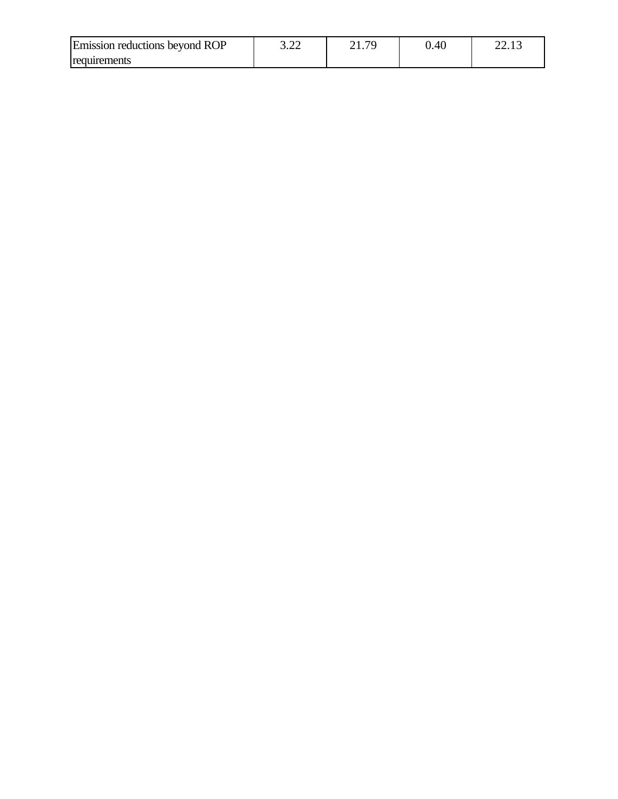| Emission reductions beyond ROP | $\cap$<br>ے . د | <u>.</u> | $0.40\,$ | 22. i . |
|--------------------------------|-----------------|----------|----------|---------|
| requirements                   |                 |          |          |         |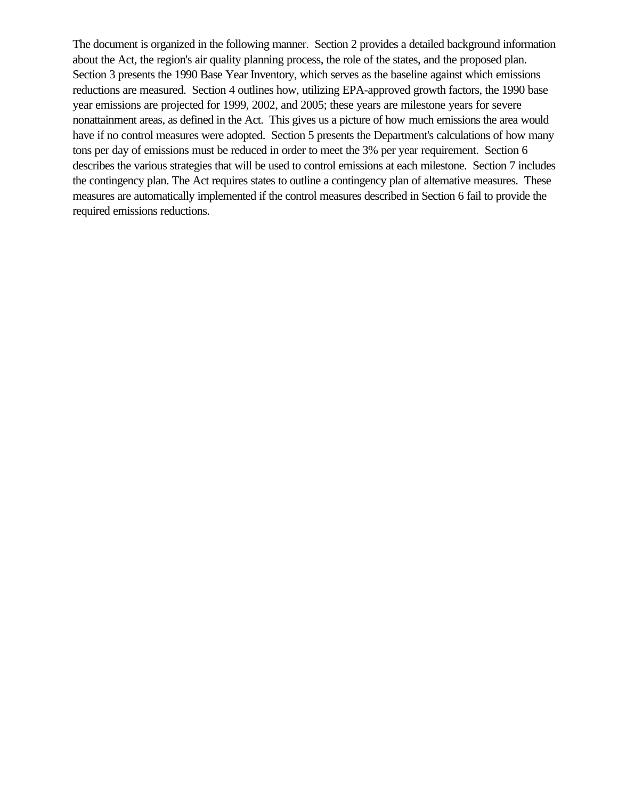The document is organized in the following manner. Section 2 provides a detailed background information about the Act, the region's air quality planning process, the role of the states, and the proposed plan. Section 3 presents the 1990 Base Year Inventory, which serves as the baseline against which emissions reductions are measured. Section 4 outlines how, utilizing EPA-approved growth factors, the 1990 base year emissions are projected for 1999, 2002, and 2005; these years are milestone years for severe nonattainment areas, as defined in the Act. This gives us a picture of how much emissions the area would have if no control measures were adopted. Section 5 presents the Department's calculations of how many tons per day of emissions must be reduced in order to meet the 3% per year requirement. Section 6 describes the various strategies that will be used to control emissions at each milestone. Section 7 includes the contingency plan. The Act requires states to outline a contingency plan of alternative measures. These measures are automatically implemented if the control measures described in Section 6 fail to provide the required emissions reductions.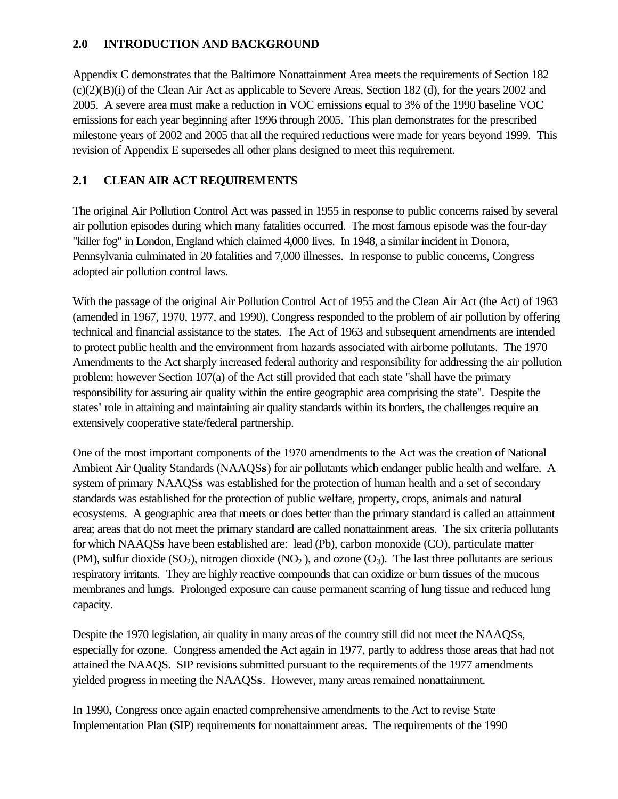## **2.0 INTRODUCTION AND BACKGROUND**

Appendix C demonstrates that the Baltimore Nonattainment Area meets the requirements of Section 182 (c)(2)(B)(i) of the Clean Air Act as applicable to Severe Areas, Section 182 (d), for the years 2002 and 2005. A severe area must make a reduction in VOC emissions equal to 3% of the 1990 baseline VOC emissions for each year beginning after 1996 through 2005. This plan demonstrates for the prescribed milestone years of 2002 and 2005 that all the required reductions were made for years beyond 1999. This revision of Appendix E supersedes all other plans designed to meet this requirement.

## **2.1 CLEAN AIR ACT REQUIREMENTS**

The original Air Pollution Control Act was passed in 1955 in response to public concerns raised by several air pollution episodes during which many fatalities occurred. The most famous episode was the four-day "killer fog" in London, England which claimed 4,000 lives. In 1948, a similar incident in Donora, Pennsylvania culminated in 20 fatalities and 7,000 illnesses. In response to public concerns, Congress adopted air pollution control laws.

With the passage of the original Air Pollution Control Act of 1955 and the Clean Air Act (the Act) of 1963 (amended in 1967, 1970, 1977, and 1990), Congress responded to the problem of air pollution by offering technical and financial assistance to the states. The Act of 1963 and subsequent amendments are intended to protect public health and the environment from hazards associated with airborne pollutants. The 1970 Amendments to the Act sharply increased federal authority and responsibility for addressing the air pollution problem; however Section 107(a) of the Act still provided that each state "shall have the primary responsibility for assuring air quality within the entire geographic area comprising the state". Despite the states**'** role in attaining and maintaining air quality standards within its borders, the challenges require an extensively cooperative state/federal partnership.

One of the most important components of the 1970 amendments to the Act was the creation of National Ambient Air Quality Standards (NAAQS**s**) for air pollutants which endanger public health and welfare. A system of primary NAAQS**s** was established for the protection of human health and a set of secondary standards was established for the protection of public welfare, property, crops, animals and natural ecosystems. A geographic area that meets or does better than the primary standard is called an attainment area; areas that do not meet the primary standard are called nonattainment areas. The six criteria pollutants for which NAAQS**s** have been established are: lead (Pb), carbon monoxide (CO), particulate matter (PM), sulfur dioxide (SO<sub>2</sub>), nitrogen dioxide (NO<sub>2</sub>), and ozone (O<sub>3</sub>). The last three pollutants are serious respiratory irritants. They are highly reactive compounds that can oxidize or burn tissues of the mucous membranes and lungs. Prolonged exposure can cause permanent scarring of lung tissue and reduced lung capacity.

Despite the 1970 legislation, air quality in many areas of the country still did not meet the NAAQSs, especially for ozone. Congress amended the Act again in 1977, partly to address those areas that had not attained the NAAQS. SIP revisions submitted pursuant to the requirements of the 1977 amendments yielded progress in meeting the NAAQS**s**. However, many areas remained nonattainment.

In 1990**,** Congress once again enacted comprehensive amendments to the Act to revise State Implementation Plan (SIP) requirements for nonattainment areas. The requirements of the 1990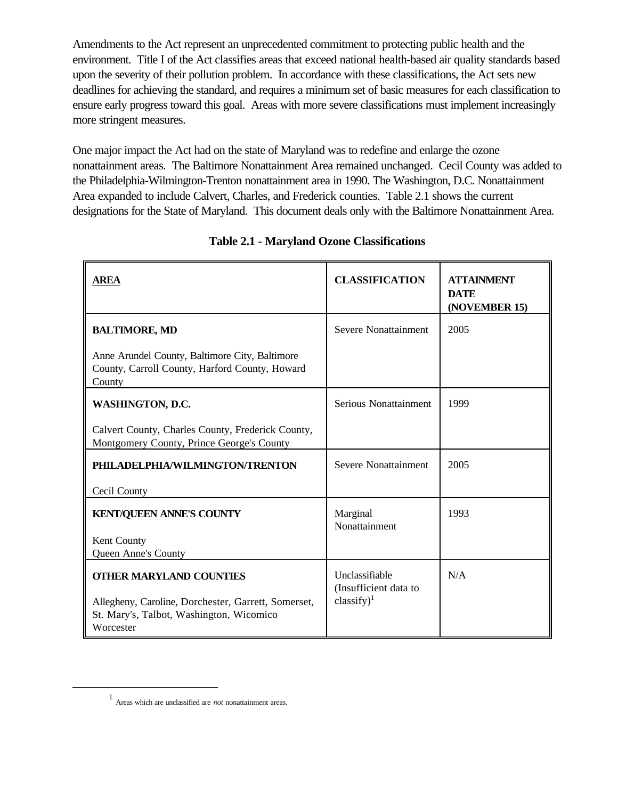Amendments to the Act represent an unprecedented commitment to protecting public health and the environment.Title I of the Act classifies areas that exceed national health-based air quality standards based upon the severity of their pollution problem. In accordance with these classifications, the Act sets new deadlines for achieving the standard, and requires a minimum set of basic measures for each classification to ensure early progress toward this goal. Areas with more severe classifications must implement increasingly more stringent measures.

One major impact the Act had on the state of Maryland was to redefine and enlarge the ozone nonattainment areas. The Baltimore Nonattainment Area remained unchanged. Cecil County was added to the Philadelphia-Wilmington-Trenton nonattainment area in 1990. The Washington, D.C. Nonattainment Area expanded to include Calvert, Charles, and Frederick counties. Table 2.1 shows the current designations for the State of Maryland. This document deals only with the Baltimore Nonattainment Area.

| <b>AREA</b>                                                                                                                                    | <b>CLASSIFICATION</b>                                       | <b>ATTAINMENT</b><br><b>DATE</b><br>(NOVEMBER 15) |
|------------------------------------------------------------------------------------------------------------------------------------------------|-------------------------------------------------------------|---------------------------------------------------|
| <b>BALTIMORE, MD</b>                                                                                                                           | <b>Severe Nonattainment</b>                                 | 2005                                              |
| Anne Arundel County, Baltimore City, Baltimore<br>County, Carroll County, Harford County, Howard<br>County                                     |                                                             |                                                   |
| <b>WASHINGTON, D.C.</b>                                                                                                                        | Serious Nonattainment                                       | 1999                                              |
| Calvert County, Charles County, Frederick County,<br>Montgomery County, Prince George's County                                                 |                                                             |                                                   |
| PHILADELPHIA/WILMINGTON/TRENTON                                                                                                                | <b>Severe Nonattainment</b>                                 | 2005                                              |
| Cecil County                                                                                                                                   |                                                             |                                                   |
| <b>KENT/QUEEN ANNE'S COUNTY</b>                                                                                                                | Marginal<br>Nonattainment                                   | 1993                                              |
| Kent County                                                                                                                                    |                                                             |                                                   |
| Queen Anne's County                                                                                                                            |                                                             |                                                   |
| <b>OTHER MARYLAND COUNTIES</b><br>Allegheny, Caroline, Dorchester, Garrett, Somerset,<br>St. Mary's, Talbot, Washington, Wicomico<br>Worcester | Unclassifiable<br>(Insufficient data to<br>classify $)^{1}$ | N/A                                               |

## **Table 2.1 - Maryland Ozone Classifications**

 $\overline{a}$ 

<sup>1</sup> Areas which are unclassified are *not* nonattainment areas.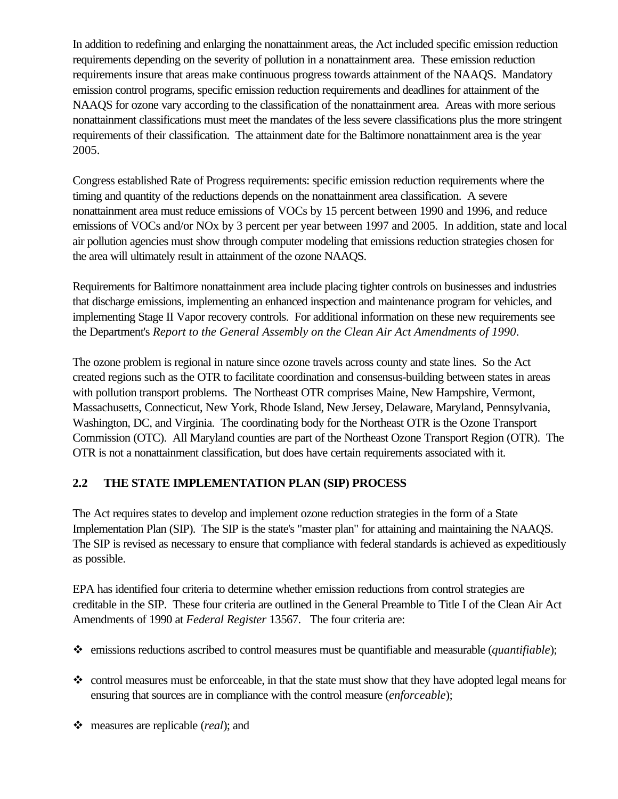In addition to redefining and enlarging the nonattainment areas, the Act included specific emission reduction requirements depending on the severity of pollution in a nonattainment area. These emission reduction requirements insure that areas make continuous progress towards attainment of the NAAQS. Mandatory emission control programs, specific emission reduction requirements and deadlines for attainment of the NAAQS for ozone vary according to the classification of the nonattainment area. Areas with more serious nonattainment classifications must meet the mandates of the less severe classifications plus the more stringent requirements of their classification. The attainment date for the Baltimore nonattainment area is the year 2005.

Congress established Rate of Progress requirements: specific emission reduction requirements where the timing and quantity of the reductions depends on the nonattainment area classification. A severe nonattainment area must reduce emissions of VOCs by 15 percent between 1990 and 1996, and reduce emissions of VOCs and/or NOx by 3 percent per year between 1997 and 2005. In addition, state and local air pollution agencies must show through computer modeling that emissions reduction strategies chosen for the area will ultimately result in attainment of the ozone NAAQS.

Requirements for Baltimore nonattainment area include placing tighter controls on businesses and industries that discharge emissions, implementing an enhanced inspection and maintenance program for vehicles, and implementing Stage II Vapor recovery controls. For additional information on these new requirements see the Department's *Report to the General Assembly on the Clean Air Act Amendments of 1990*.

The ozone problem is regional in nature since ozone travels across county and state lines. So the Act created regions such as the OTR to facilitate coordination and consensus-building between states in areas with pollution transport problems. The Northeast OTR comprises Maine, New Hampshire, Vermont, Massachusetts, Connecticut, New York, Rhode Island, New Jersey, Delaware, Maryland, Pennsylvania, Washington, DC, and Virginia. The coordinating body for the Northeast OTR is the Ozone Transport Commission (OTC). All Maryland counties are part of the Northeast Ozone Transport Region (OTR). The OTR is not a nonattainment classification, but does have certain requirements associated with it.

## **2.2 THE STATE IMPLEMENTATION PLAN (SIP) PROCESS**

The Act requires states to develop and implement ozone reduction strategies in the form of a State Implementation Plan (SIP). The SIP is the state's "master plan" for attaining and maintaining the NAAQS. The SIP is revised as necessary to ensure that compliance with federal standards is achieved as expeditiously as possible.

EPA has identified four criteria to determine whether emission reductions from control strategies are creditable in the SIP. These four criteria are outlined in the General Preamble to Title I of the Clean Air Act Amendments of 1990 at *Federal Register* 13567. The four criteria are:

- v emissions reductions ascribed to control measures must be quantifiable and measurable (*quantifiable*);
- $\bullet$  control measures must be enforceable, in that the state must show that they have adopted legal means for ensuring that sources are in compliance with the control measure (*enforceable*);
- v measures are replicable (*real*); and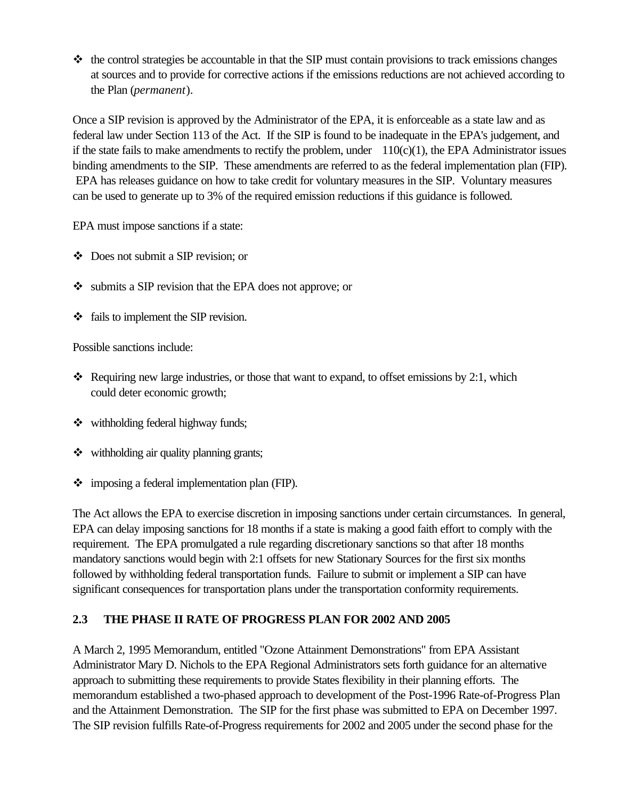$\cdot \cdot$  the control strategies be accountable in that the SIP must contain provisions to track emissions changes at sources and to provide for corrective actions if the emissions reductions are not achieved according to the Plan (*permanent*).

Once a SIP revision is approved by the Administrator of the EPA, it is enforceable as a state law and as federal law under Section 113 of the Act. If the SIP is found to be inadequate in the EPA's judgement, and if the state fails to make amendments to rectify the problem, under  $110(c)(1)$ , the EPA Administrator issues binding amendments to the SIP. These amendments are referred to as the federal implementation plan (FIP). EPA has releases guidance on how to take credit for voluntary measures in the SIP. Voluntary measures can be used to generate up to 3% of the required emission reductions if this guidance is followed.

EPA must impose sanctions if a state:

- v Does not submit a SIP revision; or
- submits a SIP revision that the EPA does not approve; or
- $\div$  fails to implement the SIP revision.

Possible sanctions include:

- Requiring new large industries, or those that want to expand, to offset emissions by 2:1, which could deter economic growth;
- $\div$  withholding federal highway funds;
- $\leftrightarrow$  withholding air quality planning grants;
- $\div$  imposing a federal implementation plan (FIP).

The Act allows the EPA to exercise discretion in imposing sanctions under certain circumstances. In general, EPA can delay imposing sanctions for 18 months if a state is making a good faith effort to comply with the requirement. The EPA promulgated a rule regarding discretionary sanctions so that after 18 months mandatory sanctions would begin with 2:1 offsets for new Stationary Sources for the first six months followed by withholding federal transportation funds. Failure to submit or implement a SIP can have significant consequences for transportation plans under the transportation conformity requirements.

#### **2.3 THE PHASE II RATE OF PROGRESS PLAN FOR 2002 AND 2005**

A March 2, 1995 Memorandum, entitled "Ozone Attainment Demonstrations" from EPA Assistant Administrator Mary D. Nichols to the EPA Regional Administrators sets forth guidance for an alternative approach to submitting these requirements to provide States flexibility in their planning efforts. The memorandum established a two-phased approach to development of the Post-1996 Rate-of-Progress Plan and the Attainment Demonstration. The SIP for the first phase was submitted to EPA on December 1997. The SIP revision fulfills Rate-of-Progress requirements for 2002 and 2005 under the second phase for the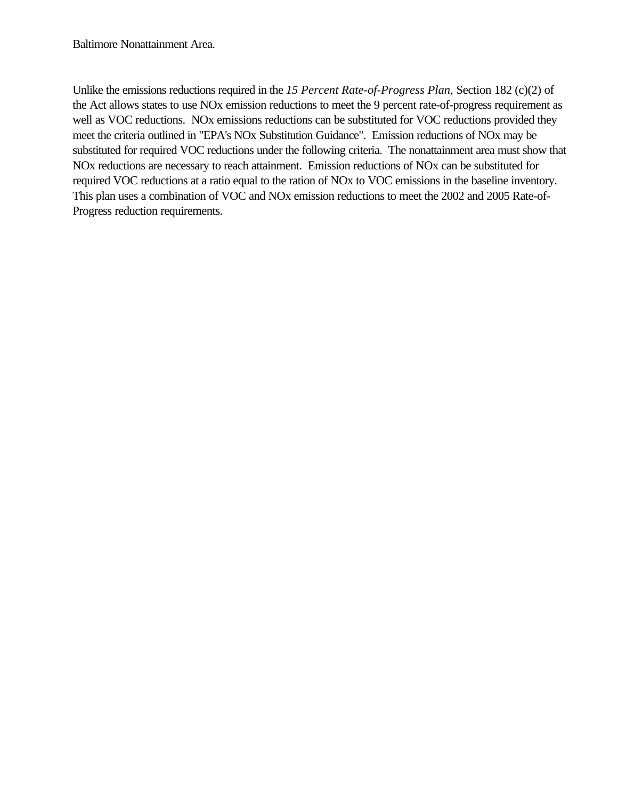Unlike the emissions reductions required in the *15 Percent Rate-of-Progress Plan,* Section 182 (c)(2) of the Act allows states to use NOx emission reductions to meet the 9 percent rate-of-progress requirement as well as VOC reductions. NOx emissions reductions can be substituted for VOC reductions provided they meet the criteria outlined in "EPA's NOx Substitution Guidance". Emission reductions of NOx may be substituted for required VOC reductions under the following criteria. The nonattainment area must show that NOx reductions are necessary to reach attainment. Emission reductions of NOx can be substituted for required VOC reductions at a ratio equal to the ration of NOx to VOC emissions in the baseline inventory. This plan uses a combination of VOC and NOx emission reductions to meet the 2002 and 2005 Rate-of-Progress reduction requirements.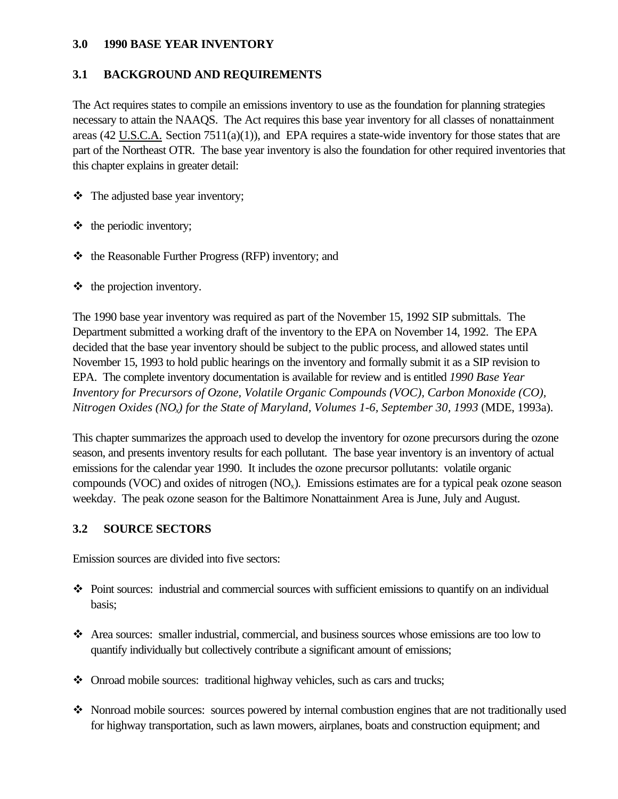#### **3.0 1990 BASE YEAR INVENTORY**

#### **3.1 BACKGROUND AND REQUIREMENTS**

The Act requires states to compile an emissions inventory to use as the foundation for planning strategies necessary to attain the NAAQS. The Act requires this base year inventory for all classes of nonattainment areas (42 U.S.C.A. Section 7511(a)(1)), and EPA requires a state-wide inventory for those states that are part of the Northeast OTR. The base year inventory is also the foundation for other required inventories that this chapter explains in greater detail:

- $\triangleleft$  The adjusted base year inventory;
- $\triangleleft$  the periodic inventory;
- \* the Reasonable Further Progress (RFP) inventory; and
- $\triangleleft$  the projection inventory.

The 1990 base year inventory was required as part of the November 15, 1992 SIP submittals. The Department submitted a working draft of the inventory to the EPA on November 14, 1992. The EPA decided that the base year inventory should be subject to the public process, and allowed states until November 15, 1993 to hold public hearings on the inventory and formally submit it as a SIP revision to EPA. The complete inventory documentation is available for review and is entitled *1990 Base Year Inventory for Precursors of Ozone, Volatile Organic Compounds (VOC), Carbon Monoxide (CO), Nitrogen Oxides (NOx) for the State of Maryland, Volumes 1-6, September 30, 1993* (MDE, 1993a).

This chapter summarizes the approach used to develop the inventory for ozone precursors during the ozone season, and presents inventory results for each pollutant. The base year inventory is an inventory of actual emissions for the calendar year 1990. It includes the ozone precursor pollutants: volatile organic compounds (VOC) and oxides of nitrogen  $(NO<sub>x</sub>)$ . Emissions estimates are for a typical peak ozone season weekday. The peak ozone season for the Baltimore Nonattainment Area is June, July and August.

#### **3.2 SOURCE SECTORS**

Emission sources are divided into five sectors:

- $\bullet$  Point sources: industrial and commercial sources with sufficient emissions to quantify on an individual basis;
- v Area sources: smaller industrial, commercial, and business sources whose emissions are too low to quantify individually but collectively contribute a significant amount of emissions;
- Onroad mobile sources: traditional highway vehicles, such as cars and trucks;
- $\bullet$  Nonroad mobile sources: sources powered by internal combustion engines that are not traditionally used for highway transportation, such as lawn mowers, airplanes, boats and construction equipment; and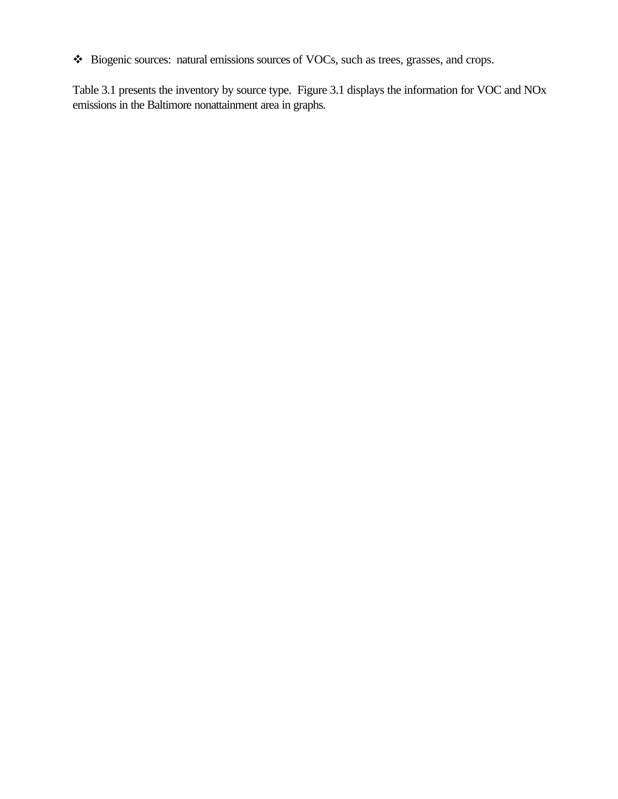\* Biogenic sources: natural emissions sources of VOCs, such as trees, grasses, and crops.

Table 3.1 presents the inventory by source type. Figure 3.1 displays the information for VOC and NOx emissions in the Baltimore nonattainment area in graphs.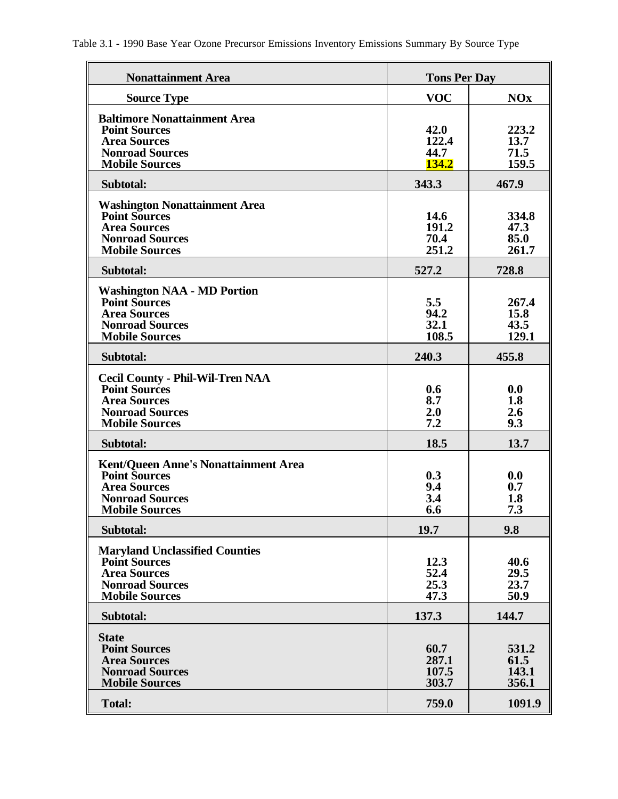| <b>Source Type</b><br><b>Baltimore Nonattainment Area</b><br><b>Point Sources</b><br><b>Area Sources</b><br><b>Nonroad Sources</b><br><b>Mobile Sources</b><br>Subtotal:<br><b>Washington Nonattainment Area</b><br><b>Point Sources</b><br><b>Area Sources</b><br><b>Nonroad Sources</b><br><b>Mobile Sources</b><br>Subtotal:<br><b>Washington NAA - MD Portion</b><br><b>Point Sources</b><br><b>Area Sources</b><br><b>Nonroad Sources</b><br><b>Mobile Sources</b><br>Subtotal:<br>Cecil County - Phil-Wil-Tren NAA<br><b>Point Sources</b><br><b>Area Sources</b><br><b>Nonroad Sources</b><br><b>Mobile Sources</b><br>Subtotal:<br>Kent/Queen Anne's Nonattainment Area<br><b>Point Sources</b><br><b>Area Sources</b><br><b>Nonroad Sources</b><br><b>Mobile Sources</b><br>Subtotal:<br><b>Maryland Unclassified Counties</b><br><b>Point Sources</b><br><b>Area Sources</b><br><b>Nonroad Sources</b><br><b>Mobile Sources</b><br>Subtotal:<br><b>State</b><br><b>Point Sources</b><br><b>Area Sources</b><br><b>Nonroad Sources</b><br><b>Mobile Sources</b> | <b>Tons Per Day</b>                      |                                           |
|--------------------------------------------------------------------------------------------------------------------------------------------------------------------------------------------------------------------------------------------------------------------------------------------------------------------------------------------------------------------------------------------------------------------------------------------------------------------------------------------------------------------------------------------------------------------------------------------------------------------------------------------------------------------------------------------------------------------------------------------------------------------------------------------------------------------------------------------------------------------------------------------------------------------------------------------------------------------------------------------------------------------------------------------------------------------------|------------------------------------------|-------------------------------------------|
|                                                                                                                                                                                                                                                                                                                                                                                                                                                                                                                                                                                                                                                                                                                                                                                                                                                                                                                                                                                                                                                                          | <b>VOC</b>                               | <b>NOx</b>                                |
|                                                                                                                                                                                                                                                                                                                                                                                                                                                                                                                                                                                                                                                                                                                                                                                                                                                                                                                                                                                                                                                                          | 42.0<br>122.4<br>44.7<br>134.2           | 223.2<br>13.7<br>71.5<br>159.5            |
|                                                                                                                                                                                                                                                                                                                                                                                                                                                                                                                                                                                                                                                                                                                                                                                                                                                                                                                                                                                                                                                                          | 343.3                                    | 467.9                                     |
|                                                                                                                                                                                                                                                                                                                                                                                                                                                                                                                                                                                                                                                                                                                                                                                                                                                                                                                                                                                                                                                                          | 14.6<br>191.2<br>70.4<br>251.2           | 334.8<br>47.3<br>85.0<br>261.7            |
|                                                                                                                                                                                                                                                                                                                                                                                                                                                                                                                                                                                                                                                                                                                                                                                                                                                                                                                                                                                                                                                                          | 527.2                                    | 728.8                                     |
|                                                                                                                                                                                                                                                                                                                                                                                                                                                                                                                                                                                                                                                                                                                                                                                                                                                                                                                                                                                                                                                                          | 5.5<br>94.2<br>32.1<br>108.5             | 267.4<br>15.8<br>43.5<br>129.1            |
|                                                                                                                                                                                                                                                                                                                                                                                                                                                                                                                                                                                                                                                                                                                                                                                                                                                                                                                                                                                                                                                                          | 240.3                                    | 455.8                                     |
|                                                                                                                                                                                                                                                                                                                                                                                                                                                                                                                                                                                                                                                                                                                                                                                                                                                                                                                                                                                                                                                                          | 0.6<br>8.7<br>2.0<br>7.2                 | 0.0<br>1.8<br>2.6<br>9.3                  |
|                                                                                                                                                                                                                                                                                                                                                                                                                                                                                                                                                                                                                                                                                                                                                                                                                                                                                                                                                                                                                                                                          | 18.5                                     | 13.7                                      |
|                                                                                                                                                                                                                                                                                                                                                                                                                                                                                                                                                                                                                                                                                                                                                                                                                                                                                                                                                                                                                                                                          | 0.3<br>9.4<br>3.4<br>6.6                 | 0.0<br>0.7<br>1.8<br>7.3                  |
|                                                                                                                                                                                                                                                                                                                                                                                                                                                                                                                                                                                                                                                                                                                                                                                                                                                                                                                                                                                                                                                                          | 19.7                                     | 9.8                                       |
|                                                                                                                                                                                                                                                                                                                                                                                                                                                                                                                                                                                                                                                                                                                                                                                                                                                                                                                                                                                                                                                                          | 12.3<br>52.4<br>25.3<br>47.3             | 40.6<br>29.5<br>23.7<br>50.9              |
|                                                                                                                                                                                                                                                                                                                                                                                                                                                                                                                                                                                                                                                                                                                                                                                                                                                                                                                                                                                                                                                                          | 137.3                                    | 144.7                                     |
| <b>Total:</b>                                                                                                                                                                                                                                                                                                                                                                                                                                                                                                                                                                                                                                                                                                                                                                                                                                                                                                                                                                                                                                                            | 60.7<br>287.1<br>107.5<br>303.7<br>759.0 | 531.2<br>61.5<br>143.1<br>356.1<br>1091.9 |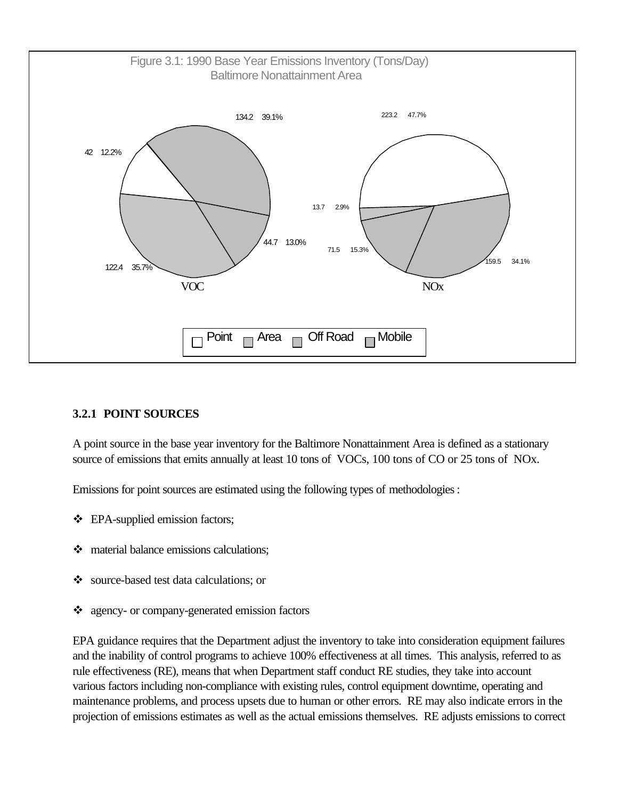

#### **3.2.1 POINT SOURCES**

A point source in the base year inventory for the Baltimore Nonattainment Area is defined as a stationary source of emissions that emits annually at least 10 tons of VOCs, 100 tons of CO or 25 tons of NOx.

Emissions for point sources are estimated using the following types of methodologies :

- $\triangleleft$  EPA-supplied emission factors;
- $\diamond$  material balance emissions calculations;
- v source-based test data calculations; or
- v agency- or company-generated emission factors

EPA guidance requires that the Department adjust the inventory to take into consideration equipment failures and the inability of control programs to achieve 100% effectiveness at all times. This analysis, referred to as rule effectiveness (RE), means that when Department staff conduct RE studies, they take into account various factors including non-compliance with existing rules, control equipment downtime, operating and maintenance problems, and process upsets due to human or other errors. RE may also indicate errors in the projection of emissions estimates as well as the actual emissions themselves. RE adjusts emissions to correct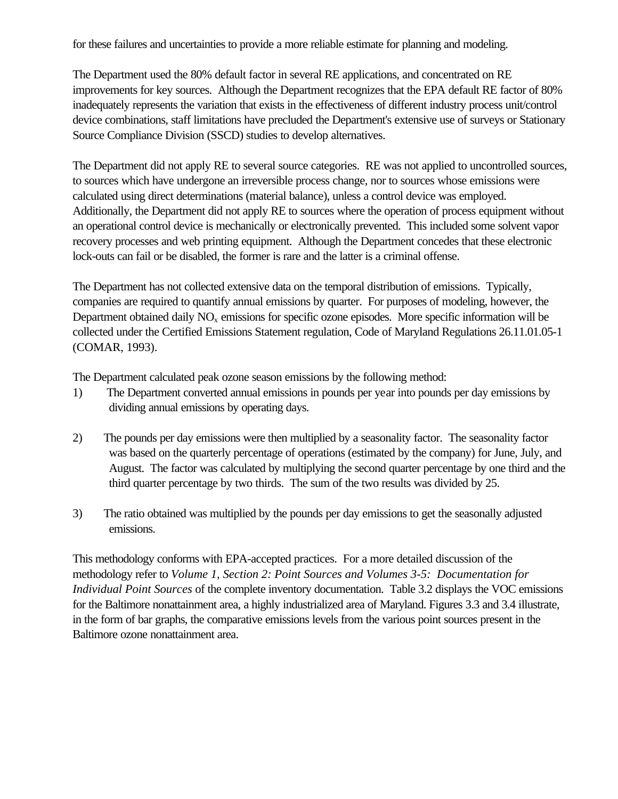for these failures and uncertainties to provide a more reliable estimate for planning and modeling.

The Department used the 80% default factor in several RE applications, and concentrated on RE improvements for key sources. Although the Department recognizes that the EPA default RE factor of 80% inadequately represents the variation that exists in the effectiveness of different industry process unit/control device combinations, staff limitations have precluded the Department's extensive use of surveys or Stationary Source Compliance Division (SSCD) studies to develop alternatives.

The Department did not apply RE to several source categories. RE was not applied to uncontrolled sources, to sources which have undergone an irreversible process change, nor to sources whose emissions were calculated using direct determinations (material balance), unless a control device was employed. Additionally, the Department did not apply RE to sources where the operation of process equipment without an operational control device is mechanically or electronically prevented. This included some solvent vapor recovery processes and web printing equipment. Although the Department concedes that these electronic lock-outs can fail or be disabled, the former is rare and the latter is a criminal offense.

The Department has not collected extensive data on the temporal distribution of emissions. Typically, companies are required to quantify annual emissions by quarter. For purposes of modeling, however, the Department obtained daily  $NO<sub>x</sub>$  emissions for specific ozone episodes. More specific information will be collected under the Certified Emissions Statement regulation, Code of Maryland Regulations 26.11.01.05-1 (COMAR, 1993).

The Department calculated peak ozone season emissions by the following method:

- 1) The Department converted annual emissions in pounds per year into pounds per day emissions by dividing annual emissions by operating days.
- 2) The pounds per day emissions were then multiplied by a seasonality factor. The seasonality factor was based on the quarterly percentage of operations (estimated by the company) for June, July, and August. The factor was calculated by multiplying the second quarter percentage by one third and the third quarter percentage by two thirds. The sum of the two results was divided by 25.
- 3) The ratio obtained was multiplied by the pounds per day emissions to get the seasonally adjusted emissions.

This methodology conforms with EPA-accepted practices. For a more detailed discussion of the methodology refer to *Volume 1, Section 2: Point Sources and Volumes 3-5: Documentation for Individual Point Sources* of the complete inventory documentation. Table 3.2 displays the VOC emissions for the Baltimore nonattainment area, a highly industrialized area of Maryland. Figures 3.3 and 3.4 illustrate, in the form of bar graphs, the comparative emissions levels from the various point sources present in the Baltimore ozone nonattainment area.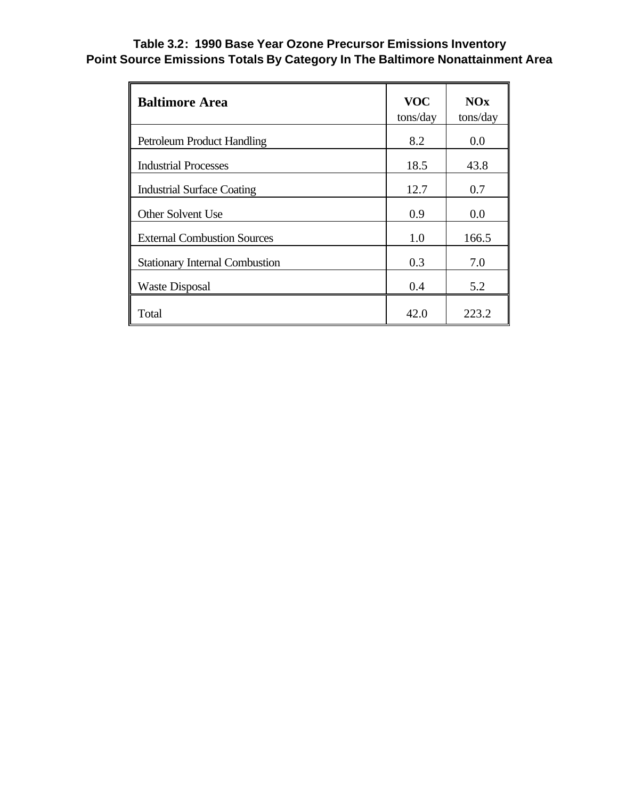## **Table 3.2: 1990 Base Year Ozone Precursor Emissions Inventory Point Source Emissions Totals By Category In The Baltimore Nonattainment Area**

| <b>Baltimore Area</b>                 | <b>VOC</b><br>tons/day | NOx<br>tons/day |
|---------------------------------------|------------------------|-----------------|
| <b>Petroleum Product Handling</b>     | 8.2                    | 0.0             |
| <b>Industrial Processes</b>           | 18.5                   | 43.8            |
| <b>Industrial Surface Coating</b>     | 12.7                   | 0.7             |
| <b>Other Solvent Use</b>              | 0.9                    | 0.0             |
| <b>External Combustion Sources</b>    | 1.0                    | 166.5           |
| <b>Stationary Internal Combustion</b> | 0.3                    | 7.0             |
| <b>Waste Disposal</b>                 | 0.4                    | 5.2             |
| Total                                 | 42.0                   | 223.2           |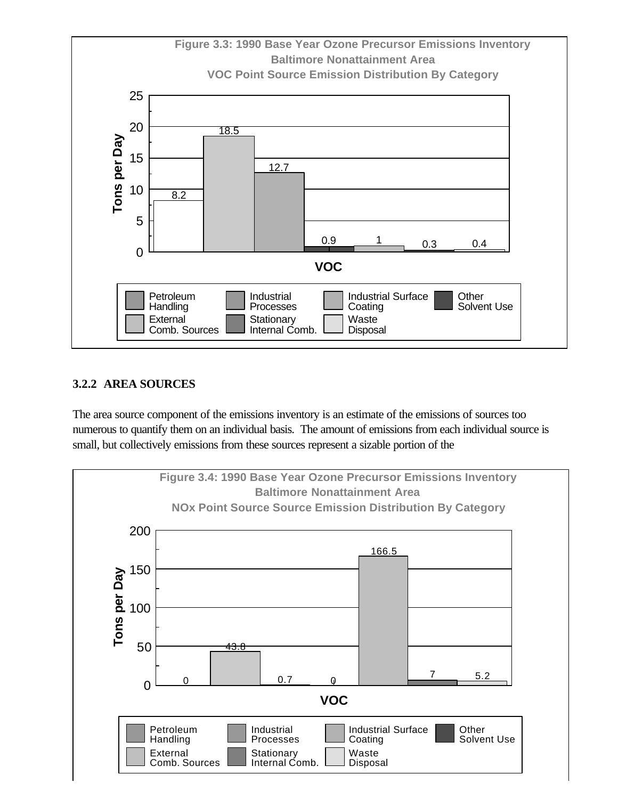

### **3.2.2 AREA SOURCES**

The area source component of the emissions inventory is an estimate of the emissions of sources too numerous to quantify them on an individual basis. The amount of emissions from each individual source is small, but collectively emissions from these sources represent a sizable portion of the

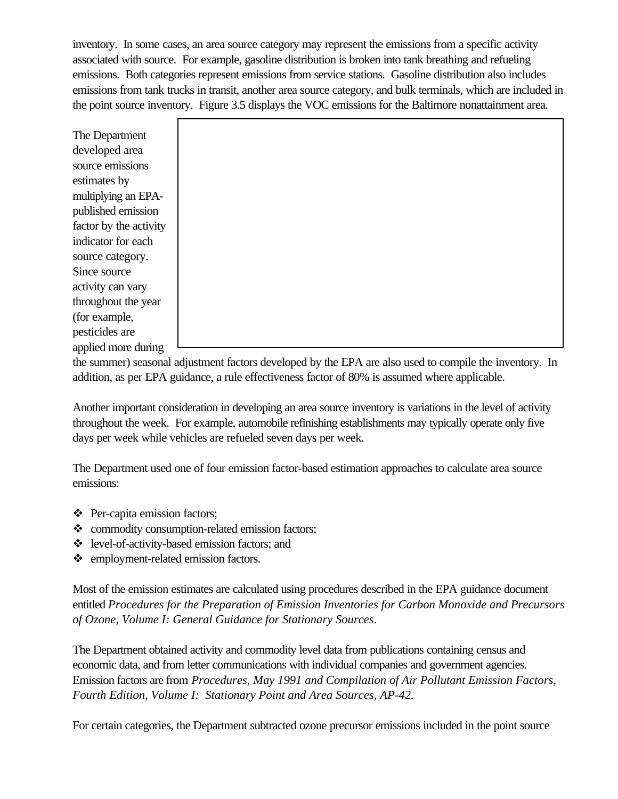inventory. In some cases, an area source category may represent the emissions from a specific activity associated with source. For example, gasoline distribution is broken into tank breathing and refueling emissions. Both categories represent emissions from service stations. Gasoline distribution also includes emissions from tank trucks in transit, another area source category, and bulk terminals, which are included in the point source inventory. Figure 3.5 displays the VOC emissions for the Baltimore nonattainment area.

The Department developed area source emissions estimates by multiplying an EPApublished emission factor by the activity indicator for each source category. Since source activity can vary throughout the year (for example, pesticides are applied more during

the summer) seasonal adjustment factors developed by the EPA are also used to compile the inventory. In addition, as per EPA guidance, a rule effectiveness factor of 80% is assumed where applicable.

Another important consideration in developing an area source inventory is variations in the level of activity throughout the week. For example, automobile refinishing establishments may typically operate only five days per week while vehicles are refueled seven days per week.

The Department used one of four emission factor-based estimation approaches to calculate area source emissions:

- v Per-capita emission factors;
- $\bullet$  commodity consumption-related emission factors;
- v level-of-activity-based emission factors; and
- employment-related emission factors.

Most of the emission estimates are calculated using procedures described in the EPA guidance document entitled *Procedures for the Preparation of Emission Inventories for Carbon Monoxide and Precursors of Ozone, Volume I: General Guidance for Stationary Sources*.

The Department obtained activity and commodity level data from publications containing census and economic data, and from letter communications with individual companies and government agencies. Emission factors are from *Procedures, May 1991 and Compilation of Air Pollutant Emission Factors, Fourth Edition, Volume I: Stationary Point and Area Sources, AP-42.*

For certain categories, the Department subtracted ozone precursor emissions included in the point source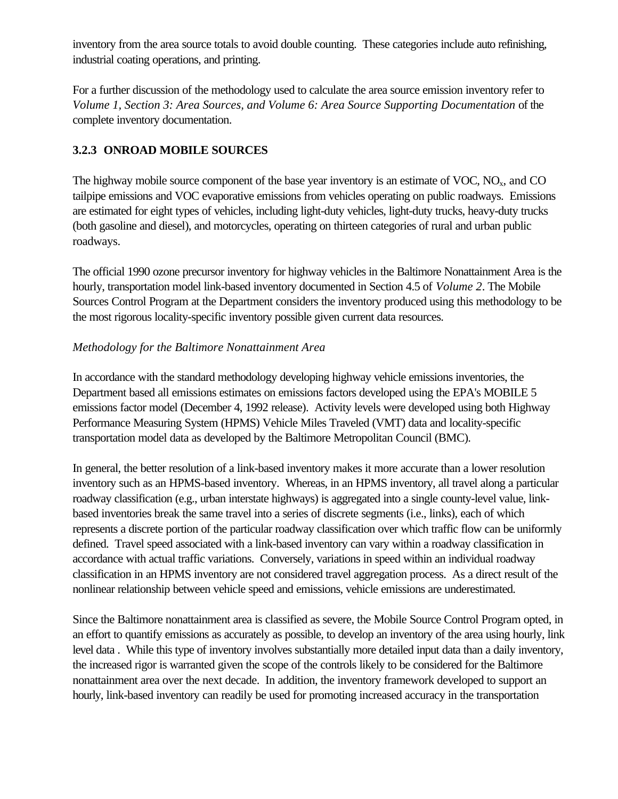inventory from the area source totals to avoid double counting. These categories include auto refinishing, industrial coating operations, and printing.

For a further discussion of the methodology used to calculate the area source emission inventory refer to *Volume 1, Section 3: Area Sources, and Volume 6: Area Source Supporting Documentation* of the complete inventory documentation.

## **3.2.3 ONROAD MOBILE SOURCES**

The highway mobile source component of the base year inventory is an estimate of VOC,  $NO<sub>x</sub>$ , and CO tailpipe emissions and VOC evaporative emissions from vehicles operating on public roadways. Emissions are estimated for eight types of vehicles, including light-duty vehicles, light-duty trucks, heavy-duty trucks (both gasoline and diesel), and motorcycles, operating on thirteen categories of rural and urban public roadways.

The official 1990 ozone precursor inventory for highway vehicles in the Baltimore Nonattainment Area is the hourly, transportation model link-based inventory documented in Section 4.5 of *Volume 2*. The Mobile Sources Control Program at the Department considers the inventory produced using this methodology to be the most rigorous locality-specific inventory possible given current data resources.

## *Methodology for the Baltimore Nonattainment Area*

In accordance with the standard methodology developing highway vehicle emissions inventories, the Department based all emissions estimates on emissions factors developed using the EPA's MOBILE 5 emissions factor model (December 4, 1992 release). Activity levels were developed using both Highway Performance Measuring System (HPMS) Vehicle Miles Traveled (VMT) data and locality-specific transportation model data as developed by the Baltimore Metropolitan Council (BMC).

In general, the better resolution of a link-based inventory makes it more accurate than a lower resolution inventory such as an HPMS-based inventory. Whereas, in an HPMS inventory, all travel along a particular roadway classification (e.g., urban interstate highways) is aggregated into a single county-level value, linkbased inventories break the same travel into a series of discrete segments (i.e., links), each of which represents a discrete portion of the particular roadway classification over which traffic flow can be uniformly defined. Travel speed associated with a link-based inventory can vary within a roadway classification in accordance with actual traffic variations. Conversely, variations in speed within an individual roadway classification in an HPMS inventory are not considered travel aggregation process. As a direct result of the nonlinear relationship between vehicle speed and emissions, vehicle emissions are underestimated.

Since the Baltimore nonattainment area is classified as severe, the Mobile Source Control Program opted, in an effort to quantify emissions as accurately as possible, to develop an inventory of the area using hourly, link level data . While this type of inventory involves substantially more detailed input data than a daily inventory, the increased rigor is warranted given the scope of the controls likely to be considered for the Baltimore nonattainment area over the next decade. In addition, the inventory framework developed to support an hourly, link-based inventory can readily be used for promoting increased accuracy in the transportation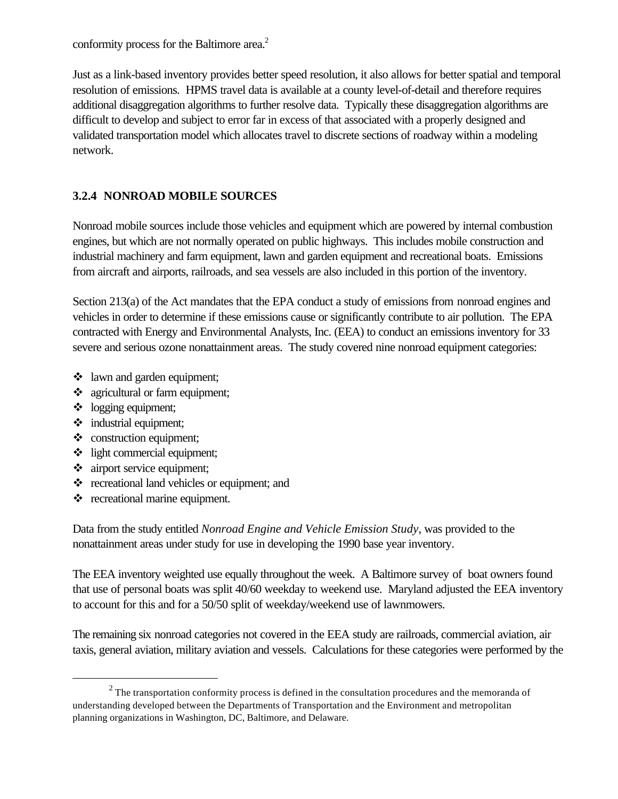conformity process for the Baltimore area.<sup>2</sup>

Just as a link-based inventory provides better speed resolution, it also allows for better spatial and temporal resolution of emissions. HPMS travel data is available at a county level-of-detail and therefore requires additional disaggregation algorithms to further resolve data. Typically these disaggregation algorithms are difficult to develop and subject to error far in excess of that associated with a properly designed and validated transportation model which allocates travel to discrete sections of roadway within a modeling network.

## **3.2.4 NONROAD MOBILE SOURCES**

Nonroad mobile sources include those vehicles and equipment which are powered by internal combustion engines, but which are not normally operated on public highways. This includes mobile construction and industrial machinery and farm equipment, lawn and garden equipment and recreational boats. Emissions from aircraft and airports, railroads, and sea vessels are also included in this portion of the inventory.

Section 213(a) of the Act mandates that the EPA conduct a study of emissions from nonroad engines and vehicles in order to determine if these emissions cause or significantly contribute to air pollution. The EPA contracted with Energy and Environmental Analysts, Inc. (EEA) to conduct an emissions inventory for 33 severe and serious ozone nonattainment areas. The study covered nine nonroad equipment categories:

- $\triangleleft$  lawn and garden equipment;
- agricultural or farm equipment;
- $\triangleleft$  logging equipment;

 $\overline{a}$ 

- $\diamond$  industrial equipment;
- $\triangleleft$  construction equipment;
- $\triangleleft$  light commercial equipment;
- $\triangleleft$  airport service equipment;
- $\div$  recreational land vehicles or equipment; and
- $\triangleleft$  recreational marine equipment.

Data from the study entitled *Nonroad Engine and Vehicle Emission Study*, was provided to the nonattainment areas under study for use in developing the 1990 base year inventory.

The EEA inventory weighted use equally throughout the week. A Baltimore survey of boat owners found that use of personal boats was split 40/60 weekday to weekend use. Maryland adjusted the EEA inventory to account for this and for a 50/50 split of weekday/weekend use of lawnmowers.

The remaining six nonroad categories not covered in the EEA study are railroads, commercial aviation, air taxis, general aviation, military aviation and vessels. Calculations for these categories were performed by the

 $2<sup>2</sup>$  The transportation conformity process is defined in the consultation procedures and the memoranda of understanding developed between the Departments of Transportation and the Environment and metropolitan planning organizations in Washington, DC, Baltimore, and Delaware.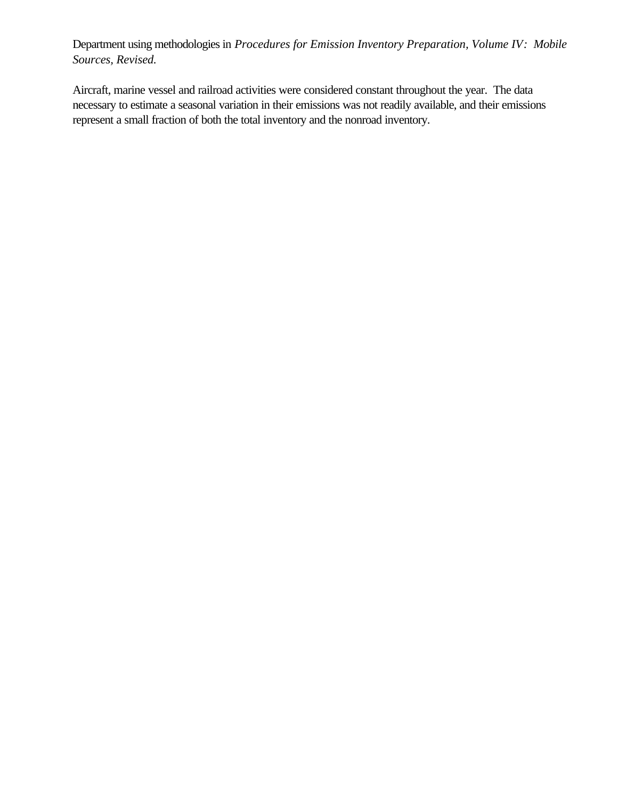Department using methodologies in *Procedures for Emission Inventory Preparation, Volume IV: Mobile Sources, Revised.*

Aircraft, marine vessel and railroad activities were considered constant throughout the year. The data necessary to estimate a seasonal variation in their emissions was not readily available, and their emissions represent a small fraction of both the total inventory and the nonroad inventory.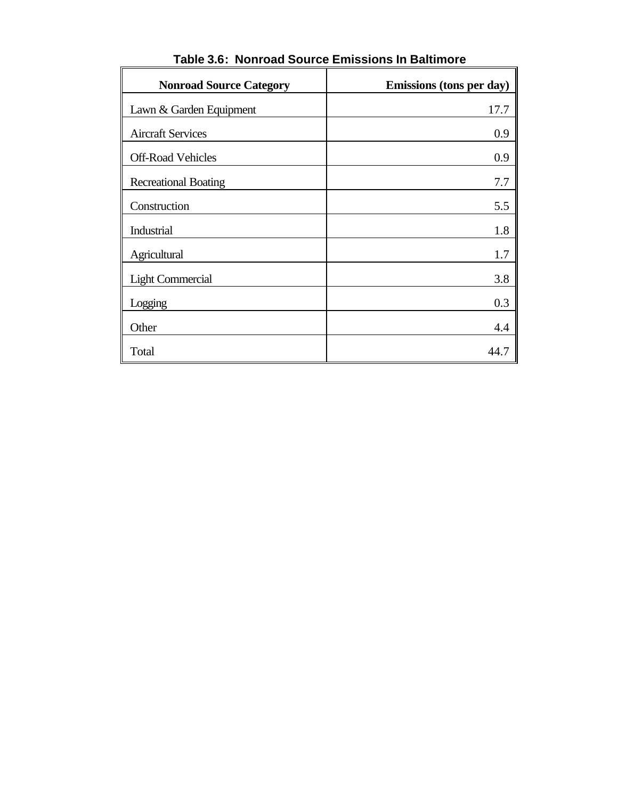| <b>Nonroad Source Category</b> | Emissions (tons per day) |
|--------------------------------|--------------------------|
| Lawn & Garden Equipment        | 17.7                     |
| <b>Aircraft Services</b>       | 0.9                      |
| <b>Off-Road Vehicles</b>       | 0.9                      |
| <b>Recreational Boating</b>    | 7.7                      |
| Construction                   | 5.5                      |
| Industrial                     | 1.8                      |
| Agricultural                   | 1.7                      |
| <b>Light Commercial</b>        | 3.8                      |
| Logging                        | 0.3                      |
| Other                          | 4.4                      |
| Total                          | 44.7                     |

**Table 3.6: Nonroad Source Emissions In Baltimore**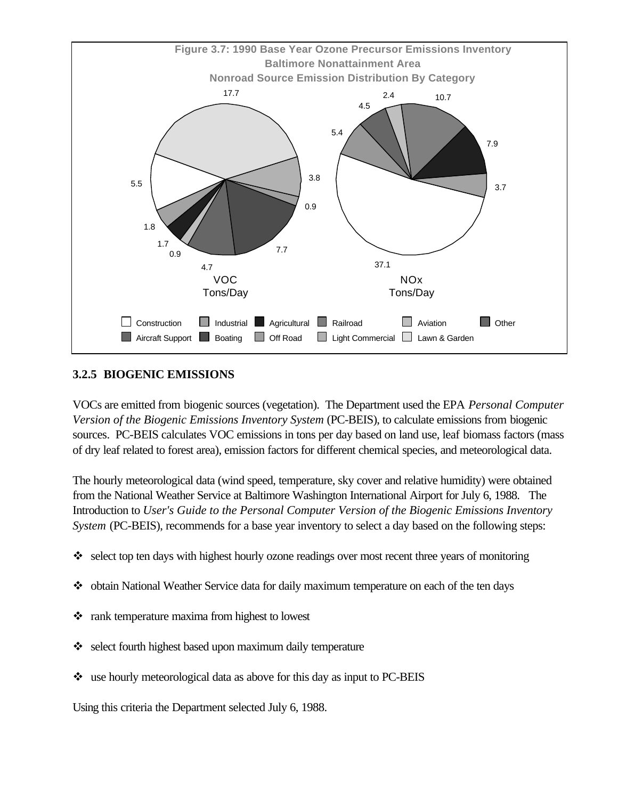

### **3.2.5 BIOGENIC EMISSIONS**

VOCs are emitted from biogenic sources (vegetation). The Department used the EPA *Personal Computer Version of the Biogenic Emissions Inventory System* (PC-BEIS), to calculate emissions from biogenic sources. PC-BEIS calculates VOC emissions in tons per day based on land use, leaf biomass factors (mass of dry leaf related to forest area), emission factors for different chemical species, and meteorological data.

The hourly meteorological data (wind speed, temperature, sky cover and relative humidity) were obtained from the National Weather Service at Baltimore Washington International Airport for July 6, 1988. The Introduction to *User's Guide to the Personal Computer Version of the Biogenic Emissions Inventory System* (PC-BEIS), recommends for a base year inventory to select a day based on the following steps:

- $\bullet$  select top ten days with highest hourly ozone readings over most recent three years of monitoring
- obtain National Weather Service data for daily maximum temperature on each of the ten days
- $\cdot$  rank temperature maxima from highest to lowest
- $\bullet$  select fourth highest based upon maximum daily temperature
- $\cdot$  use hourly meteorological data as above for this day as input to PC-BEIS

Using this criteria the Department selected July 6, 1988.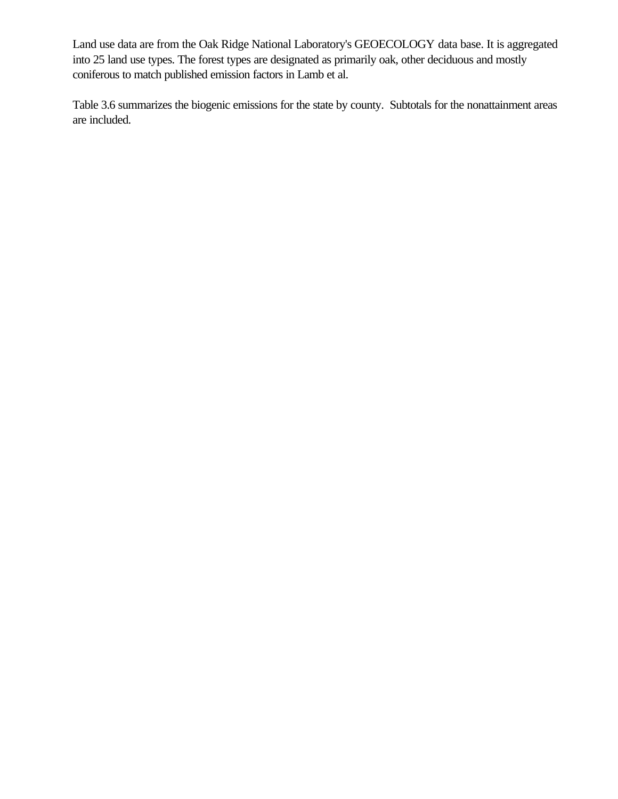Land use data are from the Oak Ridge National Laboratory's GEOECOLOGY data base. It is aggregated into 25 land use types. The forest types are designated as primarily oak, other deciduous and mostly coniferous to match published emission factors in Lamb et al.

Table 3.6 summarizes the biogenic emissions for the state by county. Subtotals for the nonattainment areas are included.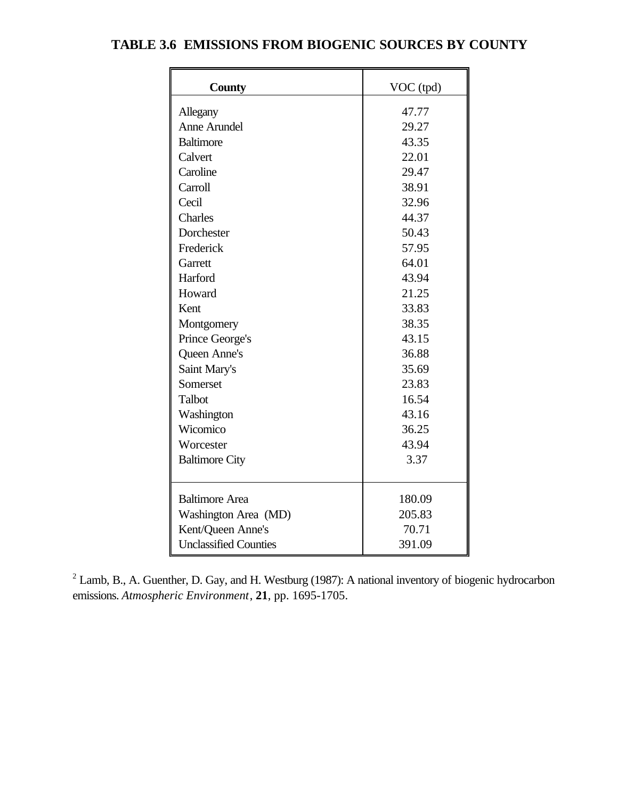## **TABLE 3.6 EMISSIONS FROM BIOGENIC SOURCES BY COUNTY**

| <b>County</b>                | VOC (tpd) |
|------------------------------|-----------|
| Allegany                     | 47.77     |
| <b>Anne Arundel</b>          | 29.27     |
| <b>Baltimore</b>             | 43.35     |
| Calvert                      | 22.01     |
| Caroline                     | 29.47     |
| Carroll                      | 38.91     |
| Cecil                        | 32.96     |
| Charles                      | 44.37     |
| Dorchester                   | 50.43     |
| Frederick                    | 57.95     |
| Garrett                      | 64.01     |
| Harford                      | 43.94     |
| Howard                       | 21.25     |
| Kent                         | 33.83     |
| Montgomery                   | 38.35     |
| Prince George's              | 43.15     |
| Queen Anne's                 | 36.88     |
| Saint Mary's                 | 35.69     |
| Somerset                     | 23.83     |
| <b>Talbot</b>                | 16.54     |
| Washington                   | 43.16     |
| Wicomico                     | 36.25     |
| Worcester                    | 43.94     |
| <b>Baltimore City</b>        | 3.37      |
| <b>Baltimore Area</b>        | 180.09    |
| Washington Area (MD)         | 205.83    |
| Kent/Queen Anne's            | 70.71     |
| <b>Unclassified Counties</b> | 391.09    |

 $2$  Lamb, B., A. Guenther, D. Gay, and H. Westburg (1987): A national inventory of biogenic hydrocarbon emissions. *Atmospheric Environment*, **21**, pp. 1695-1705.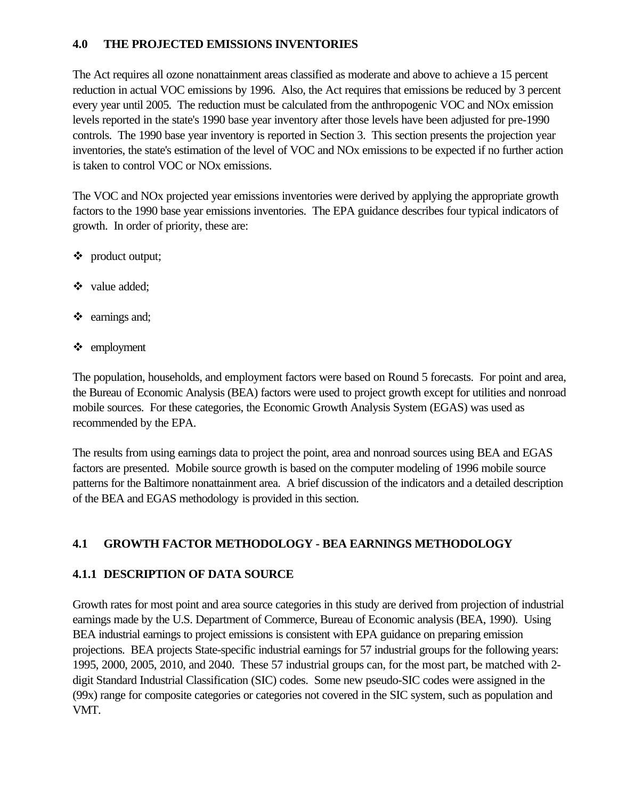# **4.0 THE PROJECTED EMISSIONS INVENTORIES**

The Act requires all ozone nonattainment areas classified as moderate and above to achieve a 15 percent reduction in actual VOC emissions by 1996. Also, the Act requires that emissions be reduced by 3 percent every year until 2005. The reduction must be calculated from the anthropogenic VOC and NOx emission levels reported in the state's 1990 base year inventory after those levels have been adjusted for pre-1990 controls. The 1990 base year inventory is reported in Section 3. This section presents the projection year inventories, the state's estimation of the level of VOC and NOx emissions to be expected if no further action is taken to control VOC or NOx emissions.

The VOC and NOx projected year emissions inventories were derived by applying the appropriate growth factors to the 1990 base year emissions inventories. The EPA guidance describes four typical indicators of growth. In order of priority, these are:

- v product output;
- ❖ value added;
- $\triangleleft$  earnings and;
- $\triangleleft$  employment

The population, households, and employment factors were based on Round 5 forecasts. For point and area, the Bureau of Economic Analysis (BEA) factors were used to project growth except for utilities and nonroad mobile sources. For these categories, the Economic Growth Analysis System (EGAS) was used as recommended by the EPA.

The results from using earnings data to project the point, area and nonroad sources using BEA and EGAS factors are presented. Mobile source growth is based on the computer modeling of 1996 mobile source patterns for the Baltimore nonattainment area. A brief discussion of the indicators and a detailed description of the BEA and EGAS methodology is provided in this section.

# **4.1 GROWTH FACTOR METHODOLOGY - BEA EARNINGS METHODOLOGY**

## **4.1.1 DESCRIPTION OF DATA SOURCE**

Growth rates for most point and area source categories in this study are derived from projection of industrial earnings made by the U.S. Department of Commerce, Bureau of Economic analysis (BEA, 1990). Using BEA industrial earnings to project emissions is consistent with EPA guidance on preparing emission projections. BEA projects State-specific industrial earnings for 57 industrial groups for the following years: 1995, 2000, 2005, 2010, and 2040. These 57 industrial groups can, for the most part, be matched with 2 digit Standard Industrial Classification (SIC) codes. Some new pseudo-SIC codes were assigned in the (99x) range for composite categories or categories not covered in the SIC system, such as population and VMT.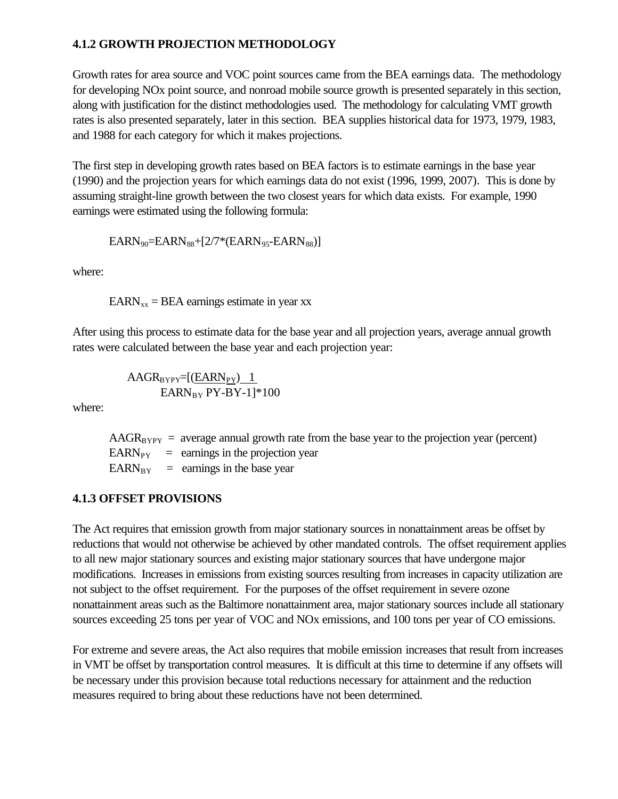# **4.1.2 GROWTH PROJECTION METHODOLOGY**

Growth rates for area source and VOC point sources came from the BEA earnings data. The methodology for developing NOx point source, and nonroad mobile source growth is presented separately in this section, along with justification for the distinct methodologies used. The methodology for calculating VMT growth rates is also presented separately, later in this section. BEA supplies historical data for 1973, 1979, 1983, and 1988 for each category for which it makes projections.

The first step in developing growth rates based on BEA factors is to estimate earnings in the base year (1990) and the projection years for which earnings data do not exist (1996, 1999, 2007). This is done by assuming straight-line growth between the two closest years for which data exists. For example, 1990 earnings were estimated using the following formula:

$$
EARN_{90} = EARN_{88} + [2/7 * (EARN_{95} - EARN_{88})]
$$

where:

 $EARN_{xx} = BER$  earnings estimate in year xx

After using this process to estimate data for the base year and all projection years, average annual growth rates were calculated between the base year and each projection year:

$$
AAGR_{BYPY}=[(\underline{EARN_{PY}}) \quad 1
$$
  
 
$$
EARN_{BY} PY-BY-1]^*100
$$

where:

 $AAGR<sub>BYPY</sub>$  = average annual growth rate from the base year to the projection year (percent)  $EARN<sub>PY</sub>$  = earnings in the projection year  $EARN_{BY}$  = earnings in the base year

#### **4.1.3 OFFSET PROVISIONS**

The Act requires that emission growth from major stationary sources in nonattainment areas be offset by reductions that would not otherwise be achieved by other mandated controls. The offset requirement applies to all new major stationary sources and existing major stationary sources that have undergone major modifications. Increases in emissions from existing sources resulting from increases in capacity utilization are not subject to the offset requirement. For the purposes of the offset requirement in severe ozone nonattainment areas such as the Baltimore nonattainment area, major stationary sources include all stationary sources exceeding 25 tons per year of VOC and NOx emissions, and 100 tons per year of CO emissions.

For extreme and severe areas, the Act also requires that mobile emission increases that result from increases in VMT be offset by transportation control measures. It is difficult at this time to determine if any offsets will be necessary under this provision because total reductions necessary for attainment and the reduction measures required to bring about these reductions have not been determined.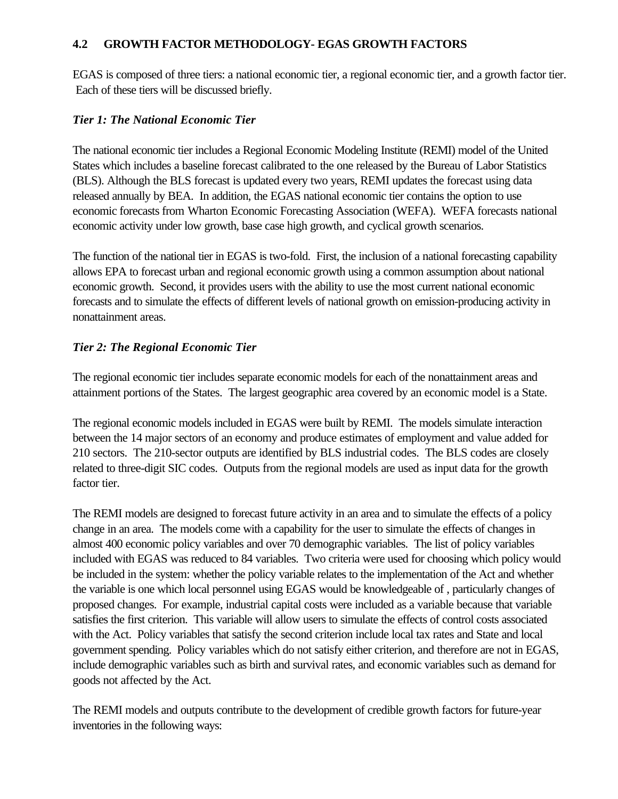# **4.2 GROWTH FACTOR METHODOLOGY- EGAS GROWTH FACTORS**

EGAS is composed of three tiers: a national economic tier, a regional economic tier, and a growth factor tier. Each of these tiers will be discussed briefly.

# *Tier 1: The National Economic Tier*

The national economic tier includes a Regional Economic Modeling Institute (REMI) model of the United States which includes a baseline forecast calibrated to the one released by the Bureau of Labor Statistics (BLS). Although the BLS forecast is updated every two years, REMI updates the forecast using data released annually by BEA. In addition, the EGAS national economic tier contains the option to use economic forecasts from Wharton Economic Forecasting Association (WEFA). WEFA forecasts national economic activity under low growth, base case high growth, and cyclical growth scenarios.

The function of the national tier in EGAS is two-fold. First, the inclusion of a national forecasting capability allows EPA to forecast urban and regional economic growth using a common assumption about national economic growth. Second, it provides users with the ability to use the most current national economic forecasts and to simulate the effects of different levels of national growth on emission-producing activity in nonattainment areas.

# *Tier 2: The Regional Economic Tier*

The regional economic tier includes separate economic models for each of the nonattainment areas and attainment portions of the States. The largest geographic area covered by an economic model is a State.

The regional economic models included in EGAS were built by REMI. The models simulate interaction between the 14 major sectors of an economy and produce estimates of employment and value added for 210 sectors. The 210-sector outputs are identified by BLS industrial codes. The BLS codes are closely related to three-digit SIC codes. Outputs from the regional models are used as input data for the growth factor tier.

The REMI models are designed to forecast future activity in an area and to simulate the effects of a policy change in an area. The models come with a capability for the user to simulate the effects of changes in almost 400 economic policy variables and over 70 demographic variables. The list of policy variables included with EGAS was reduced to 84 variables. Two criteria were used for choosing which policy would be included in the system: whether the policy variable relates to the implementation of the Act and whether the variable is one which local personnel using EGAS would be knowledgeable of , particularly changes of proposed changes. For example, industrial capital costs were included as a variable because that variable satisfies the first criterion. This variable will allow users to simulate the effects of control costs associated with the Act. Policy variables that satisfy the second criterion include local tax rates and State and local government spending. Policy variables which do not satisfy either criterion, and therefore are not in EGAS, include demographic variables such as birth and survival rates, and economic variables such as demand for goods not affected by the Act.

The REMI models and outputs contribute to the development of credible growth factors for future-year inventories in the following ways: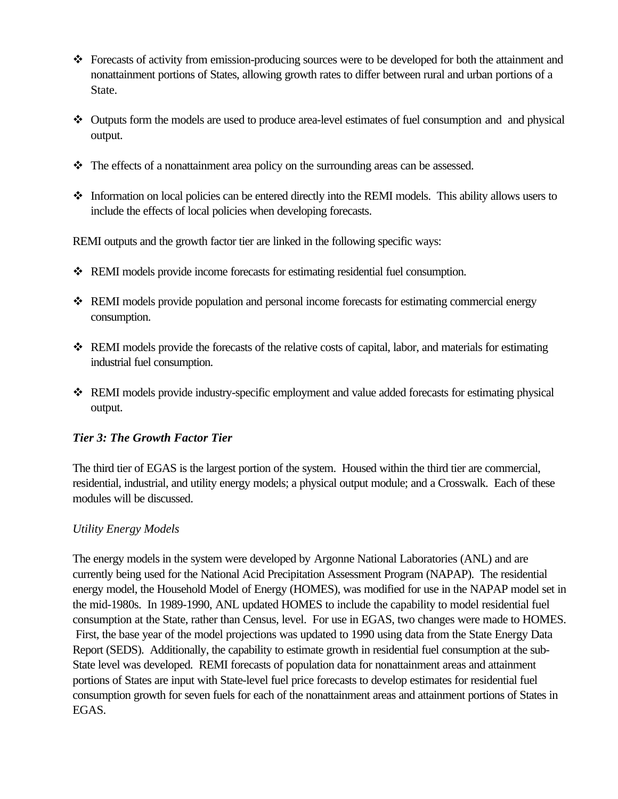- $\bullet$  Forecasts of activity from emission-producing sources were to be developed for both the attainment and nonattainment portions of States, allowing growth rates to differ between rural and urban portions of a State.
- $\bullet$  Outputs form the models are used to produce area-level estimates of fuel consumption and and physical output.
- $\cdot \cdot$  The effects of a nonattainment area policy on the surrounding areas can be assessed.
- Information on local policies can be entered directly into the REMI models. This ability allows users to include the effects of local policies when developing forecasts.

REMI outputs and the growth factor tier are linked in the following specific ways:

- $\div$  REMI models provide income forecasts for estimating residential fuel consumption.
- \* REMI models provide population and personal income forecasts for estimating commercial energy consumption.
- $\div$  REMI models provide the forecasts of the relative costs of capital, labor, and materials for estimating industrial fuel consumption.
- v REMI models provide industry-specific employment and value added forecasts for estimating physical output.

# *Tier 3: The Growth Factor Tier*

The third tier of EGAS is the largest portion of the system. Housed within the third tier are commercial, residential, industrial, and utility energy models; a physical output module; and a Crosswalk. Each of these modules will be discussed.

# *Utility Energy Models*

The energy models in the system were developed by Argonne National Laboratories (ANL) and are currently being used for the National Acid Precipitation Assessment Program (NAPAP). The residential energy model, the Household Model of Energy (HOMES), was modified for use in the NAPAP model set in the mid-1980s. In 1989-1990, ANL updated HOMES to include the capability to model residential fuel consumption at the State, rather than Census, level. For use in EGAS, two changes were made to HOMES. First, the base year of the model projections was updated to 1990 using data from the State Energy Data Report (SEDS). Additionally, the capability to estimate growth in residential fuel consumption at the sub-State level was developed. REMI forecasts of population data for nonattainment areas and attainment portions of States are input with State-level fuel price forecasts to develop estimates for residential fuel consumption growth for seven fuels for each of the nonattainment areas and attainment portions of States in EGAS.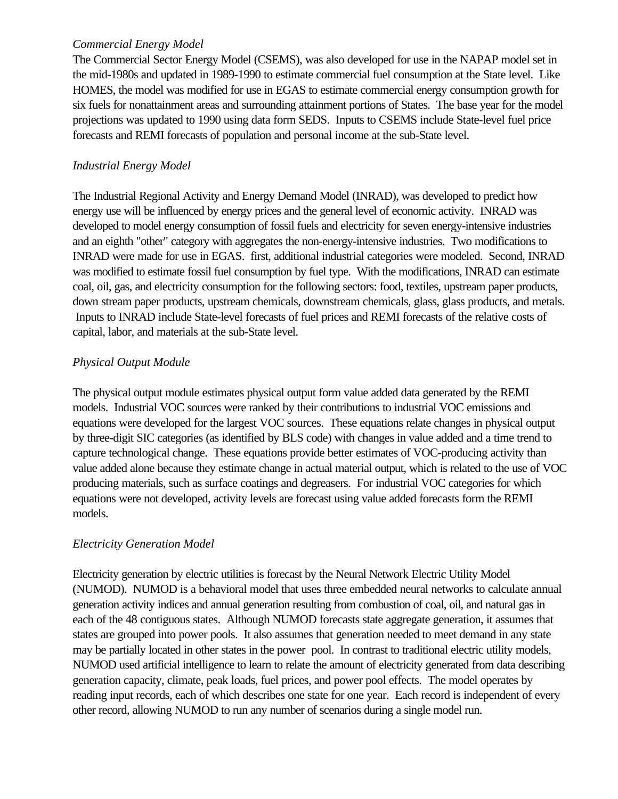### *Commercial Energy Model*

The Commercial Sector Energy Model (CSEMS), was also developed for use in the NAPAP model set in the mid-1980s and updated in 1989-1990 to estimate commercial fuel consumption at the State level. Like HOMES, the model was modified for use in EGAS to estimate commercial energy consumption growth for six fuels for nonattainment areas and surrounding attainment portions of States. The base year for the model projections was updated to 1990 using data form SEDS. Inputs to CSEMS include State-level fuel price forecasts and REMI forecasts of population and personal income at the sub-State level.

## *Industrial Energy Model*

The Industrial Regional Activity and Energy Demand Model (INRAD), was developed to predict how energy use will be influenced by energy prices and the general level of economic activity. INRAD was developed to model energy consumption of fossil fuels and electricity for seven energy-intensive industries and an eighth "other" category with aggregates the non-energy-intensive industries. Two modifications to INRAD were made for use in EGAS. first, additional industrial categories were modeled. Second, INRAD was modified to estimate fossil fuel consumption by fuel type. With the modifications, INRAD can estimate coal, oil, gas, and electricity consumption for the following sectors: food, textiles, upstream paper products, down stream paper products, upstream chemicals, downstream chemicals, glass, glass products, and metals. Inputs to INRAD include State-level forecasts of fuel prices and REMI forecasts of the relative costs of capital, labor, and materials at the sub-State level.

# *Physical Output Module*

The physical output module estimates physical output form value added data generated by the REMI models. Industrial VOC sources were ranked by their contributions to industrial VOC emissions and equations were developed for the largest VOC sources. These equations relate changes in physical output by three-digit SIC categories (as identified by BLS code) with changes in value added and a time trend to capture technological change. These equations provide better estimates of VOC-producing activity than value added alone because they estimate change in actual material output, which is related to the use of VOC producing materials, such as surface coatings and degreasers. For industrial VOC categories for which equations were not developed, activity levels are forecast using value added forecasts form the REMI models.

## *Electricity Generation Model*

Electricity generation by electric utilities is forecast by the Neural Network Electric Utility Model (NUMOD). NUMOD is a behavioral model that uses three embedded neural networks to calculate annual generation activity indices and annual generation resulting from combustion of coal, oil, and natural gas in each of the 48 contiguous states. Although NUMOD forecasts state aggregate generation, it assumes that states are grouped into power pools. It also assumes that generation needed to meet demand in any state may be partially located in other states in the power pool. In contrast to traditional electric utility models, NUMOD used artificial intelligence to learn to relate the amount of electricity generated from data describing generation capacity, climate, peak loads, fuel prices, and power pool effects. The model operates by reading input records, each of which describes one state for one year. Each record is independent of every other record, allowing NUMOD to run any number of scenarios during a single model run.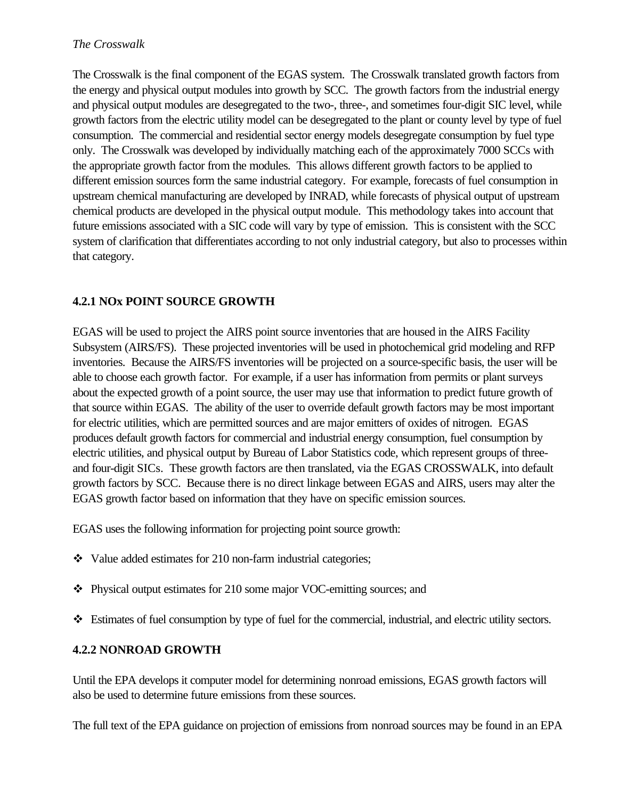# *The Crosswalk*

The Crosswalk is the final component of the EGAS system. The Crosswalk translated growth factors from the energy and physical output modules into growth by SCC. The growth factors from the industrial energy and physical output modules are desegregated to the two-, three-, and sometimes four-digit SIC level, while growth factors from the electric utility model can be desegregated to the plant or county level by type of fuel consumption. The commercial and residential sector energy models desegregate consumption by fuel type only. The Crosswalk was developed by individually matching each of the approximately 7000 SCCs with the appropriate growth factor from the modules. This allows different growth factors to be applied to different emission sources form the same industrial category. For example, forecasts of fuel consumption in upstream chemical manufacturing are developed by INRAD, while forecasts of physical output of upstream chemical products are developed in the physical output module. This methodology takes into account that future emissions associated with a SIC code will vary by type of emission. This is consistent with the SCC system of clarification that differentiates according to not only industrial category, but also to processes within that category.

# **4.2.1 NOx POINT SOURCE GROWTH**

EGAS will be used to project the AIRS point source inventories that are housed in the AIRS Facility Subsystem (AIRS/FS). These projected inventories will be used in photochemical grid modeling and RFP inventories. Because the AIRS/FS inventories will be projected on a source-specific basis, the user will be able to choose each growth factor. For example, if a user has information from permits or plant surveys about the expected growth of a point source, the user may use that information to predict future growth of that source within EGAS. The ability of the user to override default growth factors may be most important for electric utilities, which are permitted sources and are major emitters of oxides of nitrogen. EGAS produces default growth factors for commercial and industrial energy consumption, fuel consumption by electric utilities, and physical output by Bureau of Labor Statistics code, which represent groups of threeand four-digit SICs. These growth factors are then translated, via the EGAS CROSSWALK, into default growth factors by SCC. Because there is no direct linkage between EGAS and AIRS, users may alter the EGAS growth factor based on information that they have on specific emission sources.

EGAS uses the following information for projecting point source growth:

- $\cdot$  Value added estimates for 210 non-farm industrial categories;
- $\cdot \cdot$  Physical output estimates for 210 some major VOC-emitting sources; and
- v Estimates of fuel consumption by type of fuel for the commercial, industrial, and electric utility sectors.

## **4.2.2 NONROAD GROWTH**

Until the EPA develops it computer model for determining nonroad emissions, EGAS growth factors will also be used to determine future emissions from these sources.

The full text of the EPA guidance on projection of emissions from nonroad sources may be found in an EPA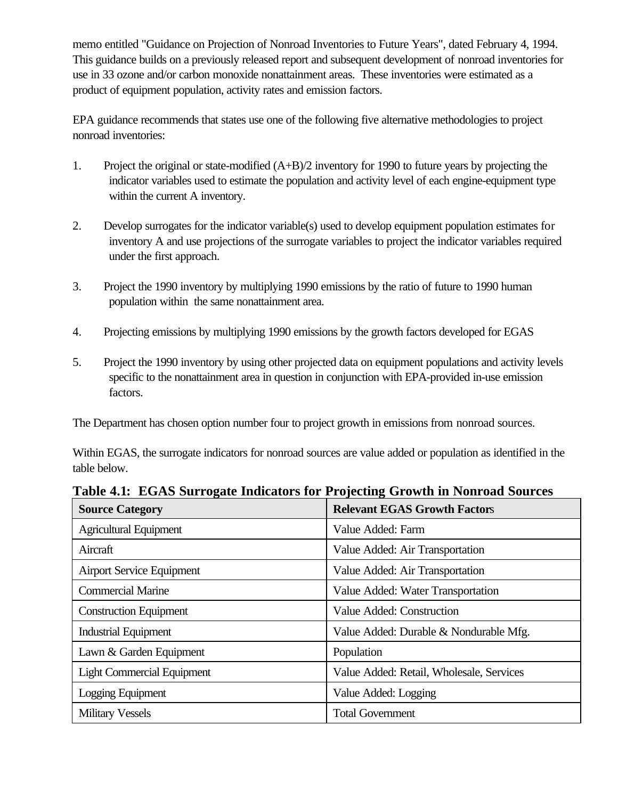memo entitled "Guidance on Projection of Nonroad Inventories to Future Years", dated February 4, 1994. This guidance builds on a previously released report and subsequent development of nonroad inventories for use in 33 ozone and/or carbon monoxide nonattainment areas. These inventories were estimated as a product of equipment population, activity rates and emission factors.

EPA guidance recommends that states use one of the following five alternative methodologies to project nonroad inventories:

- 1. Project the original or state-modified (A+B)/2 inventory for 1990 to future years by projecting the indicator variables used to estimate the population and activity level of each engine-equipment type within the current A inventory.
- 2. Develop surrogates for the indicator variable(s) used to develop equipment population estimates for inventory A and use projections of the surrogate variables to project the indicator variables required under the first approach.
- 3. Project the 1990 inventory by multiplying 1990 emissions by the ratio of future to 1990 human population within the same nonattainment area.
- 4. Projecting emissions by multiplying 1990 emissions by the growth factors developed for EGAS
- 5. Project the 1990 inventory by using other projected data on equipment populations and activity levels specific to the nonattainment area in question in conjunction with EPA-provided in-use emission factors.

The Department has chosen option number four to project growth in emissions from nonroad sources.

Within EGAS, the surrogate indicators for nonroad sources are value added or population as identified in the table below.

| <b>Source Category</b>            | <b>Relevant EGAS Growth Factors</b>      |
|-----------------------------------|------------------------------------------|
| Agricultural Equipment            | Value Added: Farm                        |
| Aircraft                          | Value Added: Air Transportation          |
| <b>Airport Service Equipment</b>  | Value Added: Air Transportation          |
| <b>Commercial Marine</b>          | Value Added: Water Transportation        |
| <b>Construction Equipment</b>     | Value Added: Construction                |
| <b>Industrial Equipment</b>       | Value Added: Durable & Nondurable Mfg.   |
| Lawn & Garden Equipment           | Population                               |
| <b>Light Commercial Equipment</b> | Value Added: Retail, Wholesale, Services |
| Logging Equipment                 | Value Added: Logging                     |
| <b>Military Vessels</b>           | <b>Total Government</b>                  |

**Table 4.1: EGAS Surrogate Indicators for Projecting Growth in Nonroad Sources**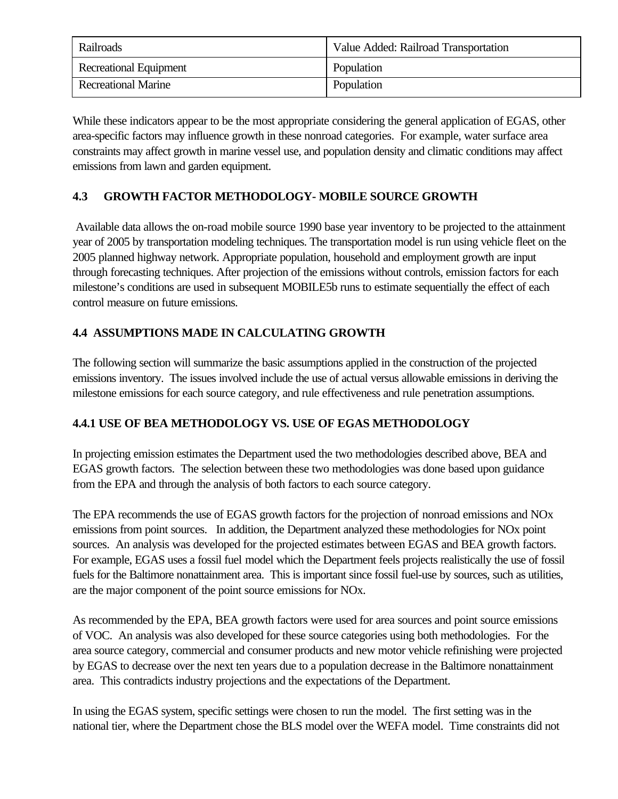| Railroads                     | Value Added: Railroad Transportation |
|-------------------------------|--------------------------------------|
| <b>Recreational Equipment</b> | Population                           |
| <b>Recreational Marine</b>    | Population                           |

While these indicators appear to be the most appropriate considering the general application of EGAS, other area-specific factors may influence growth in these nonroad categories. For example, water surface area constraints may affect growth in marine vessel use, and population density and climatic conditions may affect emissions from lawn and garden equipment.

# **4.3 GROWTH FACTOR METHODOLOGY- MOBILE SOURCE GROWTH**

 Available data allows the on-road mobile source 1990 base year inventory to be projected to the attainment year of 2005 by transportation modeling techniques. The transportation model is run using vehicle fleet on the 2005 planned highway network. Appropriate population, household and employment growth are input through forecasting techniques. After projection of the emissions without controls, emission factors for each milestone's conditions are used in subsequent MOBILE5b runs to estimate sequentially the effect of each control measure on future emissions.

# **4.4 ASSUMPTIONS MADE IN CALCULATING GROWTH**

The following section will summarize the basic assumptions applied in the construction of the projected emissions inventory. The issues involved include the use of actual versus allowable emissions in deriving the milestone emissions for each source category, and rule effectiveness and rule penetration assumptions.

# **4.4.1 USE OF BEA METHODOLOGY VS. USE OF EGAS METHODOLOGY**

In projecting emission estimates the Department used the two methodologies described above, BEA and EGAS growth factors. The selection between these two methodologies was done based upon guidance from the EPA and through the analysis of both factors to each source category.

The EPA recommends the use of EGAS growth factors for the projection of nonroad emissions and NOx emissions from point sources. In addition, the Department analyzed these methodologies for NOx point sources. An analysis was developed for the projected estimates between EGAS and BEA growth factors. For example, EGAS uses a fossil fuel model which the Department feels projects realistically the use of fossil fuels for the Baltimore nonattainment area. This is important since fossil fuel-use by sources, such as utilities, are the major component of the point source emissions for NOx.

As recommended by the EPA, BEA growth factors were used for area sources and point source emissions of VOC. An analysis was also developed for these source categories using both methodologies. For the area source category, commercial and consumer products and new motor vehicle refinishing were projected by EGAS to decrease over the next ten years due to a population decrease in the Baltimore nonattainment area. This contradicts industry projections and the expectations of the Department.

In using the EGAS system, specific settings were chosen to run the model. The first setting was in the national tier, where the Department chose the BLS model over the WEFA model. Time constraints did not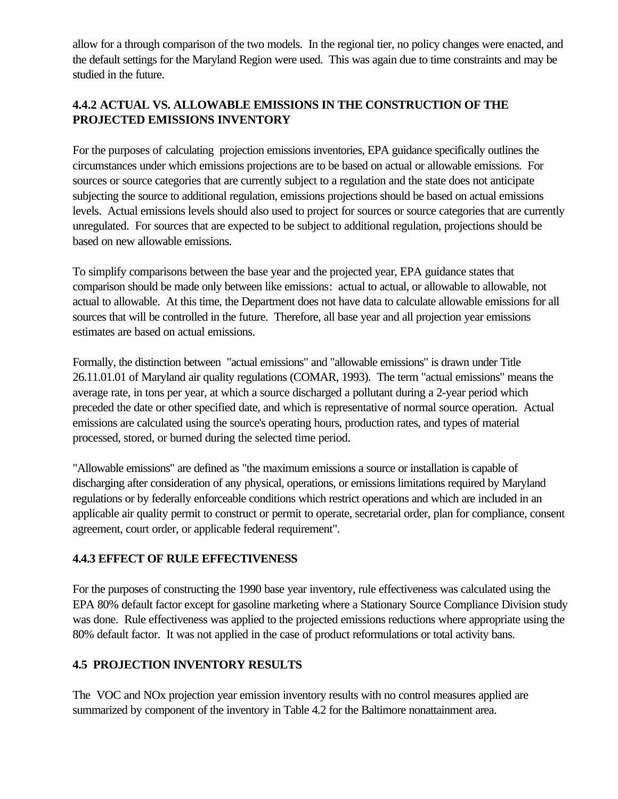allow for a through comparison of the two models. In the regional tier, no policy changes were enacted, and the default settings for the Maryland Region were used. This was again due to time constraints and may be studied in the future.

# **4.4.2 ACTUAL VS. ALLOWABLE EMISSIONS IN THE CONSTRUCTION OF THE PROJECTED EMISSIONS INVENTORY**

For the purposes of calculating projection emissions inventories, EPA guidance specifically outlines the circumstances under which emissions projections are to be based on actual or allowable emissions. For sources or source categories that are currently subject to a regulation and the state does not anticipate subjecting the source to additional regulation, emissions projections should be based on actual emissions levels. Actual emissions levels should also used to project for sources or source categories that are currently unregulated. For sources that are expected to be subject to additional regulation, projections should be based on new allowable emissions.

To simplify comparisons between the base year and the projected year, EPA guidance states that comparison should be made only between like emissions: actual to actual, or allowable to allowable, not actual to allowable. At this time, the Department does not have data to calculate allowable emissions for all sources that will be controlled in the future. Therefore, all base year and all projection year emissions estimates are based on actual emissions.

Formally, the distinction between "actual emissions" and "allowable emissions" is drawn under Title 26.11.01.01 of Maryland air quality regulations (COMAR, 1993). The term "actual emissions" means the average rate, in tons per year, at which a source discharged a pollutant during a 2-year period which preceded the date or other specified date, and which is representative of normal source operation. Actual emissions are calculated using the source's operating hours, production rates, and types of material processed, stored, or burned during the selected time period.

"Allowable emissions" are defined as "the maximum emissions a source or installation is capable of discharging after consideration of any physical, operations, or emissions limitations required by Maryland regulations or by federally enforceable conditions which restrict operations and which are included in an applicable air quality permit to construct or permit to operate, secretarial order, plan for compliance, consent agreement, court order, or applicable federal requirement".

## **4.4.3 EFFECT OF RULE EFFECTIVENESS**

For the purposes of constructing the 1990 base year inventory, rule effectiveness was calculated using the EPA 80% default factor except for gasoline marketing where a Stationary Source Compliance Division study was done. Rule effectiveness was applied to the projected emissions reductions where appropriate using the 80% default factor. It was not applied in the case of product reformulations or total activity bans.

# **4.5 PROJECTION INVENTORY RESULTS**

The VOC and NOx projection year emission inventory results with no control measures applied are summarized by component of the inventory in Table 4.2 for the Baltimore nonattainment area.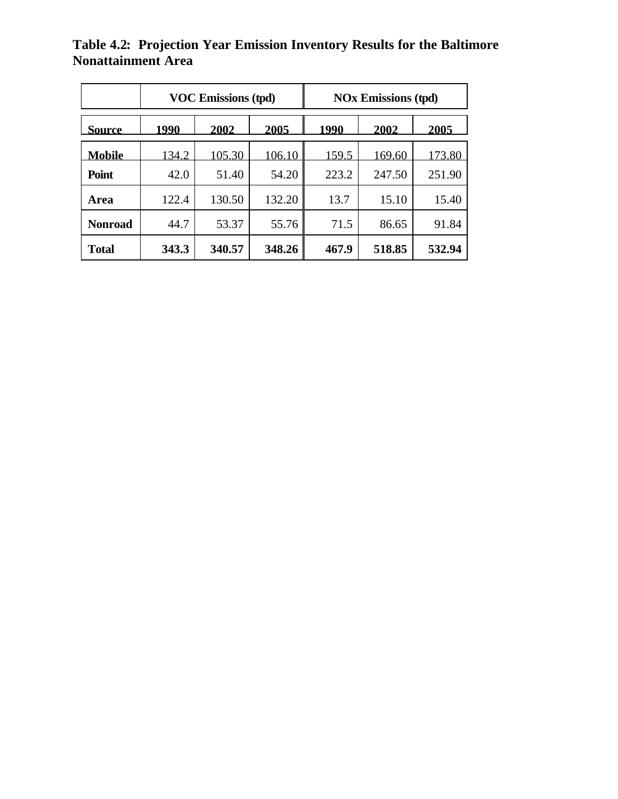|                |       | <b>VOC Emissions (tpd)</b> |        |       | <b>NOx Emissions (tpd)</b> |        |  |  |
|----------------|-------|----------------------------|--------|-------|----------------------------|--------|--|--|
| <b>Source</b>  | 1990  | 2002                       | 2005   | 1990  | 2002                       | 2005   |  |  |
| <b>Mobile</b>  | 34.2  | 105.30                     | 106.10 | 159.5 | 169.60                     | .73.80 |  |  |
| Point          | 42.0  | 51.40                      | 54.20  | 223.2 | 247.50                     | 251.90 |  |  |
| Area           | 122.4 | 130.50                     | 132.20 | 13.7  | 15.10                      | 15.40  |  |  |
| <b>Nonroad</b> | 44.7  | 53.37                      | 55.76  | 71.5  | 86.65                      | 91.84  |  |  |
| <b>Total</b>   | 343.3 | 340.57                     | 348.26 | 467.9 | 518.85                     | 532.94 |  |  |

**Table 4.2: Projection Year Emission Inventory Results for the Baltimore Nonattainment Area**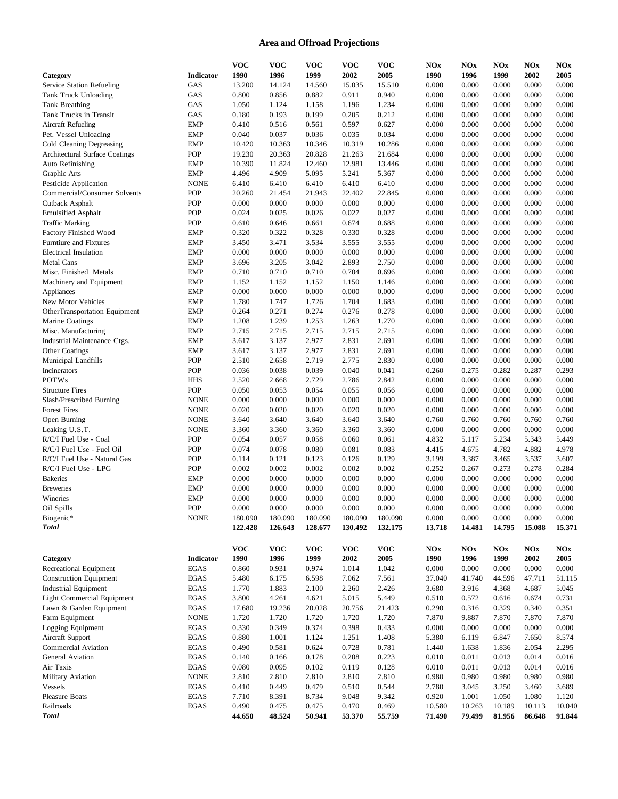### **Area and Offroad Projections**

|                                                           |                            | <b>VOC</b>      | <b>VOC</b>      | voc             | <b>VOC</b>      | voc            | <b>NOx</b>     | <b>NOx</b>     | <b>NOx</b>     | <b>NOx</b>     | <b>NOx</b>     |
|-----------------------------------------------------------|----------------------------|-----------------|-----------------|-----------------|-----------------|----------------|----------------|----------------|----------------|----------------|----------------|
| Category                                                  | Indicator                  | 1990            | 1996            | 1999            | 2002            | 2005           | 1990           | 1996           | 1999           | 2002           | 2005           |
| Service Station Refueling                                 | GAS                        | 13.200          | 14.124          | 14.560          | 15.035          | 15.510         | 0.000          | 0.000          | 0.000          | 0.000          | 0.000          |
| <b>Tank Truck Unloading</b>                               | GAS                        | 0.800           | 0.856           | 0.882           | 0.911           | 0.940          | 0.000          | 0.000          | 0.000          | 0.000          | 0.000          |
| <b>Tank Breathing</b>                                     | GAS                        | 1.050           | 1.124           | 1.158           | 1.196           | 1.234          | 0.000          | 0.000          | 0.000          | 0.000          | 0.000          |
| Tank Trucks in Transit                                    | GAS                        | 0.180           | 0.193           | 0.199           | 0.205           | 0.212          | 0.000          | 0.000          | 0.000          | 0.000          | 0.000          |
| <b>Aircraft Refueling</b>                                 | <b>EMP</b>                 | 0.410           | 0.516           | 0.561           | 0.597           | 0.627          | 0.000          | 0.000          | 0.000          | 0.000          | 0.000          |
| Pet. Vessel Unloading                                     | <b>EMP</b>                 | 0.040           | 0.037           | 0.036           | 0.035           | 0.034          | 0.000          | 0.000          | 0.000          | 0.000          | 0.000          |
| Cold Cleaning Degreasing                                  | <b>EMP</b>                 | 10.420          | 10.363          | 10.346          | 10.319          | 10.286         | 0.000          | 0.000          | 0.000          | 0.000          | 0.000          |
| Architectural Surface Coatings                            | POP                        | 19.230          | 20.363          | 20.828          | 21.263          | 21.684         | 0.000          | 0.000          | 0.000          | 0.000          | 0.000          |
| Auto Refinishing                                          | <b>EMP</b>                 | 10.390          | 11.824          | 12.460          | 12.981          | 13.446         | 0.000          | 0.000          | 0.000          | 0.000          | 0.000          |
| Graphic Arts                                              | <b>EMP</b>                 | 4.496           | 4.909           | 5.095           | 5.241           | 5.367<br>6.410 | 0.000          | 0.000          | 0.000          | 0.000          | 0.000<br>0.000 |
| Pesticide Application<br>Commercial/Consumer Solvents     | <b>NONE</b><br>POP         | 6.410           | 6.410           | 6.410           | 6.410<br>22.402 | 22.845         | 0.000<br>0.000 | 0.000<br>0.000 | 0.000<br>0.000 | 0.000<br>0.000 | 0.000          |
| Cutback Asphalt                                           | <b>POP</b>                 | 20.260<br>0.000 | 21.454<br>0.000 | 21.943<br>0.000 | 0.000           | 0.000          | 0.000          | 0.000          | 0.000          | 0.000          | 0.000          |
| <b>Emulsified Asphalt</b>                                 | POP                        | 0.024           | 0.025           | 0.026           | 0.027           | 0.027          | 0.000          | 0.000          | 0.000          | 0.000          | 0.000          |
| <b>Traffic Marking</b>                                    | <b>POP</b>                 | 0.610           | 0.646           | 0.661           | 0.674           | 0.688          | 0.000          | 0.000          | 0.000          | 0.000          | 0.000          |
| Factory Finished Wood                                     | <b>EMP</b>                 | 0.320           | 0.322           | 0.328           | 0.330           | 0.328          | 0.000          | 0.000          | 0.000          | 0.000          | 0.000          |
| Furntiure and Fixtures                                    | <b>EMP</b>                 | 3.450           | 3.471           | 3.534           | 3.555           | 3.555          | 0.000          | 0.000          | 0.000          | 0.000          | 0.000          |
| <b>Electrical Insulation</b>                              | <b>EMP</b>                 | 0.000           | 0.000           | 0.000           | 0.000           | 0.000          | 0.000          | 0.000          | 0.000          | 0.000          | 0.000          |
| Metal Cans                                                | <b>EMP</b>                 | 3.696           | 3.205           | 3.042           | 2.893           | 2.750          | 0.000          | 0.000          | 0.000          | 0.000          | 0.000          |
| Misc. Finished Metals                                     | <b>EMP</b>                 | 0.710           | 0.710           | 0.710           | 0.704           | 0.696          | 0.000          | 0.000          | 0.000          | 0.000          | 0.000          |
| Machinery and Equipment                                   | <b>EMP</b>                 | 1.152           | 1.152           | 1.152           | 1.150           | 1.146          | 0.000          | 0.000          | 0.000          | 0.000          | 0.000          |
| Appliances                                                | <b>EMP</b>                 | 0.000           | 0.000           | 0.000           | 0.000           | 0.000          | 0.000          | 0.000          | 0.000          | 0.000          | 0.000          |
| New Motor Vehicles                                        | <b>EMP</b>                 | 1.780           | 1.747           | 1.726           | 1.704           | 1.683          | 0.000          | 0.000          | 0.000          | 0.000          | 0.000          |
| OtherTransportation Equipment                             | <b>EMP</b>                 | 0.264           | 0.271           | 0.274           | 0.276           | 0.278          | 0.000          | 0.000          | 0.000          | 0.000          | 0.000          |
| Marine Coatings                                           | <b>EMP</b>                 | 1.208           | 1.239           | 1.253           | 1.263           | 1.270          | 0.000          | 0.000          | 0.000          | 0.000          | 0.000          |
| Misc. Manufacturing                                       | <b>EMP</b>                 | 2.715           | 2.715           | 2.715           | 2.715           | 2.715          | 0.000          | 0.000          | 0.000          | 0.000          | 0.000          |
| Industrial Maintenance Ctgs.                              | <b>EMP</b>                 | 3.617           | 3.137           | 2.977           | 2.831           | 2.691          | 0.000          | 0.000          | 0.000          | 0.000          | 0.000          |
| <b>Other Coatings</b>                                     | <b>EMP</b>                 | 3.617           | 3.137           | 2.977           | 2.831           | 2.691          | 0.000          | 0.000          | 0.000          | 0.000          | 0.000          |
| Municipal Landfills                                       | <b>POP</b>                 | 2.510           | 2.658           | 2.719           | 2.775           | 2.830          | 0.000          | 0.000          | 0.000          | 0.000          | 0.000          |
| Incinerators                                              | POP                        | 0.036           | 0.038           | 0.039           | 0.040           | 0.041          | 0.260          | 0.275          | 0.282          | 0.287          | 0.293          |
| <b>POTWs</b>                                              | <b>HHS</b>                 | 2.520           | 2.668           | 2.729           | 2.786           | 2.842          | 0.000          | 0.000          | 0.000          | 0.000          | 0.000          |
| <b>Structure Fires</b>                                    | POP                        | 0.050           | 0.053           | 0.054           | 0.055           | 0.056          | 0.000          | 0.000          | 0.000          | 0.000          | 0.000          |
| Slash/Prescribed Burning                                  | <b>NONE</b>                | 0.000           | 0.000           | 0.000           | 0.000           | 0.000          | 0.000          | 0.000          | 0.000          | 0.000          | 0.000          |
| <b>Forest Fires</b>                                       | <b>NONE</b>                | 0.020           | 0.020           | 0.020           | 0.020           | 0.020          | 0.000          | 0.000          | 0.000          | 0.000          | 0.000          |
| Open Burning                                              | <b>NONE</b>                | 3.640           | 3.640           | 3.640           | 3.640           | 3.640          | 0.760          | 0.760          | 0.760          | 0.760          | 0.760          |
| Leaking U.S.T.                                            | <b>NONE</b>                | 3.360           | 3.360           | 3.360           | 3.360           | 3.360          | 0.000          | 0.000          | 0.000          | 0.000          | 0.000          |
| R/C/I Fuel Use - Coal                                     | <b>POP</b><br><b>POP</b>   | 0.054<br>0.074  | 0.057<br>0.078  | 0.058           | 0.060           | 0.061          | 4.832          | 5.117<br>4.675 | 5.234          | 5.343          | 5.449<br>4.978 |
| R/C/I Fuel Use - Fuel Oil<br>R/C/I Fuel Use - Natural Gas | <b>POP</b>                 | 0.114           | 0.121           | 0.080<br>0.123  | 0.081<br>0.126  | 0.083<br>0.129 | 4.415<br>3.199 | 3.387          | 4.782<br>3.465 | 4.882<br>3.537 | 3.607          |
| R/C/I Fuel Use - LPG                                      | POP                        | 0.002           | 0.002           | 0.002           | 0.002           | 0.002          | 0.252          | 0.267          | 0.273          | 0.278          | 0.284          |
| <b>Bakeries</b>                                           | <b>EMP</b>                 | 0.000           | 0.000           | 0.000           | 0.000           | 0.000          | 0.000          | 0.000          | 0.000          | 0.000          | 0.000          |
| <b>Breweries</b>                                          | <b>EMP</b>                 | 0.000           | 0.000           | 0.000           | 0.000           | 0.000          | 0.000          | 0.000          | 0.000          | 0.000          | 0.000          |
| Wineries                                                  | <b>EMP</b>                 | 0.000           | 0.000           | 0.000           | 0.000           | 0.000          | 0.000          | 0.000          | 0.000          | 0.000          | 0.000          |
| Oil Spills                                                | <b>POP</b>                 | 0.000           | 0.000           | 0.000           | 0.000           | 0.000          | 0.000          | 0.000          | 0.000          | 0.000          | 0.000          |
| Biogenic*                                                 | <b>NONE</b>                | 180.090         | 180.090         | 180.090         | 180.090         | 180.090        | 0.000          | 0.000          | 0.000          | 0.000          | 0.000          |
| <b>Total</b>                                              |                            | 122.428         | 126.643         | 128.677         | 130.492         | 132.175        | 13.718         | 14.481         | 14.795         | 15.088         | 15.371         |
|                                                           |                            |                 |                 |                 |                 |                |                |                |                |                |                |
|                                                           |                            | <b>VOC</b>      | <b>VOC</b>      | <b>VOC</b>      | <b>VOC</b>      | <b>VOC</b>     | <b>NOx</b>     | NOx            | NOx            | NOx            | NOx            |
| Category                                                  | Indicator                  | 1990            | 1996            | 1999            | 2002            | 2005           | 1990           | 1996           | 1999           | 2002           | 2005           |
| Recreational Equipment                                    | <b>EGAS</b>                | 0.860           | 0.931           | 0.974           | 1.014           | 1.042          | 0.000          | 0.000          | 0.000          | 0.000          | 0.000          |
| <b>Construction Equipment</b>                             | <b>EGAS</b>                | 5.480           | 6.175           | 6.598           | 7.062           | 7.561          | 37.040         | 41.740         | 44.596         | 47.711         | 51.115         |
| <b>Industrial Equipment</b>                               | <b>EGAS</b>                | 1.770           | 1.883           | 2.100           | 2.260           | 2.426          | 3.680          | 3.916          | 4.368          | 4.687          | 5.045          |
| <b>Light Commercial Equipment</b>                         | <b>EGAS</b>                | 3.800           | 4.261           | 4.621           | 5.015           | 5.449          | 0.510          | 0.572          | 0.616          | 0.674          | 0.731          |
| Lawn & Garden Equipment                                   | <b>EGAS</b>                | 17.680          | 19.236          | 20.028          | 20.756          | 21.423         | 0.290          | 0.316          | 0.329          | 0.340          | 0.351          |
| Farm Equipment                                            | <b>NONE</b>                | 1.720           | 1.720           | 1.720           | 1.720           | 1.720          | 7.870          | 9.887          | 7.870          | 7.870          | 7.870          |
| Logging Equipment                                         | <b>EGAS</b>                | 0.330           | 0.349           | 0.374           | 0.398           | 0.433          | 0.000          | 0.000          | 0.000          | 0.000          | 0.000          |
| Aircraft Support                                          | <b>EGAS</b>                | 0.880           | 1.001           | 1.124           | 1.251           | 1.408          | 5.380          | 6.119          | 6.847          | 7.650          | 8.574          |
| Commercial Aviation                                       | <b>EGAS</b>                | 0.490           | 0.581           | 0.624           | 0.728           | 0.781          | 1.440          | 1.638          | 1.836          | 2.054          | 2.295          |
| General Aviation                                          | <b>EGAS</b>                | 0.140           | 0.166           | 0.178           | 0.208           | 0.223          | 0.010          | 0.011          | 0.013          | 0.014          | 0.016          |
| Air Taxis                                                 | <b>EGAS</b>                | 0.080           | 0.095           | 0.102           | 0.119           | 0.128          | 0.010          | 0.011          | 0.013          | 0.014          | 0.016          |
| Military Aviation<br>Vessels                              | <b>NONE</b><br><b>EGAS</b> | 2.810           | 2.810<br>0.449  | 2.810<br>0.479  | 2.810<br>0.510  | 2.810<br>0.544 | 0.980<br>2.780 | 0.980<br>3.045 | 0.980<br>3.250 | 0.980          | 0.980<br>3.689 |
| <b>Pleasure Boats</b>                                     | <b>EGAS</b>                | 0.410<br>7.710  | 8.391           | 8.734           | 9.048           | 9.342          | 0.920          | 1.001          | 1.050          | 3.460<br>1.080 | 1.120          |
| Railroads                                                 | <b>EGAS</b>                | 0.490           | 0.475           | 0.475           | 0.470           | 0.469          | 10.580         | 10.263         | 10.189         | 10.113         | 10.040         |
| <b>Total</b>                                              |                            | 44.650          | 48.524          | 50.941          | 53.370          | 55.759         | 71.490         | 79.499         | 81.956         | 86.648         | 91.844         |
|                                                           |                            |                 |                 |                 |                 |                |                |                |                |                |                |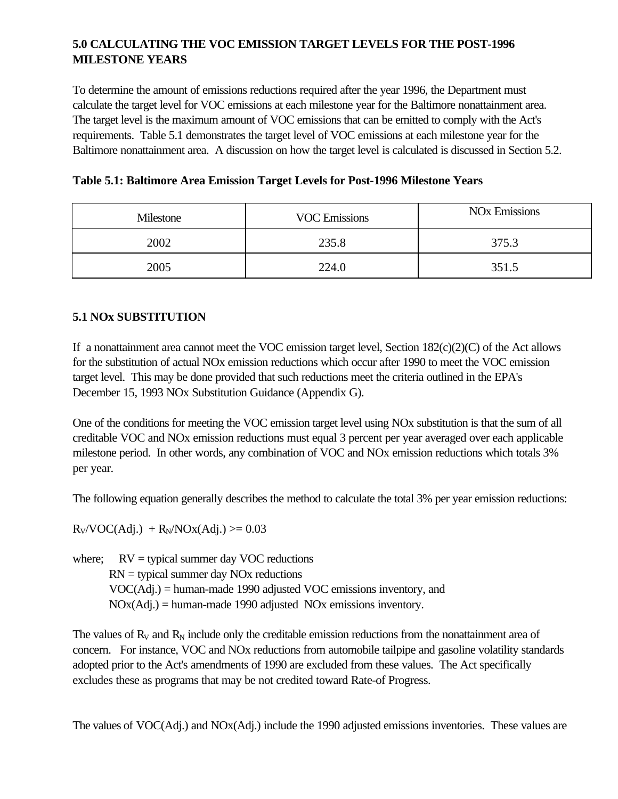# **5.0 CALCULATING THE VOC EMISSION TARGET LEVELS FOR THE POST-1996 MILESTONE YEARS**

To determine the amount of emissions reductions required after the year 1996, the Department must calculate the target level for VOC emissions at each milestone year for the Baltimore nonattainment area. The target level is the maximum amount of VOC emissions that can be emitted to comply with the Act's requirements. Table 5.1 demonstrates the target level of VOC emissions at each milestone year for the Baltimore nonattainment area. A discussion on how the target level is calculated is discussed in Section 5.2.

| Table 5.1: Baltimore Area Emission Target Levels for Post-1996 Milestone Years |  |  |  |
|--------------------------------------------------------------------------------|--|--|--|
|                                                                                |  |  |  |

| Milestone | <b>VOC Emissions</b> | <b>NO<sub>x</sub></b> Emissions |
|-----------|----------------------|---------------------------------|
| 2002      | 235.8                | 375.3                           |
| 2005      | 224.0                | 351.5                           |

# **5.1 NOx SUBSTITUTION**

If a nonattainment area cannot meet the VOC emission target level, Section  $182(c)(2)(C)$  of the Act allows for the substitution of actual NOx emission reductions which occur after 1990 to meet the VOC emission target level. This may be done provided that such reductions meet the criteria outlined in the EPA's December 15, 1993 NOx Substitution Guidance (Appendix G).

One of the conditions for meeting the VOC emission target level using NOx substitution is that the sum of all creditable VOC and NOx emission reductions must equal 3 percent per year averaged over each applicable milestone period. In other words, any combination of VOC and NOx emission reductions which totals 3% per year.

The following equation generally describes the method to calculate the total 3% per year emission reductions:

 $R_V/VOC(Adj.) + R_N/NOX(Adj.) \ge 0.03$ 

where;  $RV =$  typical summer day VOC reductions RN = typical summer day NOx reductions VOC(Adj.) = human-made 1990 adjusted VOC emissions inventory, and  $NOX(Adj.) = human-made 1990 adjusted NOx emissions inventory.$ 

The values of  $R_V$  and  $R_N$  include only the creditable emission reductions from the nonattainment area of concern. For instance, VOC and NOx reductions from automobile tailpipe and gasoline volatility standards adopted prior to the Act's amendments of 1990 are excluded from these values. The Act specifically excludes these as programs that may be not credited toward Rate-of Progress.

The values of VOC(Adj.) and NOx(Adj.) include the 1990 adjusted emissions inventories. These values are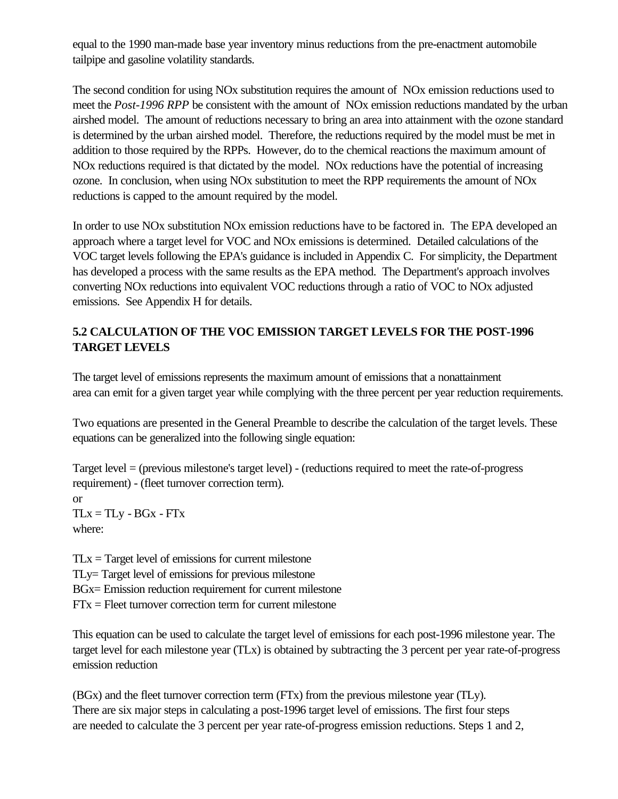equal to the 1990 man-made base year inventory minus reductions from the pre-enactment automobile tailpipe and gasoline volatility standards.

The second condition for using NOx substitution requires the amount of NOx emission reductions used to meet the *Post-1996 RPP* be consistent with the amount of NOx emission reductions mandated by the urban airshed model. The amount of reductions necessary to bring an area into attainment with the ozone standard is determined by the urban airshed model. Therefore, the reductions required by the model must be met in addition to those required by the RPPs. However, do to the chemical reactions the maximum amount of NOx reductions required is that dictated by the model. NOx reductions have the potential of increasing ozone. In conclusion, when using NOx substitution to meet the RPP requirements the amount of NOx reductions is capped to the amount required by the model.

In order to use NOx substitution NOx emission reductions have to be factored in. The EPA developed an approach where a target level for VOC and NOx emissions is determined. Detailed calculations of the VOC target levels following the EPA's guidance is included in Appendix C. For simplicity, the Department has developed a process with the same results as the EPA method. The Department's approach involves converting NOx reductions into equivalent VOC reductions through a ratio of VOC to NOx adjusted emissions. See Appendix H for details.

# **5.2 CALCULATION OF THE VOC EMISSION TARGET LEVELS FOR THE POST-1996 TARGET LEVELS**

The target level of emissions represents the maximum amount of emissions that a nonattainment area can emit for a given target year while complying with the three percent per year reduction requirements.

Two equations are presented in the General Preamble to describe the calculation of the target levels. These equations can be generalized into the following single equation:

Target level = (previous milestone's target level) - (reductions required to meet the rate-of-progress requirement) - (fleet turnover correction term). or  $TLx = TLy - BGx - FTx$ where:

 $TLx = Target level of emissions for current miles.$ TLy= Target level of emissions for previous milestone BGx= Emission reduction requirement for current milestone  $FTx = Fleet$  turnover correction term for current milestone

This equation can be used to calculate the target level of emissions for each post-1996 milestone year. The target level for each milestone year (TLx) is obtained by subtracting the 3 percent per year rate-of-progress emission reduction

(BGx) and the fleet turnover correction term (FTx) from the previous milestone year (TLy). There are six major steps in calculating a post-1996 target level of emissions. The first four steps are needed to calculate the 3 percent per year rate-of-progress emission reductions. Steps 1 and 2,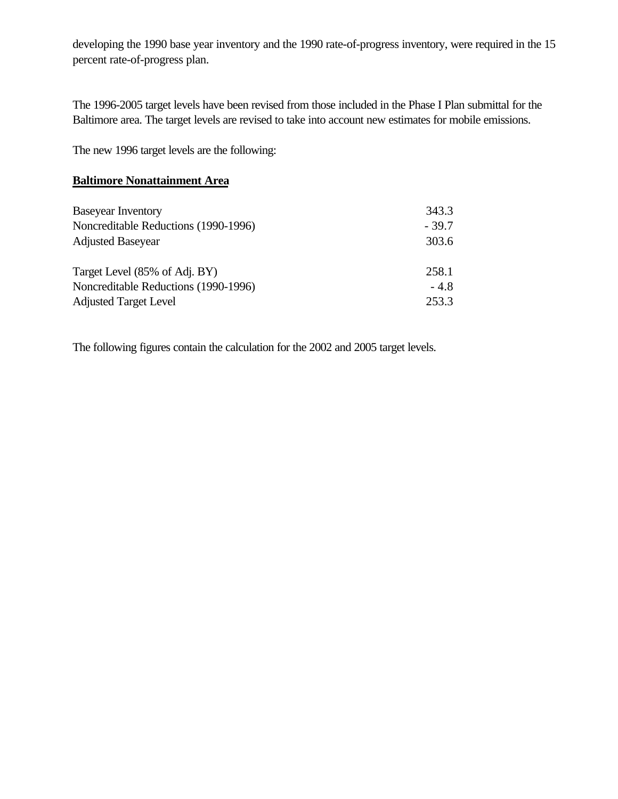developing the 1990 base year inventory and the 1990 rate-of-progress inventory, were required in the 15 percent rate-of-progress plan.

The 1996-2005 target levels have been revised from those included in the Phase I Plan submittal for the Baltimore area. The target levels are revised to take into account new estimates for mobile emissions.

The new 1996 target levels are the following:

## **Baltimore Nonattainment Area**

| <b>Baseyear Inventory</b>            | 343.3   |
|--------------------------------------|---------|
| Noncreditable Reductions (1990-1996) | $-39.7$ |
| <b>Adjusted Baseyear</b>             | 303.6   |
|                                      |         |
| Target Level (85% of Adj. BY)        | 258.1   |
| Noncreditable Reductions (1990-1996) | $-4.8$  |
| <b>Adjusted Target Level</b>         | 253.3   |

The following figures contain the calculation for the 2002 and 2005 target levels.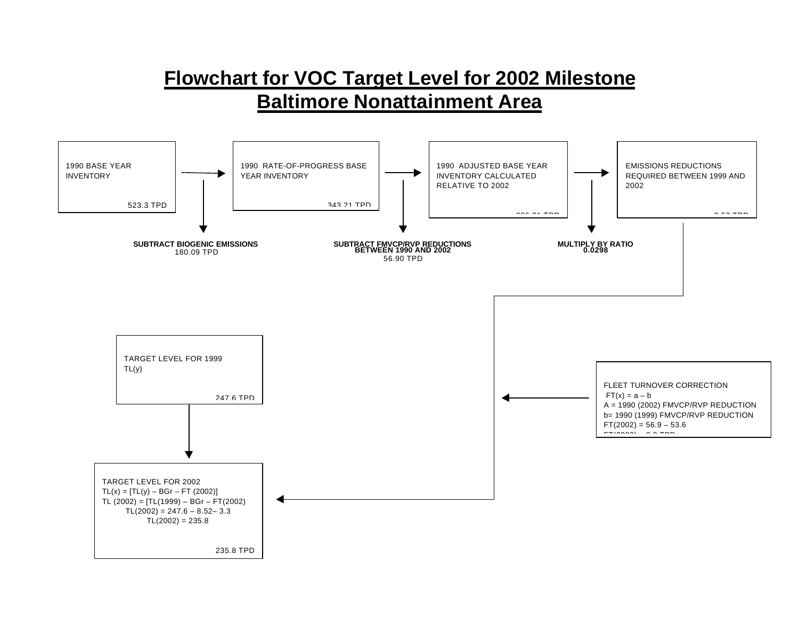# **Flowchart for VOC Target Level for 2002 Milestone Baltimore Nonattainment Area**

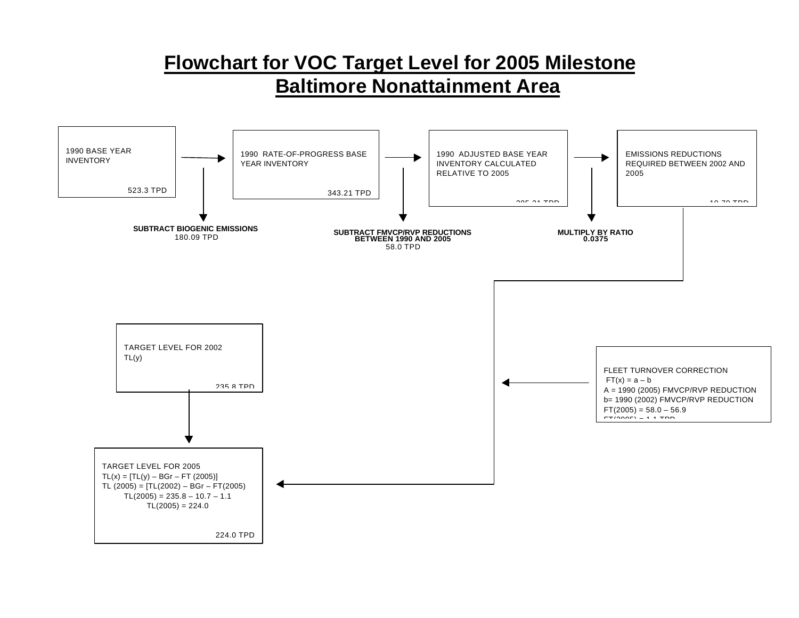# **Flowchart for VOC Target Level for 2005 Milestone Baltimore Nonattainment Area**

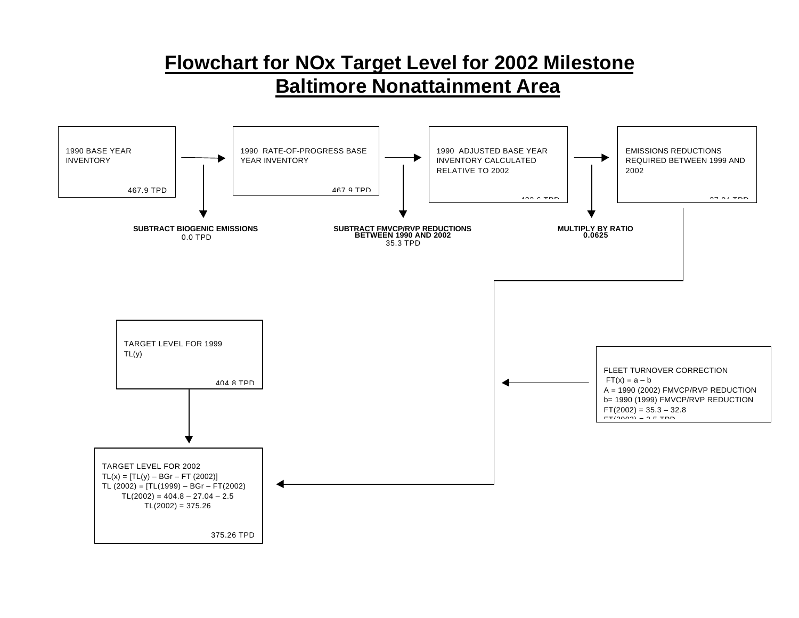# **Flowchart for NOx Target Level for 2002 Milestone Baltimore Nonattainment Area**

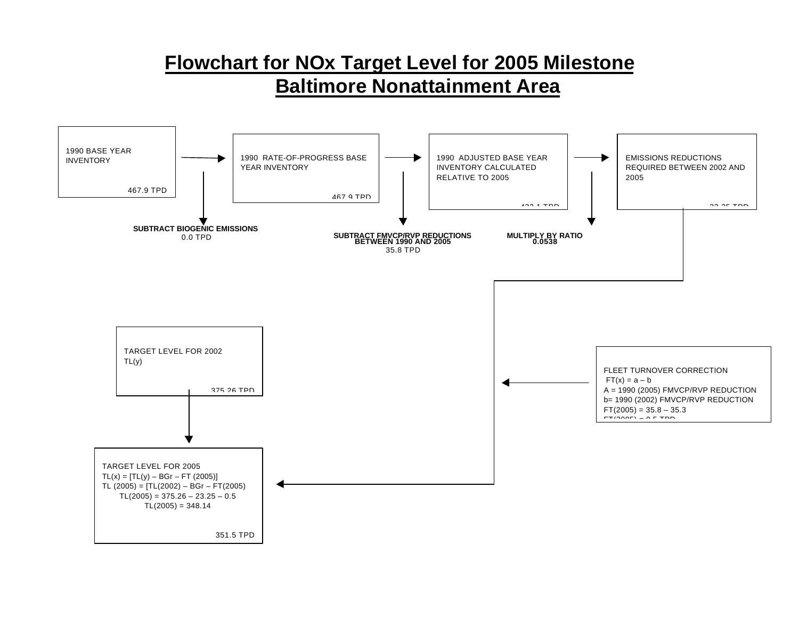# **Flowchart for NOx Target Level for 2005 Milestone Baltimore Nonattainment Area**

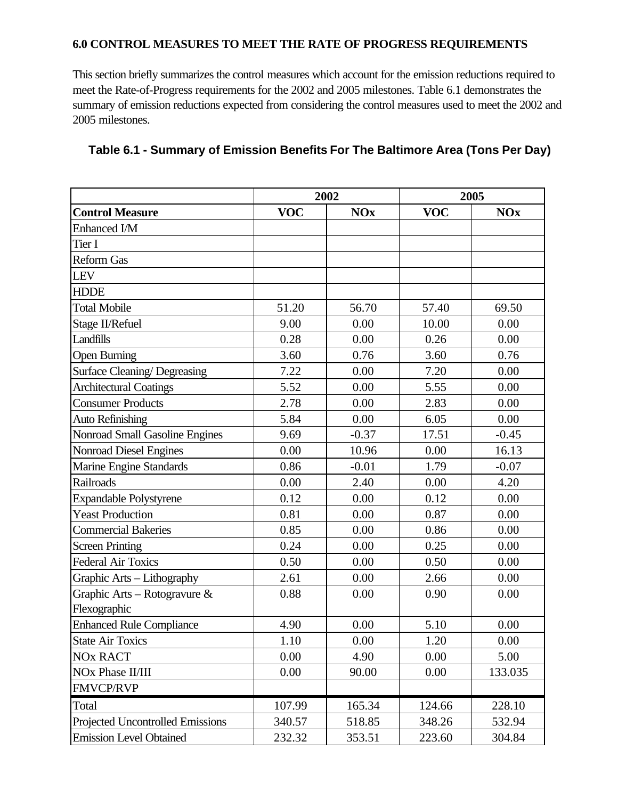## **6.0 CONTROL MEASURES TO MEET THE RATE OF PROGRESS REQUIREMENTS**

This section briefly summarizes the control measures which account for the emission reductions required to meet the Rate-of-Progress requirements for the 2002 and 2005 milestones. Table 6.1 demonstrates the summary of emission reductions expected from considering the control measures used to meet the 2002 and 2005 milestones.

|                                     | 2002         |            | 2005       |            |  |
|-------------------------------------|--------------|------------|------------|------------|--|
| <b>Control Measure</b>              | <b>VOC</b>   | <b>NOx</b> | <b>VOC</b> | <b>NOx</b> |  |
| Enhanced I/M                        |              |            |            |            |  |
| Tier I                              |              |            |            |            |  |
| <b>Reform Gas</b>                   |              |            |            |            |  |
| <b>LEV</b>                          |              |            |            |            |  |
| <b>HDDE</b>                         |              |            |            |            |  |
| <b>Total Mobile</b>                 | 51.20        | 56.70      | 57.40      | 69.50      |  |
| Stage II/Refuel                     | 9.00         | 0.00       | 10.00      | 0.00       |  |
| Landfills                           | 0.28         | 0.00       | 0.26       | 0.00       |  |
| <b>Open Burning</b>                 | 3.60         | 0.76       | 3.60       | 0.76       |  |
| <b>Surface Cleaning/ Degreasing</b> | 7.22         | 0.00       | 7.20       | 0.00       |  |
| <b>Architectural Coatings</b>       | 5.52         | 0.00       | 5.55       | 0.00       |  |
| <b>Consumer Products</b>            | 2.78         | 0.00       | 2.83       | 0.00       |  |
| <b>Auto Refinishing</b>             | 5.84         | 0.00       | 6.05       | 0.00       |  |
| Nonroad Small Gasoline Engines      | 9.69         | $-0.37$    | 17.51      | $-0.45$    |  |
| Nonroad Diesel Engines              | 0.00         | 10.96      | 0.00       | 16.13      |  |
| <b>Marine Engine Standards</b>      | 0.86         | $-0.01$    | 1.79       | $-0.07$    |  |
| Railroads                           | 0.00         | 2.40       | 0.00       | 4.20       |  |
| <b>Expandable Polystyrene</b>       | 0.12         | 0.00       | 0.12       | 0.00       |  |
| <b>Yeast Production</b>             | 0.81         | 0.00       | 0.87       | 0.00       |  |
| <b>Commercial Bakeries</b>          | 0.00<br>0.85 |            | 0.86       | 0.00       |  |
| <b>Screen Printing</b>              | 0.24         | 0.00       | 0.25       | 0.00       |  |
| <b>Federal Air Toxics</b>           | 0.50         | 0.00       | 0.50       | 0.00       |  |
| Graphic Arts - Lithography          | 2.61         | 0.00       | 2.66       | 0.00       |  |
| Graphic Arts – Rotogravure $\&$     | 0.88         | 0.00       | 0.90       | 0.00       |  |
| Flexographic                        |              |            |            |            |  |
| <b>Enhanced Rule Compliance</b>     | 4.90         | 0.00       | 5.10       | 0.00       |  |
| <b>State Air Toxics</b>             | 1.10         | 0.00       | 1.20       | 0.00       |  |
| <b>NOx RACT</b>                     | 0.00         | 4.90       | 0.00       | 5.00       |  |
| NO <sub>x</sub> Phase II/III        | 0.00         | 90.00      | 0.00       | 133.035    |  |
| <b>FMVCP/RVP</b>                    |              |            |            |            |  |
| Total                               | 107.99       | 165.34     | 124.66     | 228.10     |  |
| Projected Uncontrolled Emissions    | 340.57       | 518.85     | 348.26     | 532.94     |  |
| <b>Emission Level Obtained</b>      | 232.32       | 353.51     | 223.60     | 304.84     |  |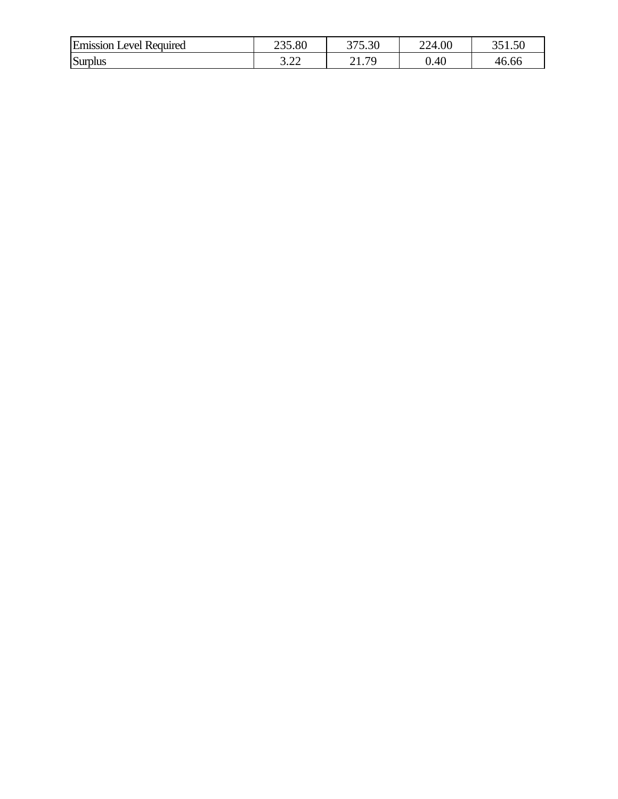| <b>Emission</b><br>Required<br>evel | 35.80<br>32 F | 375.30  | 224.00   | $\sim$ |
|-------------------------------------|---------------|---------|----------|--------|
| Surplus                             | ה ה<br>J.LL   | 70<br>. | $0.40\,$ | 46.66  |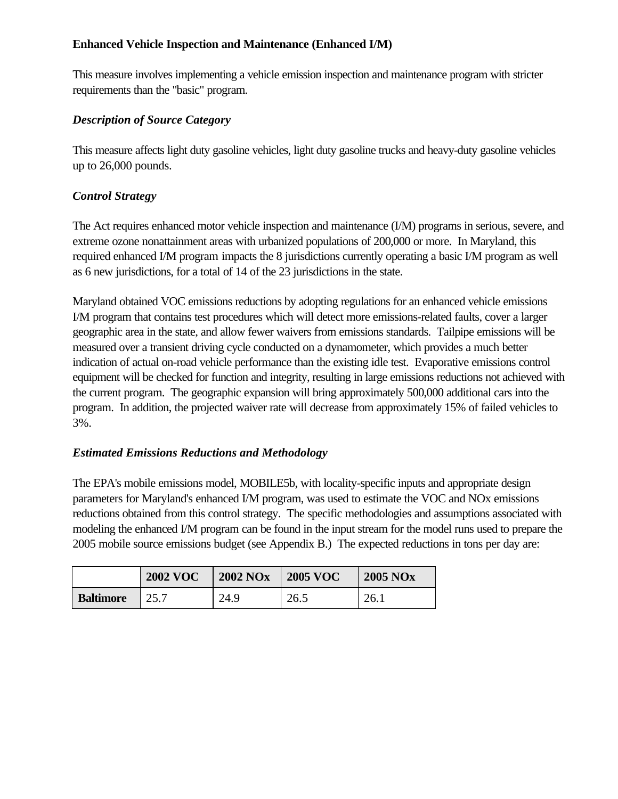# **Enhanced Vehicle Inspection and Maintenance (Enhanced I/M)**

This measure involves implementing a vehicle emission inspection and maintenance program with stricter requirements than the "basic" program.

## *Description of Source Category*

This measure affects light duty gasoline vehicles, light duty gasoline trucks and heavy-duty gasoline vehicles up to 26,000 pounds.

# *Control Strategy*

The Act requires enhanced motor vehicle inspection and maintenance (I/M) programs in serious, severe, and extreme ozone nonattainment areas with urbanized populations of 200,000 or more. In Maryland, this required enhanced I/M program impacts the 8 jurisdictions currently operating a basic I/M program as well as 6 new jurisdictions, for a total of 14 of the 23 jurisdictions in the state.

Maryland obtained VOC emissions reductions by adopting regulations for an enhanced vehicle emissions I/M program that contains test procedures which will detect more emissions-related faults, cover a larger geographic area in the state, and allow fewer waivers from emissions standards. Tailpipe emissions will be measured over a transient driving cycle conducted on a dynamometer, which provides a much better indication of actual on-road vehicle performance than the existing idle test. Evaporative emissions control equipment will be checked for function and integrity, resulting in large emissions reductions not achieved with the current program. The geographic expansion will bring approximately 500,000 additional cars into the program. In addition, the projected waiver rate will decrease from approximately 15% of failed vehicles to 3%.

## *Estimated Emissions Reductions and Methodology*

The EPA's mobile emissions model, MOBILE5b, with locality-specific inputs and appropriate design parameters for Maryland's enhanced I/M program, was used to estimate the VOC and NOx emissions reductions obtained from this control strategy. The specific methodologies and assumptions associated with modeling the enhanced I/M program can be found in the input stream for the model runs used to prepare the 2005 mobile source emissions budget (see Appendix B.) The expected reductions in tons per day are:

|                  | <b>2002 VOC</b> | <b>2002 NOx</b> | <b>2005 VOC</b> | <b>2005 NOx</b> |
|------------------|-----------------|-----------------|-----------------|-----------------|
| <b>Baltimore</b> | 25.7            | 24.9            | 26.5            | 26.1            |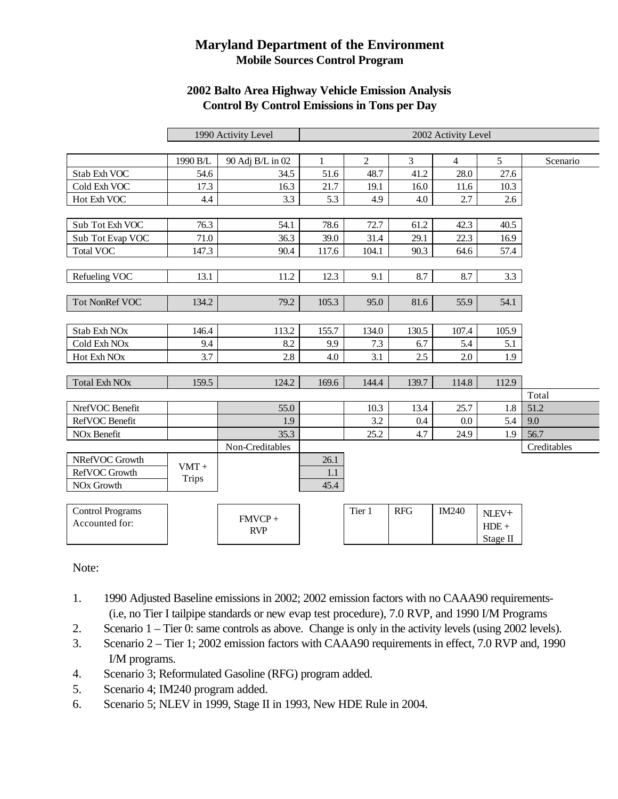# **Maryland Department of the Environment Mobile Sources Control Program**

## **2002 Balto Area Highway Vehicle Emission Analysis Control By Control Emissions in Tons per Day**

|                          |              | 1990 Activity Level |             | 2002 Activity Level |                |                |                  |             |
|--------------------------|--------------|---------------------|-------------|---------------------|----------------|----------------|------------------|-------------|
|                          |              |                     |             |                     |                |                |                  |             |
|                          | 1990 B/L     | 90 Adj B/L in 02    | $\mathbf 1$ | $\overline{c}$      | $\mathfrak{Z}$ | $\overline{4}$ | 5                | Scenario    |
| Stab Exh VOC             | 54.6         | 34.5                | 51.6        | 48.7                | 41.2           | 28.0           | 27.6             |             |
| Cold Exh VOC             | 17.3         | 16.3                | 21.7        | 19.1                | 16.0           | 11.6           | 10.3             |             |
| Hot Exh VOC              | 4.4          | 3.3                 | 5.3         | 4.9                 | 4.0            | 2.7            | $2.6\phantom{0}$ |             |
|                          |              |                     |             |                     |                |                |                  |             |
| Sub Tot Exh VOC          | 76.3         | 54.1                | 78.6        | 72.7                | 61.2           | 42.3           | 40.5             |             |
| Sub Tot Evap VOC         | 71.0         | 36.3                | 39.0        | 31.4                | 29.1           | 22.3           | 16.9             |             |
| <b>Total VOC</b>         | 147.3        | 90.4                | 117.6       | 104.1               | 90.3           | 64.6           | 57.4             |             |
|                          |              |                     |             |                     |                |                |                  |             |
| Refueling VOC            | 13.1         | 11.2                | 12.3        | 9.1                 | 8.7            | 8.7            | 3.3              |             |
|                          |              |                     |             |                     |                |                |                  |             |
| <b>Tot NonRef VOC</b>    | 134.2        | 79.2                | 105.3       | 95.0                | 81.6           | 55.9           | 54.1             |             |
|                          |              |                     |             |                     |                |                |                  |             |
| Stab Exh NO <sub>x</sub> | 146.4        | 113.2               | 155.7       | 134.0               | 130.5          | 107.4          | 105.9            |             |
| Cold Exh NO <sub>x</sub> | 9.4          | 8.2                 | 9.9         | 7.3                 | 6.7            | 5.4            | 5.1              |             |
| Hot Exh NO <sub>x</sub>  | 3.7          | 2.8                 | 4.0         | 3.1                 | 2.5            | 2.0            | 1.9              |             |
|                          |              |                     |             |                     |                |                |                  |             |
| <b>Total Exh NOx</b>     | 159.5        | 124.2               | 169.6       | 144.4               | 139.7          | 114.8          | 112.9            |             |
|                          |              |                     |             |                     |                |                |                  | Total       |
| NrefVOC Benefit          |              | 55.0                |             | 10.3                | 13.4           | 25.7           | 1.8              | 51.2        |
| RefVOC Benefit           |              | 1.9                 |             | 3.2                 | 0.4            | 0.0            | 5.4              | 9.0         |
| NO <sub>x</sub> Benefit  |              | 35.3                |             | 25.2                | 4.7            | 24.9           | 1.9              | 56.7        |
|                          |              | Non-Creditables     |             |                     |                |                |                  | Creditables |
| NRefVOC Growth           | $VMT +$      |                     | 26.1        |                     |                |                |                  |             |
| RefVOC Growth            | <b>Trips</b> |                     | 1.1         |                     |                |                |                  |             |
| NO <sub>x</sub> Growth   |              |                     | 45.4        |                     |                |                |                  |             |
|                          |              |                     |             |                     |                |                |                  |             |
| <b>Control Programs</b>  |              | $FMVCP +$           |             | Tier 1              | <b>RFG</b>     | IM240          | NLEV+            |             |
| Accounted for:           |              | <b>RVP</b>          |             |                     |                |                | $HDE +$          |             |
|                          |              |                     |             |                     |                |                | Stage II         |             |

Note:

- 1. 1990 Adjusted Baseline emissions in 2002; 2002 emission factors with no CAAA90 requirements- (i.e, no Tier I tailpipe standards or new evap test procedure), 7.0 RVP, and 1990 I/M Programs
- 2. Scenario 1 Tier 0: same controls as above. Change is only in the activity levels (using 2002 levels).
- 3. Scenario 2 Tier 1; 2002 emission factors with CAAA90 requirements in effect, 7.0 RVP and, 1990 I/M programs.
- 4. Scenario 3; Reformulated Gasoline (RFG) program added.
- 5. Scenario 4; IM240 program added.
- 6. Scenario 5; NLEV in 1999, Stage II in 1993, New HDE Rule in 2004.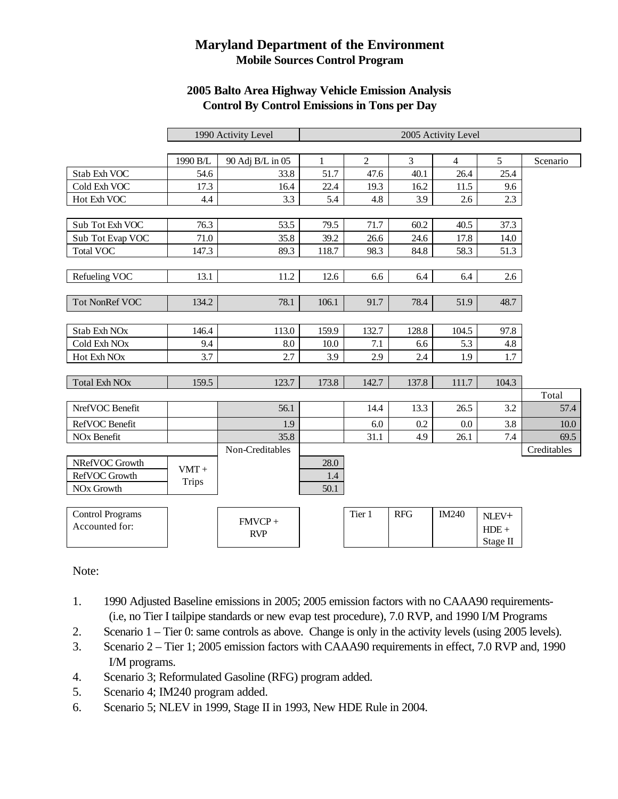# **Maryland Department of the Environment Mobile Sources Control Program**

## **2005 Balto Area Highway Vehicle Emission Analysis Control By Control Emissions in Tons per Day**

|                          | 1990 Activity Level |                  |              | 2005 Activity Level |            |                |          |             |
|--------------------------|---------------------|------------------|--------------|---------------------|------------|----------------|----------|-------------|
|                          |                     |                  |              |                     |            |                |          |             |
|                          | 1990 B/L            | 90 Adj B/L in 05 | $\mathbf{1}$ | $\overline{2}$      | 3          | $\overline{4}$ | 5        | Scenario    |
| Stab Exh VOC             | 54.6                | 33.8             | 51.7         | 47.6                | 40.1       | 26.4           | 25.4     |             |
| Cold Exh VOC             | 17.3                | 16.4             | 22.4         | 19.3                | 16.2       | 11.5           | 9.6      |             |
| Hot Exh VOC              | 4.4                 | 3.3              | 5.4          | 4.8                 | 3.9        | 2.6            | 2.3      |             |
|                          |                     |                  |              |                     |            |                |          |             |
| Sub Tot Exh VOC          | 76.3                | 53.5             | 79.5         | 71.7                | 60.2       | 40.5           | 37.3     |             |
| Sub Tot Evap VOC         | 71.0                | 35.8             | 39.2         | 26.6                | 24.6       | 17.8           | 14.0     |             |
| <b>Total VOC</b>         | 147.3               | 89.3             | 118.7        | 98.3                | 84.8       | 58.3           | 51.3     |             |
| Refueling VOC            | 13.1                | 11.2             | 12.6         | 6.6                 | 6.4        | 6.4            | 2.6      |             |
|                          |                     |                  |              |                     |            |                |          |             |
| <b>Tot NonRef VOC</b>    | 134.2               | 78.1             | 106.1        | 91.7                | 78.4       | 51.9           | 48.7     |             |
|                          |                     |                  |              |                     |            |                |          |             |
| Stab Exh NO <sub>x</sub> | 146.4               | 113.0            | 159.9        | 132.7               | 128.8      | 104.5          | 97.8     |             |
| Cold Exh NO <sub>x</sub> | 9.4                 | 8.0              | 10.0         | 7.1                 | 6.6        | 5.3            | 4.8      |             |
| Hot Exh NO <sub>x</sub>  | 3.7                 | 2.7              | 3.9          | 2.9                 | 2.4        | 1.9            | 1.7      |             |
| <b>Total Exh NOx</b>     | 159.5               | 123.7            | 173.8        | 142.7               | 137.8      | 111.7          | 104.3    |             |
|                          |                     |                  |              |                     |            |                |          | Total       |
| NrefVOC Benefit          |                     | 56.1             |              | 14.4                | 13.3       | 26.5           | 3.2      | 57.4        |
| RefVOC Benefit           |                     | 1.9              |              | 6.0                 | 0.2        | 0.0            | 3.8      | 10.0        |
| NO <sub>x</sub> Benefit  |                     | 35.8             |              | 31.1                | 4.9        | 26.1           | 7.4      | 69.5        |
|                          |                     | Non-Creditables  |              |                     |            |                |          | Creditables |
| NRefVOC Growth           | $VMT +$             |                  | 28.0         |                     |            |                |          |             |
| RefVOC Growth            | <b>Trips</b>        |                  | 1.4          |                     |            |                |          |             |
| NO <sub>x</sub> Growth   |                     |                  | 50.1         |                     |            |                |          |             |
| <b>Control Programs</b>  |                     |                  |              | Tier 1              | <b>RFG</b> | IM240          |          |             |
| Accounted for:           |                     | $FMVCP +$        |              |                     |            |                | NLEV+    |             |
|                          |                     | <b>RVP</b>       |              |                     |            |                | $HDE +$  |             |
|                          |                     |                  |              |                     |            |                | Stage II |             |

Note:

- 1. 1990 Adjusted Baseline emissions in 2005; 2005 emission factors with no CAAA90 requirements- (i.e, no Tier I tailpipe standards or new evap test procedure), 7.0 RVP, and 1990 I/M Programs
- 2. Scenario 1 Tier 0: same controls as above. Change is only in the activity levels (using 2005 levels).
- 3. Scenario 2 Tier 1; 2005 emission factors with CAAA90 requirements in effect, 7.0 RVP and, 1990 I/M programs.
- 4. Scenario 3; Reformulated Gasoline (RFG) program added.
- 5. Scenario 4; IM240 program added.
- 6. Scenario 5; NLEV in 1999, Stage II in 1993, New HDE Rule in 2004.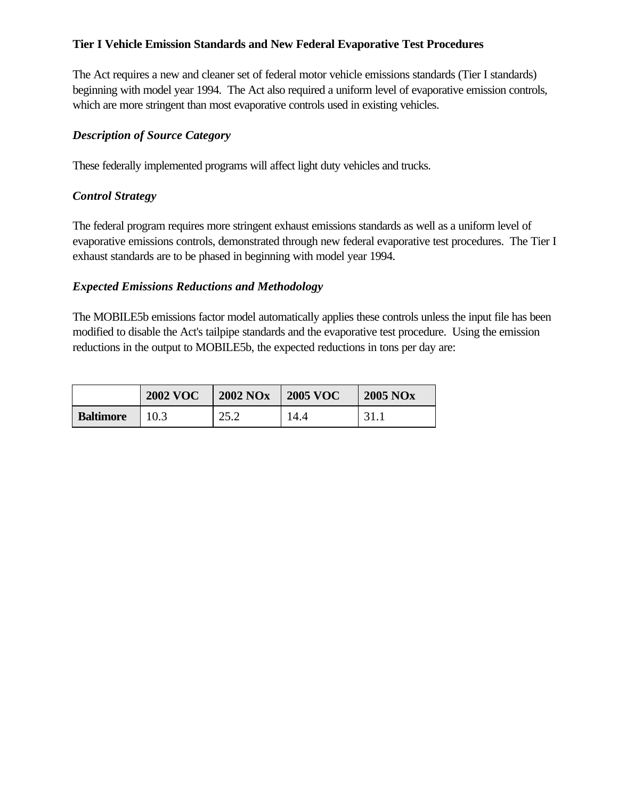## **Tier I Vehicle Emission Standards and New Federal Evaporative Test Procedures**

The Act requires a new and cleaner set of federal motor vehicle emissions standards (Tier I standards) beginning with model year 1994. The Act also required a uniform level of evaporative emission controls, which are more stringent than most evaporative controls used in existing vehicles.

### *Description of Source Category*

These federally implemented programs will affect light duty vehicles and trucks.

## *Control Strategy*

The federal program requires more stringent exhaust emissions standards as well as a uniform level of evaporative emissions controls, demonstrated through new federal evaporative test procedures. The Tier I exhaust standards are to be phased in beginning with model year 1994.

### *Expected Emissions Reductions and Methodology*

The MOBILE5b emissions factor model automatically applies these controls unless the input file has been modified to disable the Act's tailpipe standards and the evaporative test procedure. Using the emission reductions in the output to MOBILE5b, the expected reductions in tons per day are:

|                  | <b>2002 VOC</b> | <b>2002 NOx</b> | <b>2005 VOC</b> | <b>2005 NOx</b> |
|------------------|-----------------|-----------------|-----------------|-----------------|
| <b>Baltimore</b> |                 | 25.2<br>ے . ت   | 14.4            | 31.1            |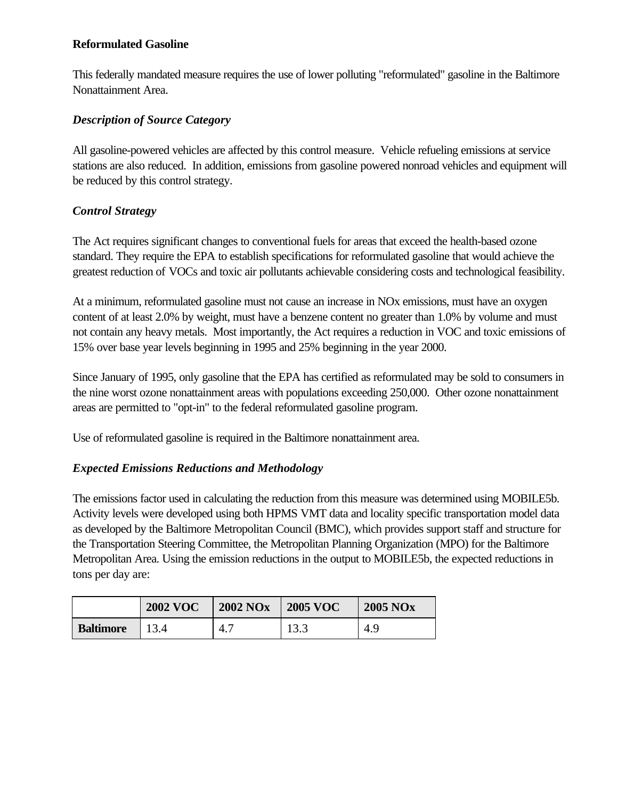## **Reformulated Gasoline**

This federally mandated measure requires the use of lower polluting "reformulated" gasoline in the Baltimore Nonattainment Area.

## *Description of Source Category*

All gasoline-powered vehicles are affected by this control measure. Vehicle refueling emissions at service stations are also reduced. In addition, emissions from gasoline powered nonroad vehicles and equipment will be reduced by this control strategy.

### *Control Strategy*

The Act requires significant changes to conventional fuels for areas that exceed the health-based ozone standard. They require the EPA to establish specifications for reformulated gasoline that would achieve the greatest reduction of VOCs and toxic air pollutants achievable considering costs and technological feasibility.

At a minimum, reformulated gasoline must not cause an increase in NOx emissions, must have an oxygen content of at least 2.0% by weight, must have a benzene content no greater than 1.0% by volume and must not contain any heavy metals. Most importantly, the Act requires a reduction in VOC and toxic emissions of 15% over base year levels beginning in 1995 and 25% beginning in the year 2000.

Since January of 1995, only gasoline that the EPA has certified as reformulated may be sold to consumers in the nine worst ozone nonattainment areas with populations exceeding 250,000. Other ozone nonattainment areas are permitted to "opt-in" to the federal reformulated gasoline program.

Use of reformulated gasoline is required in the Baltimore nonattainment area.

## *Expected Emissions Reductions and Methodology*

The emissions factor used in calculating the reduction from this measure was determined using MOBILE5b. Activity levels were developed using both HPMS VMT data and locality specific transportation model data as developed by the Baltimore Metropolitan Council (BMC), which provides support staff and structure for the Transportation Steering Committee, the Metropolitan Planning Organization (MPO) for the Baltimore Metropolitan Area. Using the emission reductions in the output to MOBILE5b, the expected reductions in tons per day are:

|                  | <b>2002 VOC</b> | <b>2002 NOx</b> | <b>2005 VOC</b> | <b>2005 NOx</b> |
|------------------|-----------------|-----------------|-----------------|-----------------|
| <b>Baltimore</b> | 13.4            | 4.7             | 13.3            | 4.9             |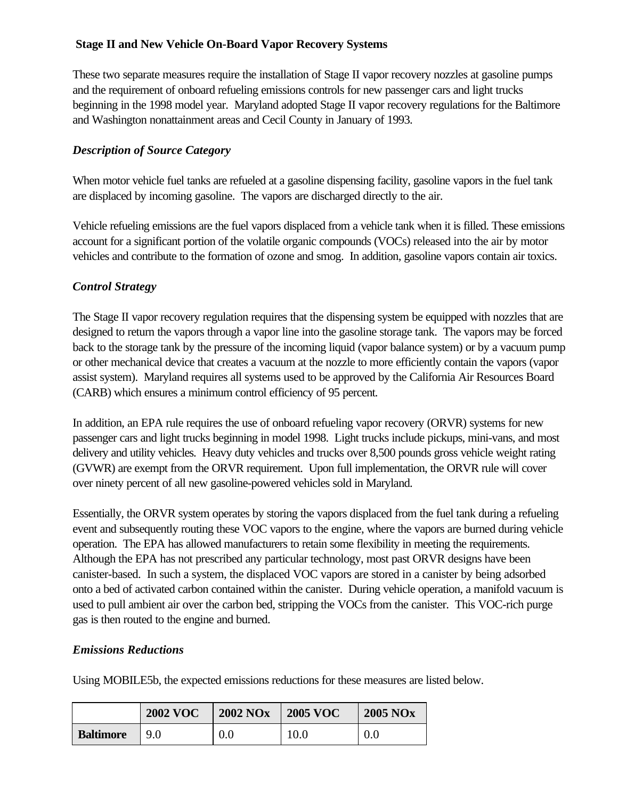# **Stage II and New Vehicle On-Board Vapor Recovery Systems**

These two separate measures require the installation of Stage II vapor recovery nozzles at gasoline pumps and the requirement of onboard refueling emissions controls for new passenger cars and light trucks beginning in the 1998 model year. Maryland adopted Stage II vapor recovery regulations for the Baltimore and Washington nonattainment areas and Cecil County in January of 1993.

## *Description of Source Category*

When motor vehicle fuel tanks are refueled at a gasoline dispensing facility, gasoline vapors in the fuel tank are displaced by incoming gasoline. The vapors are discharged directly to the air.

Vehicle refueling emissions are the fuel vapors displaced from a vehicle tank when it is filled. These emissions account for a significant portion of the volatile organic compounds (VOCs) released into the air by motor vehicles and contribute to the formation of ozone and smog. In addition, gasoline vapors contain air toxics.

# *Control Strategy*

The Stage II vapor recovery regulation requires that the dispensing system be equipped with nozzles that are designed to return the vapors through a vapor line into the gasoline storage tank. The vapors may be forced back to the storage tank by the pressure of the incoming liquid (vapor balance system) or by a vacuum pump or other mechanical device that creates a vacuum at the nozzle to more efficiently contain the vapors (vapor assist system). Maryland requires all systems used to be approved by the California Air Resources Board (CARB) which ensures a minimum control efficiency of 95 percent.

In addition, an EPA rule requires the use of onboard refueling vapor recovery (ORVR) systems for new passenger cars and light trucks beginning in model 1998. Light trucks include pickups, mini-vans, and most delivery and utility vehicles. Heavy duty vehicles and trucks over 8,500 pounds gross vehicle weight rating (GVWR) are exempt from the ORVR requirement. Upon full implementation, the ORVR rule will cover over ninety percent of all new gasoline-powered vehicles sold in Maryland.

Essentially, the ORVR system operates by storing the vapors displaced from the fuel tank during a refueling event and subsequently routing these VOC vapors to the engine, where the vapors are burned during vehicle operation. The EPA has allowed manufacturers to retain some flexibility in meeting the requirements. Although the EPA has not prescribed any particular technology, most past ORVR designs have been canister-based. In such a system, the displaced VOC vapors are stored in a canister by being adsorbed onto a bed of activated carbon contained within the canister. During vehicle operation, a manifold vacuum is used to pull ambient air over the carbon bed, stripping the VOCs from the canister. This VOC-rich purge gas is then routed to the engine and burned.

# *Emissions Reductions*

Using MOBILE5b, the expected emissions reductions for these measures are listed below.

|                  | <b>2002 VOC</b> | <b>2002 NOx</b> | <b>2005 VOC</b> | <b>2005 NOx</b> |
|------------------|-----------------|-----------------|-----------------|-----------------|
| <b>Baltimore</b> | 9.0             | 0.0             | 10.0            | 0.0             |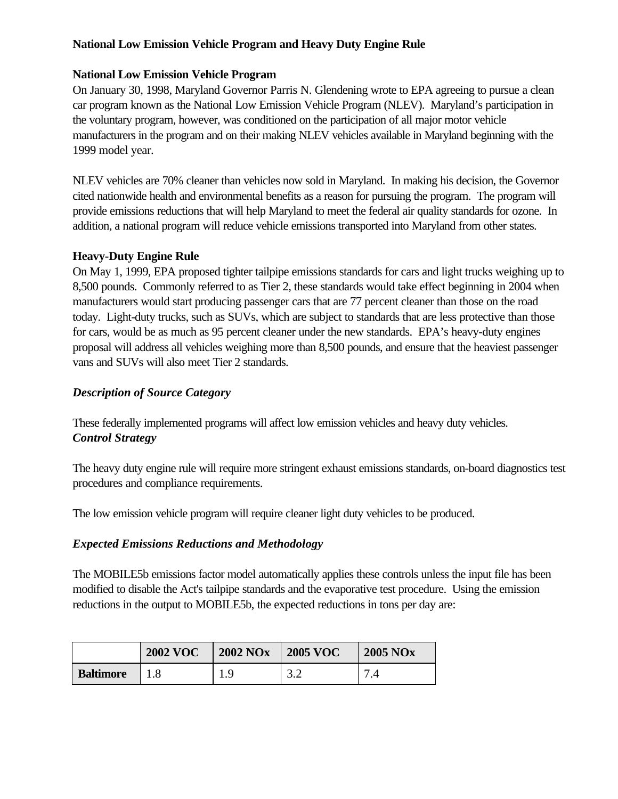# **National Low Emission Vehicle Program and Heavy Duty Engine Rule**

## **National Low Emission Vehicle Program**

On January 30, 1998, Maryland Governor Parris N. Glendening wrote to EPA agreeing to pursue a clean car program known as the National Low Emission Vehicle Program (NLEV). Maryland's participation in the voluntary program, however, was conditioned on the participation of all major motor vehicle manufacturers in the program and on their making NLEV vehicles available in Maryland beginning with the 1999 model year.

NLEV vehicles are 70% cleaner than vehicles now sold in Maryland. In making his decision, the Governor cited nationwide health and environmental benefits as a reason for pursuing the program. The program will provide emissions reductions that will help Maryland to meet the federal air quality standards for ozone. In addition, a national program will reduce vehicle emissions transported into Maryland from other states.

### **Heavy-Duty Engine Rule**

On May 1, 1999, EPA proposed tighter tailpipe emissions standards for cars and light trucks weighing up to 8,500 pounds. Commonly referred to as Tier 2, these standards would take effect beginning in 2004 when manufacturers would start producing passenger cars that are 77 percent cleaner than those on the road today. Light-duty trucks, such as SUVs, which are subject to standards that are less protective than those for cars, would be as much as 95 percent cleaner under the new standards. EPA's heavy-duty engines proposal will address all vehicles weighing more than 8,500 pounds, and ensure that the heaviest passenger vans and SUVs will also meet Tier 2 standards.

## *Description of Source Category*

These federally implemented programs will affect low emission vehicles and heavy duty vehicles. *Control Strategy*

The heavy duty engine rule will require more stringent exhaust emissions standards, on-board diagnostics test procedures and compliance requirements.

The low emission vehicle program will require cleaner light duty vehicles to be produced.

## *Expected Emissions Reductions and Methodology*

The MOBILE5b emissions factor model automatically applies these controls unless the input file has been modified to disable the Act's tailpipe standards and the evaporative test procedure. Using the emission reductions in the output to MOBILE5b, the expected reductions in tons per day are:

|                  | <b>2002 VOC</b> | <b>2002 NOx</b> | <b>2005 VOC</b> | <b>2005 NOx</b> |
|------------------|-----------------|-----------------|-----------------|-----------------|
| <b>Baltimore</b> |                 |                 | 2 C<br>ے . د    | $^{\prime}.4$   |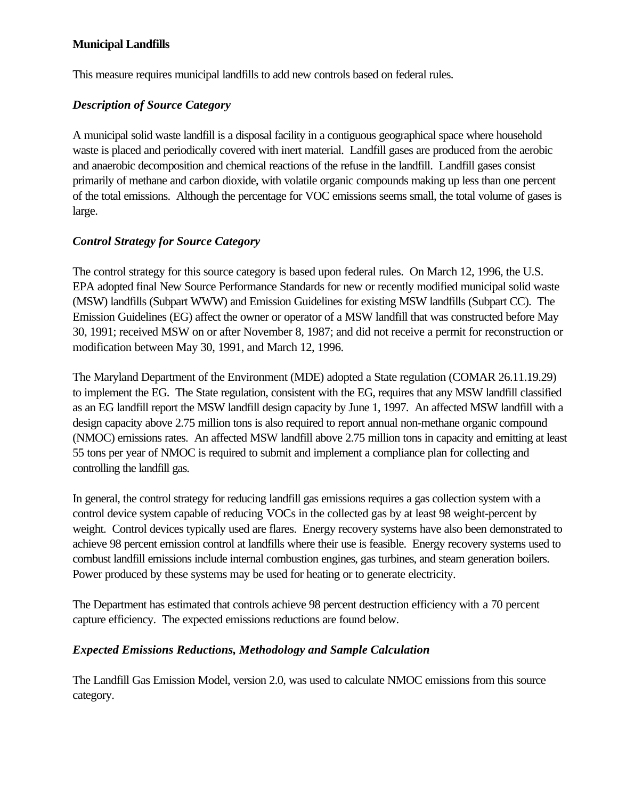# **Municipal Landfills**

This measure requires municipal landfills to add new controls based on federal rules.

## *Description of Source Category*

A municipal solid waste landfill is a disposal facility in a contiguous geographical space where household waste is placed and periodically covered with inert material. Landfill gases are produced from the aerobic and anaerobic decomposition and chemical reactions of the refuse in the landfill. Landfill gases consist primarily of methane and carbon dioxide, with volatile organic compounds making up less than one percent of the total emissions. Although the percentage for VOC emissions seems small, the total volume of gases is large.

# *Control Strategy for Source Category*

The control strategy for this source category is based upon federal rules. On March 12, 1996, the U.S. EPA adopted final New Source Performance Standards for new or recently modified municipal solid waste (MSW) landfills (Subpart WWW) and Emission Guidelines for existing MSW landfills (Subpart CC). The Emission Guidelines (EG) affect the owner or operator of a MSW landfill that was constructed before May 30, 1991; received MSW on or after November 8, 1987; and did not receive a permit for reconstruction or modification between May 30, 1991, and March 12, 1996.

The Maryland Department of the Environment (MDE) adopted a State regulation (COMAR 26.11.19.29) to implement the EG. The State regulation, consistent with the EG, requires that any MSW landfill classified as an EG landfill report the MSW landfill design capacity by June 1, 1997. An affected MSW landfill with a design capacity above 2.75 million tons is also required to report annual non-methane organic compound (NMOC) emissions rates. An affected MSW landfill above 2.75 million tons in capacity and emitting at least 55 tons per year of NMOC is required to submit and implement a compliance plan for collecting and controlling the landfill gas.

In general, the control strategy for reducing landfill gas emissions requires a gas collection system with a control device system capable of reducing VOCs in the collected gas by at least 98 weight-percent by weight. Control devices typically used are flares. Energy recovery systems have also been demonstrated to achieve 98 percent emission control at landfills where their use is feasible. Energy recovery systems used to combust landfill emissions include internal combustion engines, gas turbines, and steam generation boilers. Power produced by these systems may be used for heating or to generate electricity.

The Department has estimated that controls achieve 98 percent destruction efficiency with a 70 percent capture efficiency. The expected emissions reductions are found below.

## *Expected Emissions Reductions, Methodology and Sample Calculation*

The Landfill Gas Emission Model, version 2.0, was used to calculate NMOC emissions from this source category.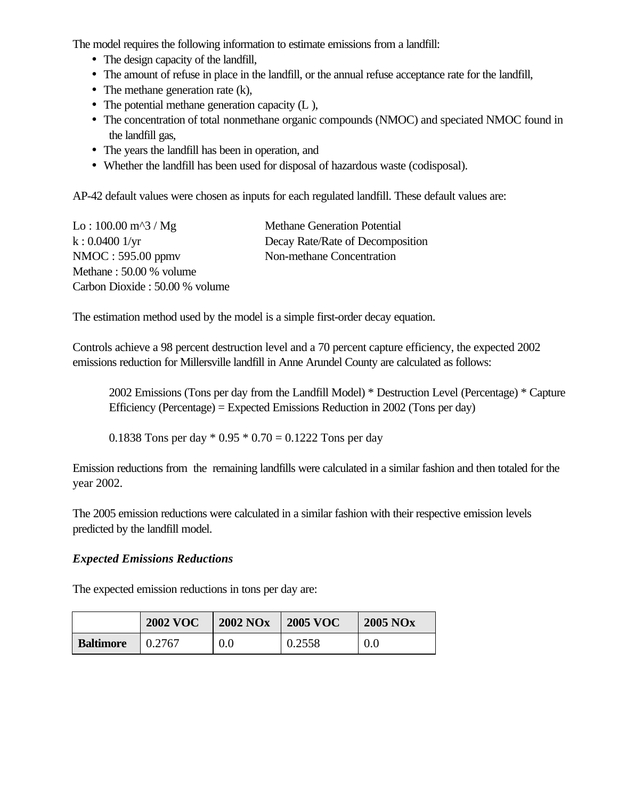The model requires the following information to estimate emissions from a landfill:

- The design capacity of the landfill,
- The amount of refuse in place in the landfill, or the annual refuse acceptance rate for the landfill,
- The methane generation rate (k),
- The potential methane generation capacity (L),
- The concentration of total nonmethane organic compounds (NMOC) and speciated NMOC found in the landfill gas,
- The years the landfill has been in operation, and
- Whether the landfill has been used for disposal of hazardous waste (codisposal).

AP-42 default values were chosen as inputs for each regulated landfill. These default values are:

| Lo: $100.00 \text{ m}^2 / \text{Mg}$ | <b>Methane Generation Potential</b> |
|--------------------------------------|-------------------------------------|
| k: 0.04001/yr                        | Decay Rate/Rate of Decomposition    |
| $NMOC: 595.00$ ppmv                  | Non-methane Concentration           |
| Methane: 50.00 % volume              |                                     |
| Carbon Dioxide : 50.00 % volume      |                                     |

The estimation method used by the model is a simple first-order decay equation.

Controls achieve a 98 percent destruction level and a 70 percent capture efficiency, the expected 2002 emissions reduction for Millersville landfill in Anne Arundel County are calculated as follows:

2002 Emissions (Tons per day from the Landfill Model) \* Destruction Level (Percentage) \* Capture Efficiency (Percentage) = Expected Emissions Reduction in 2002 (Tons per day)

0.1838 Tons per day  $*$  0.95  $*$  0.70 = 0.1222 Tons per day

Emission reductions from the remaining landfills were calculated in a similar fashion and then totaled for the year 2002.

The 2005 emission reductions were calculated in a similar fashion with their respective emission levels predicted by the landfill model.

#### *Expected Emissions Reductions*

The expected emission reductions in tons per day are:

|                  | <b>2002 VOC</b> | <b>2002 NOx</b> | <b>2005 VOC</b> | $2005$ NO <sub>x</sub> |
|------------------|-----------------|-----------------|-----------------|------------------------|
| <b>Baltimore</b> | 0.2767          | $0.0\,$         | 0.2558          | 0.0                    |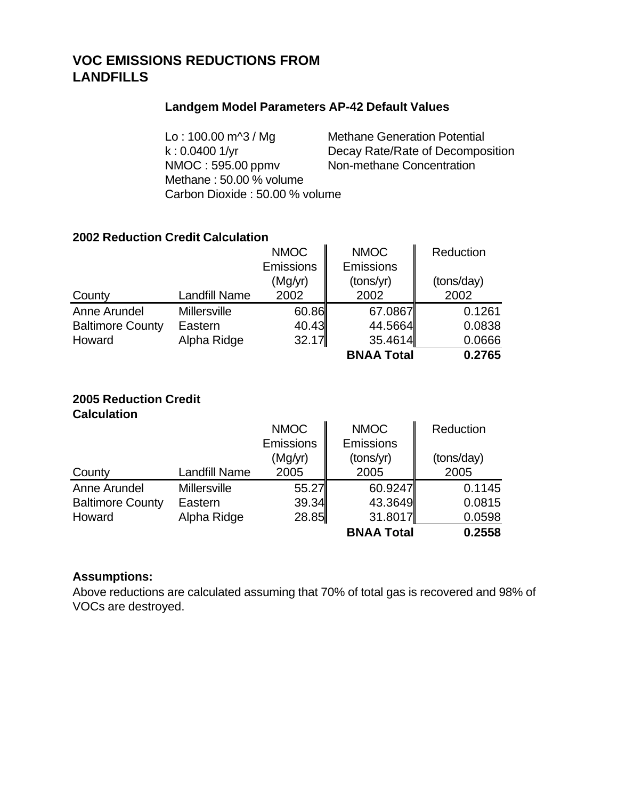# **VOC EMISSIONS REDUCTIONS FROM LANDFILLS**

# **Landgem Model Parameters AP-42 Default Values**

Lo : 100.00 m<sup>2</sup> / Mg Methane Generation Potential NMOC : 595.00 ppmv Non-methane Concentration Methane : 50.00 % volume Carbon Dioxide : 50.00 % volume

k : 0.0400 1/yr Decay Rate/Rate of Decomposition

## **2002 Reduction Credit Calculation**

| <u>ZUUZ NGUUCUUN CIGUIL CAICUIAUUN</u> |                      |             |                   |            |
|----------------------------------------|----------------------|-------------|-------------------|------------|
|                                        |                      | <b>NMOC</b> | <b>NMOC</b>       | Reduction  |
|                                        |                      | Emissions   | Emissions         |            |
|                                        |                      | (Mgyr)      | (tons/yr)         | (tons/day) |
| County                                 | <b>Landfill Name</b> | 2002        | 2002              | 2002       |
| Anne Arundel                           | <b>Millersville</b>  | 60.86       | 67.0867           | 0.1261     |
| <b>Baltimore County</b>                | Eastern              | 40.43       | 44.5664           | 0.0838     |
| Howard                                 | Alpha Ridge          | 32.17       | 35.4614           | 0.0666     |
|                                        |                      |             | <b>BNAA Total</b> | 0.2765     |

#### **2005 Reduction Credit Calculation**

|                         |                      | <b>NMOC</b> | <b>NMOC</b>       | Reduction  |
|-------------------------|----------------------|-------------|-------------------|------------|
|                         |                      | Emissions   | Emissions         |            |
|                         |                      | (Mgyr)      | (tons/yr)         | (tons/day) |
| County                  | <b>Landfill Name</b> | 2005        | 2005              | 2005       |
| Anne Arundel            | <b>Millersville</b>  | 55.27       | 60.9247           | 0.1145     |
| <b>Baltimore County</b> | Eastern              | 39.34       | 43.3649           | 0.0815     |
| Howard                  | Alpha Ridge          | 28.85       | 31.8017           | 0.0598     |
|                         |                      |             | <b>BNAA Total</b> | 0.2558     |

# **Assumptions:**

Above reductions are calculated assuming that 70% of total gas is recovered and 98% of VOCs are destroyed.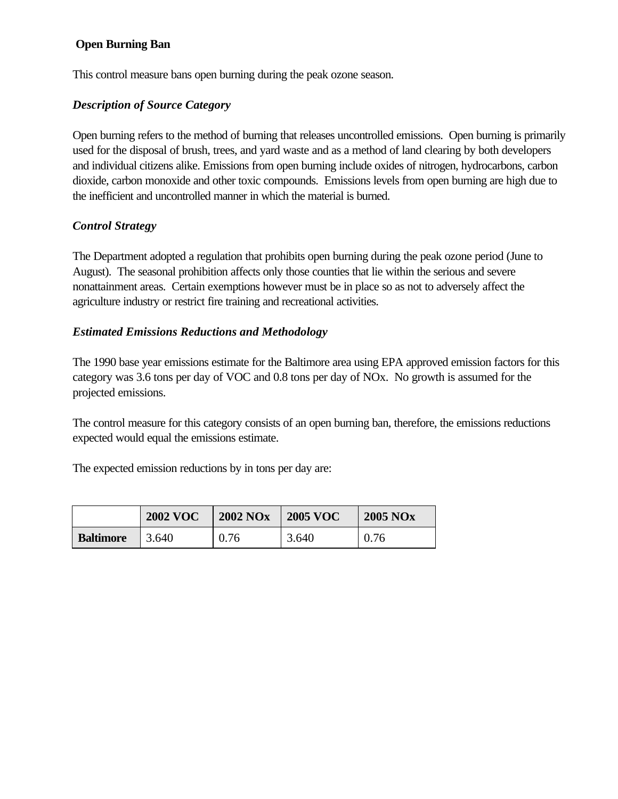# **Open Burning Ban**

This control measure bans open burning during the peak ozone season.

## *Description of Source Category*

Open burning refers to the method of burning that releases uncontrolled emissions. Open burning is primarily used for the disposal of brush, trees, and yard waste and as a method of land clearing by both developers and individual citizens alike. Emissions from open burning include oxides of nitrogen, hydrocarbons, carbon dioxide, carbon monoxide and other toxic compounds. Emissions levels from open burning are high due to the inefficient and uncontrolled manner in which the material is burned.

### *Control Strategy*

The Department adopted a regulation that prohibits open burning during the peak ozone period (June to August). The seasonal prohibition affects only those counties that lie within the serious and severe nonattainment areas. Certain exemptions however must be in place so as not to adversely affect the agriculture industry or restrict fire training and recreational activities.

### *Estimated Emissions Reductions and Methodology*

The 1990 base year emissions estimate for the Baltimore area using EPA approved emission factors for this category was 3.6 tons per day of VOC and 0.8 tons per day of NOx. No growth is assumed for the projected emissions.

The control measure for this category consists of an open burning ban, therefore, the emissions reductions expected would equal the emissions estimate.

The expected emission reductions by in tons per day are:

|                  | <b>2002 VOC</b> | <b>2002 NOx</b> | <b>2005 VOC</b> | <b>2005 NOx</b> |
|------------------|-----------------|-----------------|-----------------|-----------------|
| <b>Baltimore</b> | 3.640           | 0.76            | 3.640           | 0.76            |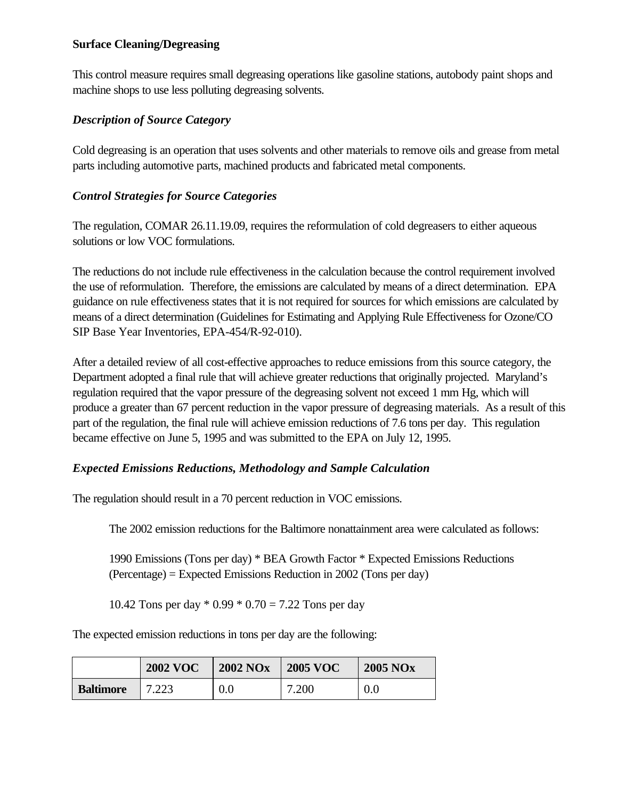### **Surface Cleaning/Degreasing**

This control measure requires small degreasing operations like gasoline stations, autobody paint shops and machine shops to use less polluting degreasing solvents.

### *Description of Source Category*

Cold degreasing is an operation that uses solvents and other materials to remove oils and grease from metal parts including automotive parts, machined products and fabricated metal components.

## *Control Strategies for Source Categories*

The regulation, COMAR 26.11.19.09, requires the reformulation of cold degreasers to either aqueous solutions or low VOC formulations.

The reductions do not include rule effectiveness in the calculation because the control requirement involved the use of reformulation. Therefore, the emissions are calculated by means of a direct determination. EPA guidance on rule effectiveness states that it is not required for sources for which emissions are calculated by means of a direct determination (Guidelines for Estimating and Applying Rule Effectiveness for Ozone/CO SIP Base Year Inventories, EPA-454/R-92-010).

After a detailed review of all cost-effective approaches to reduce emissions from this source category, the Department adopted a final rule that will achieve greater reductions that originally projected. Maryland's regulation required that the vapor pressure of the degreasing solvent not exceed 1 mm Hg, which will produce a greater than 67 percent reduction in the vapor pressure of degreasing materials. As a result of this part of the regulation, the final rule will achieve emission reductions of 7.6 tons per day. This regulation became effective on June 5, 1995 and was submitted to the EPA on July 12, 1995.

### *Expected Emissions Reductions, Methodology and Sample Calculation*

The regulation should result in a 70 percent reduction in VOC emissions.

The 2002 emission reductions for the Baltimore nonattainment area were calculated as follows:

1990 Emissions (Tons per day) \* BEA Growth Factor \* Expected Emissions Reductions (Percentage) = Expected Emissions Reduction in 2002 (Tons per day)

10.42 Tons per day  $*$  0.99  $*$  0.70 = 7.22 Tons per day

The expected emission reductions in tons per day are the following:

|                  | <b>2002 VOC</b> | <b>2002 NOx</b> | <b>2005 VOC</b> | 2005 NO <sub>x</sub> |  |
|------------------|-----------------|-----------------|-----------------|----------------------|--|
| <b>Baltimore</b> | 7.223           | $0.0\,$         | 7.200           | 0.0                  |  |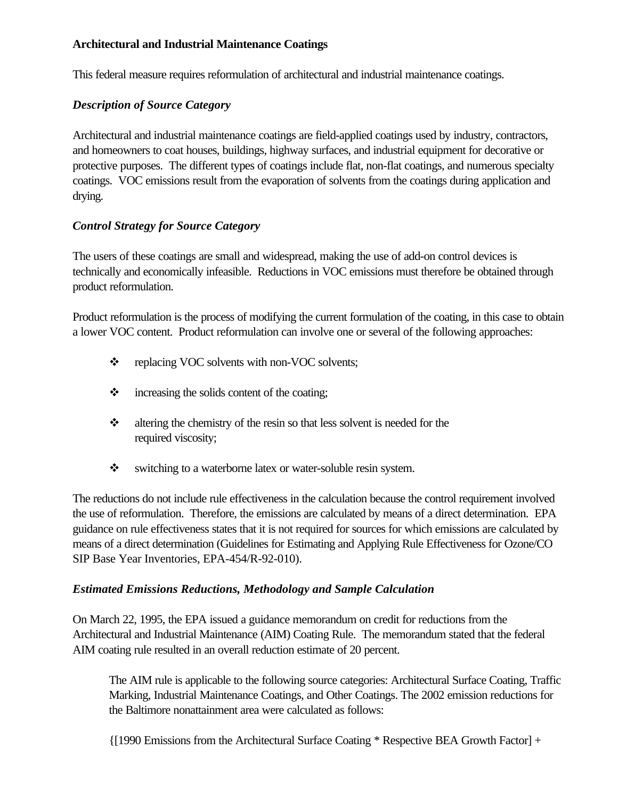# **Architectural and Industrial Maintenance Coatings**

This federal measure requires reformulation of architectural and industrial maintenance coatings.

### *Description of Source Category*

Architectural and industrial maintenance coatings are field-applied coatings used by industry, contractors, and homeowners to coat houses, buildings, highway surfaces, and industrial equipment for decorative or protective purposes. The different types of coatings include flat, non-flat coatings, and numerous specialty coatings. VOC emissions result from the evaporation of solvents from the coatings during application and drying.

### *Control Strategy for Source Category*

The users of these coatings are small and widespread, making the use of add-on control devices is technically and economically infeasible. Reductions in VOC emissions must therefore be obtained through product reformulation.

Product reformulation is the process of modifying the current formulation of the coating, in this case to obtain a lower VOC content. Product reformulation can involve one or several of the following approaches:

- replacing VOC solvents with non-VOC solvents;
- $\mathbf{\hat{P}}$  increasing the solids content of the coating;
- $\bullet$  altering the chemistry of the resin so that less solvent is needed for the required viscosity;
- witching to a waterborne latex or water-soluble resin system.

The reductions do not include rule effectiveness in the calculation because the control requirement involved the use of reformulation. Therefore, the emissions are calculated by means of a direct determination. EPA guidance on rule effectiveness states that it is not required for sources for which emissions are calculated by means of a direct determination (Guidelines for Estimating and Applying Rule Effectiveness for Ozone/CO SIP Base Year Inventories, EPA-454/R-92-010).

### *Estimated Emissions Reductions, Methodology and Sample Calculation*

On March 22, 1995, the EPA issued a guidance memorandum on credit for reductions from the Architectural and Industrial Maintenance (AIM) Coating Rule. The memorandum stated that the federal AIM coating rule resulted in an overall reduction estimate of 20 percent.

The AIM rule is applicable to the following source categories: Architectural Surface Coating, Traffic Marking, Industrial Maintenance Coatings, and Other Coatings. The 2002 emission reductions for the Baltimore nonattainment area were calculated as follows:

{[1990 Emissions from the Architectural Surface Coating \* Respective BEA Growth Factor] +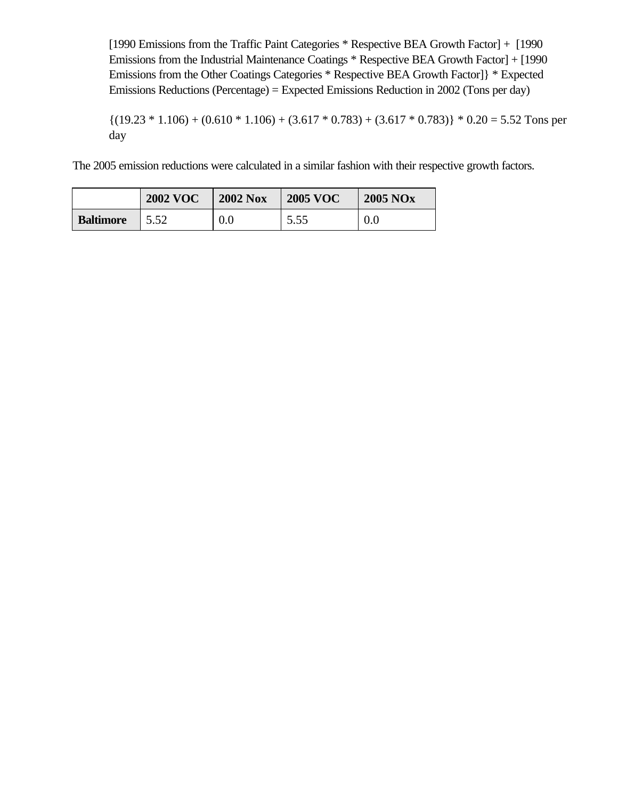[1990 Emissions from the Traffic Paint Categories \* Respective BEA Growth Factor] + [1990 Emissions from the Industrial Maintenance Coatings \* Respective BEA Growth Factor] + [1990 Emissions from the Other Coatings Categories \* Respective BEA Growth Factor]} \* Expected Emissions Reductions (Percentage) = Expected Emissions Reduction in 2002 (Tons per day)

 $\{(19.23 * 1.106) + (0.610 * 1.106) + (3.617 * 0.783) + (3.617 * 0.783)\} * 0.20 = 5.52$  Tons per day

The 2005 emission reductions were calculated in a similar fashion with their respective growth factors.

|                  | <b>2002 VOC</b> | <b>2002 Nox</b> | <b>2005 VOC</b> | <b>2005 NOx</b> |
|------------------|-----------------|-----------------|-----------------|-----------------|
| <b>Baltimore</b> | 5.52            | 0.0             | 5.55            | 0.0             |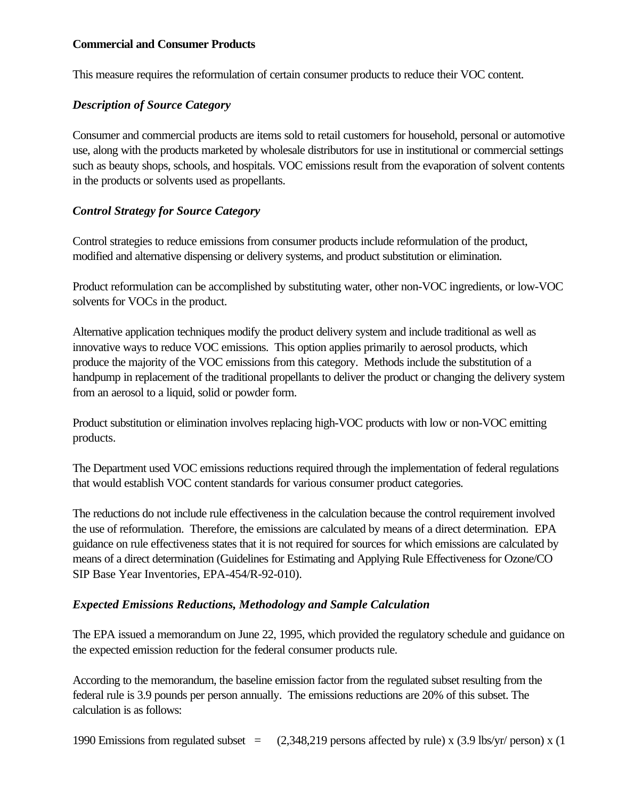#### **Commercial and Consumer Products**

This measure requires the reformulation of certain consumer products to reduce their VOC content.

### *Description of Source Category*

Consumer and commercial products are items sold to retail customers for household, personal or automotive use, along with the products marketed by wholesale distributors for use in institutional or commercial settings such as beauty shops, schools, and hospitals. VOC emissions result from the evaporation of solvent contents in the products or solvents used as propellants.

## *Control Strategy for Source Category*

Control strategies to reduce emissions from consumer products include reformulation of the product, modified and alternative dispensing or delivery systems, and product substitution or elimination.

Product reformulation can be accomplished by substituting water, other non-VOC ingredients, or low-VOC solvents for VOCs in the product.

Alternative application techniques modify the product delivery system and include traditional as well as innovative ways to reduce VOC emissions. This option applies primarily to aerosol products, which produce the majority of the VOC emissions from this category. Methods include the substitution of a handpump in replacement of the traditional propellants to deliver the product or changing the delivery system from an aerosol to a liquid, solid or powder form.

Product substitution or elimination involves replacing high-VOC products with low or non-VOC emitting products.

The Department used VOC emissions reductions required through the implementation of federal regulations that would establish VOC content standards for various consumer product categories.

The reductions do not include rule effectiveness in the calculation because the control requirement involved the use of reformulation. Therefore, the emissions are calculated by means of a direct determination. EPA guidance on rule effectiveness states that it is not required for sources for which emissions are calculated by means of a direct determination (Guidelines for Estimating and Applying Rule Effectiveness for Ozone/CO SIP Base Year Inventories, EPA-454/R-92-010).

### *Expected Emissions Reductions, Methodology and Sample Calculation*

The EPA issued a memorandum on June 22, 1995, which provided the regulatory schedule and guidance on the expected emission reduction for the federal consumer products rule.

According to the memorandum, the baseline emission factor from the regulated subset resulting from the federal rule is 3.9 pounds per person annually. The emissions reductions are 20% of this subset. The calculation is as follows:

1990 Emissions from regulated subset  $=$  (2,348,219 persons affected by rule) x (3.9 lbs/yr/ person) x (1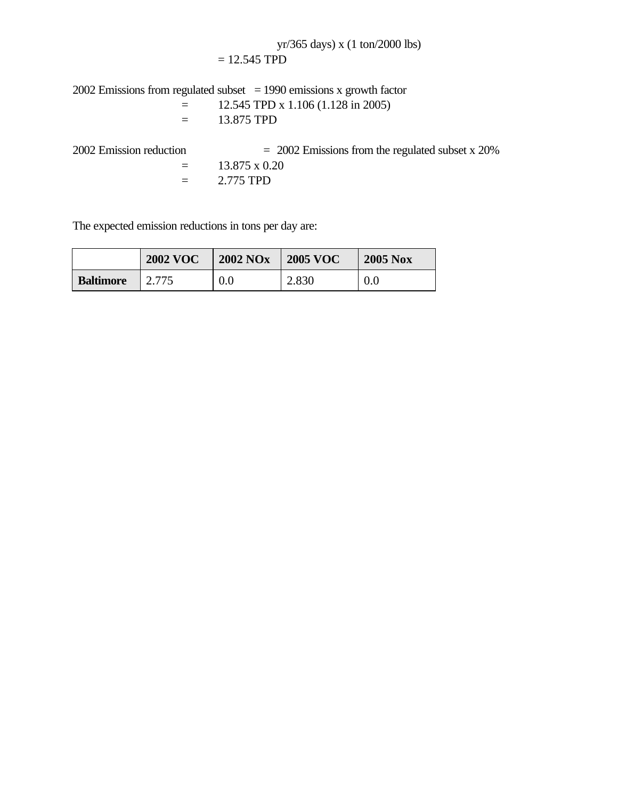## yr/365 days) x (1 ton/2000 lbs)  $= 12.545$  TPD

2002 Emissions from regulated subset  $= 1990$  emissions x growth factor

$$
= 12.545 \text{ TPD} \times 1.106 \text{ (1.128 in 2005)}
$$
  
= 13.875 TPD

 $2002$  Emission reduction  $= 2002$  Emissions from the regulated subset x 20%

- $=$  13.875 x 0.20
- $=$  2.775 TPD

The expected emission reductions in tons per day are:

|                  | <b>2002 VOC</b> | <b>2002 NOx</b> | <b>2005 VOC</b> | <b>2005 Nox</b> |  |
|------------------|-----------------|-----------------|-----------------|-----------------|--|
| <b>Baltimore</b> | 2.775           | 0.0             | 2.830           | 0.0             |  |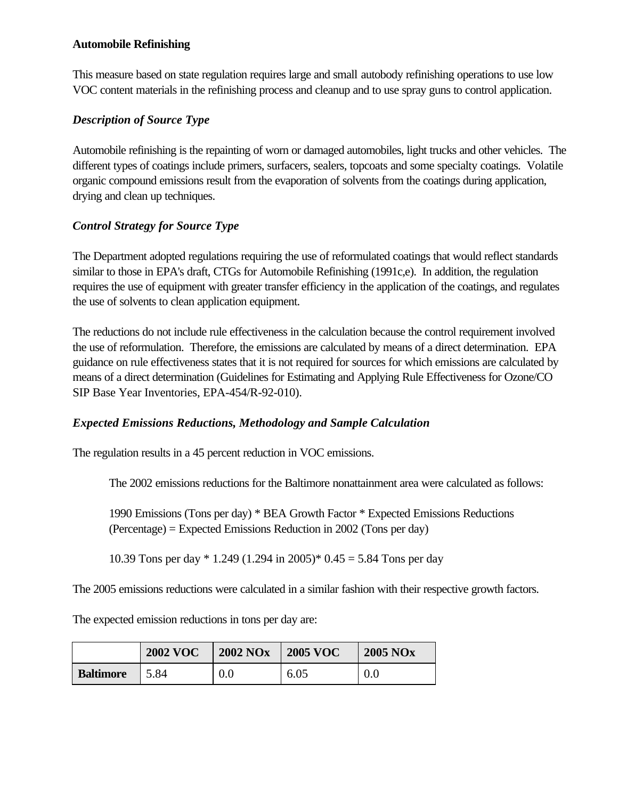#### **Automobile Refinishing**

This measure based on state regulation requires large and small autobody refinishing operations to use low VOC content materials in the refinishing process and cleanup and to use spray guns to control application.

### *Description of Source Type*

Automobile refinishing is the repainting of worn or damaged automobiles, light trucks and other vehicles. The different types of coatings include primers, surfacers, sealers, topcoats and some specialty coatings. Volatile organic compound emissions result from the evaporation of solvents from the coatings during application, drying and clean up techniques.

### *Control Strategy for Source Type*

The Department adopted regulations requiring the use of reformulated coatings that would reflect standards similar to those in EPA's draft, CTGs for Automobile Refinishing (1991c,e). In addition, the regulation requires the use of equipment with greater transfer efficiency in the application of the coatings, and regulates the use of solvents to clean application equipment.

The reductions do not include rule effectiveness in the calculation because the control requirement involved the use of reformulation. Therefore, the emissions are calculated by means of a direct determination. EPA guidance on rule effectiveness states that it is not required for sources for which emissions are calculated by means of a direct determination (Guidelines for Estimating and Applying Rule Effectiveness for Ozone/CO SIP Base Year Inventories, EPA-454/R-92-010).

### *Expected Emissions Reductions, Methodology and Sample Calculation*

The regulation results in a 45 percent reduction in VOC emissions.

The 2002 emissions reductions for the Baltimore nonattainment area were calculated as follows:

1990 Emissions (Tons per day) \* BEA Growth Factor \* Expected Emissions Reductions (Percentage) = Expected Emissions Reduction in 2002 (Tons per day)

10.39 Tons per day \* 1.249 (1.294 in 2005)\* 0.45 = 5.84 Tons per day

The 2005 emissions reductions were calculated in a similar fashion with their respective growth factors.

The expected emission reductions in tons per day are:

|                  | <b>2002 VOC</b> | <b>2002 NOx</b> | <b>2005 VOC</b> | <b>2005 NOx</b> |
|------------------|-----------------|-----------------|-----------------|-----------------|
| <b>Baltimore</b> | 5.84            | 0.0             | 6.05            | 0.6             |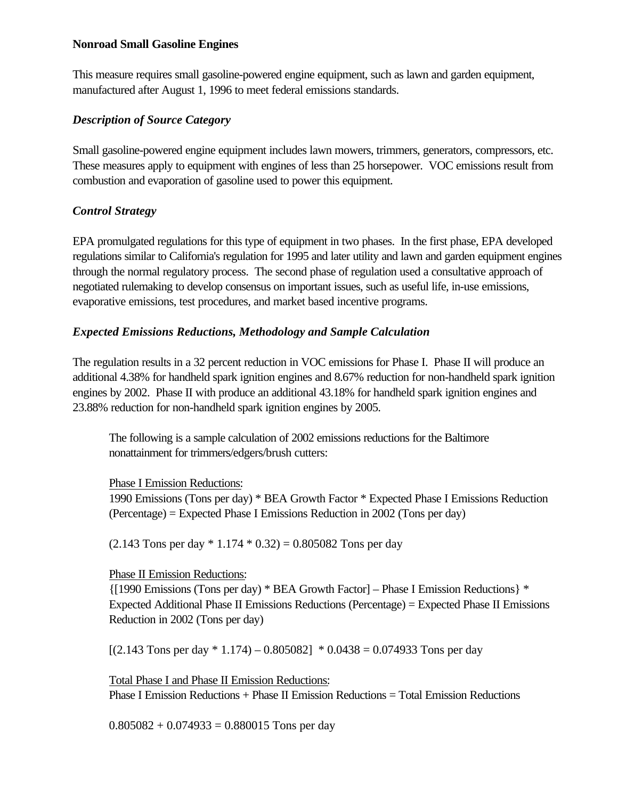#### **Nonroad Small Gasoline Engines**

This measure requires small gasoline-powered engine equipment, such as lawn and garden equipment, manufactured after August 1, 1996 to meet federal emissions standards.

### *Description of Source Category*

Small gasoline-powered engine equipment includes lawn mowers, trimmers, generators, compressors, etc. These measures apply to equipment with engines of less than 25 horsepower. VOC emissions result from combustion and evaporation of gasoline used to power this equipment.

## *Control Strategy*

EPA promulgated regulations for this type of equipment in two phases. In the first phase, EPA developed regulations similar to California's regulation for 1995 and later utility and lawn and garden equipment engines through the normal regulatory process. The second phase of regulation used a consultative approach of negotiated rulemaking to develop consensus on important issues, such as useful life, in-use emissions, evaporative emissions, test procedures, and market based incentive programs.

## *Expected Emissions Reductions, Methodology and Sample Calculation*

The regulation results in a 32 percent reduction in VOC emissions for Phase I. Phase II will produce an additional 4.38% for handheld spark ignition engines and 8.67% reduction for non-handheld spark ignition engines by 2002. Phase II with produce an additional 43.18% for handheld spark ignition engines and 23.88% reduction for non-handheld spark ignition engines by 2005.

The following is a sample calculation of 2002 emissions reductions for the Baltimore nonattainment for trimmers/edgers/brush cutters:

Phase I Emission Reductions:

1990 Emissions (Tons per day) \* BEA Growth Factor \* Expected Phase I Emissions Reduction (Percentage) = Expected Phase I Emissions Reduction in 2002 (Tons per day)

 $(2.143$  Tons per day  $* 1.174 * 0.32) = 0.805082$  Tons per day

### Phase II Emission Reductions:

{[1990 Emissions (Tons per day) \* BEA Growth Factor] – Phase I Emission Reductions} \* Expected Additional Phase II Emissions Reductions (Percentage) = Expected Phase II Emissions Reduction in 2002 (Tons per day)

 $[(2.143$  Tons per day  $* 1.174) - 0.805082] * 0.0438 = 0.074933$  Tons per day

Total Phase I and Phase II Emission Reductions: Phase I Emission Reductions + Phase II Emission Reductions = Total Emission Reductions

 $0.805082 + 0.074933 = 0.880015$  Tons per day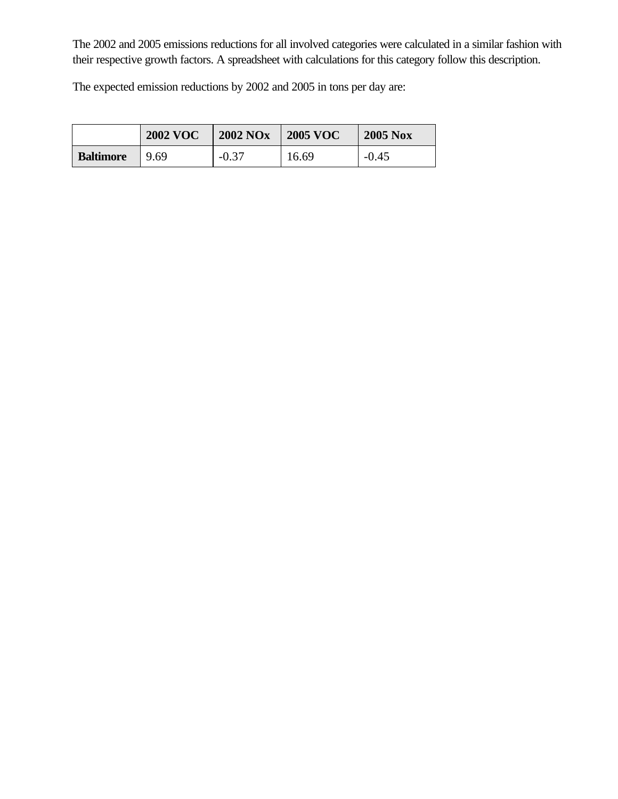The 2002 and 2005 emissions reductions for all involved categories were calculated in a similar fashion with their respective growth factors. A spreadsheet with calculations for this category follow this description.

The expected emission reductions by 2002 and 2005 in tons per day are:

|                  | <b>2002 VOC</b> | <b>2002 NOx</b> | <b>2005 VOC</b> | <b>2005 Nox</b> |  |
|------------------|-----------------|-----------------|-----------------|-----------------|--|
| <b>Baltimore</b> | 9.69            | $-0.37$         | 16.69           | $-0.45$         |  |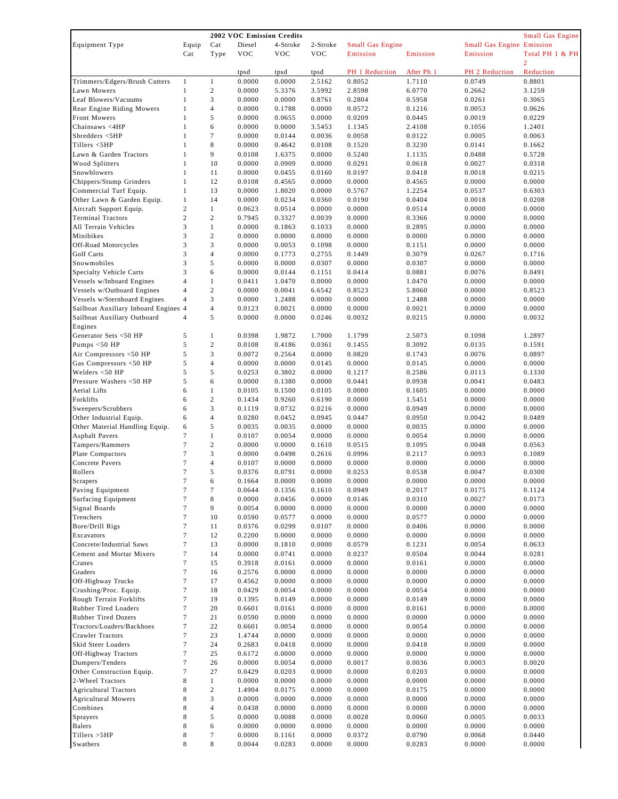|                                                     |                   | 2002 VOC Emission Credits |                  |                  |                  |                         |                  |                                  |                  |  |
|-----------------------------------------------------|-------------------|---------------------------|------------------|------------------|------------------|-------------------------|------------------|----------------------------------|------------------|--|
| Equipment Type                                      | Equip             | Cat                       | Diesel           | 4-Stroke         | 2-Stroke         | <b>Small Gas Engine</b> |                  | <b>Small Gas Engine Emission</b> |                  |  |
|                                                     | Cat               | Type                      | <b>VOC</b>       | <b>VOC</b>       | <b>VOC</b>       | Emission                | Emission         | Emission                         | Total PH 1 & PH  |  |
|                                                     |                   |                           |                  |                  |                  |                         |                  |                                  | $\overline{2}$   |  |
|                                                     |                   |                           | tpsd             | tpsd             | tpsd             | PH 1 Reduction          | After Ph 1       | PH 2 Reduction                   | Reduction        |  |
| Trimmers/Edgers/Brush Cutters                       | $\mathbf{1}$      | $\mathbf{1}$              | 0.0000           | 0.0000           | 2.5162           | 0.8052                  | 1.7110           | 0.0749                           | 0.8801           |  |
| Lawn Mowers                                         | $\mathbf{1}$      | $\overline{c}$            | 0.0000           | 5.3376           | 3.5992           | 2.8598                  | 6.0770           | 0.2662                           | 3.1259           |  |
| Leaf Blowers/Vacuums                                | 1                 | 3                         | 0.0000           | 0.0000           | 0.8761           | 0.2804                  | 0.5958           | 0.0261                           | 0.3065           |  |
| Rear Engine Riding Mowers                           | $\mathbf{1}$      | $\overline{4}$            | 0.0000           | 0.1788           | 0.0000           | 0.0572                  | 0.1216           | 0.0053                           | 0.0626           |  |
| Front Mowers                                        | $\mathbf{1}$      | 5                         | 0.0000           | 0.0655           | 0.0000           | 0.0209                  | 0.0445           | 0.0019                           | 0.0229           |  |
| Chainsaws <4HP                                      | 1                 | 6                         | 0.0000           | 0.0000           | 3.5453           | 1.1345                  | 2.4108           | 0.1056                           | 1.2401           |  |
| Shredders <5HP<br>Tillers <5HP                      | $\mathbf{1}$      | 7                         | 0.0000           | 0.0144           | 0.0036           | 0.0058                  | 0.0122           | 0.0005                           | 0.0063           |  |
|                                                     | $\mathbf{1}$      | 8                         | 0.0000           | 0.4642           | 0.0108           | 0.1520                  | 0.3230           | 0.0141                           | 0.1662           |  |
| Lawn & Garden Tractors                              | $\mathbf{1}$      | 9                         | 0.0108           | 1.6375           | 0.0000           | 0.5240                  | 1.1135           | 0.0488                           | 0.5728<br>0.0318 |  |
| Wood Splitters                                      | 1                 | 10                        | 0.0000<br>0.0000 | 0.0909           | 0.0000           | 0.0291                  | 0.0618           | 0.0027                           |                  |  |
| Snowblowers                                         | 1                 | 11                        |                  | 0.0455           | 0.0160           | 0.0197                  | 0.0418           | 0.0018                           | 0.0215           |  |
| Chippers/Stump Grinders                             | 1                 | 12<br>13                  | 0.0108           | 0.4565           | 0.0000           | 0.0000                  | 0.4565           | 0.0000                           | 0.0000           |  |
| Commercial Turf Equip.                              | 1<br>$\mathbf{1}$ | 14                        | 0.0000<br>0.0000 | 1.8020<br>0.0234 | 0.0000           | 0.5767<br>0.0190        | 1.2254<br>0.0404 | 0.0537<br>0.0018                 | 0.6303<br>0.0208 |  |
| Other Lawn & Garden Equip.                          | $\mathbf{2}$      | $\mathbf{1}$              | 0.0623           | 0.0514           | 0.0360<br>0.0000 | 0.0000                  | 0.0514           | 0.0000                           | 0.0000           |  |
| Aircraft Support Equip.<br><b>Terminal Tractors</b> | $\mathbf{2}$      | $\overline{c}$            | 0.7945           | 0.3327           | 0.0039           | 0.0000                  | 0.3366           | 0.0000                           | 0.0000           |  |
| All Terrain Vehicles                                | 3                 | $\mathbf{1}$              | 0.0000           | 0.1863           | 0.1033           | 0.0000                  | 0.2895           | 0.0000                           | 0.0000           |  |
| Minibikes                                           | 3                 | $\overline{c}$            | 0.0000           | 0.0000           | 0.0000           | 0.0000                  | 0.0000           | 0.0000                           | 0.0000           |  |
| Off-Road Motorcycles                                | 3                 | 3                         | 0.0000           | 0.0053           | 0.1098           | 0.0000                  | 0.1151           | 0.0000                           | 0.0000           |  |
| Golf Carts                                          | 3                 | $\overline{4}$            | 0.0000           | 0.1773           | 0.2755           | 0.1449                  | 0.3079           | 0.0267                           | 0.1716           |  |
| Snowmobiles                                         | 3                 | 5                         | 0.0000           | 0.0000           | 0.0307           | 0.0000                  | 0.0307           | 0.0000                           | 0.0000           |  |
| Specialty Vehicle Carts                             | 3                 | 6                         | 0.0000           | 0.0144           | 0.1151           | 0.0414                  | 0.0881           | 0.0076                           | 0.0491           |  |
| Vessels w/Inboard Engines                           | $\overline{4}$    | $\mathbf{1}$              | 0.0411           | 1.0470           | 0.0000           | 0.0000                  | 1.0470           | 0.0000                           | 0.0000           |  |
| Vessels w/Outboard Engines                          | $\overline{4}$    | $\overline{c}$            | 0.0000           | 0.0041           | 6.6542           | 0.8523                  | 5.8060           | 0.0000                           | 0.8523           |  |
| Vessels w/Sternboard Engines                        | $\overline{4}$    | 3                         | 0.0000           | 1.2488           | 0.0000           | 0.0000                  | 1.2488           | 0.0000                           | 0.0000           |  |
| Sailboat Auxiliary Inboard Engines                  | $\overline{4}$    | $\overline{4}$            | 0.0123           | 0.0021           | 0.0000           | 0.0000                  | 0.0021           | 0.0000                           | 0.0000           |  |
| Sailboat Auxiliary Outboard                         | $\overline{4}$    | 5                         | 0.0000           | 0.0000           | 0.0246           | 0.0032                  | 0.0215           | 0.0000                           | 0.0032           |  |
| Engines                                             |                   |                           |                  |                  |                  |                         |                  |                                  |                  |  |
| Generator Sets <50 HP                               | 5                 | $\mathbf{1}$              | 0.0398           | 1.9872           | 1.7000           | 1.1799                  | 2.5073           | 0.1098                           | 1.2897           |  |
| Pumps <50 HP                                        | 5                 | $\overline{c}$            | 0.0108           | 0.4186           | 0.0361           | 0.1455                  | 0.3092           | 0.0135                           | 0.1591           |  |
| Air Compressors <50 HP                              | 5                 | 3                         | 0.0072           | 0.2564           | 0.0000           | 0.0820                  | 0.1743           | 0.0076                           | 0.0897           |  |
| Gas Compressors <50 HP                              | 5                 | $\overline{4}$            | 0.0000           | 0.0000           | 0.0145           | 0.0000                  | 0.0145           | 0.0000                           | 0.0000           |  |
| Welders <50 HP                                      | 5                 | 5                         | 0.0253           | 0.3802           | 0.0000           | 0.1217                  | 0.2586           | 0.0113                           | 0.1330           |  |
| Pressure Washers <50 HP                             | 5                 | 6                         | 0.0000           | 0.1380           | 0.0000           | 0.0441                  | 0.0938           | 0.0041                           | 0.0483           |  |
| Aerial Lifts                                        | 6                 | $\mathbf{1}$              | 0.0105           | 0.1500           | 0.0105           | 0.0000                  | 0.1605           | 0.0000                           | 0.0000           |  |
| Forklifts                                           | 6                 | $\overline{c}$            | 0.1434           | 0.9260           | 0.6190           | 0.0000                  | 1.5451           | 0.0000                           | 0.0000           |  |
| Sweepers/Scrubbers                                  | 6                 | 3                         | 0.1119           | 0.0732           | 0.0216           | 0.0000                  | 0.0949           | 0.0000                           | 0.0000           |  |
| Other Industrial Equip.                             | 6                 | $\overline{4}$            | 0.0280           | 0.0452           | 0.0945           | 0.0447                  | 0.0950           | 0.0042                           | 0.0489           |  |
| Other Material Handling Equip.                      | 6                 | 5                         | 0.0035           | 0.0035           | 0.0000           | 0.0000                  | 0.0035           | 0.0000                           | 0.0000           |  |
| <b>Asphalt Pavers</b>                               | 7                 | $\mathbf{1}$              | 0.0107           | 0.0054           | 0.0000           | 0.0000                  | 0.0054           | 0.0000                           | 0.0000           |  |
| Tampers/Rammers                                     | 7                 | $\overline{c}$            | 0.0000           | 0.0000           | 0.1610           | 0.0515                  | 0.1095           | 0.0048                           | 0.0563           |  |
| Plate Compactors                                    | 7                 | 3                         | 0.0000           | 0.0498           | 0.2616           | 0.0996                  | 0.2117           | 0.0093                           | 0.1089           |  |
| Concrete Pavers                                     | 7                 | $\overline{4}$            | 0.0107           | 0.0000           | 0.0000           | 0.0000                  | 0.0000           | 0.0000                           | 0.0000           |  |
| Rollers                                             | $\tau$            | 5                         | 0.0376           | 0.0791           | 0.0000           | 0.0253                  | 0.0538           | 0.0047                           | 0.0300           |  |
| Scrapers                                            | $\tau$            | 6                         | 0.1664           | 0.0000           | 0.0000           | 0.0000                  | 0.0000           | 0.0000                           | 0.0000           |  |
| Paving Equipment                                    | 7                 | 7                         | 0.0644           | 0.1356           | 0.1610           | 0.0949                  | 0.2017           | 0.0175                           | 0.1124           |  |
| <b>Surfacing Equipment</b>                          | $\tau$            | 8                         | 0.0000           | 0.0456           | 0.0000           | 0.0146                  | 0.0310           | 0.0027                           | 0.0173           |  |
| Signal Boards                                       | 7                 | 9                         | 0.0054           | 0.0000           | 0.0000           | 0.0000                  | 0.0000           | 0.0000                           | 0.0000           |  |
| Trenchers                                           | 7                 | 10                        | 0.0590           | 0.0577           | 0.0000           | 0.0000                  | 0.0577           | 0.0000                           | 0.0000           |  |
| Bore/Drill Rigs                                     | $\tau$            | 11                        | 0.0376           | 0.0299           | 0.0107           | 0.0000                  | 0.0406           | 0.0000                           | 0.0000           |  |
| Excavators                                          | 7                 | 12                        | 0.2200           | 0.0000           | 0.0000           | 0.0000                  | 0.0000           | 0.0000                           | 0.0000           |  |
| Concrete/Industrial Saws                            | $\overline{7}$    | 13                        | 0.0000           | 0.1810           | 0.0000           | 0.0579                  | 0.1231           | 0.0054                           | 0.0633           |  |
| Cement and Mortar Mixers                            | $\tau$            | 14                        | 0.0000           | 0.0741           | 0.0000           | 0.0237                  | 0.0504           | 0.0044                           | 0.0281           |  |
| Cranes                                              | 7                 | 15                        | 0.3918           | 0.0161           | 0.0000           | 0.0000                  | 0.0161           | 0.0000                           | 0.0000           |  |
| Graders                                             | 7                 | 16                        | 0.2576           | 0.0000           | 0.0000           | 0.0000                  | 0.0000           | 0.0000                           | 0.0000           |  |
| Off-Highway Trucks                                  | $\overline{7}$    | 17                        | 0.4562           | 0.0000           | 0.0000           | 0.0000                  | 0.0000           | 0.0000                           | 0.0000           |  |
| Crushing/Proc. Equip.                               | $\tau$            | 18                        | 0.0429           | 0.0054           | 0.0000           | 0.0000                  | 0.0054           | 0.0000                           | 0.0000           |  |
| Rough Terrain Forklifts                             | $\tau$            | 19                        | 0.1395           | 0.0149           | 0.0000           | 0.0000                  | 0.0149           | 0.0000                           | 0.0000           |  |
| Rubber Tired Loaders                                | 7                 | 20                        | 0.6601           | 0.0161           | 0.0000           | 0.0000                  | 0.0161           | 0.0000                           | 0.0000           |  |
| Rubber Tired Dozers                                 | $\overline{7}$    | 21                        | 0.0590           | 0.0000           | 0.0000           | 0.0000                  | 0.0000           | 0.0000                           | 0.0000           |  |
| Tractors/Loaders/Backhoes                           | $\tau$            | 22                        | 0.6601           | 0.0054           | 0.0000           | 0.0000                  | 0.0054           | 0.0000                           | 0.0000           |  |
| <b>Crawler Tractors</b>                             | 7                 | 23                        | 1.4744           | 0.0000           | 0.0000           | 0.0000                  | 0.0000           | 0.0000                           | 0.0000           |  |
| Skid Steer Loaders                                  | 7                 | 24                        | 0.2683           | 0.0418           | 0.0000           | 0.0000                  | 0.0418           | 0.0000                           | 0.0000           |  |
| Off-Highway Tractors                                | $\tau$            | 25                        | 0.6172           | 0.0000           | 0.0000           | 0.0000                  | 0.0000           | 0.0000                           | 0.0000           |  |
| Dumpers/Tenders                                     | 7                 | 26                        | 0.0000           | 0.0054           | 0.0000           | 0.0017                  | 0.0036           | 0.0003                           | 0.0020           |  |
| Other Construction Equip.                           | $\tau$            | 27                        | 0.0429           | 0.0203           | 0.0000           | 0.0000                  | 0.0203           | 0.0000                           | 0.0000           |  |
| 2-Wheel Tractors                                    | 8                 | $\mathbf{1}$              | 0.0000           | 0.0000           | 0.0000           | 0.0000                  | 0.0000           | 0.0000                           | 0.0000           |  |
| <b>Agricultural Tractors</b>                        | 8                 | $\overline{c}$            | 1.4904           | 0.0175           | 0.0000           | 0.0000                  | 0.0175           | 0.0000                           | 0.0000           |  |
| <b>Agricultural Mowers</b>                          | 8                 | 3                         | 0.0000           | 0.0000           | 0.0000           | 0.0000                  | 0.0000           | 0.0000                           | 0.0000           |  |
| Combines                                            | 8                 | $\overline{4}$            | 0.0438           | 0.0000           | 0.0000           | 0.0000                  | 0.0000           | 0.0000                           | 0.0000           |  |
| Sprayers                                            | 8                 | 5                         | 0.0000           | 0.0088           | 0.0000           | 0.0028                  | 0.0060           | 0.0005                           | 0.0033           |  |
| Balers                                              | 8                 | 6                         | 0.0000           | 0.0000           | 0.0000           | 0.0000                  | 0.0000           | 0.0000                           | 0.0000           |  |
| Tillers >5HP                                        | 8                 | $\tau$                    | 0.0000           | 0.1161           | 0.0000           | 0.0372                  | 0.0790           | 0.0068                           | 0.0440           |  |
| Swathers                                            | 8                 | 8                         | 0.0044           | 0.0283           | 0.0000           | 0.0000                  | 0.0283           | 0.0000                           | 0.0000           |  |
|                                                     |                   |                           |                  |                  |                  |                         |                  |                                  |                  |  |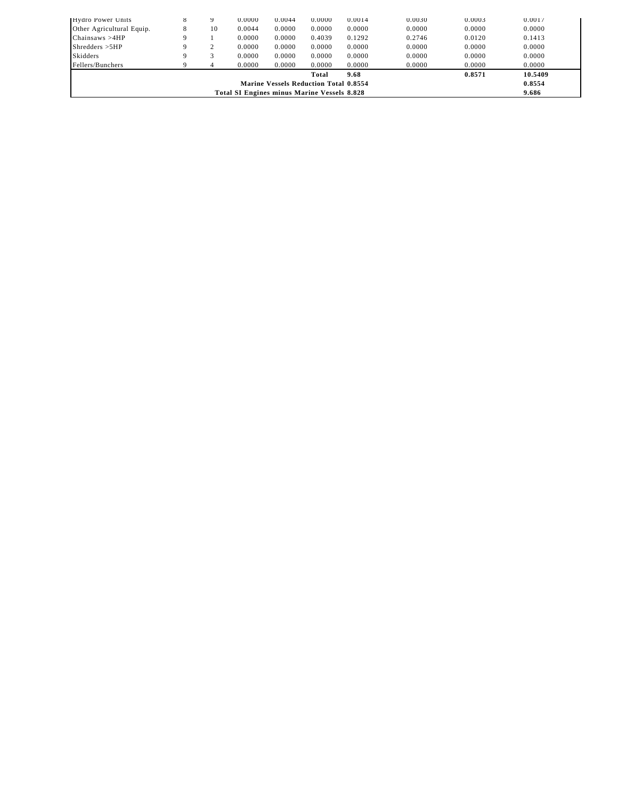| <b>Marine Vessels Reduction Total 0.8554</b><br><b>Total SI Engines minus Marine Vessels 8.828</b> |   |    |        |        |        |        |        |        |        |  |
|----------------------------------------------------------------------------------------------------|---|----|--------|--------|--------|--------|--------|--------|--------|--|
|                                                                                                    |   |    |        |        |        |        |        |        |        |  |
| Fellers/Bunchers                                                                                   |   | 4  | 0.0000 | 0.0000 | 0.0000 | 0.0000 | 0.0000 | 0.0000 | 0.0000 |  |
| Skidders                                                                                           |   |    | 0.0000 | 0.0000 | 0.0000 | 0.0000 | 0.0000 | 0.0000 | 0.0000 |  |
| Shredders > 5HP                                                                                    |   |    | 0.0000 | 0.0000 | 0.0000 | 0.0000 | 0.0000 | 0.0000 | 0.0000 |  |
| Chainsaws >4HP                                                                                     |   |    | 0.0000 | 0.0000 | 0.4039 | 0.1292 | 0.2746 | 0.0120 | 0.1413 |  |
| Other Agricultural Equip.                                                                          |   | 10 | 0.0044 | 0.0000 | 0.0000 | 0.0000 | 0.0000 | 0.0000 | 0.0000 |  |
| Hydro Power Units                                                                                  | x |    | 0.0000 | 0.0044 | 0.0000 | 0.0014 | 0.0030 | 0.0003 | 0.0017 |  |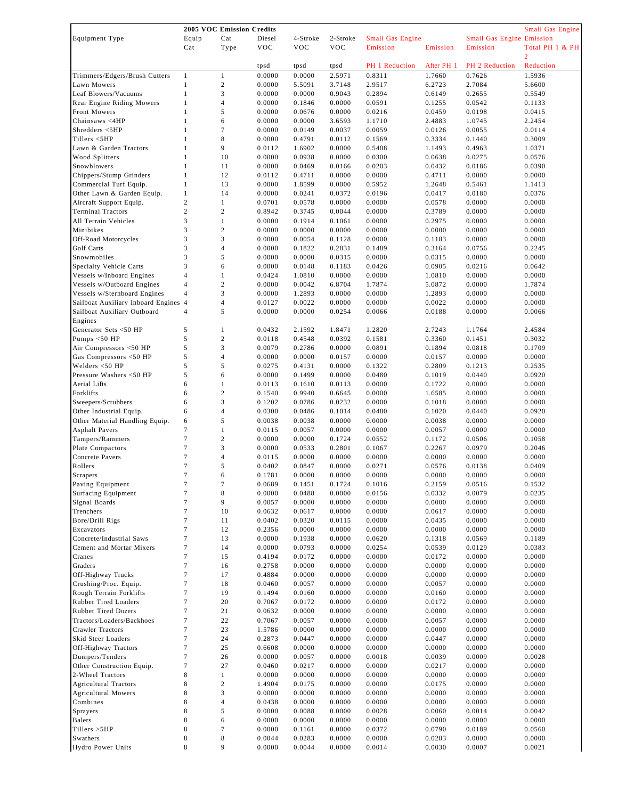|                                                         |                              | 2005 VOC Emission Credits |                  |                  |                  |                         |                  |                                  | <b>Small Gas Engine</b> |
|---------------------------------------------------------|------------------------------|---------------------------|------------------|------------------|------------------|-------------------------|------------------|----------------------------------|-------------------------|
| Equipment Type                                          | Equip                        | Cat                       | Diesel           | 4-Stroke         | 2-Stroke         | <b>Small Gas Engine</b> |                  | <b>Small Gas Engine Emission</b> |                         |
|                                                         | Cat                          | Type                      | <b>VOC</b>       | <b>VOC</b>       | <b>VOC</b>       | Emission                | Emission         | Emission                         | Total PH 1 & PH         |
|                                                         |                              |                           |                  |                  |                  |                         |                  |                                  | $\overline{2}$          |
|                                                         |                              |                           | tpsd             | tpsd             | tpsd             | PH 1 Reduction          | After PH 1       | PH 2 Reduction                   | Reduction               |
| Trimmers/Edgers/Brush Cutters                           | $\mathbf{1}$                 | $\mathbf{1}$              | 0.0000           | 0.0000           | 2.5971           | 0.8311                  | 1.7660           | 0.7626                           | 1.5936                  |
| Lawn Mowers                                             | $\mathbf{1}$                 | $\boldsymbol{2}$          | 0.0000           | 5.5091           | 3.7148           | 2.9517                  | 6.2723           | 2.7084                           | 5.6600                  |
| Leaf Blowers/Vacuums                                    | $\mathbf{1}$                 | 3                         | 0.0000           | 0.0000           | 0.9043           | 0.2894                  | 0.6149           | 0.2655                           | 0.5549                  |
| Rear Engine Riding Mowers<br>Front Mowers               | $\mathbf{1}$<br>$\mathbf{1}$ | $\overline{4}$<br>5       | 0.0000<br>0.0000 | 0.1846<br>0.0676 | 0.0000<br>0.0000 | 0.0591<br>0.0216        | 0.1255<br>0.0459 | 0.0542<br>0.0198                 | 0.1133<br>0.0415        |
| Chainsaws <4HP                                          | $\mathbf{1}$                 | 6                         | 0.0000           | 0.0000           | 3.6593           | 1.1710                  | 2.4883           | 1.0745                           | 2.2454                  |
| Shredders <5HP                                          | $\mathbf{1}$                 | $\tau$                    | 0.0000           | 0.0149           | 0.0037           | 0.0059                  | 0.0126           | 0.0055                           | 0.0114                  |
| Tillers <5HP                                            | $\mathbf{1}$                 | 8                         | 0.0000           | 0.4791           | 0.0112           | 0.1569                  | 0.3334           | 0.1440                           | 0.3009                  |
| Lawn & Garden Tractors                                  | $\mathbf{1}$                 | 9                         | 0.0112           | 1.6902           | 0.0000           | 0.5408                  | 1.1493           | 0.4963                           | 1.0371                  |
| Wood Splitters                                          | $\mathbf{1}$                 | 10                        | 0.0000           | 0.0938           | 0.0000           | 0.0300                  | 0.0638           | 0.0275                           | 0.0576                  |
| Snowblowers                                             | $\mathbf{1}$                 | 11                        | 0.0000           | 0.0469           | 0.0166           | 0.0203                  | 0.0432           | 0.0186                           | 0.0390                  |
| Chippers/Stump Grinders                                 | $\mathbf{1}$                 | 12                        | 0.0112           | 0.4711           | 0.0000           | 0.0000                  | 0.4711           | 0.0000                           | 0.0000                  |
| Commercial Turf Equip.                                  | $\mathbf{1}$                 | 13                        | 0.0000           | 1.8599           | 0.0000           | 0.5952                  | 1.2648           | 0.5461                           | 1.1413                  |
| Other Lawn & Garden Equip.                              | $\mathbf{1}$                 | 14                        | 0.0000           | 0.0241           | 0.0372           | 0.0196                  | 0.0417           | 0.0180                           | 0.0376                  |
| Aircraft Support Equip.                                 | $\overline{c}$               | $\mathbf{1}$              | 0.0701           | 0.0578           | 0.0000           | 0.0000                  | 0.0578           | 0.0000                           | 0.0000                  |
| <b>Terminal Tractors</b>                                | $\overline{c}$               | $\boldsymbol{2}$          | 0.8942           | 0.3745           | 0.0044           | 0.0000                  | 0.3789           | 0.0000                           | 0.0000                  |
| All Terrain Vehicles                                    | 3                            | $\mathbf{1}$              | 0.0000           | 0.1914           | 0.1061           | 0.0000                  | 0.2975           | 0.0000                           | 0.0000                  |
| Minibikes                                               | 3                            | $\overline{c}$            | 0.0000           | 0.0000           | 0.0000           | 0.0000                  | 0.0000           | 0.0000                           | 0.0000                  |
| Off-Road Motorcycles                                    | 3                            | 3                         | 0.0000           | 0.0054           | 0.1128           | 0.0000                  | 0.1183           | 0.0000                           | 0.0000                  |
| Golf Carts                                              | 3<br>3                       | $\overline{4}$            | 0.0000           | 0.1822           | 0.2831           | 0.1489                  | 0.3164           | 0.0756                           | 0.2245                  |
| Snowmobiles<br>Specialty Vehicle Carts                  | 3                            | 5<br>6                    | 0.0000<br>0.0000 | 0.0000<br>0.0148 | 0.0315<br>0.1183 | 0.0000<br>0.0426        | 0.0315<br>0.0905 | 0.0000<br>0.0216                 | 0.0000<br>0.0642        |
| Vessels w/Inboard Engines                               | $\overline{4}$               | $\mathbf{1}$              | 0.0424           | 1.0810           | 0.0000           | 0.0000                  | 1.0810           | 0.0000                           | 0.0000                  |
| Vessels w/Outboard Engines                              | $\overline{4}$               | $\overline{c}$            | 0.0000           | 0.0042           | 6.8704           | 1.7874                  | 5.0872           | 0.0000                           | 1.7874                  |
| Vessels w/Sternboard Engines                            | $\overline{4}$               | 3                         | 0.0000           | 1.2893           | 0.0000           | 0.0000                  | 1.2893           | 0.0000                           | 0.0000                  |
| Sailboat Auxiliary Inboard Engines                      | $\overline{4}$               | $\overline{4}$            | 0.0127           | 0.0022           | 0.0000           | 0.0000                  | 0.0022           | 0.0000                           | 0.0000                  |
| Sailboat Auxiliary Outboard                             | $\overline{4}$               | 5                         | 0.0000           | 0.0000           | 0.0254           | 0.0066                  | 0.0188           | 0.0000                           | 0.0066                  |
| Engines                                                 |                              |                           |                  |                  |                  |                         |                  |                                  |                         |
| Generator Sets <50 HP                                   | 5                            | $\mathbf{1}$              | 0.0432           | 2.1592           | 1.8471           | 1.2820                  | 2.7243           | 1.1764                           | 2.4584                  |
| Pumps <50 HP                                            | 5                            | $\overline{c}$            | 0.0118           | 0.4548           | 0.0392           | 0.1581                  | 0.3360           | 0.1451                           | 0.3032                  |
| Air Compressors <50 HP                                  | 5                            | 3                         | 0.0079           | 0.2786           | 0.0000           | 0.0891                  | 0.1894           | 0.0818                           | 0.1709                  |
| Gas Compressors <50 HP                                  | 5                            | $\overline{4}$            | 0.0000           | 0.0000           | 0.0157           | 0.0000                  | 0.0157           | 0.0000                           | 0.0000                  |
| Welders <50 HP                                          | 5                            | 5                         | 0.0275           | 0.4131           | 0.0000           | 0.1322                  | 0.2809           | 0.1213                           | 0.2535                  |
| Pressure Washers <50 HP                                 | 5                            | 6                         | 0.0000           | 0.1499           | 0.0000           | 0.0480                  | 0.1019           | 0.0440                           | 0.0920                  |
| Aerial Lifts                                            | 6                            | $\mathbf{1}$              | 0.0113           | 0.1610           | 0.0113           | 0.0000                  | 0.1722           | 0.0000                           | 0.0000                  |
| Forklifts                                               | 6                            | $\overline{c}$            | 0.1540           | 0.9940           | 0.6645           | 0.0000                  | 1.6585           | 0.0000                           | 0.0000                  |
| Sweepers/Scrubbers                                      | 6                            | 3                         | 0.1202           | 0.0786           | 0.0232           | 0.0000                  | 0.1018           | 0.0000                           | 0.0000                  |
| Other Industrial Equip.                                 | 6<br>6                       | $\overline{4}$            | 0.0300           | 0.0486           | 0.1014           | 0.0480                  | 0.1020           | 0.0440                           | 0.0920                  |
| Other Material Handling Equip.<br><b>Asphalt Pavers</b> | $\overline{7}$               | 5<br>$\mathbf{1}$         | 0.0038<br>0.0115 | 0.0038<br>0.0057 | 0.0000<br>0.0000 | 0.0000<br>0.0000        | 0.0038<br>0.0057 | 0.0000<br>0.0000                 | 0.0000<br>0.0000        |
| Tampers/Rammers                                         | 7                            | $\boldsymbol{2}$          | 0.0000           | 0.0000           | 0.1724           | 0.0552                  | 0.1172           | 0.0506                           | 0.1058                  |
| Plate Compactors                                        | 7                            | 3                         | 0.0000           | 0.0533           | 0.2801           | 0.1067                  | 0.2267           | 0.0979                           | 0.2046                  |
| Concrete Pavers                                         | 7                            | $\overline{4}$            | 0.0115           | 0.0000           | 0.0000           | 0.0000                  | 0.0000           | 0.0000                           | 0.0000                  |
| Rollers                                                 | $\overline{7}$               | 5                         | 0.0402           | 0.0847           | 0.0000           | 0.0271                  | 0.0576           | 0.0138                           | 0.0409                  |
| Scrapers                                                | 7                            | 6                         | 0.1781           | 0.0000           | 0.0000           | 0.0000                  | 0.0000           | 0.0000                           | 0.0000                  |
| Paving Equipment                                        | 7                            | $\boldsymbol{7}$          | 0.0689           | 0.1451           | 0.1724           | 0.1016                  | 0.2159           | 0.0516                           | 0.1532                  |
| <b>Surfacing Equipment</b>                              | 7                            | 8                         | 0.0000           | 0.0488           | 0.0000           | 0.0156                  | 0.0332           | 0.0079                           | 0.0235                  |
| Signal Boards                                           | $\overline{7}$               | 9                         | 0.0057           | 0.0000           | 0.0000           | 0.0000                  | 0.0000           | 0.0000                           | 0.0000                  |
| Trenchers                                               | 7                            | 10                        | 0.0632           | 0.0617           | 0.0000           | 0.0000                  | 0.0617           | 0.0000                           | 0.0000                  |
| Bore/Drill Rigs                                         | $\tau$                       | 11                        | 0.0402           | 0.0320           | 0.0115           | 0.0000                  | 0.0435           | 0.0000                           | 0.0000                  |
| Excavators                                              | 7                            | 12                        | 0.2356           | 0.0000           | 0.0000           | 0.0000                  | 0.0000           | 0.0000                           | 0.0000                  |
| Concrete/Industrial Saws                                | 7                            | 13                        | 0.0000           | 0.1938           | 0.0000           | 0.0620                  | 0.1318           | 0.0569                           | 0.1189                  |
| Cement and Mortar Mixers                                | 7                            | 14                        | 0.0000           | 0.0793           | 0.0000<br>0.0000 | 0.0254                  | 0.0539           | 0.0129                           | 0.0383                  |
| Cranes<br>Graders                                       | $\tau$<br>7                  | 15                        | 0.4194<br>0.2758 | 0.0172<br>0.0000 | 0.0000           | 0.0000<br>0.0000        | 0.0172<br>0.0000 | 0.0000<br>0.0000                 | 0.0000<br>0.0000        |
| Off-Highway Trucks                                      | $\tau$                       | 16<br>17                  | 0.4884           | 0.0000           | 0.0000           | 0.0000                  | 0.0000           | 0.0000                           | 0.0000                  |
| Crushing/Proc. Equip.                                   | 7                            | 18                        | 0.0460           | 0.0057           | 0.0000           | 0.0000                  | 0.0057           | 0.0000                           | 0.0000                  |
| Rough Terrain Forklifts                                 | $\tau$                       | 19                        | 0.1494           | 0.0160           | 0.0000           | 0.0000                  | 0.0160           | 0.0000                           | 0.0000                  |
| Rubber Tired Loaders                                    | 7                            | 20                        | 0.7067           | 0.0172           | 0.0000           | 0.0000                  | 0.0172           | 0.0000                           | 0.0000                  |
| Rubber Tired Dozers                                     | $\tau$                       | 21                        | 0.0632           | 0.0000           | 0.0000           | 0.0000                  | 0.0000           | 0.0000                           | 0.0000                  |
| Tractors/Loaders/Backhoes                               | 7                            | 22                        | 0.7067           | 0.0057           | 0.0000           | 0.0000                  | 0.0057           | 0.0000                           | 0.0000                  |
| <b>Crawler Tractors</b>                                 | $\tau$                       | 23                        | 1.5786           | 0.0000           | 0.0000           | 0.0000                  | 0.0000           | 0.0000                           | 0.0000                  |
| Skid Steer Loaders                                      | 7                            | 24                        | 0.2873           | 0.0447           | 0.0000           | 0.0000                  | 0.0447           | 0.0000                           | 0.0000                  |
| Off-Highway Tractors                                    | $\tau$                       | 25                        | 0.6608           | 0.0000           | 0.0000           | 0.0000                  | 0.0000           | 0.0000                           | 0.0000                  |
| Dumpers/Tenders                                         | 7                            | 26                        | 0.0000           | 0.0057           | 0.0000           | 0.0018                  | 0.0039           | 0.0009                           | 0.0028                  |
| Other Construction Equip.                               | 7                            | 27                        | 0.0460           | 0.0217           | 0.0000           | 0.0000                  | 0.0217           | 0.0000                           | 0.0000                  |
| 2-Wheel Tractors                                        | 8                            | $\mathbf{1}$              | 0.0000           | 0.0000           | 0.0000           | 0.0000                  | 0.0000           | 0.0000                           | 0.0000                  |
| <b>Agricultural Tractors</b>                            | 8                            | $\sqrt{2}$                | 1.4904           | 0.0175           | 0.0000           | 0.0000                  | 0.0175           | 0.0000                           | 0.0000                  |
| <b>Agricultural Mowers</b>                              | 8                            | 3                         | 0.0000           | 0.0000           | 0.0000           | 0.0000                  | 0.0000           | 0.0000                           | 0.0000                  |
| Combines                                                | 8<br>8                       | $\overline{4}$            | 0.0438           | 0.0000           | 0.0000           | 0.0000                  | 0.0000           | 0.0000                           | 0.0000                  |
| Sprayers<br>Balers                                      | 8                            | 5<br>6                    | 0.0000<br>0.0000 | 0.0088<br>0.0000 | 0.0000<br>0.0000 | 0.0028<br>0.0000        | 0.0060<br>0.0000 | 0.0014<br>0.0000                 | 0.0042<br>0.0000        |
| Tillers >5HP                                            | 8                            | 7                         | 0.0000           | 0.1161           | 0.0000           | 0.0372                  | 0.0790           | 0.0189                           | 0.0560                  |
| Swathers                                                | 8                            | $\,$ 8 $\,$               | 0.0044           | 0.0283           | 0.0000           | 0.0000                  | 0.0283           | 0.0000                           | 0.0000                  |
| Hydro Power Units                                       | 8                            | 9                         | 0.0000           | 0.0044           | 0.0000           | 0.0014                  | 0.0030           | 0.0007                           | 0.0021                  |
|                                                         |                              |                           |                  |                  |                  |                         |                  |                                  |                         |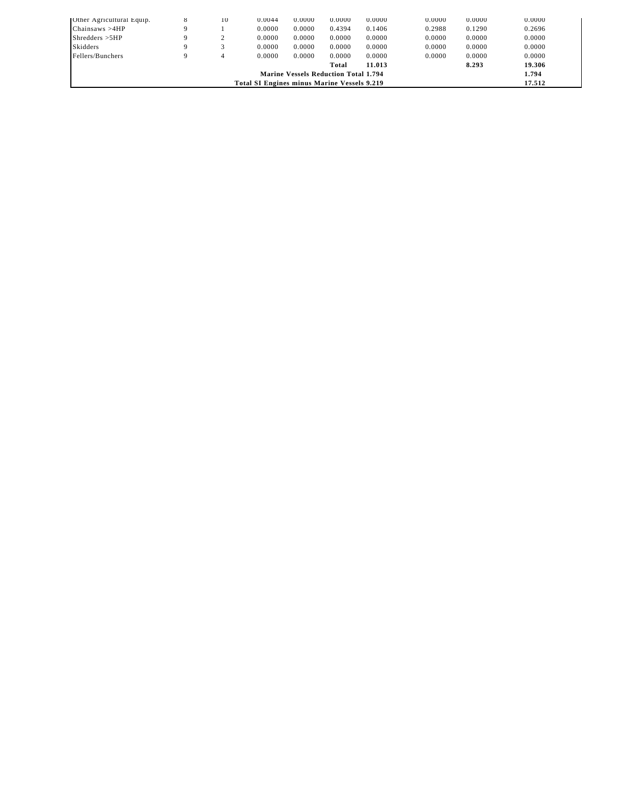| <b>Total SI Engines minus Marine Vessels 9.219</b> |  |    |        |                                             |        |        |        |        | 17.512 |
|----------------------------------------------------|--|----|--------|---------------------------------------------|--------|--------|--------|--------|--------|
|                                                    |  |    |        | <b>Marine Vessels Reduction Total 1.794</b> |        |        |        |        | 1.794  |
|                                                    |  |    |        |                                             | Total  | 11.013 |        | 8.293  | 19.306 |
| Fellers/Bunchers                                   |  | 4  | 0.0000 | 0.0000                                      | 0.0000 | 0.0000 | 0.0000 | 0.0000 | 0.0000 |
| Skidders                                           |  |    | 0.0000 | 0.0000                                      | 0.0000 | 0.0000 | 0.0000 | 0.0000 | 0.0000 |
| Shredders > 5HP                                    |  | ∼  | 0.0000 | 0.0000                                      | 0.0000 | 0.0000 | 0.0000 | 0.0000 | 0.0000 |
| Chainsaws > 4HP                                    |  |    | 0.0000 | 0.0000                                      | 0.4394 | 0.1406 | 0.2988 | 0.1290 | 0.2696 |
| Other Agricultural Equip.                          |  | 10 | 0.0044 | 0.0000                                      | 0.0000 | 0.0000 | 0.0000 | 0.0000 | 0.0000 |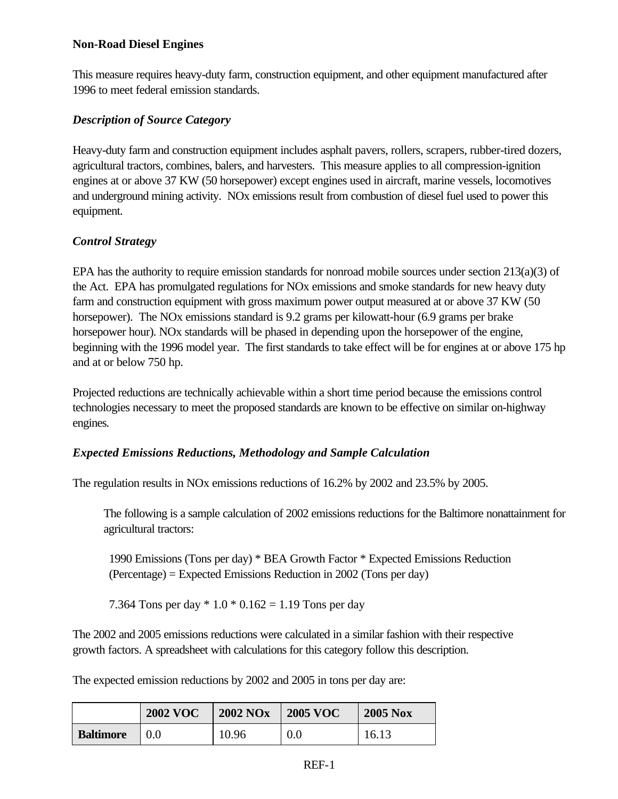### **Non-Road Diesel Engines**

This measure requires heavy-duty farm, construction equipment, and other equipment manufactured after 1996 to meet federal emission standards.

## *Description of Source Category*

Heavy-duty farm and construction equipment includes asphalt pavers, rollers, scrapers, rubber-tired dozers, agricultural tractors, combines, balers, and harvesters. This measure applies to all compression-ignition engines at or above 37 KW (50 horsepower) except engines used in aircraft, marine vessels, locomotives and underground mining activity. NOx emissions result from combustion of diesel fuel used to power this equipment.

## *Control Strategy*

EPA has the authority to require emission standards for nonroad mobile sources under section 213(a)(3) of the Act. EPA has promulgated regulations for NOx emissions and smoke standards for new heavy duty farm and construction equipment with gross maximum power output measured at or above 37 KW (50 horsepower). The NOx emissions standard is 9.2 grams per kilowatt-hour (6.9 grams per brake horsepower hour). NOx standards will be phased in depending upon the horsepower of the engine, beginning with the 1996 model year. The first standards to take effect will be for engines at or above 175 hp and at or below 750 hp.

Projected reductions are technically achievable within a short time period because the emissions control technologies necessary to meet the proposed standards are known to be effective on similar on-highway engines.

# *Expected Emissions Reductions, Methodology and Sample Calculation*

The regulation results in NOx emissions reductions of 16.2% by 2002 and 23.5% by 2005.

The following is a sample calculation of 2002 emissions reductions for the Baltimore nonattainment for agricultural tractors:

1990 Emissions (Tons per day) \* BEA Growth Factor \* Expected Emissions Reduction (Percentage) = Expected Emissions Reduction in 2002 (Tons per day)

7.364 Tons per day  $* 1.0 * 0.162 = 1.19$  Tons per day

The 2002 and 2005 emissions reductions were calculated in a similar fashion with their respective growth factors. A spreadsheet with calculations for this category follow this description.

The expected emission reductions by 2002 and 2005 in tons per day are:

|                  | <b>2002 VOC</b> | <b>2002 NOx</b> | <b>2005 VOC</b> | <b>2005 Nox</b> |  |
|------------------|-----------------|-----------------|-----------------|-----------------|--|
| <b>Baltimore</b> | 0.0             | 10.96           | 0.0             | 16.13           |  |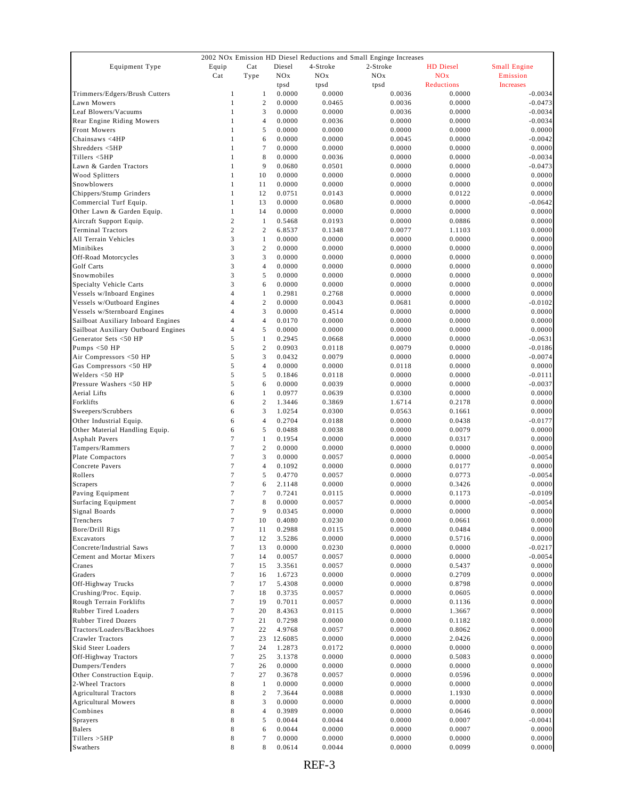|                                     |                  |                         |         |          | 2002 NOx Emission HD Diesel Reductions and Small Enginge Increases |                  |                     |
|-------------------------------------|------------------|-------------------------|---------|----------|--------------------------------------------------------------------|------------------|---------------------|
| Equipment Type                      | Equip            | Cat                     | Diesel  | 4-Stroke | 2-Stroke                                                           | <b>HD</b> Diesel | <b>Small Engine</b> |
|                                     | Cat              | Type                    | NOx     | NOx      | NOx                                                                | <b>NOx</b>       | Emission            |
|                                     |                  |                         | tpsd    | tpsd     | tpsd                                                               | Reductions       | <b>Increases</b>    |
| Trimmers/Edgers/Brush Cutters       | $\mathbf{1}$     | $\mathbf{1}$            | 0.0000  | 0.0000   | 0.0036                                                             | 0.0000           | $-0.0034$           |
| Lawn Mowers                         | $\mathbf{1}$     | $\overline{c}$          | 0.0000  | 0.0465   | 0.0036                                                             | 0.0000           | $-0.0473$           |
| Leaf Blowers/Vacuums                | $\mathbf{1}$     | 3                       | 0.0000  | 0.0000   | 0.0036                                                             | 0.0000           | $-0.0034$           |
| Rear Engine Riding Mowers           | 1                | $\overline{4}$          | 0.0000  | 0.0036   | 0.0000                                                             | 0.0000           | $-0.0034$           |
| Front Mowers                        | $\mathbf{1}$     | 5                       | 0.0000  | 0.0000   | 0.0000                                                             | 0.0000           | 0.0000              |
| Chainsaws <4HP                      | 1                | 6                       | 0.0000  | 0.0000   | 0.0045                                                             | 0.0000           | $-0.0042$           |
| Shredders <5HP                      | $\mathbf{1}$     | 7                       | 0.0000  | 0.0000   | 0.0000                                                             | 0.0000           | 0.0000              |
| Tillers <5HP                        | $\mathbf{1}$     | 8                       | 0.0000  | 0.0036   | 0.0000                                                             | 0.0000           | $-0.0034$           |
| Lawn & Garden Tractors              | $\mathbf{1}$     | 9                       | 0.0680  | 0.0501   | 0.0000                                                             | 0.0000           | $-0.0473$           |
| Wood Splitters                      | 1                | 10                      | 0.0000  | 0.0000   | 0.0000                                                             | 0.0000           | 0.0000              |
| Snowblowers                         | 1                | 11                      | 0.0000  | 0.0000   | 0.0000                                                             | 0.0000           | 0.0000              |
| Chippers/Stump Grinders             | $\mathbf{1}$     | 12                      | 0.0751  | 0.0143   | 0.0000                                                             | 0.0122           | 0.0000              |
| Commercial Turf Equip.              | 1                | 13                      | 0.0000  | 0.0680   | 0.0000                                                             | 0.0000           | $-0.0642$           |
| Other Lawn & Garden Equip.          | 1                | 14                      | 0.0000  | 0.0000   | 0.0000                                                             | 0.0000           | 0.0000              |
| Aircraft Support Equip.             | $\,2$            | 1                       | 0.5468  | 0.0193   | 0.0000                                                             | 0.0886           | 0.0000              |
| <b>Terminal Tractors</b>            | $\overline{c}$   | $\overline{c}$          | 6.8537  | 0.1348   | 0.0077                                                             | 1.1103           | 0.0000              |
| All Terrain Vehicles                | $\mathfrak 3$    | $\mathbf{1}$            | 0.0000  | 0.0000   | 0.0000                                                             | 0.0000           | 0.0000              |
| Minibikes                           | 3                | $\boldsymbol{2}$        | 0.0000  | 0.0000   | 0.0000                                                             | 0.0000           | 0.0000              |
| Off-Road Motorcycles                | 3                | 3                       | 0.0000  | 0.0000   | 0.0000                                                             | 0.0000           | 0.0000              |
| <b>Golf Carts</b>                   | 3                | $\overline{\mathbf{4}}$ | 0.0000  | 0.0000   | 0.0000                                                             | 0.0000           | 0.0000              |
| Snowmobiles                         | 3                | 5                       | 0.0000  | 0.0000   | 0.0000                                                             | 0.0000           | 0.0000              |
| Specialty Vehicle Carts             | 3                | 6                       | 0.0000  | 0.0000   | 0.0000                                                             | 0.0000           | 0.0000              |
| Vessels w/Inboard Engines           | $\overline{4}$   | $\mathbf{1}$            | 0.2981  | 0.2768   | 0.0000                                                             | 0.0000           | 0.0000              |
| Vessels w/Outboard Engines          | $\overline{4}$   | $\overline{c}$          | 0.0000  | 0.0043   | 0.0681                                                             | 0.0000           | $-0.0102$           |
| Vessels w/Sternboard Engines        | $\overline{4}$   | 3                       | 0.0000  | 0.4514   | 0.0000                                                             | 0.0000           | 0.0000              |
| Sailboat Auxiliary Inboard Engines  | $\overline{4}$   | $\overline{\mathbf{4}}$ | 0.0170  | 0.0000   | 0.0000                                                             | 0.0000           | 0.0000              |
| Sailboat Auxiliary Outboard Engines | $\overline{4}$   | 5                       | 0.0000  | 0.0000   | 0.0000                                                             | 0.0000           | 0.0000              |
| Generator Sets <50 HP               | 5                | $\mathbf{1}$            | 0.2945  | 0.0668   | 0.0000                                                             | 0.0000           | $-0.0631$           |
| Pumps $<$ 50 HP                     | 5                | $\boldsymbol{2}$        | 0.0903  | 0.0118   | 0.0079                                                             | 0.0000           | $-0.0186$           |
| Air Compressors <50 HP              | 5                | 3                       | 0.0432  | 0.0079   | 0.0000                                                             | 0.0000           | $-0.0074$           |
| Gas Compressors <50 HP              | 5                | $\overline{\mathbf{4}}$ | 0.0000  | 0.0000   | 0.0118                                                             | 0.0000           | 0.0000              |
| Welders <50 HP                      | 5                | 5                       | 0.1846  | 0.0118   | 0.0000                                                             | 0.0000           | $-0.0111$           |
| Pressure Washers <50 HP             | 5                | 6                       | 0.0000  | 0.0039   | 0.0000                                                             | 0.0000           | $-0.0037$           |
| Aerial Lifts                        | 6                | $\mathbf{1}$            | 0.0977  | 0.0639   | 0.0300                                                             | 0.0000           | 0.0000              |
| Forklifts                           | 6                | $\overline{c}$          | 1.3446  | 0.3869   | 1.6714                                                             | 0.2178           | 0.0000              |
| Sweepers/Scrubbers                  | 6                | 3                       | 1.0254  | 0.0300   | 0.0563                                                             | 0.1661           | 0.0000              |
| Other Industrial Equip.             | 6                | $\overline{\mathbf{4}}$ | 0.2704  | 0.0188   | 0.0000                                                             | 0.0438           | $-0.0177$           |
| Other Material Handling Equip.      | 6                | 5                       | 0.0488  | 0.0038   | 0.0000                                                             | 0.0079           | 0.0000              |
| <b>Asphalt Pavers</b>               | 7                | $\mathbf{1}$            | 0.1954  | 0.0000   | 0.0000                                                             | 0.0317           | 0.0000              |
| Tampers/Rammers                     | $\tau$           | $\overline{c}$          | 0.0000  | 0.0000   | 0.0000                                                             | 0.0000           | 0.0000              |
| Plate Compactors                    | $\overline{7}$   | 3                       | 0.0000  | 0.0057   | 0.0000                                                             | 0.0000           | $-0.0054$           |
| Concrete Pavers                     | $\tau$           | $\overline{4}$          | 0.1092  | 0.0000   | 0.0000                                                             | 0.0177           | 0.0000              |
| Rollers                             | $\overline{7}$   | 5                       | 0.4770  | 0.0057   | 0.0000                                                             | 0.0773           | $-0.0054$           |
| Scrapers                            | 7                | 6                       | 2.1148  | 0.0000   | 0.0000                                                             | 0.3426           | 0.0000              |
| Paving Equipment                    | $\tau$           | $\tau$                  | 0.7241  | 0.0115   | 0.0000                                                             | 0.1173           | $-0.0109$           |
| Surfacing Equipment                 | 7                | 8                       | 0.0000  | 0.0057   | 0.0000                                                             | 0.0000           | $-0.0054$           |
| Signal Boards                       | $\boldsymbol{7}$ | 9                       | 0.0345  | 0.0000   | 0.0000                                                             | 0.0000           | 0.0000              |
| Trenchers                           | $\tau$           | 10                      | 0.4080  | 0.0230   | 0.0000                                                             | 0.0661           | 0.0000              |
| Bore/Drill Rigs                     | $\tau$           | 11                      | 0.2988  | 0.0115   | 0.0000                                                             | 0.0484           | 0.0000              |
| Excavators                          | $\tau$           | 12                      | 3.5286  | 0.0000   | 0.0000                                                             | 0.5716           | 0.0000              |
| Concrete/Industrial Saws            | $\tau$           | 13                      | 0.0000  | 0.0230   | 0.0000                                                             | 0.0000           | $-0.0217$           |
| Cement and Mortar Mixers            | $\tau$           | 14                      | 0.0057  | 0.0057   | 0.0000                                                             | 0.0000           | $-0.0054$           |
| Cranes                              | $\tau$           | 15                      | 3.3561  | 0.0057   | 0.0000                                                             | 0.5437           | 0.0000              |
| Graders                             | $\tau$           | 16                      | 1.6723  | 0.0000   | 0.0000                                                             | 0.2709           | 0.0000              |
| Off-Highway Trucks                  | $\tau$           | 17                      | 5.4308  | 0.0000   | 0.0000                                                             | 0.8798           | 0.0000              |
| Crushing/Proc. Equip.               | $\tau$           | 18                      | 0.3735  | 0.0057   | 0.0000                                                             | 0.0605           | 0.0000              |
| Rough Terrain Forklifts             | $\tau$           | 19                      | 0.7011  | 0.0057   | 0.0000                                                             | 0.1136           | 0.0000              |
| Rubber Tired Loaders                | $\tau$           | 20                      | 8.4363  | 0.0115   | 0.0000                                                             | 1.3667           | 0.0000              |
| Rubber Tired Dozers                 | $\tau$           | 21                      | 0.7298  | 0.0000   | 0.0000                                                             | 0.1182           | 0.0000              |
| Tractors/Loaders/Backhoes           | $\tau$           | 22                      | 4.9768  | 0.0057   | 0.0000                                                             | 0.8062           | 0.0000              |
| Crawler Tractors                    | $\tau$           | 23                      | 12.6085 | 0.0000   | 0.0000                                                             | 2.0426           | 0.0000              |
| Skid Steer Loaders                  | $\tau$           | 24                      | 1.2873  | 0.0172   | 0.0000                                                             | 0.0000           | 0.0000              |
| Off-Highway Tractors                | $\tau$           | 25                      | 3.1378  | 0.0000   | 0.0000                                                             | 0.5083           | 0.0000              |
| Dumpers/Tenders                     | $\tau$           | 26                      | 0.0000  | 0.0000   | 0.0000                                                             | 0.0000           | 0.0000              |
| Other Construction Equip.           | $\tau$           | 27                      | 0.3678  | 0.0057   | 0.0000                                                             | 0.0596           | 0.0000              |
| 2-Wheel Tractors                    | 8                | $\mathbf{1}$            | 0.0000  | 0.0000   | 0.0000                                                             | 0.0000           | 0.0000              |
| <b>Agricultural Tractors</b>        | $\,$ 8 $\,$      | $\sqrt{2}$              | 7.3644  | 0.0088   | 0.0000                                                             | 1.1930           | 0.0000              |
| <b>Agricultural Mowers</b>          | 8                | 3                       | 0.0000  | 0.0000   | 0.0000                                                             | 0.0000           | 0.0000              |
| Combines                            | 8                | $\overline{4}$          | 0.3989  | 0.0000   | 0.0000                                                             | 0.0646           | 0.0000              |
| Sprayers                            | 8                | 5                       | 0.0044  | 0.0044   | 0.0000                                                             | 0.0007           | $-0.0041$           |
| <b>Balers</b>                       | $\,$ 8 $\,$      | 6                       | 0.0044  | 0.0000   | 0.0000                                                             | 0.0007           | 0.0000              |
| Tillers >5HP                        | $\,$ 8 $\,$      | 7                       | 0.0000  | 0.0000   | 0.0000                                                             | 0.0000           | 0.0000              |
| Swathers                            | $\,$ 8 $\,$      | 8                       | 0.0614  | 0.0044   | 0.0000                                                             | 0.0099           | 0.0000              |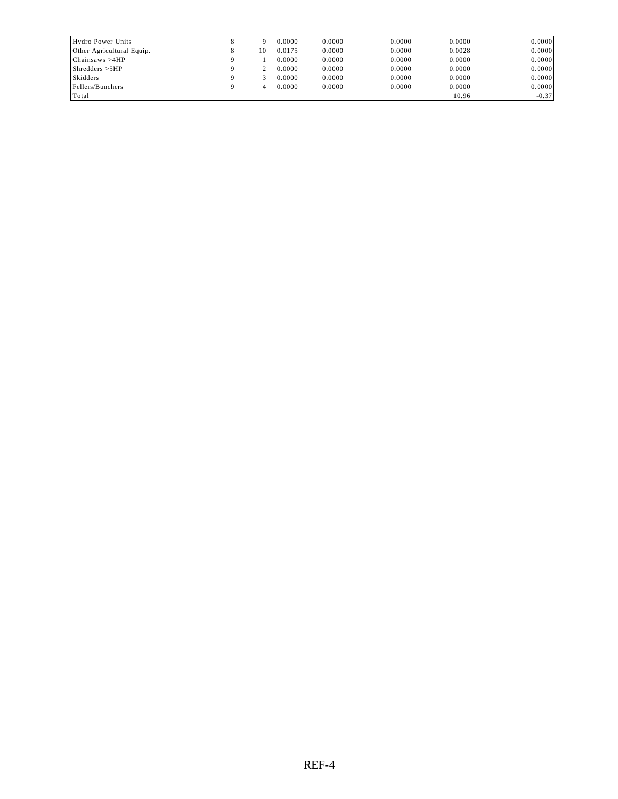| Hydro Power Units         |  | 0.0000 | 0.0000 | 0.0000 | 0.0000 | 0.0000  |
|---------------------------|--|--------|--------|--------|--------|---------|
| Other Agricultural Equip. |  | 0.0175 | 0.0000 | 0.0000 | 0.0028 | 0.0000  |
| Chainsaws > 4HP           |  | 0.0000 | 0.0000 | 0.0000 | 0.0000 | 0.0000  |
| Shredders > 5HP           |  | 0.0000 | 0.0000 | 0.0000 | 0.0000 | 0.0000  |
| Skidders                  |  | 0.0000 | 0.0000 | 0.0000 | 0.0000 | 0.0000  |
| Fellers/Bunchers          |  | 0.0000 | 0.0000 | 0.0000 | 0.0000 | 0.0000  |
| Total                     |  |        |        |        | 10.96  | $-0.37$ |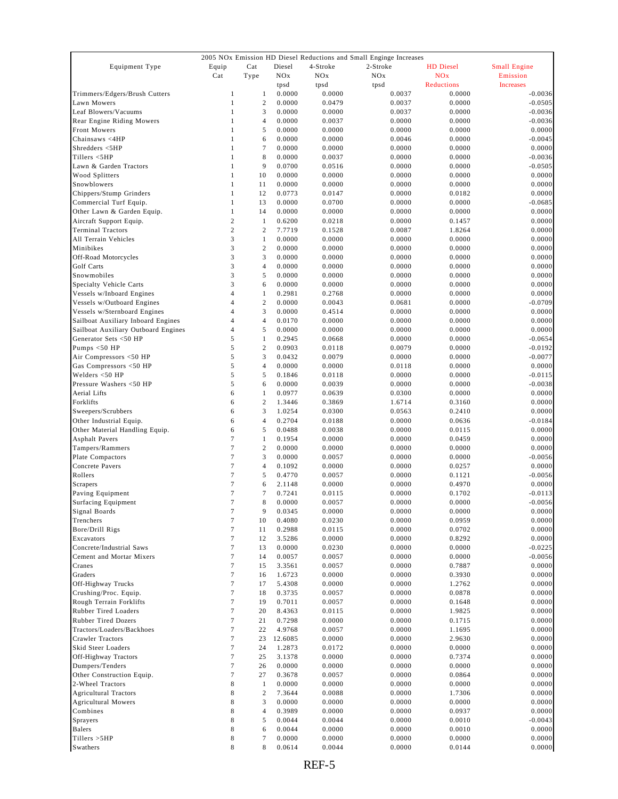|                                     |                  |                  |         |          | 2005 NOx Emission HD Diesel Reductions and Small Enginge Increases |                  |                     |
|-------------------------------------|------------------|------------------|---------|----------|--------------------------------------------------------------------|------------------|---------------------|
| Equipment Type                      | Equip            | Cat              | Diesel  | 4-Stroke | 2-Stroke                                                           | <b>HD</b> Diesel | <b>Small Engine</b> |
|                                     | Cat              | Type             | NOx     | NOx      | NOx                                                                | <b>NOx</b>       | Emission            |
|                                     |                  |                  | tpsd    | tpsd     | tpsd                                                               | Reductions       | <b>Increases</b>    |
| Trimmers/Edgers/Brush Cutters       | $\mathbf{1}$     | $\mathbf{1}$     | 0.0000  | 0.0000   | 0.0037                                                             | 0.0000           | $-0.0036$           |
| Lawn Mowers                         | $\mathbf{1}$     | $\overline{c}$   | 0.0000  | 0.0479   | 0.0037                                                             | 0.0000           | $-0.0505$           |
| Leaf Blowers/Vacuums                | $\mathbf{1}$     | 3                | 0.0000  | 0.0000   | 0.0037                                                             | 0.0000           | $-0.0036$           |
| Rear Engine Riding Mowers           | 1                | $\overline{4}$   | 0.0000  | 0.0037   | 0.0000                                                             | 0.0000           | $-0.0036$           |
| Front Mowers                        | $\mathbf{1}$     | 5                | 0.0000  | 0.0000   | 0.0000                                                             | 0.0000           | 0.0000              |
| Chainsaws <4HP                      | 1                | 6                | 0.0000  | 0.0000   | 0.0046                                                             | 0.0000           | $-0.0045$           |
| Shredders <5HP                      | $\mathbf{1}$     | 7                | 0.0000  | 0.0000   | 0.0000                                                             | 0.0000           | 0.0000              |
| Tillers <5HP                        | $\mathbf{1}$     | 8                | 0.0000  | 0.0037   | 0.0000                                                             | 0.0000           | $-0.0036$           |
| Lawn & Garden Tractors              | 1                | 9                | 0.0700  | 0.0516   | 0.0000                                                             | 0.0000           | $-0.0505$           |
| Wood Splitters                      | 1                | 10               | 0.0000  | 0.0000   | 0.0000                                                             | 0.0000           | 0.0000              |
| Snowblowers                         | 1                | 11               | 0.0000  | 0.0000   | 0.0000                                                             | 0.0000           | 0.0000              |
| Chippers/Stump Grinders             | $\mathbf{1}$     | 12               | 0.0773  | 0.0147   | 0.0000                                                             | 0.0182           | 0.0000              |
| Commercial Turf Equip.              | 1                | 13               | 0.0000  | 0.0700   | 0.0000                                                             | 0.0000           | $-0.0685$           |
| Other Lawn & Garden Equip.          | 1                | 14               | 0.0000  | 0.0000   | 0.0000                                                             | 0.0000           | 0.0000              |
| Aircraft Support Equip.             | $\,2$            | 1                | 0.6200  | 0.0218   | 0.0000                                                             | 0.1457           | 0.0000              |
| <b>Terminal Tractors</b>            | $\overline{c}$   | $\overline{2}$   | 7.7719  | 0.1528   | 0.0087                                                             | 1.8264           | 0.0000              |
| All Terrain Vehicles                | $\mathfrak z$    | $\mathbf{1}$     | 0.0000  | 0.0000   | 0.0000                                                             | 0.0000           | 0.0000              |
| Minibikes                           | 3                | $\boldsymbol{2}$ | 0.0000  | 0.0000   | 0.0000                                                             | 0.0000           | 0.0000              |
| Off-Road Motorcycles                | 3                | 3                | 0.0000  | 0.0000   | 0.0000                                                             | 0.0000           | 0.0000              |
| <b>Golf Carts</b>                   | 3                | $\overline{4}$   | 0.0000  | 0.0000   | 0.0000                                                             | 0.0000           | 0.0000              |
| Snowmobiles                         | 3                | 5                | 0.0000  | 0.0000   | 0.0000                                                             | 0.0000           | 0.0000              |
| Specialty Vehicle Carts             | 3                | 6                | 0.0000  | 0.0000   | 0.0000                                                             | 0.0000           | 0.0000              |
| Vessels w/Inboard Engines           | $\overline{4}$   | $\mathbf{1}$     | 0.2981  | 0.2768   | 0.0000                                                             | 0.0000           | 0.0000              |
| Vessels w/Outboard Engines          | $\overline{4}$   | $\overline{c}$   | 0.0000  | 0.0043   | 0.0681                                                             | 0.0000           | $-0.0709$           |
| Vessels w/Sternboard Engines        | $\overline{4}$   | 3                | 0.0000  | 0.4514   | 0.0000                                                             | 0.0000           | 0.0000              |
| Sailboat Auxiliary Inboard Engines  | $\overline{4}$   | $\overline{4}$   | 0.0170  | 0.0000   | 0.0000                                                             | 0.0000           | 0.0000              |
| Sailboat Auxiliary Outboard Engines | $\overline{4}$   | 5                | 0.0000  | 0.0000   | 0.0000                                                             | 0.0000           | 0.0000              |
| Generator Sets <50 HP               | 5                | $\mathbf{1}$     | 0.2945  | 0.0668   | 0.0000                                                             | 0.0000           | $-0.0654$           |
| Pumps $<$ 50 HP                     | 5                | $\boldsymbol{2}$ | 0.0903  | 0.0118   | 0.0079                                                             | 0.0000           | $-0.0192$           |
| Air Compressors <50 HP              | 5                | 3                | 0.0432  | 0.0079   | 0.0000                                                             | 0.0000           | $-0.0077$           |
| Gas Compressors <50 HP              | $\sqrt{5}$       | $\overline{4}$   | 0.0000  | 0.0000   | 0.0118                                                             | 0.0000           | 0.0000              |
| Welders <50 HP                      | 5                | 5                | 0.1846  | 0.0118   | 0.0000                                                             | 0.0000           | $-0.0115$           |
| Pressure Washers <50 HP             | $\sqrt{5}$       | 6                | 0.0000  | 0.0039   | 0.0000                                                             | 0.0000           | $-0.0038$           |
| Aerial Lifts                        | 6                | $\mathbf{1}$     | 0.0977  | 0.0639   | 0.0300                                                             | 0.0000           | 0.0000              |
| Forklifts                           | 6                | $\overline{c}$   | 1.3446  | 0.3869   | 1.6714                                                             | 0.3160           | 0.0000              |
| Sweepers/Scrubbers                  | 6                | 3                | 1.0254  | 0.0300   | 0.0563                                                             | 0.2410           | 0.0000              |
| Other Industrial Equip.             | 6                | $\overline{4}$   | 0.2704  | 0.0188   | 0.0000                                                             | 0.0636           | $-0.0184$           |
| Other Material Handling Equip.      | 6                | 5                | 0.0488  | 0.0038   | 0.0000                                                             | 0.0115           | 0.0000              |
| <b>Asphalt Pavers</b>               | 7                | $\mathbf{1}$     | 0.1954  | 0.0000   | 0.0000                                                             | 0.0459           | 0.0000              |
| Tampers/Rammers                     | $\tau$           | $\overline{c}$   | 0.0000  | 0.0000   | 0.0000                                                             | 0.0000           | 0.0000              |
| Plate Compactors                    | $\overline{7}$   | 3                | 0.0000  | 0.0057   | 0.0000                                                             | 0.0000           | $-0.0056$           |
| Concrete Pavers                     | $\tau$           | $\overline{4}$   | 0.1092  | 0.0000   | 0.0000                                                             | 0.0257           | 0.0000              |
| Rollers                             | $\overline{7}$   | 5                | 0.4770  | 0.0057   | 0.0000                                                             | 0.1121           | $-0.0056$           |
| Scrapers                            | $\tau$           | 6                | 2.1148  | 0.0000   | 0.0000                                                             | 0.4970           | 0.0000              |
| Paving Equipment                    | $\tau$           | $\tau$           | 0.7241  | 0.0115   | 0.0000                                                             | 0.1702           | $-0.0113$           |
| Surfacing Equipment                 | 7                | 8                | 0.0000  | 0.0057   | 0.0000                                                             | 0.0000           | $-0.0056$           |
| Signal Boards                       | $\boldsymbol{7}$ | 9                | 0.0345  | 0.0000   | 0.0000                                                             | 0.0000           | 0.0000              |
| Trenchers                           | $\tau$           | 10               | 0.4080  | 0.0230   | 0.0000                                                             | 0.0959           | 0.0000              |
| Bore/Drill Rigs                     | $\tau$           | 11               | 0.2988  | 0.0115   | 0.0000                                                             | 0.0702           | 0.0000              |
| Excavators                          | $\tau$           | 12               | 3.5286  | 0.0000   | 0.0000                                                             | 0.8292           | 0.0000              |
| Concrete/Industrial Saws            | $\tau$           | 13               | 0.0000  | 0.0230   | 0.0000                                                             | 0.0000           | $-0.0225$           |
| Cement and Mortar Mixers            | $\tau$           | 14               | 0.0057  | 0.0057   | 0.0000                                                             | 0.0000           | $-0.0056$           |
| Cranes                              | $\tau$           | 15               | 3.3561  | 0.0057   | 0.0000                                                             | 0.7887           | 0.0000              |
| Graders                             | $\tau$           | 16               | 1.6723  | 0.0000   | 0.0000                                                             | 0.3930           | 0.0000              |
| Off-Highway Trucks                  | $\tau$           | 17               | 5.4308  | 0.0000   | 0.0000                                                             | 1.2762           | 0.0000              |
| Crushing/Proc. Equip.               | $\tau$           | 18               | 0.3735  | 0.0057   | 0.0000                                                             | 0.0878           | 0.0000              |
| Rough Terrain Forklifts             | $\tau$           | 19               | 0.7011  | 0.0057   | 0.0000                                                             | 0.1648           | 0.0000              |
| Rubber Tired Loaders                | $\tau$           | 20               | 8.4363  | 0.0115   | 0.0000                                                             | 1.9825           | 0.0000              |
| Rubber Tired Dozers                 | $\tau$           | 21               | 0.7298  | 0.0000   | 0.0000                                                             | 0.1715           | 0.0000              |
| Tractors/Loaders/Backhoes           | $\tau$           | 22               | 4.9768  | 0.0057   | 0.0000                                                             | 1.1695           | 0.0000              |
| Crawler Tractors                    | $\tau$           | 23               | 12.6085 | 0.0000   | 0.0000                                                             | 2.9630           | 0.0000              |
| Skid Steer Loaders                  | $\tau$           | 24               | 1.2873  | 0.0172   | 0.0000                                                             | 0.0000           | 0.0000              |
| Off-Highway Tractors                | $\tau$           | 25               | 3.1378  | 0.0000   | 0.0000                                                             | 0.7374           | 0.0000              |
| Dumpers/Tenders                     | $\tau$           | 26               | 0.0000  | 0.0000   | 0.0000                                                             | 0.0000           | 0.0000              |
| Other Construction Equip.           | $\tau$           | 27               | 0.3678  | 0.0057   | 0.0000                                                             | 0.0864           | 0.0000              |
| 2-Wheel Tractors                    | 8                | $\mathbf{1}$     | 0.0000  | 0.0000   | 0.0000                                                             | 0.0000           | 0.0000              |
| <b>Agricultural Tractors</b>        | $\,$ 8 $\,$      | $\sqrt{2}$       | 7.3644  | 0.0088   | 0.0000                                                             | 1.7306           | 0.0000              |
| <b>Agricultural Mowers</b>          | 8                | 3                | 0.0000  | 0.0000   | 0.0000                                                             | 0.0000           | 0.0000              |
| Combines                            | 8                | $\overline{4}$   | 0.3989  | 0.0000   | 0.0000                                                             | 0.0937           | 0.0000              |
| Sprayers                            | 8                | 5                | 0.0044  | 0.0044   | 0.0000                                                             | 0.0010           | $-0.0043$           |
| <b>Balers</b>                       | $\,$ 8 $\,$      | 6                | 0.0044  | 0.0000   | 0.0000                                                             | 0.0010           | 0.0000              |
| Tillers >5HP                        | $\,$ 8 $\,$      | 7                | 0.0000  | 0.0000   | 0.0000                                                             | 0.0000           | 0.0000              |
| Swathers                            | $\,$ 8 $\,$      | 8                | 0.0614  | 0.0044   | 0.0000                                                             | 0.0144           | 0.0000              |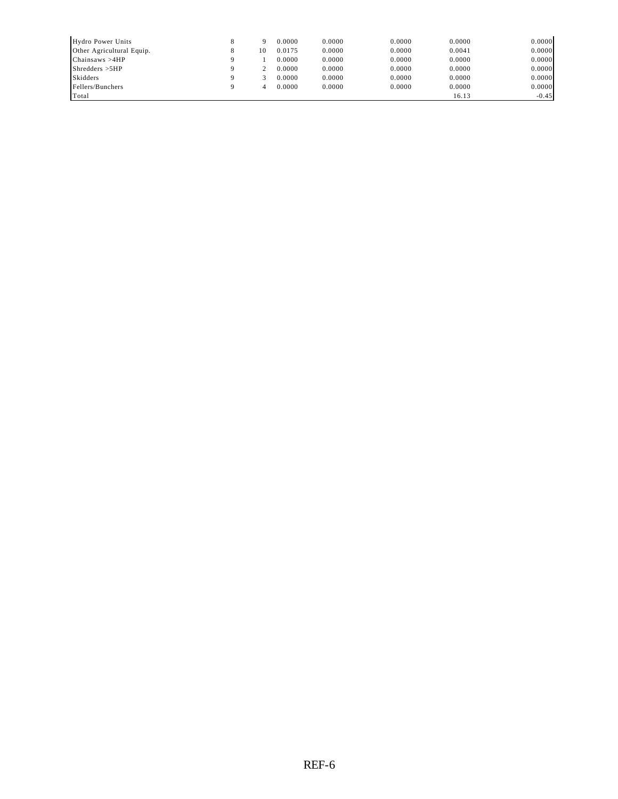| Hydro Power Units         |  | 0.0000 | 0.0000 | 0.0000 | 0.0000 | 0.0000  |
|---------------------------|--|--------|--------|--------|--------|---------|
| Other Agricultural Equip. |  | 0.0175 | 0.0000 | 0.0000 | 0.0041 | 0.0000  |
| Chainsaws > 4HP           |  | 0.0000 | 0.0000 | 0.0000 | 0.0000 | 0.0000  |
| Shredders > 5HP           |  | 0.0000 | 0.0000 | 0.0000 | 0.0000 | 0.0000  |
| Skidders                  |  | 0.0000 | 0.0000 | 0.0000 | 0.0000 | 0.0000  |
| Fellers/Bunchers          |  | 0.0000 | 0.0000 | 0.0000 | 0.0000 | 0.0000  |
| Total                     |  |        |        |        | 16.13  | $-0.45$ |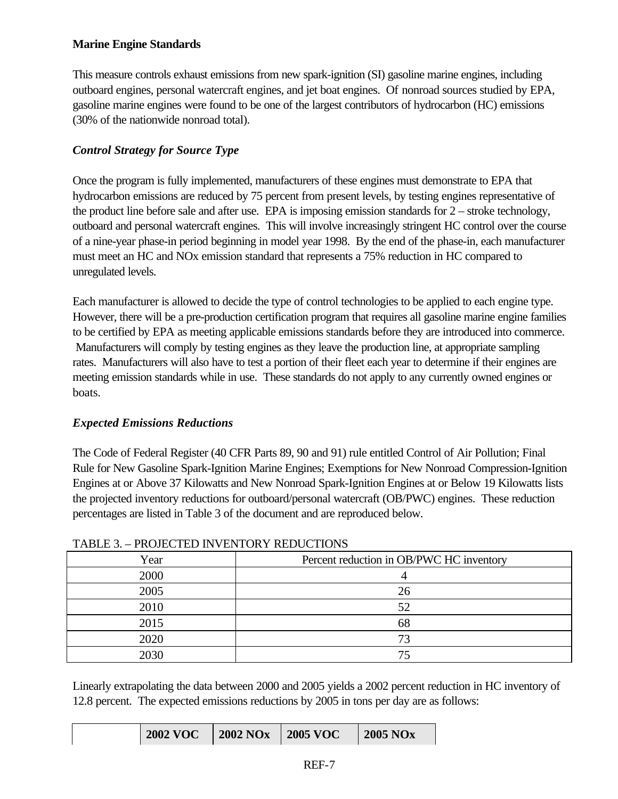## **Marine Engine Standards**

This measure controls exhaust emissions from new spark-ignition (SI) gasoline marine engines, including outboard engines, personal watercraft engines, and jet boat engines. Of nonroad sources studied by EPA, gasoline marine engines were found to be one of the largest contributors of hydrocarbon (HC) emissions (30% of the nationwide nonroad total).

## *Control Strategy for Source Type*

Once the program is fully implemented, manufacturers of these engines must demonstrate to EPA that hydrocarbon emissions are reduced by 75 percent from present levels, by testing engines representative of the product line before sale and after use. EPA is imposing emission standards for  $2$  – stroke technology, outboard and personal watercraft engines. This will involve increasingly stringent HC control over the course of a nine-year phase-in period beginning in model year 1998. By the end of the phase-in, each manufacturer must meet an HC and NOx emission standard that represents a 75% reduction in HC compared to unregulated levels.

Each manufacturer is allowed to decide the type of control technologies to be applied to each engine type. However, there will be a pre-production certification program that requires all gasoline marine engine families to be certified by EPA as meeting applicable emissions standards before they are introduced into commerce. Manufacturers will comply by testing engines as they leave the production line, at appropriate sampling rates. Manufacturers will also have to test a portion of their fleet each year to determine if their engines are meeting emission standards while in use. These standards do not apply to any currently owned engines or boats.

### *Expected Emissions Reductions*

The Code of Federal Register (40 CFR Parts 89, 90 and 91) rule entitled Control of Air Pollution; Final Rule for New Gasoline Spark-Ignition Marine Engines; Exemptions for New Nonroad Compression-Ignition Engines at or Above 37 Kilowatts and New Nonroad Spark-Ignition Engines at or Below 19 Kilowatts lists the projected inventory reductions for outboard/personal watercraft (OB/PWC) engines. These reduction percentages are listed in Table 3 of the document and are reproduced below.

| Year | Percent reduction in OB/PWC HC inventory |
|------|------------------------------------------|
| 2000 |                                          |
| 2005 | 26                                       |
| 2010 | 52                                       |
| 2015 | 68                                       |
| 2020 | 73                                       |
| 2030 |                                          |

#### TABLE 3. – PROJECTED INVENTORY REDUCTIONS

Linearly extrapolating the data between 2000 and 2005 yields a 2002 percent reduction in HC inventory of 12.8 percent. The expected emissions reductions by 2005 in tons per day are as follows:

|  | <b>2002 VOC</b> | 2002 NOx | $\mid$ 2005 VOC | 2005 NOx |
|--|-----------------|----------|-----------------|----------|
|--|-----------------|----------|-----------------|----------|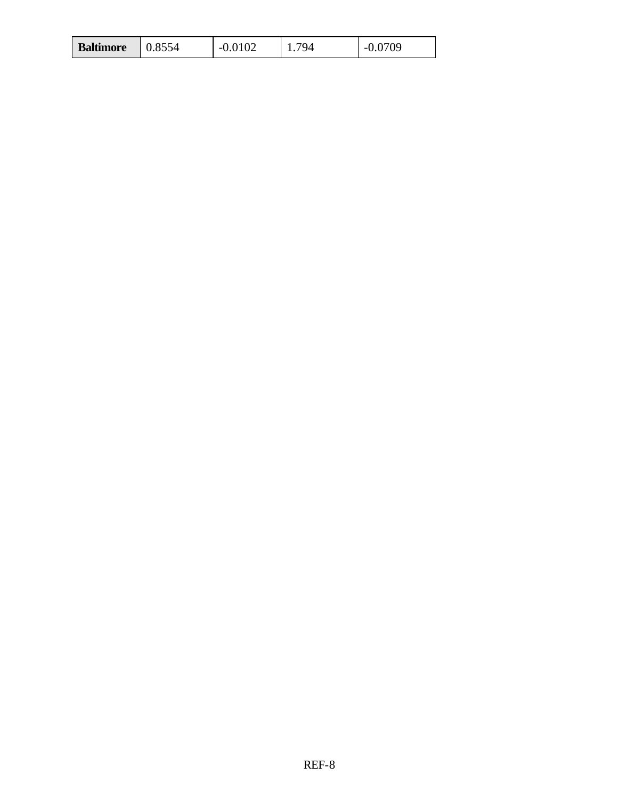| <b>Baltimore</b> | ℩୵ | - | 70, | - 1 |
|------------------|----|---|-----|-----|
|------------------|----|---|-----|-----|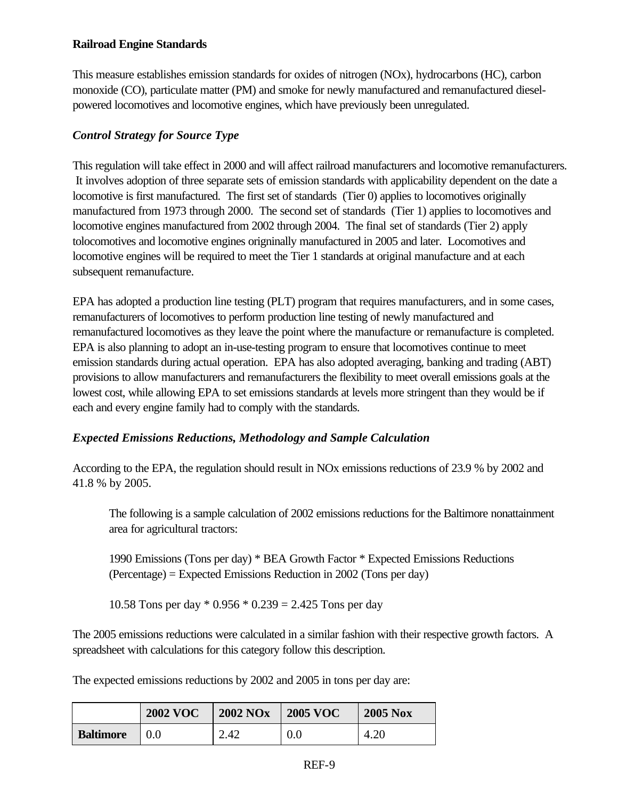## **Railroad Engine Standards**

This measure establishes emission standards for oxides of nitrogen (NOx), hydrocarbons (HC), carbon monoxide (CO), particulate matter (PM) and smoke for newly manufactured and remanufactured dieselpowered locomotives and locomotive engines, which have previously been unregulated.

# *Control Strategy for Source Type*

This regulation will take effect in 2000 and will affect railroad manufacturers and locomotive remanufacturers. It involves adoption of three separate sets of emission standards with applicability dependent on the date a locomotive is first manufactured. The first set of standards (Tier 0) applies to locomotives originally manufactured from 1973 through 2000. The second set of standards (Tier 1) applies to locomotives and locomotive engines manufactured from 2002 through 2004. The final set of standards (Tier 2) apply tolocomotives and locomotive engines origninally manufactured in 2005 and later. Locomotives and locomotive engines will be required to meet the Tier 1 standards at original manufacture and at each subsequent remanufacture.

EPA has adopted a production line testing (PLT) program that requires manufacturers, and in some cases, remanufacturers of locomotives to perform production line testing of newly manufactured and remanufactured locomotives as they leave the point where the manufacture or remanufacture is completed. EPA is also planning to adopt an in-use-testing program to ensure that locomotives continue to meet emission standards during actual operation. EPA has also adopted averaging, banking and trading (ABT) provisions to allow manufacturers and remanufacturers the flexibility to meet overall emissions goals at the lowest cost, while allowing EPA to set emissions standards at levels more stringent than they would be if each and every engine family had to comply with the standards.

# *Expected Emissions Reductions, Methodology and Sample Calculation*

According to the EPA, the regulation should result in NOx emissions reductions of 23.9 % by 2002 and 41.8 % by 2005.

The following is a sample calculation of 2002 emissions reductions for the Baltimore nonattainment area for agricultural tractors:

1990 Emissions (Tons per day) \* BEA Growth Factor \* Expected Emissions Reductions (Percentage) = Expected Emissions Reduction in 2002 (Tons per day)

10.58 Tons per day  $*$  0.956  $*$  0.239 = 2.425 Tons per day

The 2005 emissions reductions were calculated in a similar fashion with their respective growth factors. A spreadsheet with calculations for this category follow this description.

The expected emissions reductions by 2002 and 2005 in tons per day are:

|                  | <b>2002 VOC</b> | <b>2002 NOx</b> | <b>2005 VOC</b> | <b>2005 Nox</b> |
|------------------|-----------------|-----------------|-----------------|-----------------|
| <b>Baltimore</b> |                 | 2.42            | 0.0             | 4.20            |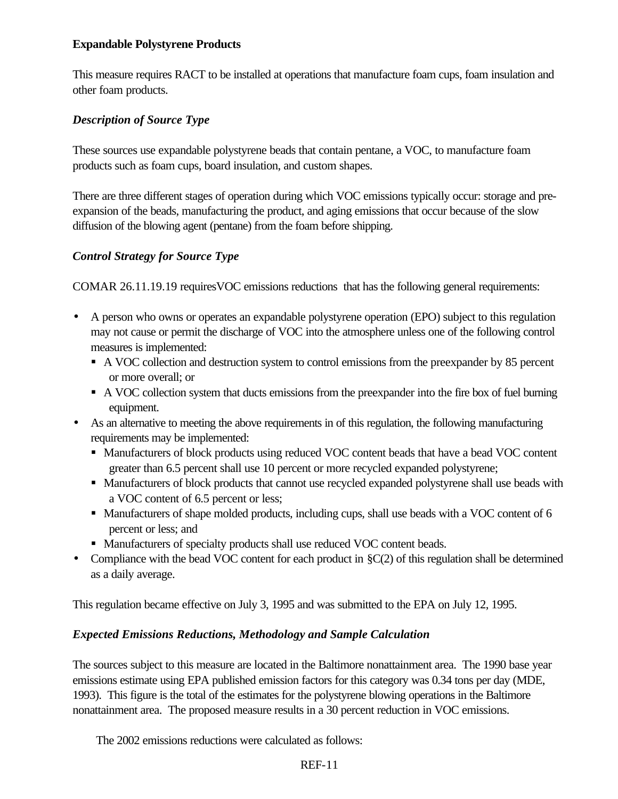## **Expandable Polystyrene Products**

This measure requires RACT to be installed at operations that manufacture foam cups, foam insulation and other foam products.

## *Description of Source Type*

These sources use expandable polystyrene beads that contain pentane, a VOC, to manufacture foam products such as foam cups, board insulation, and custom shapes.

There are three different stages of operation during which VOC emissions typically occur: storage and preexpansion of the beads, manufacturing the product, and aging emissions that occur because of the slow diffusion of the blowing agent (pentane) from the foam before shipping.

### *Control Strategy for Source Type*

COMAR 26.11.19.19 requiresVOC emissions reductions that has the following general requirements:

- A person who owns or operates an expandable polystyrene operation (EPO) subject to this regulation may not cause or permit the discharge of VOC into the atmosphere unless one of the following control measures is implemented:
	- A VOC collection and destruction system to control emissions from the preexpander by 85 percent or more overall; or
	- A VOC collection system that ducts emissions from the preexpander into the fire box of fuel burning equipment.
- As an alternative to meeting the above requirements in of this regulation, the following manufacturing requirements may be implemented:
	- **Manufacturers of block products using reduced VOC content beads that have a bead VOC content** greater than 6.5 percent shall use 10 percent or more recycled expanded polystyrene;
	- Manufacturers of block products that cannot use recycled expanded polystyrene shall use beads with a VOC content of 6.5 percent or less;
	- Manufacturers of shape molded products, including cups, shall use beads with a VOC content of 6 percent or less; and
	- Manufacturers of specialty products shall use reduced VOC content beads.
- Compliance with the bead VOC content for each product in §C(2) of this regulation shall be determined as a daily average.

This regulation became effective on July 3, 1995 and was submitted to the EPA on July 12, 1995.

# *Expected Emissions Reductions, Methodology and Sample Calculation*

The sources subject to this measure are located in the Baltimore nonattainment area. The 1990 base year emissions estimate using EPA published emission factors for this category was 0.34 tons per day (MDE, 1993). This figure is the total of the estimates for the polystyrene blowing operations in the Baltimore nonattainment area. The proposed measure results in a 30 percent reduction in VOC emissions.

The 2002 emissions reductions were calculated as follows: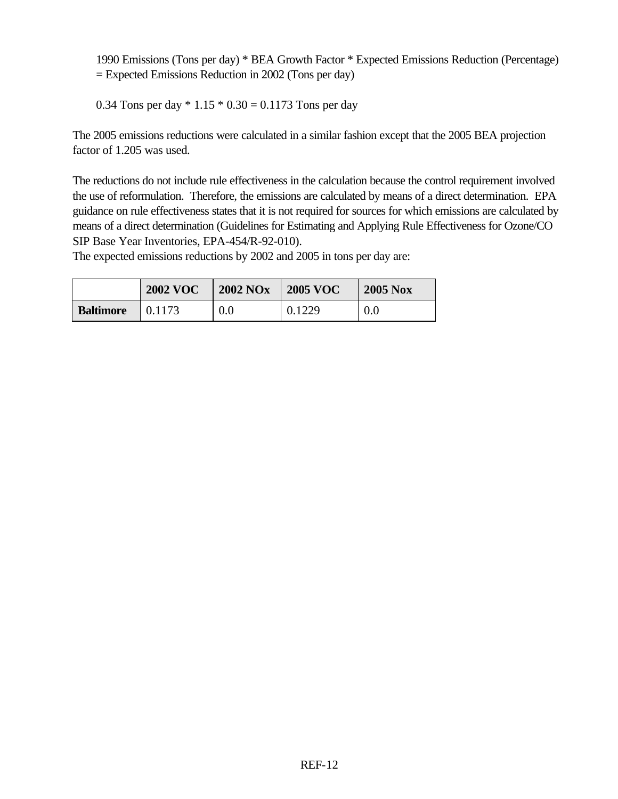1990 Emissions (Tons per day) \* BEA Growth Factor \* Expected Emissions Reduction (Percentage) = Expected Emissions Reduction in 2002 (Tons per day)

0.34 Tons per day  $* 1.15 * 0.30 = 0.1173$  Tons per day

The 2005 emissions reductions were calculated in a similar fashion except that the 2005 BEA projection factor of 1.205 was used.

The reductions do not include rule effectiveness in the calculation because the control requirement involved the use of reformulation. Therefore, the emissions are calculated by means of a direct determination. EPA guidance on rule effectiveness states that it is not required for sources for which emissions are calculated by means of a direct determination (Guidelines for Estimating and Applying Rule Effectiveness for Ozone/CO SIP Base Year Inventories, EPA-454/R-92-010).

The expected emissions reductions by 2002 and 2005 in tons per day are:

|                  | <b>2002 VOC</b> | <b>2002 NOx</b> | <b>2005 VOC</b> | <b>2005 Nox</b> |
|------------------|-----------------|-----------------|-----------------|-----------------|
| <b>Baltimore</b> | 0.1173          | 0.0             | 0.1229          | 0.0             |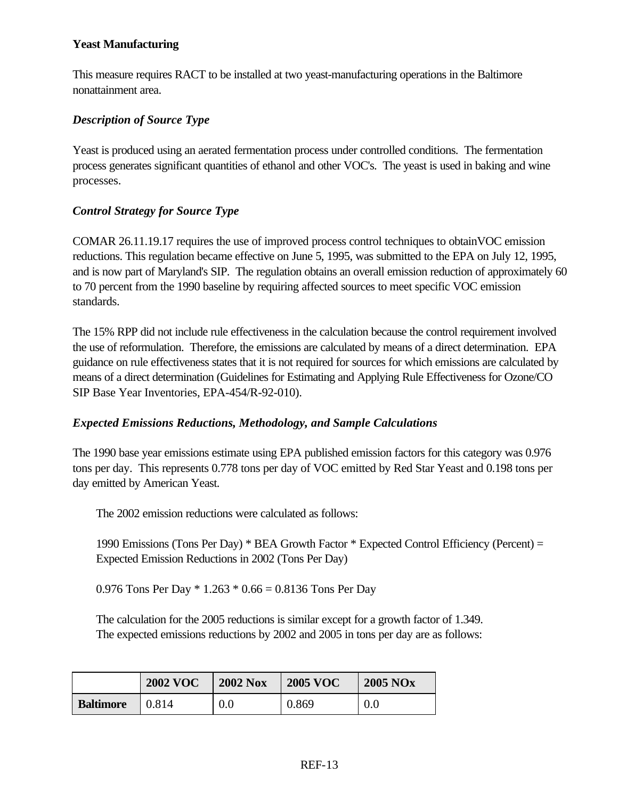### **Yeast Manufacturing**

This measure requires RACT to be installed at two yeast-manufacturing operations in the Baltimore nonattainment area.

## *Description of Source Type*

Yeast is produced using an aerated fermentation process under controlled conditions. The fermentation process generates significant quantities of ethanol and other VOC's. The yeast is used in baking and wine processes.

## *Control Strategy for Source Type*

COMAR 26.11.19.17 requires the use of improved process control techniques to obtainVOC emission reductions. This regulation became effective on June 5, 1995, was submitted to the EPA on July 12, 1995, and is now part of Maryland's SIP. The regulation obtains an overall emission reduction of approximately 60 to 70 percent from the 1990 baseline by requiring affected sources to meet specific VOC emission standards.

The 15% RPP did not include rule effectiveness in the calculation because the control requirement involved the use of reformulation. Therefore, the emissions are calculated by means of a direct determination. EPA guidance on rule effectiveness states that it is not required for sources for which emissions are calculated by means of a direct determination (Guidelines for Estimating and Applying Rule Effectiveness for Ozone/CO SIP Base Year Inventories, EPA-454/R-92-010).

### *Expected Emissions Reductions, Methodology, and Sample Calculations*

The 1990 base year emissions estimate using EPA published emission factors for this category was 0.976 tons per day. This represents 0.778 tons per day of VOC emitted by Red Star Yeast and 0.198 tons per day emitted by American Yeast.

The 2002 emission reductions were calculated as follows:

1990 Emissions (Tons Per Day) \* BEA Growth Factor \* Expected Control Efficiency (Percent) = Expected Emission Reductions in 2002 (Tons Per Day)

0.976 Tons Per Day  $* 1.263 * 0.66 = 0.8136$  Tons Per Day

The calculation for the 2005 reductions is similar except for a growth factor of 1.349. The expected emissions reductions by 2002 and 2005 in tons per day are as follows:

|                  | <b>2002 VOC</b> | <b>2002 Nox</b> | <b>2005 VOC</b> | <b>2005 NOx</b> |
|------------------|-----------------|-----------------|-----------------|-----------------|
| <b>Baltimore</b> | 0.814           | 0.0             | 0.869           | 0.0             |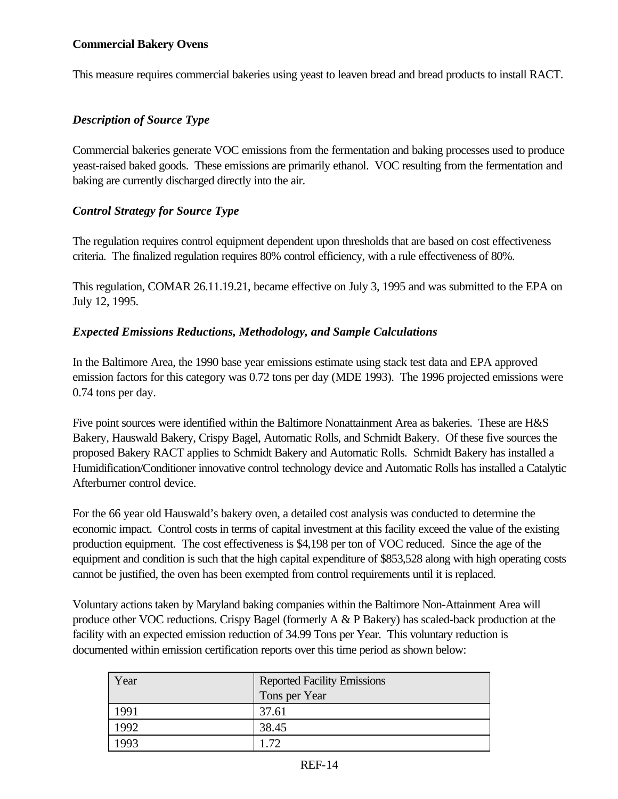### **Commercial Bakery Ovens**

This measure requires commercial bakeries using yeast to leaven bread and bread products to install RACT.

#### *Description of Source Type*

Commercial bakeries generate VOC emissions from the fermentation and baking processes used to produce yeast-raised baked goods. These emissions are primarily ethanol. VOC resulting from the fermentation and baking are currently discharged directly into the air.

#### *Control Strategy for Source Type*

The regulation requires control equipment dependent upon thresholds that are based on cost effectiveness criteria. The finalized regulation requires 80% control efficiency, with a rule effectiveness of 80%.

This regulation, COMAR 26.11.19.21, became effective on July 3, 1995 and was submitted to the EPA on July 12, 1995.

#### *Expected Emissions Reductions, Methodology, and Sample Calculations*

In the Baltimore Area, the 1990 base year emissions estimate using stack test data and EPA approved emission factors for this category was 0.72 tons per day (MDE 1993). The 1996 projected emissions were 0.74 tons per day.

Five point sources were identified within the Baltimore Nonattainment Area as bakeries. These are H&S Bakery, Hauswald Bakery, Crispy Bagel, Automatic Rolls, and Schmidt Bakery. Of these five sources the proposed Bakery RACT applies to Schmidt Bakery and Automatic Rolls. Schmidt Bakery has installed a Humidification/Conditioner innovative control technology device and Automatic Rolls has installed a Catalytic Afterburner control device.

For the 66 year old Hauswald's bakery oven, a detailed cost analysis was conducted to determine the economic impact. Control costs in terms of capital investment at this facility exceed the value of the existing production equipment. The cost effectiveness is \$4,198 per ton of VOC reduced. Since the age of the equipment and condition is such that the high capital expenditure of \$853,528 along with high operating costs cannot be justified, the oven has been exempted from control requirements until it is replaced.

Voluntary actions taken by Maryland baking companies within the Baltimore Non-Attainment Area will produce other VOC reductions. Crispy Bagel (formerly A & P Bakery) has scaled-back production at the facility with an expected emission reduction of 34.99 Tons per Year. This voluntary reduction is documented within emission certification reports over this time period as shown below:

| Year | <b>Reported Facility Emissions</b> |  |  |  |
|------|------------------------------------|--|--|--|
|      | Tons per Year                      |  |  |  |
| 1991 | 37.61                              |  |  |  |
| 1992 | 38.45                              |  |  |  |
| 1993 | 172                                |  |  |  |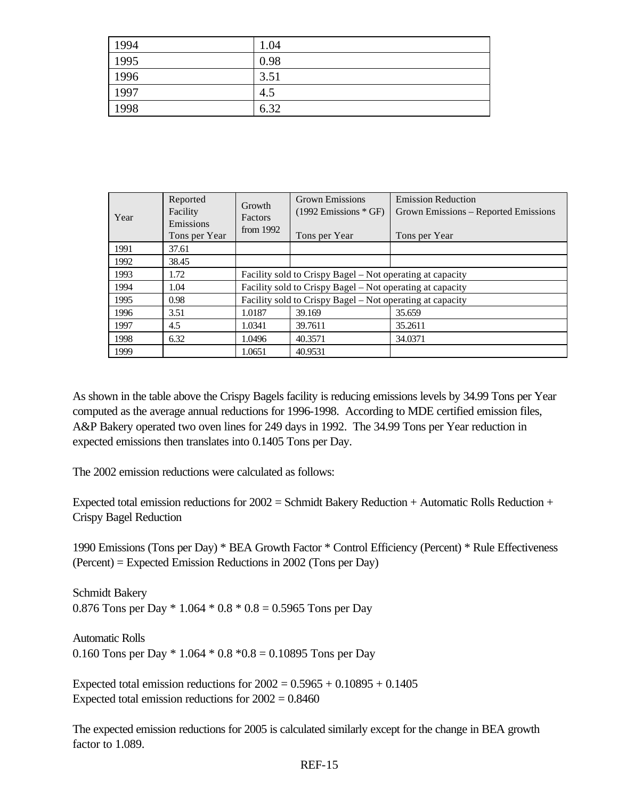| 1994 | 1.04 |
|------|------|
| 1995 | 0.98 |
| 1996 | 3.51 |
| 1997 | 4.5  |
| 1998 | 6.32 |

| Year | Reported<br>Facility<br>Emissions<br>Tons per Year | Growth<br>Factors<br>from $1992$                          | <b>Grown Emissions</b><br>$(1992$ Emissions $*$ GF)<br>Tons per Year | <b>Emission Reduction</b><br>Grown Emissions - Reported Emissions<br>Tons per Year |  |  |
|------|----------------------------------------------------|-----------------------------------------------------------|----------------------------------------------------------------------|------------------------------------------------------------------------------------|--|--|
| 1991 | 37.61                                              |                                                           |                                                                      |                                                                                    |  |  |
| 1992 | 38.45                                              |                                                           |                                                                      |                                                                                    |  |  |
| 1993 | 1.72                                               | Facility sold to Crispy Bagel – Not operating at capacity |                                                                      |                                                                                    |  |  |
| 1994 | 1.04                                               |                                                           | Facility sold to Crispy Bagel – Not operating at capacity            |                                                                                    |  |  |
| 1995 | 0.98                                               |                                                           | Facility sold to Crispy Bagel – Not operating at capacity            |                                                                                    |  |  |
| 1996 | 3.51                                               | 1.0187                                                    | 39.169                                                               | 35.659                                                                             |  |  |
| 1997 | 4.5                                                | 1.0341                                                    | 39.7611                                                              | 35.2611                                                                            |  |  |
| 1998 | 6.32                                               | 1.0496                                                    | 40.3571                                                              | 34.0371                                                                            |  |  |
| 1999 |                                                    | 1.0651                                                    | 40.9531                                                              |                                                                                    |  |  |

As shown in the table above the Crispy Bagels facility is reducing emissions levels by 34.99 Tons per Year computed as the average annual reductions for 1996-1998. According to MDE certified emission files, A&P Bakery operated two oven lines for 249 days in 1992. The 34.99 Tons per Year reduction in expected emissions then translates into 0.1405 Tons per Day.

The 2002 emission reductions were calculated as follows:

Expected total emission reductions for  $2002 =$  Schmidt Bakery Reduction + Automatic Rolls Reduction + Crispy Bagel Reduction

1990 Emissions (Tons per Day) \* BEA Growth Factor \* Control Efficiency (Percent) \* Rule Effectiveness (Percent) = Expected Emission Reductions in 2002 (Tons per Day)

Schmidt Bakery 0.876 Tons per Day  $* 1.064 * 0.8 * 0.8 = 0.5965$  Tons per Day

Automatic Rolls 0.160 Tons per Day \* 1.064 \* 0.8 \*0.8 = 0.10895 Tons per Day

Expected total emission reductions for  $2002 = 0.5965 + 0.10895 + 0.1405$ Expected total emission reductions for  $2002 = 0.8460$ 

The expected emission reductions for 2005 is calculated similarly except for the change in BEA growth factor to 1.089.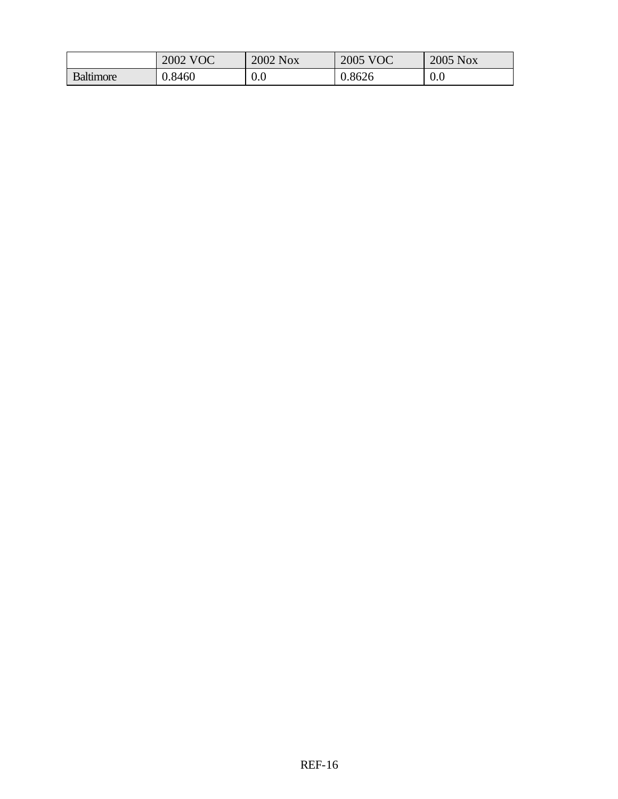|                  | 2002 VOC | 2002 Nox | 2005 VOC | 2005 Nox |
|------------------|----------|----------|----------|----------|
| <b>Baltimore</b> | 0.8460   | $0.0\,$  | 0.8626   | 0.0      |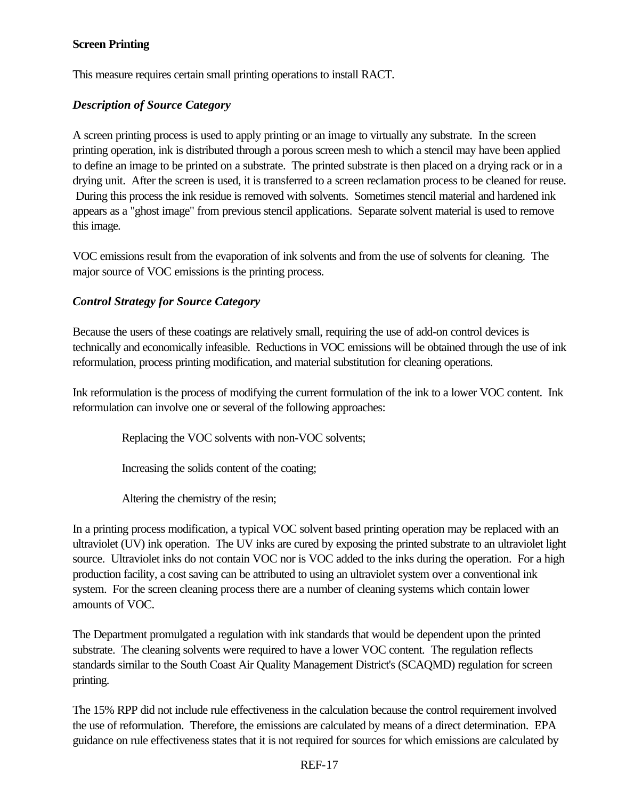## **Screen Printing**

This measure requires certain small printing operations to install RACT.

### *Description of Source Category*

A screen printing process is used to apply printing or an image to virtually any substrate. In the screen printing operation, ink is distributed through a porous screen mesh to which a stencil may have been applied to define an image to be printed on a substrate. The printed substrate is then placed on a drying rack or in a drying unit. After the screen is used, it is transferred to a screen reclamation process to be cleaned for reuse. During this process the ink residue is removed with solvents. Sometimes stencil material and hardened ink appears as a "ghost image" from previous stencil applications. Separate solvent material is used to remove this image.

VOC emissions result from the evaporation of ink solvents and from the use of solvents for cleaning. The major source of VOC emissions is the printing process.

#### *Control Strategy for Source Category*

Because the users of these coatings are relatively small, requiring the use of add-on control devices is technically and economically infeasible. Reductions in VOC emissions will be obtained through the use of ink reformulation, process printing modification, and material substitution for cleaning operations.

Ink reformulation is the process of modifying the current formulation of the ink to a lower VOC content. Ink reformulation can involve one or several of the following approaches:

Replacing the VOC solvents with non-VOC solvents;

Increasing the solids content of the coating;

Altering the chemistry of the resin;

In a printing process modification, a typical VOC solvent based printing operation may be replaced with an ultraviolet (UV) ink operation. The UV inks are cured by exposing the printed substrate to an ultraviolet light source. Ultraviolet inks do not contain VOC nor is VOC added to the inks during the operation. For a high production facility, a cost saving can be attributed to using an ultraviolet system over a conventional ink system. For the screen cleaning process there are a number of cleaning systems which contain lower amounts of VOC.

The Department promulgated a regulation with ink standards that would be dependent upon the printed substrate. The cleaning solvents were required to have a lower VOC content. The regulation reflects standards similar to the South Coast Air Quality Management District's (SCAQMD) regulation for screen printing.

The 15% RPP did not include rule effectiveness in the calculation because the control requirement involved the use of reformulation. Therefore, the emissions are calculated by means of a direct determination. EPA guidance on rule effectiveness states that it is not required for sources for which emissions are calculated by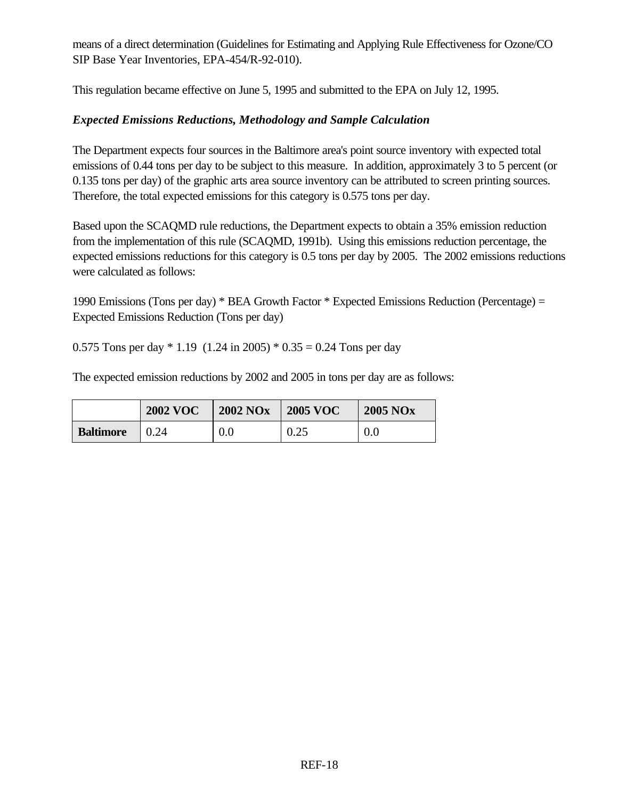means of a direct determination (Guidelines for Estimating and Applying Rule Effectiveness for Ozone/CO SIP Base Year Inventories, EPA-454/R-92-010).

This regulation became effective on June 5, 1995 and submitted to the EPA on July 12, 1995.

### *Expected Emissions Reductions, Methodology and Sample Calculation*

The Department expects four sources in the Baltimore area's point source inventory with expected total emissions of 0.44 tons per day to be subject to this measure. In addition, approximately 3 to 5 percent (or 0.135 tons per day) of the graphic arts area source inventory can be attributed to screen printing sources. Therefore, the total expected emissions for this category is 0.575 tons per day.

Based upon the SCAQMD rule reductions, the Department expects to obtain a 35% emission reduction from the implementation of this rule (SCAQMD, 1991b). Using this emissions reduction percentage, the expected emissions reductions for this category is 0.5 tons per day by 2005. The 2002 emissions reductions were calculated as follows:

1990 Emissions (Tons per day) \* BEA Growth Factor \* Expected Emissions Reduction (Percentage) = Expected Emissions Reduction (Tons per day)

0.575 Tons per day  $*$  1.19 (1.24 in 2005)  $*$  0.35 = 0.24 Tons per day

The expected emission reductions by 2002 and 2005 in tons per day are as follows:

|                  | <b>2002 VOC</b> | <b>2002 NOx</b> | <b>2005 VOC</b> | <b>2005 NOx</b> |
|------------------|-----------------|-----------------|-----------------|-----------------|
| <b>Baltimore</b> | 0.24            | 0.0             | 0.25            | 0.0             |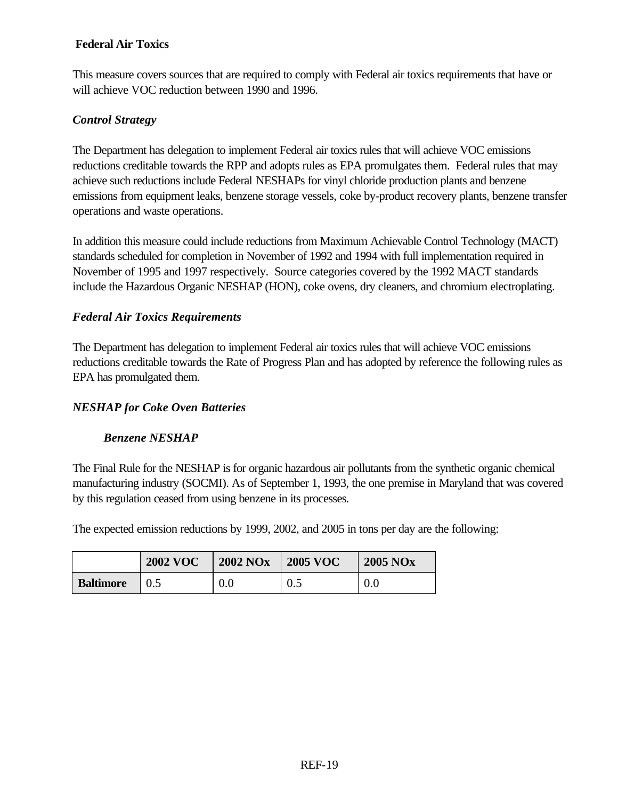# **Federal Air Toxics**

This measure covers sources that are required to comply with Federal air toxics requirements that have or will achieve VOC reduction between 1990 and 1996.

### *Control Strategy*

The Department has delegation to implement Federal air toxics rules that will achieve VOC emissions reductions creditable towards the RPP and adopts rules as EPA promulgates them. Federal rules that may achieve such reductions include Federal NESHAPs for vinyl chloride production plants and benzene emissions from equipment leaks, benzene storage vessels, coke by-product recovery plants, benzene transfer operations and waste operations.

In addition this measure could include reductions from Maximum Achievable Control Technology (MACT) standards scheduled for completion in November of 1992 and 1994 with full implementation required in November of 1995 and 1997 respectively. Source categories covered by the 1992 MACT standards include the Hazardous Organic NESHAP (HON), coke ovens, dry cleaners, and chromium electroplating.

### *Federal Air Toxics Requirements*

The Department has delegation to implement Federal air toxics rules that will achieve VOC emissions reductions creditable towards the Rate of Progress Plan and has adopted by reference the following rules as EPA has promulgated them.

### *NESHAP for Coke Oven Batteries*

### *Benzene NESHAP*

The Final Rule for the NESHAP is for organic hazardous air pollutants from the synthetic organic chemical manufacturing industry (SOCMI). As of September 1, 1993, the one premise in Maryland that was covered by this regulation ceased from using benzene in its processes.

The expected emission reductions by 1999, 2002, and 2005 in tons per day are the following:

|                  | <b>2002 VOC</b> | <b>2002 NOx</b> | <b>2005 VOC</b> | <b>2005 NOx</b> |
|------------------|-----------------|-----------------|-----------------|-----------------|
| <b>Baltimore</b> |                 | $0.0\,$         | 0.5             | 0.0             |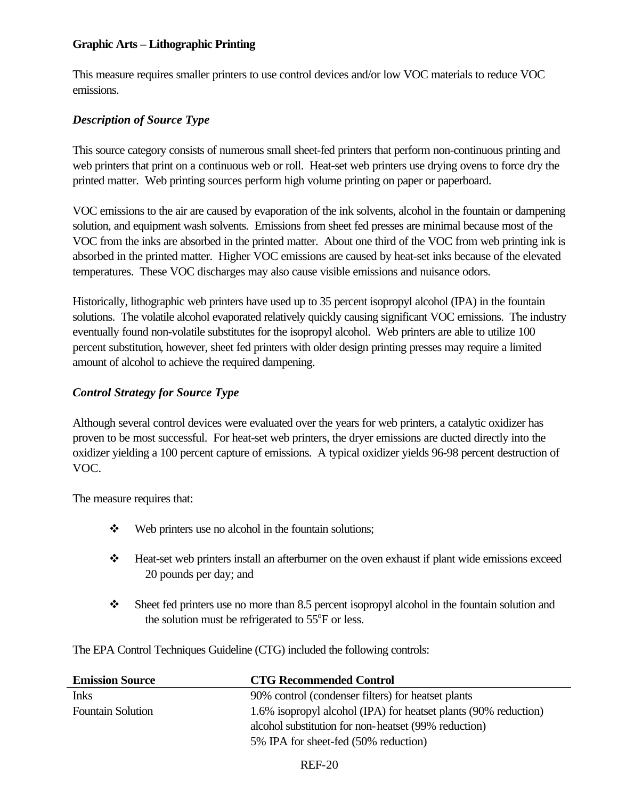### **Graphic Arts – Lithographic Printing**

This measure requires smaller printers to use control devices and/or low VOC materials to reduce VOC emissions.

### *Description of Source Type*

This source category consists of numerous small sheet-fed printers that perform non-continuous printing and web printers that print on a continuous web or roll. Heat-set web printers use drying ovens to force dry the printed matter. Web printing sources perform high volume printing on paper or paperboard.

VOC emissions to the air are caused by evaporation of the ink solvents, alcohol in the fountain or dampening solution, and equipment wash solvents. Emissions from sheet fed presses are minimal because most of the VOC from the inks are absorbed in the printed matter. About one third of the VOC from web printing ink is absorbed in the printed matter. Higher VOC emissions are caused by heat-set inks because of the elevated temperatures. These VOC discharges may also cause visible emissions and nuisance odors.

Historically, lithographic web printers have used up to 35 percent isopropyl alcohol (IPA) in the fountain solutions. The volatile alcohol evaporated relatively quickly causing significant VOC emissions. The industry eventually found non-volatile substitutes for the isopropyl alcohol. Web printers are able to utilize 100 percent substitution, however, sheet fed printers with older design printing presses may require a limited amount of alcohol to achieve the required dampening.

### *Control Strategy for Source Type*

Although several control devices were evaluated over the years for web printers, a catalytic oxidizer has proven to be most successful. For heat-set web printers, the dryer emissions are ducted directly into the oxidizer yielding a 100 percent capture of emissions. A typical oxidizer yields 96-98 percent destruction of VOC.

The measure requires that:

- $\mathbf{\hat{\cdot}}$  Web printers use no alcohol in the fountain solutions;
- $\triangleleft$  Heat-set web printers install an afterburner on the oven exhaust if plant wide emissions exceed 20 pounds per day; and
- $\cdot$  Sheet fed printers use no more than 8.5 percent isopropyl alcohol in the fountain solution and the solution must be refrigerated to  $55^{\circ}$ F or less.

The EPA Control Techniques Guideline (CTG) included the following controls:

| <b>Emission Source</b>   | <b>CTG Recommended Control</b>                                  |  |  |
|--------------------------|-----------------------------------------------------------------|--|--|
| <b>Inks</b>              | 90% control (condenser filters) for heatset plants              |  |  |
| <b>Fountain Solution</b> | 1.6% isopropyl alcohol (IPA) for heatset plants (90% reduction) |  |  |
|                          | alcohol substitution for non-heatset (99% reduction)            |  |  |
|                          | 5% IPA for sheet-fed (50% reduction)                            |  |  |
|                          |                                                                 |  |  |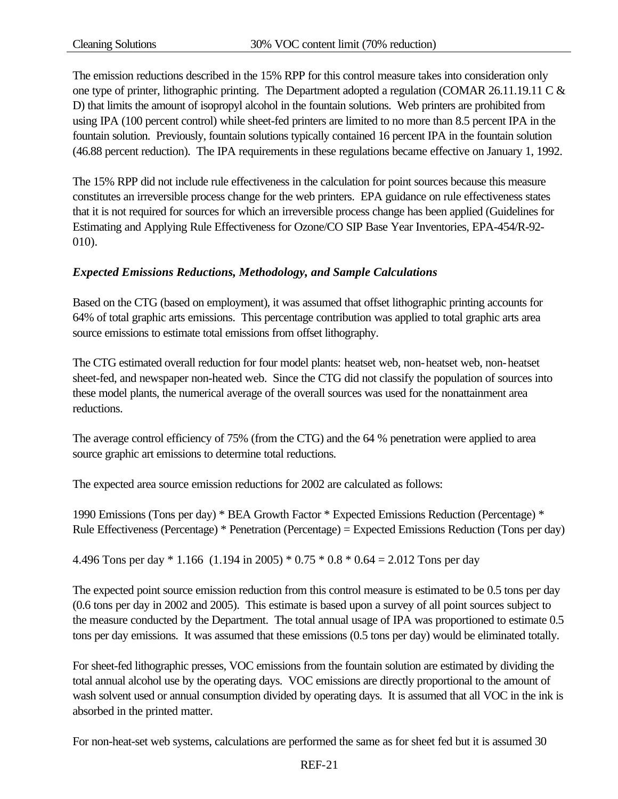The emission reductions described in the 15% RPP for this control measure takes into consideration only one type of printer, lithographic printing. The Department adopted a regulation (COMAR 26.11.19.11 C & D) that limits the amount of isopropyl alcohol in the fountain solutions. Web printers are prohibited from using IPA (100 percent control) while sheet-fed printers are limited to no more than 8.5 percent IPA in the fountain solution. Previously, fountain solutions typically contained 16 percent IPA in the fountain solution (46.88 percent reduction). The IPA requirements in these regulations became effective on January 1, 1992.

The 15% RPP did not include rule effectiveness in the calculation for point sources because this measure constitutes an irreversible process change for the web printers. EPA guidance on rule effectiveness states that it is not required for sources for which an irreversible process change has been applied (Guidelines for Estimating and Applying Rule Effectiveness for Ozone/CO SIP Base Year Inventories, EPA-454/R-92- 010).

## *Expected Emissions Reductions, Methodology, and Sample Calculations*

Based on the CTG (based on employment), it was assumed that offset lithographic printing accounts for 64% of total graphic arts emissions. This percentage contribution was applied to total graphic arts area source emissions to estimate total emissions from offset lithography.

The CTG estimated overall reduction for four model plants: heatset web, non-heatset web, non-heatset sheet-fed, and newspaper non-heated web. Since the CTG did not classify the population of sources into these model plants, the numerical average of the overall sources was used for the nonattainment area reductions.

The average control efficiency of 75% (from the CTG) and the 64 % penetration were applied to area source graphic art emissions to determine total reductions.

The expected area source emission reductions for 2002 are calculated as follows:

1990 Emissions (Tons per day) \* BEA Growth Factor \* Expected Emissions Reduction (Percentage) \* Rule Effectiveness (Percentage) \* Penetration (Percentage) = Expected Emissions Reduction (Tons per day)

4.496 Tons per day \* 1.166 (1.194 in 2005) \* 0.75 \* 0.8 \* 0.64 = 2.012 Tons per day

The expected point source emission reduction from this control measure is estimated to be 0.5 tons per day (0.6 tons per day in 2002 and 2005). This estimate is based upon a survey of all point sources subject to the measure conducted by the Department. The total annual usage of IPA was proportioned to estimate 0.5 tons per day emissions. It was assumed that these emissions (0.5 tons per day) would be eliminated totally.

For sheet-fed lithographic presses, VOC emissions from the fountain solution are estimated by dividing the total annual alcohol use by the operating days. VOC emissions are directly proportional to the amount of wash solvent used or annual consumption divided by operating days. It is assumed that all VOC in the ink is absorbed in the printed matter.

For non-heat-set web systems, calculations are performed the same as for sheet fed but it is assumed 30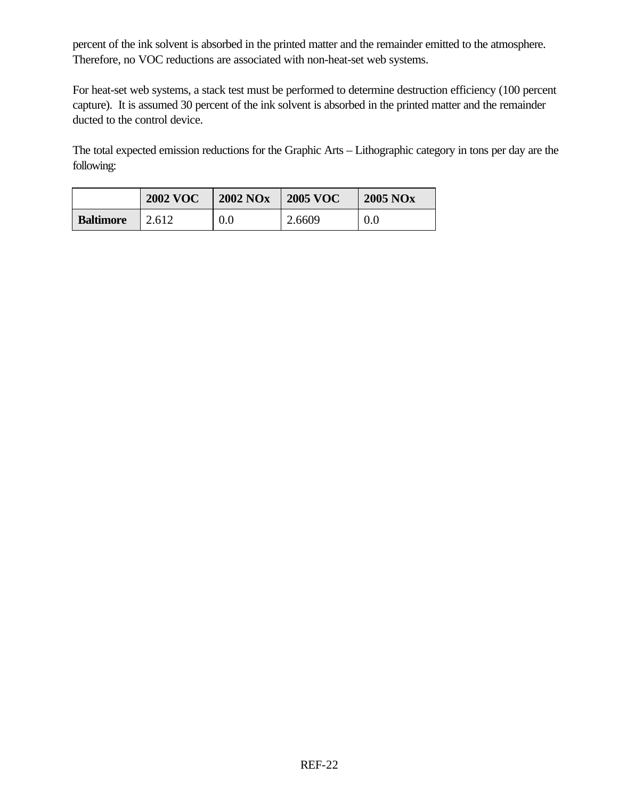percent of the ink solvent is absorbed in the printed matter and the remainder emitted to the atmosphere. Therefore, no VOC reductions are associated with non-heat-set web systems.

For heat-set web systems, a stack test must be performed to determine destruction efficiency (100 percent capture). It is assumed 30 percent of the ink solvent is absorbed in the printed matter and the remainder ducted to the control device.

The total expected emission reductions for the Graphic Arts – Lithographic category in tons per day are the following:

|                  | <b>2002 VOC</b> | <b>2002 NOx</b> | <b>2005 VOC</b> | <b>2005 NOx</b> |
|------------------|-----------------|-----------------|-----------------|-----------------|
| <b>Baltimore</b> | 2.612           | 0.0             | 2.6609          | 0.0             |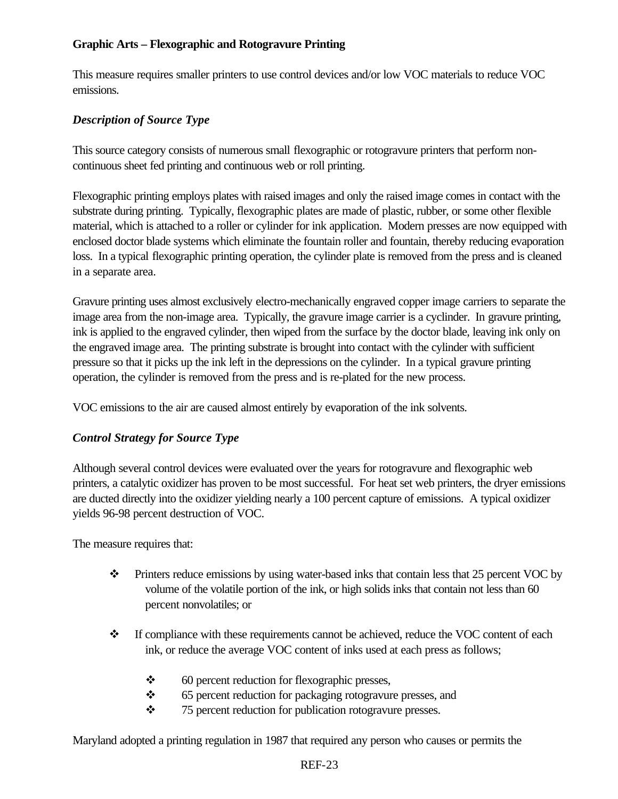## **Graphic Arts – Flexographic and Rotogravure Printing**

This measure requires smaller printers to use control devices and/or low VOC materials to reduce VOC emissions.

### *Description of Source Type*

This source category consists of numerous small flexographic or rotogravure printers that perform noncontinuous sheet fed printing and continuous web or roll printing.

Flexographic printing employs plates with raised images and only the raised image comes in contact with the substrate during printing. Typically, flexographic plates are made of plastic, rubber, or some other flexible material, which is attached to a roller or cylinder for ink application. Modern presses are now equipped with enclosed doctor blade systems which eliminate the fountain roller and fountain, thereby reducing evaporation loss. In a typical flexographic printing operation, the cylinder plate is removed from the press and is cleaned in a separate area.

Gravure printing uses almost exclusively electro-mechanically engraved copper image carriers to separate the image area from the non-image area. Typically, the gravure image carrier is a cyclinder. In gravure printing, ink is applied to the engraved cylinder, then wiped from the surface by the doctor blade, leaving ink only on the engraved image area. The printing substrate is brought into contact with the cylinder with sufficient pressure so that it picks up the ink left in the depressions on the cylinder. In a typical gravure printing operation, the cylinder is removed from the press and is re-plated for the new process.

VOC emissions to the air are caused almost entirely by evaporation of the ink solvents.

### *Control Strategy for Source Type*

Although several control devices were evaluated over the years for rotogravure and flexographic web printers, a catalytic oxidizer has proven to be most successful. For heat set web printers, the dryer emissions are ducted directly into the oxidizer yielding nearly a 100 percent capture of emissions. A typical oxidizer yields 96-98 percent destruction of VOC.

The measure requires that:

- v Printers reduce emissions by using water-based inks that contain less that 25 percent VOC by volume of the volatile portion of the ink, or high solids inks that contain not less than 60 percent nonvolatiles; or
- $\cdot \cdot$  If compliance with these requirements cannot be achieved, reduce the VOC content of each ink, or reduce the average VOC content of inks used at each press as follows;
	- $\div$  60 percent reduction for flexographic presses,
	- $\div$  65 percent reduction for packaging rotogravure presses, and
	- 75 percent reduction for publication rotogravure presses.

Maryland adopted a printing regulation in 1987 that required any person who causes or permits the

#### REF-23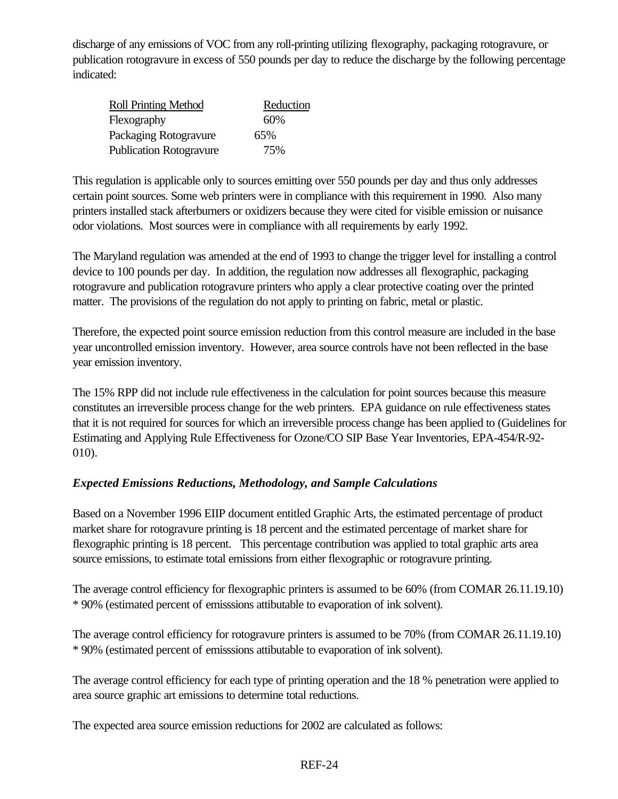discharge of any emissions of VOC from any roll-printing utilizing flexography, packaging rotogravure, or publication rotogravure in excess of 550 pounds per day to reduce the discharge by the following percentage indicated:

| <b>Roll Printing Method</b>    | Reduction |
|--------------------------------|-----------|
| Flexography                    | 60%       |
| Packaging Rotogravure          | 65%       |
| <b>Publication Rotogravure</b> | 75%       |

This regulation is applicable only to sources emitting over 550 pounds per day and thus only addresses certain point sources. Some web printers were in compliance with this requirement in 1990. Also many printers installed stack afterburners or oxidizers because they were cited for visible emission or nuisance odor violations. Most sources were in compliance with all requirements by early 1992.

The Maryland regulation was amended at the end of 1993 to change the trigger level for installing a control device to 100 pounds per day. In addition, the regulation now addresses all flexographic, packaging rotogravure and publication rotogravure printers who apply a clear protective coating over the printed matter. The provisions of the regulation do not apply to printing on fabric, metal or plastic.

Therefore, the expected point source emission reduction from this control measure are included in the base year uncontrolled emission inventory. However, area source controls have not been reflected in the base year emission inventory.

The 15% RPP did not include rule effectiveness in the calculation for point sources because this measure constitutes an irreversible process change for the web printers. EPA guidance on rule effectiveness states that it is not required for sources for which an irreversible process change has been applied to (Guidelines for Estimating and Applying Rule Effectiveness for Ozone/CO SIP Base Year Inventories, EPA-454/R-92- 010).

# *Expected Emissions Reductions, Methodology, and Sample Calculations*

Based on a November 1996 EIIP document entitled Graphic Arts, the estimated percentage of product market share for rotogravure printing is 18 percent and the estimated percentage of market share for flexographic printing is 18 percent. This percentage contribution was applied to total graphic arts area source emissions, to estimate total emissions from either flexographic or rotogravure printing.

The average control efficiency for flexographic printers is assumed to be 60% (from COMAR 26.11.19.10) \* 90% (estimated percent of emisssions attibutable to evaporation of ink solvent).

The average control efficiency for rotogravure printers is assumed to be 70% (from COMAR 26.11.19.10) \* 90% (estimated percent of emisssions attibutable to evaporation of ink solvent).

The average control efficiency for each type of printing operation and the 18 % penetration were applied to area source graphic art emissions to determine total reductions.

The expected area source emission reductions for 2002 are calculated as follows: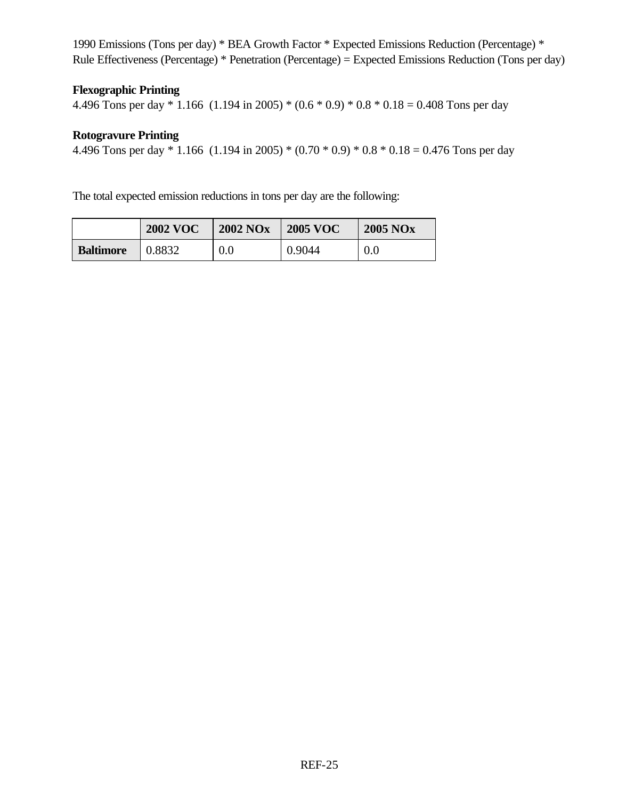1990 Emissions (Tons per day) \* BEA Growth Factor \* Expected Emissions Reduction (Percentage) \* Rule Effectiveness (Percentage) \* Penetration (Percentage) = Expected Emissions Reduction (Tons per day)

#### **Flexographic Printing**

4.496 Tons per day \* 1.166  $(1.194 \text{ in } 2005)$  \*  $(0.6 * 0.9)$  \*  $0.8 * 0.18 = 0.408$  Tons per day

# **Rotogravure Printing**

4.496 Tons per day \* 1.166  $(1.194 \text{ in } 2005)$  \*  $(0.70 \times 0.9) \times 0.8 \times 0.18 = 0.476$  Tons per day

The total expected emission reductions in tons per day are the following:

|                  | <b>2002 VOC</b> | <b>2002 NOx</b> | <b>2005 VOC</b> | <b>2005 NOx</b> |
|------------------|-----------------|-----------------|-----------------|-----------------|
| <b>Baltimore</b> | 0.8832          | 0.0             | 0.9044          | 0.0             |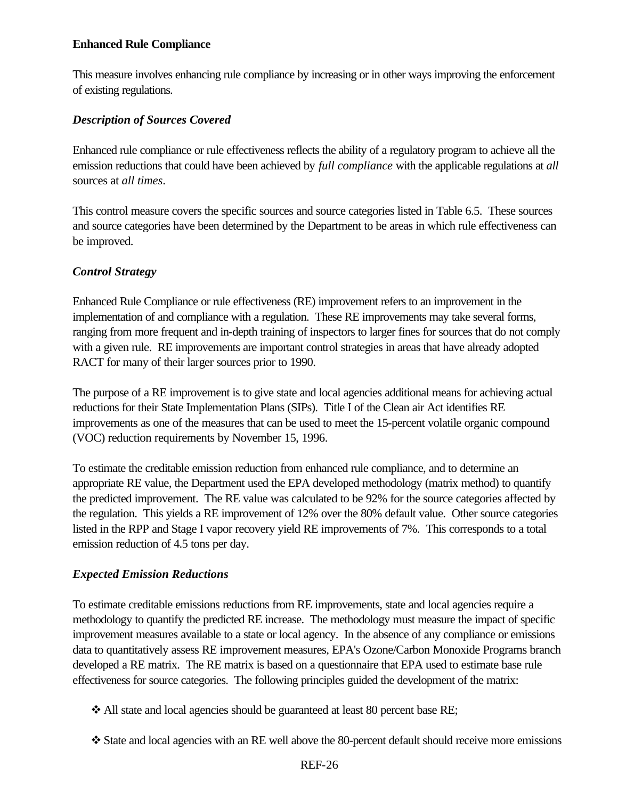### **Enhanced Rule Compliance**

This measure involves enhancing rule compliance by increasing or in other ways improving the enforcement of existing regulations.

# *Description of Sources Covered*

Enhanced rule compliance or rule effectiveness reflects the ability of a regulatory program to achieve all the emission reductions that could have been achieved by *full compliance* with the applicable regulations at *all* sources at *all times*.

This control measure covers the specific sources and source categories listed in Table 6.5. These sources and source categories have been determined by the Department to be areas in which rule effectiveness can be improved.

# *Control Strategy*

Enhanced Rule Compliance or rule effectiveness (RE) improvement refers to an improvement in the implementation of and compliance with a regulation. These RE improvements may take several forms, ranging from more frequent and in-depth training of inspectors to larger fines for sources that do not comply with a given rule. RE improvements are important control strategies in areas that have already adopted RACT for many of their larger sources prior to 1990.

The purpose of a RE improvement is to give state and local agencies additional means for achieving actual reductions for their State Implementation Plans (SIPs). Title I of the Clean air Act identifies RE improvements as one of the measures that can be used to meet the 15-percent volatile organic compound (VOC) reduction requirements by November 15, 1996.

To estimate the creditable emission reduction from enhanced rule compliance, and to determine an appropriate RE value, the Department used the EPA developed methodology (matrix method) to quantify the predicted improvement. The RE value was calculated to be 92% for the source categories affected by the regulation. This yields a RE improvement of 12% over the 80% default value. Other source categories listed in the RPP and Stage I vapor recovery yield RE improvements of 7%. This corresponds to a total emission reduction of 4.5 tons per day.

### *Expected Emission Reductions*

To estimate creditable emissions reductions from RE improvements, state and local agencies require a methodology to quantify the predicted RE increase. The methodology must measure the impact of specific improvement measures available to a state or local agency. In the absence of any compliance or emissions data to quantitatively assess RE improvement measures, EPA's Ozone/Carbon Monoxide Programs branch developed a RE matrix. The RE matrix is based on a questionnaire that EPA used to estimate base rule effectiveness for source categories. The following principles guided the development of the matrix:

- v All state and local agencies should be guaranteed at least 80 percent base RE;
- v State and local agencies with an RE well above the 80-percent default should receive more emissions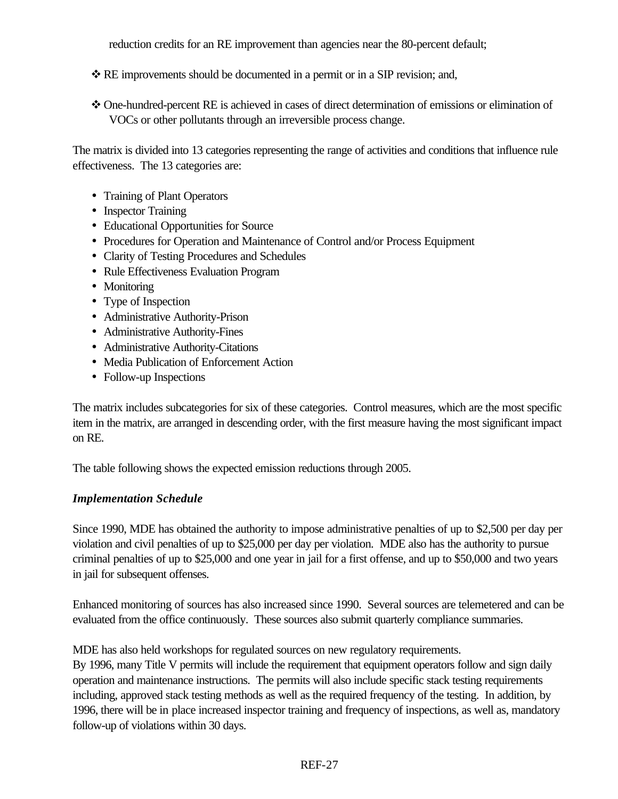reduction credits for an RE improvement than agencies near the 80-percent default;

- \* RE improvements should be documented in a permit or in a SIP revision; and,
- v One-hundred-percent RE is achieved in cases of direct determination of emissions or elimination of VOCs or other pollutants through an irreversible process change.

The matrix is divided into 13 categories representing the range of activities and conditions that influence rule effectiveness. The 13 categories are:

- Training of Plant Operators
- Inspector Training
- Educational Opportunities for Source
- Procedures for Operation and Maintenance of Control and/or Process Equipment
- Clarity of Testing Procedures and Schedules
- Rule Effectiveness Evaluation Program
- Monitoring
- Type of Inspection
- Administrative Authority-Prison
- Administrative Authority-Fines
- Administrative Authority-Citations
- Media Publication of Enforcement Action
- Follow-up Inspections

The matrix includes subcategories for six of these categories. Control measures, which are the most specific item in the matrix, are arranged in descending order, with the first measure having the most significant impact on RE.

The table following shows the expected emission reductions through 2005.

### *Implementation Schedule*

Since 1990, MDE has obtained the authority to impose administrative penalties of up to \$2,500 per day per violation and civil penalties of up to \$25,000 per day per violation. MDE also has the authority to pursue criminal penalties of up to \$25,000 and one year in jail for a first offense, and up to \$50,000 and two years in jail for subsequent offenses.

Enhanced monitoring of sources has also increased since 1990. Several sources are telemetered and can be evaluated from the office continuously. These sources also submit quarterly compliance summaries.

MDE has also held workshops for regulated sources on new regulatory requirements.

By 1996, many Title V permits will include the requirement that equipment operators follow and sign daily operation and maintenance instructions. The permits will also include specific stack testing requirements including, approved stack testing methods as well as the required frequency of the testing. In addition, by 1996, there will be in place increased inspector training and frequency of inspections, as well as, mandatory follow-up of violations within 30 days.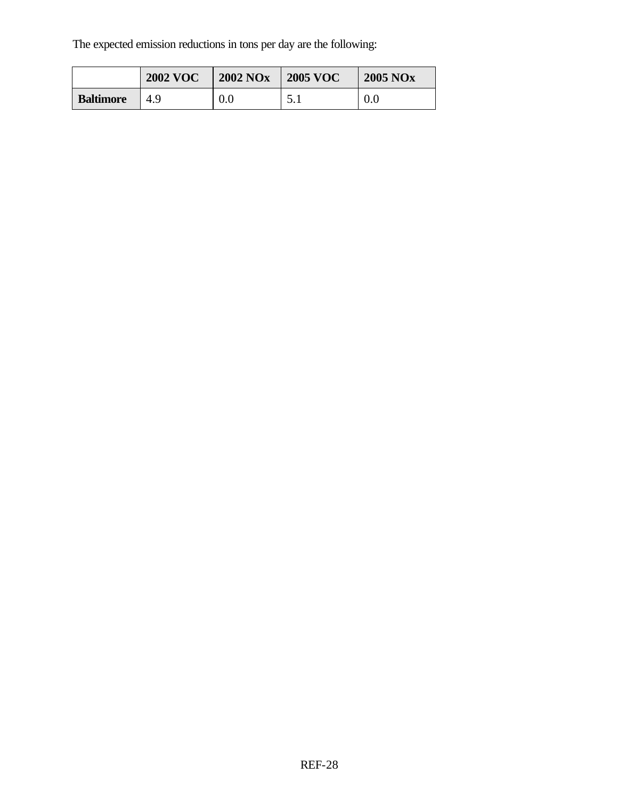The expected emission reductions in tons per day are the following:

|                  | <b>2002 VOC</b> | <b>2002 NOx</b> | <b>2005 VOC</b> | <b>2005 NOx</b> |
|------------------|-----------------|-----------------|-----------------|-----------------|
| <b>Baltimore</b> |                 | $0.0\,$         | ◡.              | 0.0             |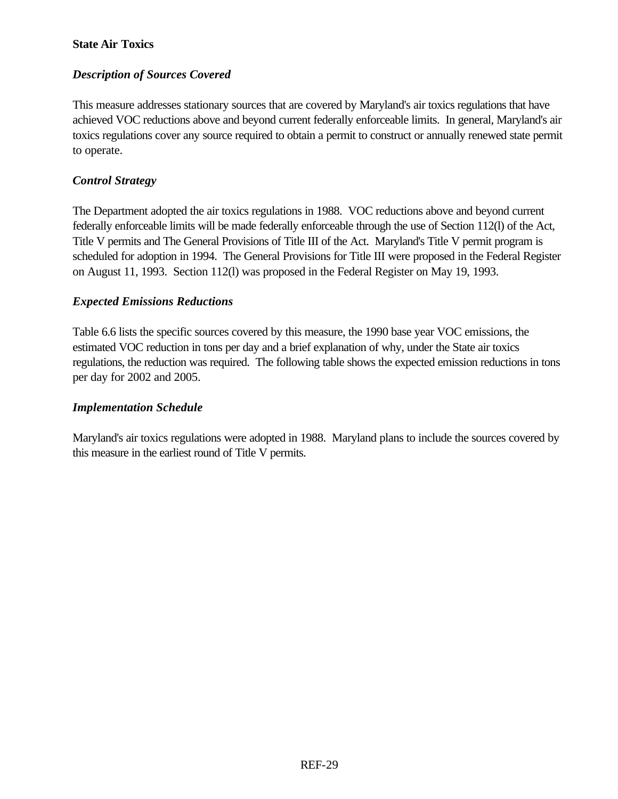### **State Air Toxics**

### *Description of Sources Covered*

This measure addresses stationary sources that are covered by Maryland's air toxics regulations that have achieved VOC reductions above and beyond current federally enforceable limits. In general, Maryland's air toxics regulations cover any source required to obtain a permit to construct or annually renewed state permit to operate.

### *Control Strategy*

The Department adopted the air toxics regulations in 1988. VOC reductions above and beyond current federally enforceable limits will be made federally enforceable through the use of Section 112(l) of the Act, Title V permits and The General Provisions of Title III of the Act. Maryland's Title V permit program is scheduled for adoption in 1994. The General Provisions for Title III were proposed in the Federal Register on August 11, 1993. Section 112(l) was proposed in the Federal Register on May 19, 1993.

#### *Expected Emissions Reductions*

Table 6.6 lists the specific sources covered by this measure, the 1990 base year VOC emissions, the estimated VOC reduction in tons per day and a brief explanation of why, under the State air toxics regulations, the reduction was required. The following table shows the expected emission reductions in tons per day for 2002 and 2005.

#### *Implementation Schedule*

Maryland's air toxics regulations were adopted in 1988. Maryland plans to include the sources covered by this measure in the earliest round of Title V permits.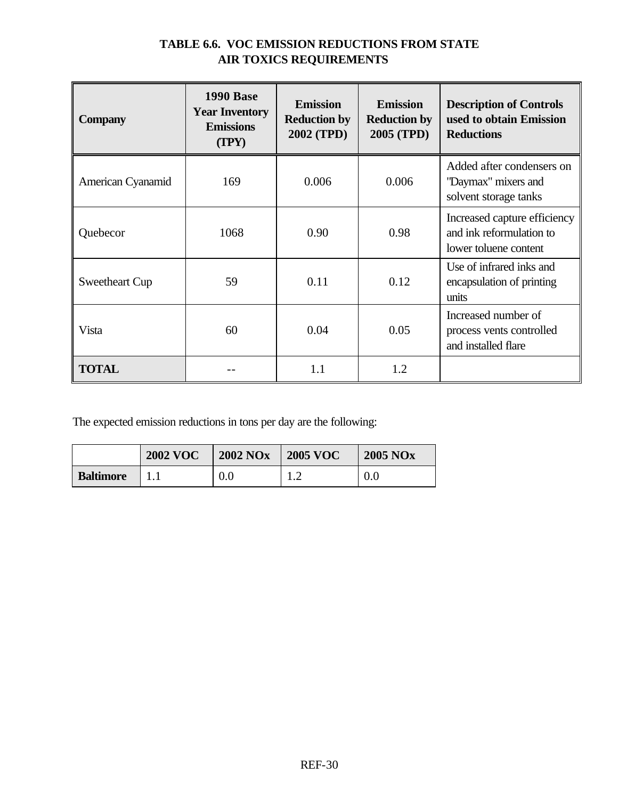# **TABLE 6.6. VOC EMISSION REDUCTIONS FROM STATE AIR TOXICS REQUIREMENTS**

| <b>Company</b>        | <b>1990 Base</b><br><b>Year Inventory</b><br><b>Emissions</b><br>(TPY) | <b>Emission</b><br><b>Reduction by</b><br>2002 (TPD) | <b>Emission</b><br><b>Reduction by</b><br>2005 (TPD) | <b>Description of Controls</b><br>used to obtain Emission<br><b>Reductions</b>    |
|-----------------------|------------------------------------------------------------------------|------------------------------------------------------|------------------------------------------------------|-----------------------------------------------------------------------------------|
| American Cyanamid     | 169                                                                    | 0.006                                                | 0.006                                                | Added after condensers on<br>"Daymax" mixers and<br>solvent storage tanks         |
| Quebecor              | 1068                                                                   | 0.90                                                 | 0.98                                                 | Increased capture efficiency<br>and ink reformulation to<br>lower toluene content |
| <b>Sweetheart Cup</b> | 59                                                                     | 0.11                                                 | 0.12                                                 | Use of infrared inks and<br>encapsulation of printing<br>units                    |
| Vista                 | 60                                                                     | 0.04                                                 | 0.05                                                 | Increased number of<br>process vents controlled<br>and installed flare            |
| <b>TOTAL</b>          |                                                                        | 1.1                                                  | 1.2                                                  |                                                                                   |

The expected emission reductions in tons per day are the following:

|                  | <b>2002 VOC</b> | <b>2002 NOx</b> | <b>2005 VOC</b> | <b>2005 NOx</b> |
|------------------|-----------------|-----------------|-----------------|-----------------|
| <b>Baltimore</b> |                 |                 | .               | 0.0             |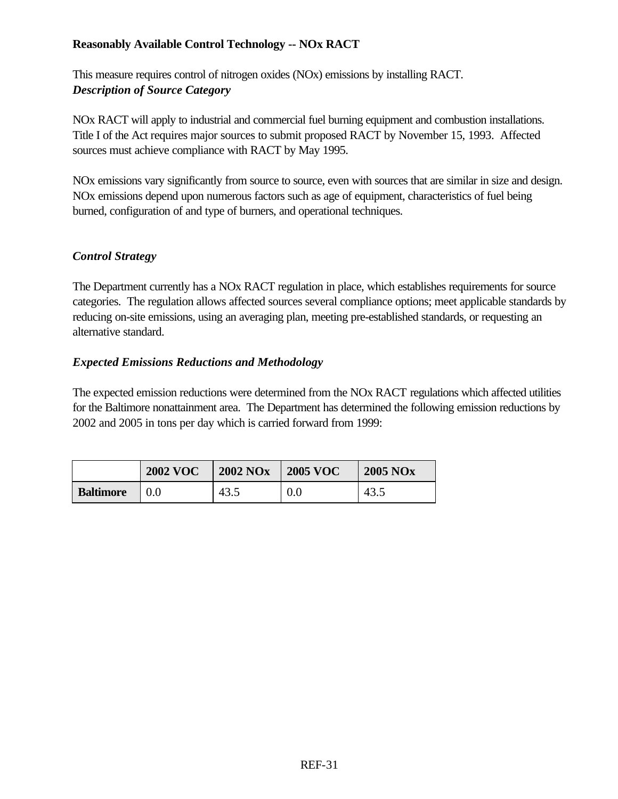# **Reasonably Available Control Technology -- NOx RACT**

This measure requires control of nitrogen oxides (NOx) emissions by installing RACT. *Description of Source Category*

NOx RACT will apply to industrial and commercial fuel burning equipment and combustion installations. Title I of the Act requires major sources to submit proposed RACT by November 15, 1993. Affected sources must achieve compliance with RACT by May 1995.

NOx emissions vary significantly from source to source, even with sources that are similar in size and design. NOx emissions depend upon numerous factors such as age of equipment, characteristics of fuel being burned, configuration of and type of burners, and operational techniques.

### *Control Strategy*

The Department currently has a NOx RACT regulation in place, which establishes requirements for source categories. The regulation allows affected sources several compliance options; meet applicable standards by reducing on-site emissions, using an averaging plan, meeting pre-established standards, or requesting an alternative standard.

### *Expected Emissions Reductions and Methodology*

The expected emission reductions were determined from the NOx RACT regulations which affected utilities for the Baltimore nonattainment area. The Department has determined the following emission reductions by 2002 and 2005 in tons per day which is carried forward from 1999:

|                  | <b>2002 VOC</b> | <b>2002 NOx</b> | <b>2005 VOC</b> | <b>2005 NOx</b> |
|------------------|-----------------|-----------------|-----------------|-----------------|
| <b>Baltimore</b> |                 | 43.5            | 0.0             | 43.5            |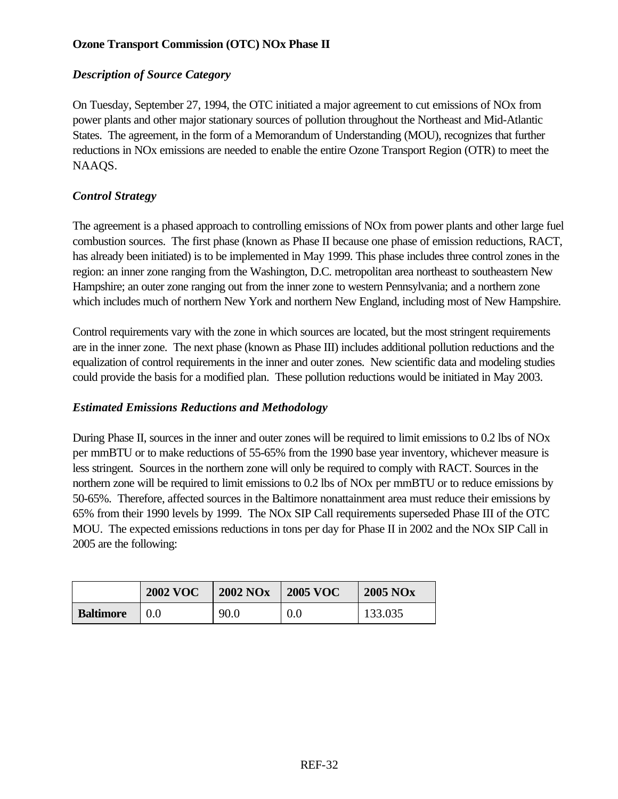# **Ozone Transport Commission (OTC) NOx Phase II**

### *Description of Source Category*

On Tuesday, September 27, 1994, the OTC initiated a major agreement to cut emissions of NOx from power plants and other major stationary sources of pollution throughout the Northeast and Mid-Atlantic States. The agreement, in the form of a Memorandum of Understanding (MOU), recognizes that further reductions in NOx emissions are needed to enable the entire Ozone Transport Region (OTR) to meet the NAAQS.

# *Control Strategy*

The agreement is a phased approach to controlling emissions of NOx from power plants and other large fuel combustion sources. The first phase (known as Phase II because one phase of emission reductions, RACT, has already been initiated) is to be implemented in May 1999. This phase includes three control zones in the region: an inner zone ranging from the Washington, D.C. metropolitan area northeast to southeastern New Hampshire; an outer zone ranging out from the inner zone to western Pennsylvania; and a northern zone which includes much of northern New York and northern New England, including most of New Hampshire.

Control requirements vary with the zone in which sources are located, but the most stringent requirements are in the inner zone. The next phase (known as Phase III) includes additional pollution reductions and the equalization of control requirements in the inner and outer zones. New scientific data and modeling studies could provide the basis for a modified plan. These pollution reductions would be initiated in May 2003.

### *Estimated Emissions Reductions and Methodology*

During Phase II, sources in the inner and outer zones will be required to limit emissions to 0.2 lbs of NOx per mmBTU or to make reductions of 55-65% from the 1990 base year inventory, whichever measure is less stringent. Sources in the northern zone will only be required to comply with RACT. Sources in the northern zone will be required to limit emissions to 0.2 lbs of NOx per mmBTU or to reduce emissions by 50-65%. Therefore, affected sources in the Baltimore nonattainment area must reduce their emissions by 65% from their 1990 levels by 1999. The NOx SIP Call requirements superseded Phase III of the OTC MOU. The expected emissions reductions in tons per day for Phase II in 2002 and the NOx SIP Call in 2005 are the following:

|                  | <b>2002 VOC</b> | <b>2002 NOx</b> | <b>2005 VOC</b> | <b>2005 NOx</b> |
|------------------|-----------------|-----------------|-----------------|-----------------|
| <b>Baltimore</b> |                 | 90.0            | 0.0             | 133.035         |